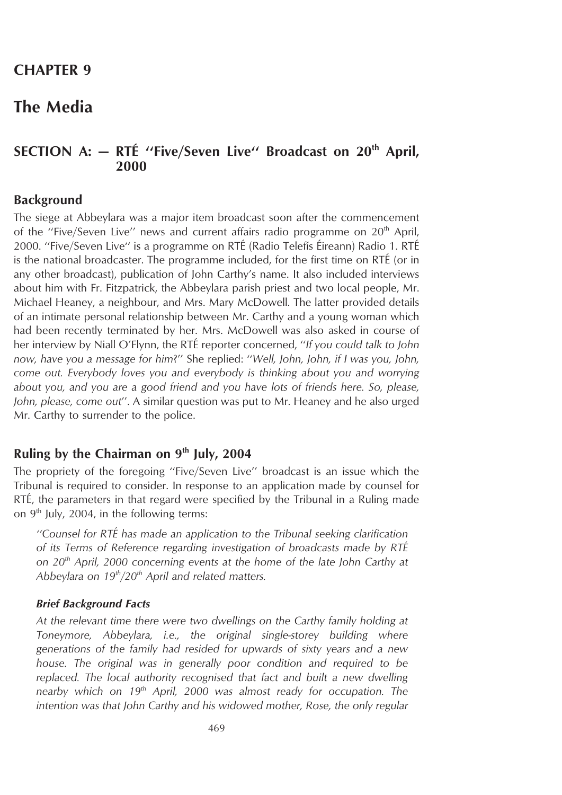## **CHAPTER 9**

# **The Media**

## **SECTION A: - RTÉ** "Five/Seven Live" Broadcast on 20<sup>th</sup> April, **2000**

### **Background**

The siege at Abbeylara was a major item broadcast soon after the commencement of the "Five/Seven Live" news and current affairs radio programme on  $20<sup>th</sup>$  April, 2000. "Five/Seven Live" is a programme on RTÉ (Radio Telefís Éireann) Radio 1. RTÉ is the national broadcaster. The programme included, for the first time on RTÉ (or in any other broadcast), publication of John Carthy's name. It also included interviews about him with Fr. Fitzpatrick, the Abbeylara parish priest and two local people, Mr. Michael Heaney, a neighbour, and Mrs. Mary McDowell. The latter provided details of an intimate personal relationship between Mr. Carthy and a young woman which had been recently terminated by her. Mrs. McDowell was also asked in course of her interview by Niall O'Flynn, the RTE´ reporter concerned, ''*If you could talk to John now, have you a message for him*?'' She replied: ''*Well, John, John, if I was you, John, come out. Everybody loves you and everybody is thinking about you and worrying about you, and you are a good friend and you have lots of friends here. So, please, John, please, come out*''. A similar question was put to Mr. Heaney and he also urged Mr. Carthy to surrender to the police.

## **Ruling by the Chairman on 9th July, 2004**

The propriety of the foregoing ''Five/Seven Live'' broadcast is an issue which the Tribunal is required to consider. In response to an application made by counsel for RTÉ, the parameters in that regard were specified by the Tribunal in a Ruling made on  $9<sup>th</sup>$  July, 2004, in the following terms:

*''Counsel for RTE´ has made an application to the Tribunal seeking clarification of its Terms of Reference regarding investigation of broadcasts made by RTE´ on 20th April, 2000 concerning events at the home of the late John Carthy at Abbeylara on 19th/20th April and related matters.*

#### *Brief Background Facts*

*At the relevant time there were two dwellings on the Carthy family holding at Toneymore, Abbeylara, i.e., the original single-storey building where generations of the family had resided for upwards of sixty years and a new house. The original was in generally poor condition and required to be replaced. The local authority recognised that fact and built a new dwelling nearby which on 19th April, 2000 was almost ready for occupation. The intention was that John Carthy and his widowed mother, Rose, the only regular*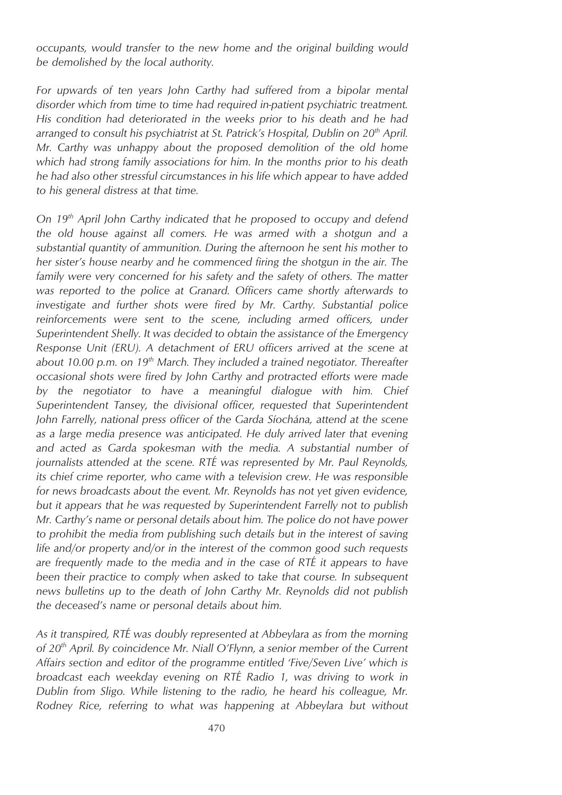*occupants, would transfer to the new home and the original building would be demolished by the local authority.*

*For upwards of ten years John Carthy had suffered from a bipolar mental disorder which from time to time had required in-patient psychiatric treatment. His condition had deteriorated in the weeks prior to his death and he had arranged to consult his psychiatrist at St. Patrick's Hospital, Dublin on 20th April. Mr. Carthy was unhappy about the proposed demolition of the old home which had strong family associations for him. In the months prior to his death he had also other stressful circumstances in his life which appear to have added to his general distress at that time.*

*On 19th April John Carthy indicated that he proposed to occupy and defend the old house against all comers. He was armed with a shotgun and a substantial quantity of ammunition. During the afternoon he sent his mother to her sister's house nearby and he commenced firing the shotgun in the air. The family were very concerned for his safety and the safety of others. The matter was reported to the police at Granard. Officers came shortly afterwards to investigate and further shots were fired by Mr. Carthy. Substantial police reinforcements were sent to the scene, including armed officers, under Superintendent Shelly. It was decided to obtain the assistance of the Emergency Response Unit (ERU). A detachment of ERU officers arrived at the scene at about 10.00 p.m. on 19th March. They included a trained negotiator. Thereafter occasional shots were fired by John Carthy and protracted efforts were made by the negotiator to have a meaningful dialogue with him. Chief Superintendent Tansey, the divisional officer, requested that Superintendent* John Farrelly, national press officer of the Garda Síochána, attend at the scene *as a large media presence was anticipated. He duly arrived later that evening and acted as Garda spokesman with the media. A substantial number of journalists attended at the scene. RTE´ was represented by Mr. Paul Reynolds, its chief crime reporter, who came with a television crew. He was responsible for news broadcasts about the event. Mr. Reynolds has not yet given evidence, but it appears that he was requested by Superintendent Farrelly not to publish Mr. Carthy's name or personal details about him. The police do not have power to prohibit the media from publishing such details but in the interest of saving life and/or property and/or in the interest of the common good such requests are frequently made to the media and in the case of RTE´ it appears to have been their practice to comply when asked to take that course. In subsequent news bulletins up to the death of John Carthy Mr. Reynolds did not publish the deceased's name or personal details about him.*

*As it transpired, RTE´ was doubly represented at Abbeylara as from the morning of 20th April. By coincidence Mr. Niall O'Flynn, a senior member of the Current Affairs section and editor of the programme entitled 'Five/Seven Live' which is broadcast each weekday evening on RTE´ Radio 1, was driving to work in Dublin from Sligo. While listening to the radio, he heard his colleague, Mr. Rodney Rice, referring to what was happening at Abbeylara but without*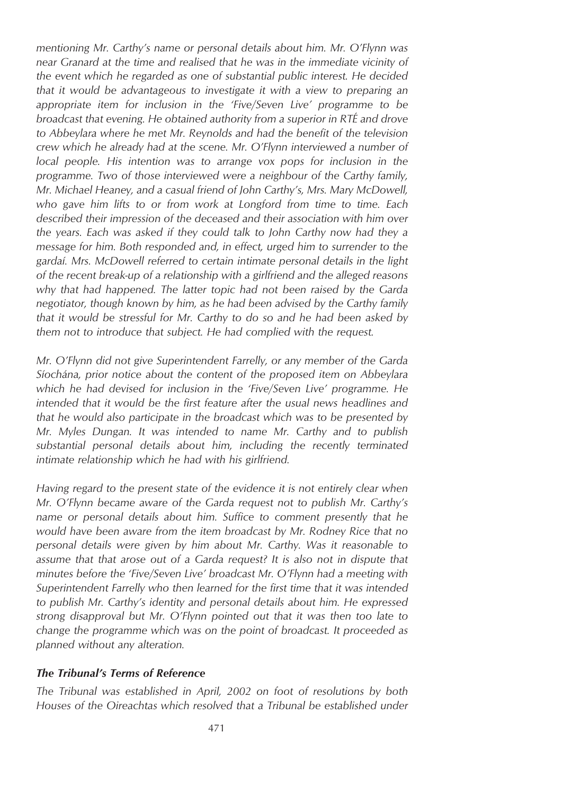*mentioning Mr. Carthy's name or personal details about him. Mr. O'Flynn was near Granard at the time and realised that he was in the immediate vicinity of the event which he regarded as one of substantial public interest. He decided that it would be advantageous to investigate it with a view to preparing an appropriate item for inclusion in the 'Five/Seven Live' programme to be broadcast that evening. He obtained authority from a superior in RTE´ and drove to Abbeylara where he met Mr. Reynolds and had the benefit of the television crew which he already had at the scene. Mr. O'Flynn interviewed a number of local people. His intention was to arrange vox pops for inclusion in the programme. Two of those interviewed were a neighbour of the Carthy family, Mr. Michael Heaney, and a casual friend of John Carthy's, Mrs. Mary McDowell, who gave him lifts to or from work at Longford from time to time. Each described their impression of the deceased and their association with him over the years. Each was asked if they could talk to John Carthy now had they a message for him. Both responded and, in effect, urged him to surrender to the gardaı´. Mrs. McDowell referred to certain intimate personal details in the light of the recent break-up of a relationship with a girlfriend and the alleged reasons why that had happened. The latter topic had not been raised by the Garda negotiator, though known by him, as he had been advised by the Carthy family that it would be stressful for Mr. Carthy to do so and he had been asked by them not to introduce that subject. He had complied with the request.*

*Mr. O'Flynn did not give Superintendent Farrelly, or any member of the Garda Sı´ocha´na, prior notice about the content of the proposed item on Abbeylara which he had devised for inclusion in the 'Five/Seven Live' programme. He intended that it would be the first feature after the usual news headlines and that he would also participate in the broadcast which was to be presented by Mr. Myles Dungan. It was intended to name Mr. Carthy and to publish substantial personal details about him, including the recently terminated intimate relationship which he had with his girlfriend.*

*Having regard to the present state of the evidence it is not entirely clear when Mr. O'Flynn became aware of the Garda request not to publish Mr. Carthy's name or personal details about him. Suffice to comment presently that he would have been aware from the item broadcast by Mr. Rodney Rice that no personal details were given by him about Mr. Carthy. Was it reasonable to assume that that arose out of a Garda request? It is also not in dispute that minutes before the 'Five/Seven Live' broadcast Mr. O'Flynn had a meeting with Superintendent Farrelly who then learned for the first time that it was intended to publish Mr. Carthy's identity and personal details about him. He expressed strong disapproval but Mr. O'Flynn pointed out that it was then too late to change the programme which was on the point of broadcast. It proceeded as planned without any alteration.*

#### *The Tribunal's Terms of Reference*

*The Tribunal was established in April, 2002 on foot of resolutions by both Houses of the Oireachtas which resolved that a Tribunal be established under*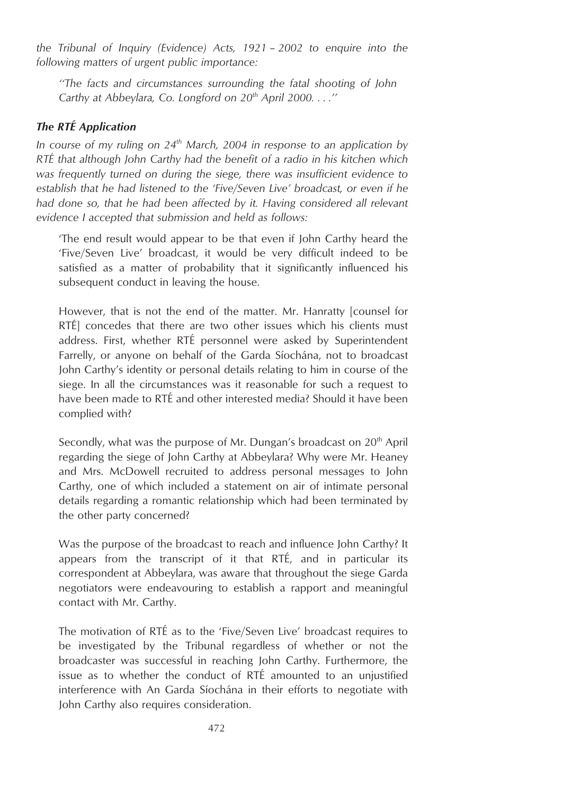*the Tribunal of Inquiry (Evidence) Acts, 1921 – 2002 to enquire into the following matters of urgent public importance:*

*''The facts and circumstances surrounding the fatal shooting of John Carthy at Abbeylara, Co. Longford on 20th April 2000. . . .''*

### *The RTE´ Application*

*In course of my ruling on 24th March, 2004 in response to an application by RTE´ that although John Carthy had the benefit of a radio in his kitchen which was frequently turned on during the siege, there was insufficient evidence to establish that he had listened to the 'Five/Seven Live' broadcast, or even if he had done so, that he had been affected by it. Having considered all relevant evidence I accepted that submission and held as follows:*

'The end result would appear to be that even if John Carthy heard the 'Five/Seven Live' broadcast, it would be very difficult indeed to be satisfied as a matter of probability that it significantly influenced his subsequent conduct in leaving the house.

However, that is not the end of the matter. Mr. Hanratty [counsel for RTÉ concedes that there are two other issues which his clients must address. First, whether RTÉ personnel were asked by Superintendent Farrelly, or anyone on behalf of the Garda Síochána, not to broadcast John Carthy's identity or personal details relating to him in course of the siege. In all the circumstances was it reasonable for such a request to have been made to RTÉ and other interested media? Should it have been complied with?

Secondly, what was the purpose of Mr. Dungan's broadcast on  $20<sup>th</sup>$  April regarding the siege of John Carthy at Abbeylara? Why were Mr. Heaney and Mrs. McDowell recruited to address personal messages to John Carthy, one of which included a statement on air of intimate personal details regarding a romantic relationship which had been terminated by the other party concerned?

Was the purpose of the broadcast to reach and influence John Carthy? It appears from the transcript of it that  $RT\acute{E}$ , and in particular its correspondent at Abbeylara, was aware that throughout the siege Garda negotiators were endeavouring to establish a rapport and meaningful contact with Mr. Carthy.

The motivation of RTE as to the 'Five/Seven Live' broadcast requires to be investigated by the Tribunal regardless of whether or not the broadcaster was successful in reaching John Carthy. Furthermore, the issue as to whether the conduct of RTÉ amounted to an unjustified interference with An Garda Síochána in their efforts to negotiate with John Carthy also requires consideration.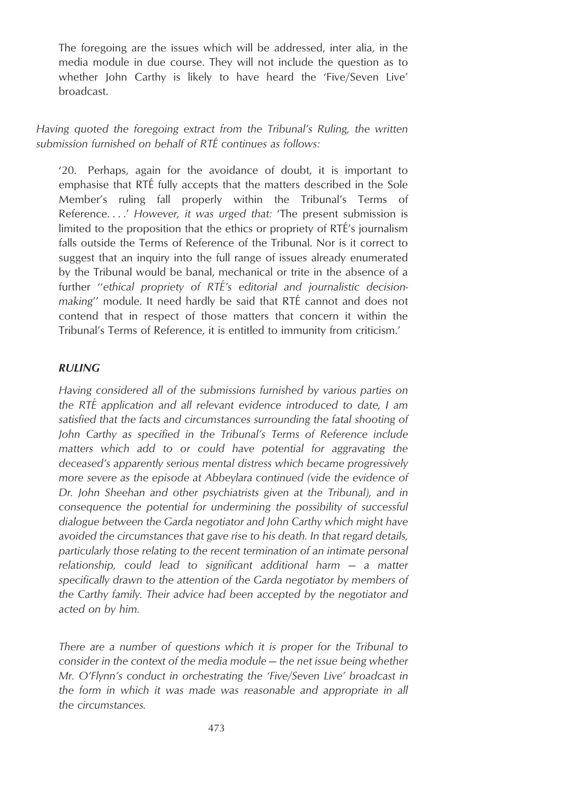The foregoing are the issues which will be addressed, inter alia, in the media module in due course. They will not include the question as to whether John Carthy is likely to have heard the 'Five/Seven Live' broadcast.

### *Having quoted the foregoing extract from the Tribunal's Ruling, the written submission furnished on behalf of RTE´ continues as follows:*

'20. Perhaps, again for the avoidance of doubt, it is important to emphasise that RTÉ fully accepts that the matters described in the Sole Member's ruling fall properly within the Tribunal's Terms of Reference. . . .' *However, it was urged that:* 'The present submission is limited to the proposition that the ethics or propriety of RTÉ's journalism falls outside the Terms of Reference of the Tribunal. Nor is it correct to suggest that an inquiry into the full range of issues already enumerated by the Tribunal would be banal, mechanical or trite in the absence of a further "ethical propriety of RTÉ's editorial and journalistic decision*making*" module. It need hardly be said that RTÉ cannot and does not contend that in respect of those matters that concern it within the Tribunal's Terms of Reference, it is entitled to immunity from criticism.'

#### *RULING*

*Having considered all of the submissions furnished by various parties on the RTE´ application and all relevant evidence introduced to date, I am satisfied that the facts and circumstances surrounding the fatal shooting of John Carthy as specified in the Tribunal's Terms of Reference include matters which add to or could have potential for aggravating the deceased's apparently serious mental distress which became progressively more severe as the episode at Abbeylara continued (vide the evidence of Dr. John Sheehan and other psychiatrists given at the Tribunal), and in consequence the potential for undermining the possibility of successful dialogue between the Garda negotiator and John Carthy which might have avoided the circumstances that gave rise to his death. In that regard details, particularly those relating to the recent termination of an intimate personal relationship, could lead to significant additional harm — a matter specifically drawn to the attention of the Garda negotiator by members of the Carthy family. Their advice had been accepted by the negotiator and acted on by him.*

*There are a number of questions which it is proper for the Tribunal to consider in the context of the media module — the net issue being whether Mr. O'Flynn's conduct in orchestrating the 'Five/Seven Live' broadcast in the form in which it was made was reasonable and appropriate in all the circumstances.*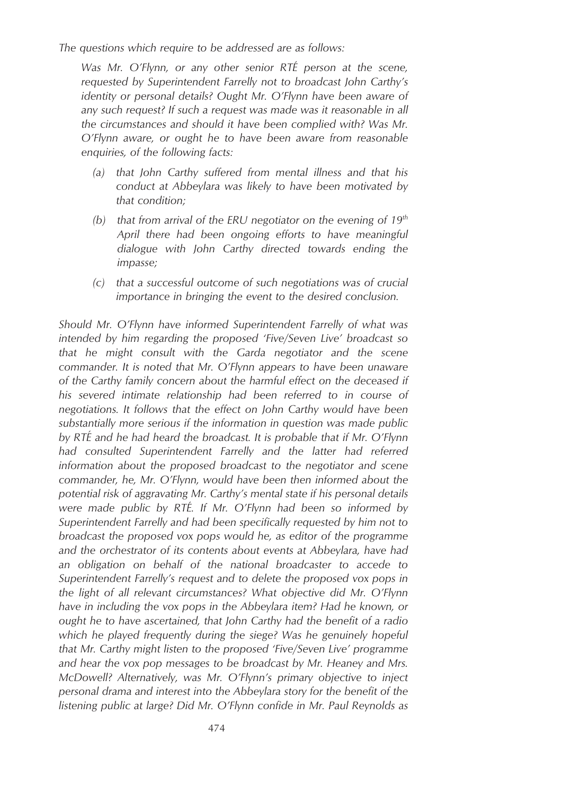*The questions which require to be addressed are as follows:*

*Was Mr. O'Flynn, or any other senior RTE´ person at the scene, requested by Superintendent Farrelly not to broadcast John Carthy's identity or personal details? Ought Mr. O'Flynn have been aware of any such request? If such a request was made was it reasonable in all the circumstances and should it have been complied with? Was Mr. O'Flynn aware, or ought he to have been aware from reasonable enquiries, of the following facts:*

- *(a) that John Carthy suffered from mental illness and that his conduct at Abbeylara was likely to have been motivated by that condition;*
- *(b) that from arrival of the ERU negotiator on the evening of 19th April there had been ongoing efforts to have meaningful dialogue with John Carthy directed towards ending the impasse;*
- *(c) that a successful outcome of such negotiations was of crucial importance in bringing the event to the desired conclusion.*

*Should Mr. O'Flynn have informed Superintendent Farrelly of what was intended by him regarding the proposed 'Five/Seven Live' broadcast so that he might consult with the Garda negotiator and the scene commander. It is noted that Mr. O'Flynn appears to have been unaware of the Carthy family concern about the harmful effect on the deceased if his severed intimate relationship had been referred to in course of negotiations. It follows that the effect on John Carthy would have been substantially more serious if the information in question was made public by RTE´ and he had heard the broadcast. It is probable that if Mr. O'Flynn had consulted Superintendent Farrelly and the latter had referred information about the proposed broadcast to the negotiator and scene commander, he, Mr. O'Flynn, would have been then informed about the potential risk of aggravating Mr. Carthy's mental state if his personal details were made public by RTE´. If Mr. O'Flynn had been so informed by Superintendent Farrelly and had been specifically requested by him not to broadcast the proposed vox pops would he, as editor of the programme and the orchestrator of its contents about events at Abbeylara, have had an obligation on behalf of the national broadcaster to accede to Superintendent Farrelly's request and to delete the proposed vox pops in the light of all relevant circumstances? What objective did Mr. O'Flynn have in including the vox pops in the Abbeylara item? Had he known, or ought he to have ascertained, that John Carthy had the benefit of a radio which he played frequently during the siege? Was he genuinely hopeful that Mr. Carthy might listen to the proposed 'Five/Seven Live' programme and hear the vox pop messages to be broadcast by Mr. Heaney and Mrs. McDowell? Alternatively, was Mr. O'Flynn's primary objective to inject personal drama and interest into the Abbeylara story for the benefit of the listening public at large? Did Mr. O'Flynn confide in Mr. Paul Reynolds as*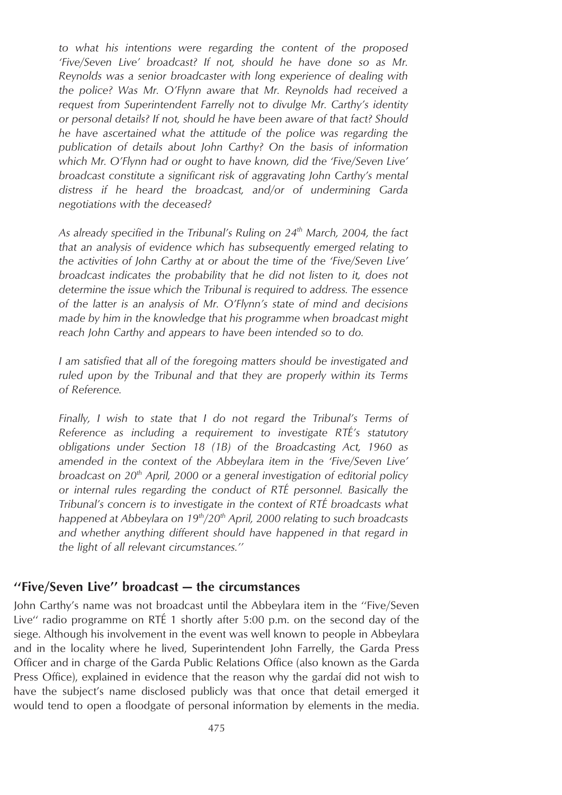*to what his intentions were regarding the content of the proposed 'Five/Seven Live' broadcast? If not, should he have done so as Mr. Reynolds was a senior broadcaster with long experience of dealing with the police? Was Mr. O'Flynn aware that Mr. Reynolds had received a request from Superintendent Farrelly not to divulge Mr. Carthy's identity or personal details? If not, should he have been aware of that fact? Should he have ascertained what the attitude of the police was regarding the publication of details about John Carthy? On the basis of information which Mr. O'Flynn had or ought to have known, did the 'Five/Seven Live' broadcast constitute a significant risk of aggravating John Carthy's mental distress if he heard the broadcast, and/or of undermining Garda negotiations with the deceased?*

*As already specified in the Tribunal's Ruling on 24th March, 2004, the fact that an analysis of evidence which has subsequently emerged relating to the activities of John Carthy at or about the time of the 'Five/Seven Live' broadcast indicates the probability that he did not listen to it, does not determine the issue which the Tribunal is required to address. The essence of the latter is an analysis of Mr. O'Flynn's state of mind and decisions made by him in the knowledge that his programme when broadcast might reach John Carthy and appears to have been intended so to do.*

*I am satisfied that all of the foregoing matters should be investigated and ruled upon by the Tribunal and that they are properly within its Terms of Reference.*

*Finally, I wish to state that I do not regard the Tribunal's Terms of Reference as including a requirement to investigate RTE´'s statutory obligations under Section 18 (1B) of the Broadcasting Act, 1960 as amended in the context of the Abbeylara item in the 'Five/Seven Live' broadcast on 20th April, 2000 or a general investigation of editorial policy or internal rules regarding the conduct of RTE´ personnel. Basically the Tribunal's concern is to investigate in the context of RTE´ broadcasts what happened at Abbeylara on 19th/20th April, 2000 relating to such broadcasts and whether anything different should have happened in that regard in the light of all relevant circumstances.''*

## **''Five/Seven Live'' broadcast — the circumstances**

John Carthy's name was not broadcast until the Abbeylara item in the ''Five/Seven Live" radio programme on RTÉ 1 shortly after 5:00 p.m. on the second day of the siege. Although his involvement in the event was well known to people in Abbeylara and in the locality where he lived, Superintendent John Farrelly, the Garda Press Officer and in charge of the Garda Public Relations Office (also known as the Garda Press Office), explained in evidence that the reason why the gardai did not wish to have the subject's name disclosed publicly was that once that detail emerged it would tend to open a floodgate of personal information by elements in the media.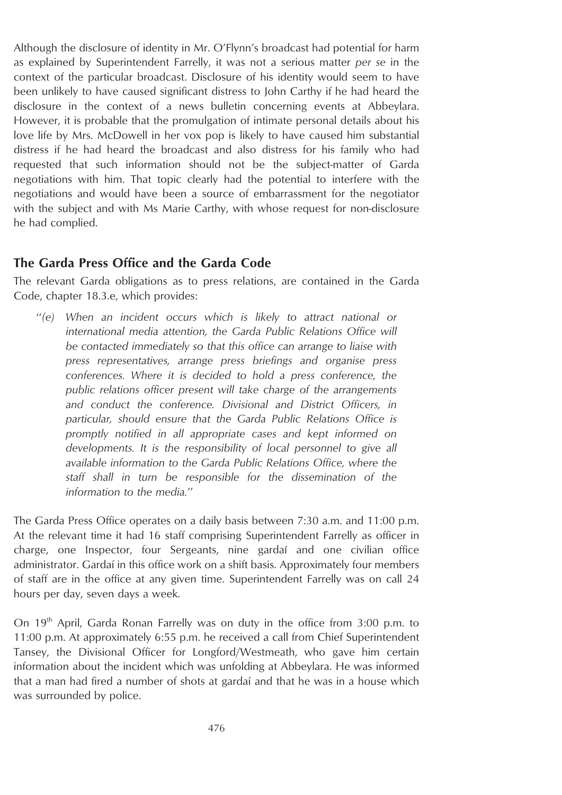Although the disclosure of identity in Mr. O'Flynn's broadcast had potential for harm as explained by Superintendent Farrelly, it was not a serious matter *per se* in the context of the particular broadcast. Disclosure of his identity would seem to have been unlikely to have caused significant distress to John Carthy if he had heard the disclosure in the context of a news bulletin concerning events at Abbeylara. However, it is probable that the promulgation of intimate personal details about his love life by Mrs. McDowell in her vox pop is likely to have caused him substantial distress if he had heard the broadcast and also distress for his family who had requested that such information should not be the subject-matter of Garda negotiations with him. That topic clearly had the potential to interfere with the negotiations and would have been a source of embarrassment for the negotiator with the subject and with Ms Marie Carthy, with whose request for non-disclosure he had complied.

### **The Garda Press Office and the Garda Code**

The relevant Garda obligations as to press relations, are contained in the Garda Code, chapter 18.3.e, which provides:

''*(e) When an incident occurs which is likely to attract national or international media attention, the Garda Public Relations Office will be contacted immediately so that this office can arrange to liaise with press representatives, arrange press briefings and organise press conferences. Where it is decided to hold a press conference, the public relations officer present will take charge of the arrangements and conduct the conference. Divisional and District Officers, in particular, should ensure that the Garda Public Relations Office is promptly notified in all appropriate cases and kept informed on developments. It is the responsibility of local personnel to give all available information to the Garda Public Relations Office, where the staff shall in turn be responsible for the dissemination of the information to the media.*''

The Garda Press Office operates on a daily basis between 7:30 a.m. and 11:00 p.m. At the relevant time it had 16 staff comprising Superintendent Farrelly as officer in charge, one Inspector, four Sergeants, nine gardaí and one civilian office administrator. Gardaı´in this office work on a shift basis. Approximately four members of staff are in the office at any given time. Superintendent Farrelly was on call 24 hours per day, seven days a week.

On 19th April, Garda Ronan Farrelly was on duty in the office from 3:00 p.m. to 11:00 p.m. At approximately 6:55 p.m. he received a call from Chief Superintendent Tansey, the Divisional Officer for Longford/Westmeath, who gave him certain information about the incident which was unfolding at Abbeylara. He was informed that a man had fired a number of shots at gardai and that he was in a house which was surrounded by police.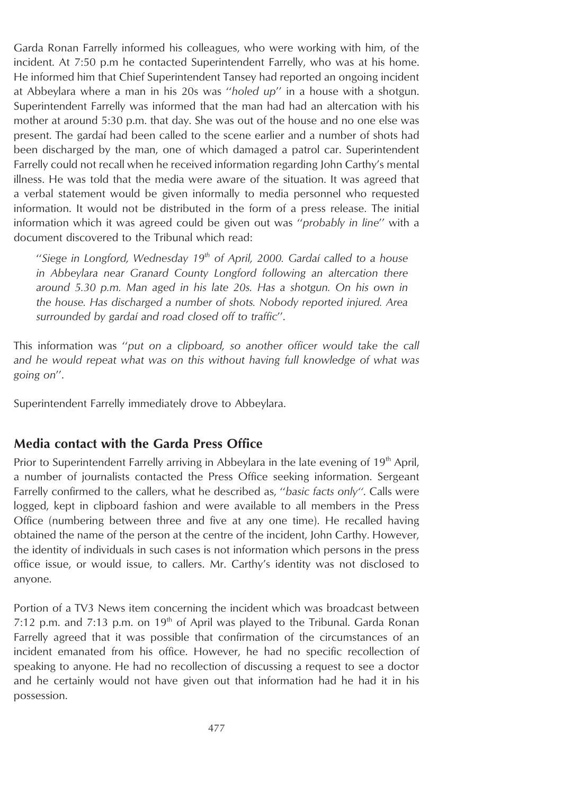Garda Ronan Farrelly informed his colleagues, who were working with him, of the incident. At 7:50 p.m he contacted Superintendent Farrelly, who was at his home. He informed him that Chief Superintendent Tansey had reported an ongoing incident at Abbeylara where a man in his 20s was ''*holed up*'' in a house with a shotgun. Superintendent Farrelly was informed that the man had had an altercation with his mother at around 5:30 p.m. that day. She was out of the house and no one else was present. The gardaı´ had been called to the scene earlier and a number of shots had been discharged by the man, one of which damaged a patrol car. Superintendent Farrelly could not recall when he received information regarding John Carthy's mental illness. He was told that the media were aware of the situation. It was agreed that a verbal statement would be given informally to media personnel who requested information. It would not be distributed in the form of a press release. The initial information which it was agreed could be given out was ''*probably in line*'' with a document discovered to the Tribunal which read:

''*Siege in Longford, Wednesday 19th of April, 2000. Gardaı´ called to a house in Abbeylara near Granard County Longford following an altercation there around 5.30 p.m. Man aged in his late 20s. Has a shotgun. On his own in the house. Has discharged a number of shots. Nobody reported injured. Area surrounded by gardaı´ and road closed off to traffic*''.

This information was ''*put on a clipboard, so another officer would take the call and he would repeat what was on this without having full knowledge of what was going on*''.

Superintendent Farrelly immediately drove to Abbeylara.

### **Media contact with the Garda Press Office**

Prior to Superintendent Farrelly arriving in Abbeylara in the late evening of 19<sup>th</sup> April, a number of journalists contacted the Press Office seeking information. Sergeant Farrelly confirmed to the callers, what he described as, ''*basic facts only''*. Calls were logged, kept in clipboard fashion and were available to all members in the Press Office (numbering between three and five at any one time). He recalled having obtained the name of the person at the centre of the incident, John Carthy. However, the identity of individuals in such cases is not information which persons in the press office issue, or would issue, to callers. Mr. Carthy's identity was not disclosed to anyone.

Portion of a TV3 News item concerning the incident which was broadcast between 7:12 p.m. and 7:13 p.m. on  $19<sup>th</sup>$  of April was played to the Tribunal. Garda Ronan Farrelly agreed that it was possible that confirmation of the circumstances of an incident emanated from his office. However, he had no specific recollection of speaking to anyone. He had no recollection of discussing a request to see a doctor and he certainly would not have given out that information had he had it in his possession.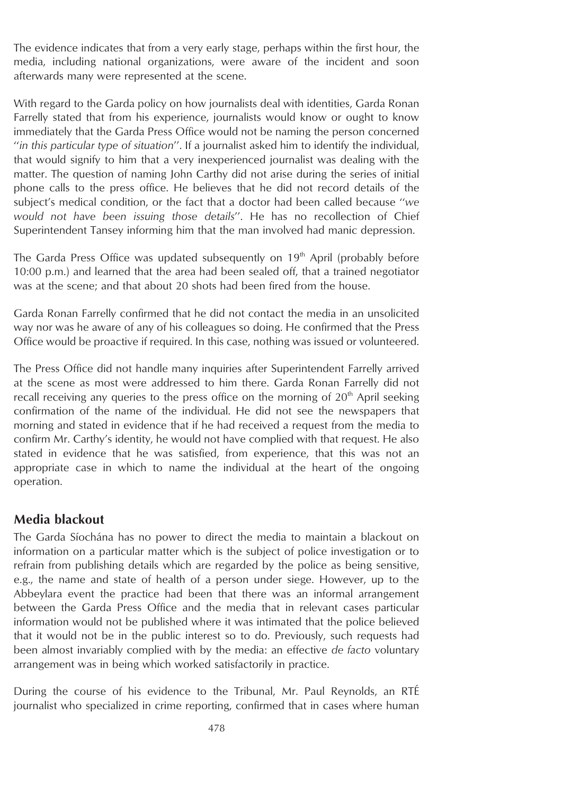The evidence indicates that from a very early stage, perhaps within the first hour, the media, including national organizations, were aware of the incident and soon afterwards many were represented at the scene.

With regard to the Garda policy on how journalists deal with identities, Garda Ronan Farrelly stated that from his experience, journalists would know or ought to know immediately that the Garda Press Office would not be naming the person concerned ''*in this particular type of situation*''. If a journalist asked him to identify the individual, that would signify to him that a very inexperienced journalist was dealing with the matter. The question of naming John Carthy did not arise during the series of initial phone calls to the press office. He believes that he did not record details of the subject's medical condition, or the fact that a doctor had been called because ''*we would not have been issuing those details*''. He has no recollection of Chief Superintendent Tansey informing him that the man involved had manic depression.

The Garda Press Office was updated subsequently on  $19<sup>th</sup>$  April (probably before 10:00 p.m.) and learned that the area had been sealed off, that a trained negotiator was at the scene; and that about 20 shots had been fired from the house.

Garda Ronan Farrelly confirmed that he did not contact the media in an unsolicited way nor was he aware of any of his colleagues so doing. He confirmed that the Press Office would be proactive if required. In this case, nothing was issued or volunteered.

The Press Office did not handle many inquiries after Superintendent Farrelly arrived at the scene as most were addressed to him there. Garda Ronan Farrelly did not recall receiving any queries to the press office on the morning of  $20<sup>th</sup>$  April seeking confirmation of the name of the individual. He did not see the newspapers that morning and stated in evidence that if he had received a request from the media to confirm Mr. Carthy's identity, he would not have complied with that request. He also stated in evidence that he was satisfied, from experience, that this was not an appropriate case in which to name the individual at the heart of the ongoing operation.

### **Media blackout**

The Garda Síochána has no power to direct the media to maintain a blackout on information on a particular matter which is the subject of police investigation or to refrain from publishing details which are regarded by the police as being sensitive, e.g., the name and state of health of a person under siege. However, up to the Abbeylara event the practice had been that there was an informal arrangement between the Garda Press Office and the media that in relevant cases particular information would not be published where it was intimated that the police believed that it would not be in the public interest so to do. Previously, such requests had been almost invariably complied with by the media: an effective *de facto* voluntary arrangement was in being which worked satisfactorily in practice.

During the course of his evidence to the Tribunal, Mr. Paul Reynolds, an RTÉ journalist who specialized in crime reporting, confirmed that in cases where human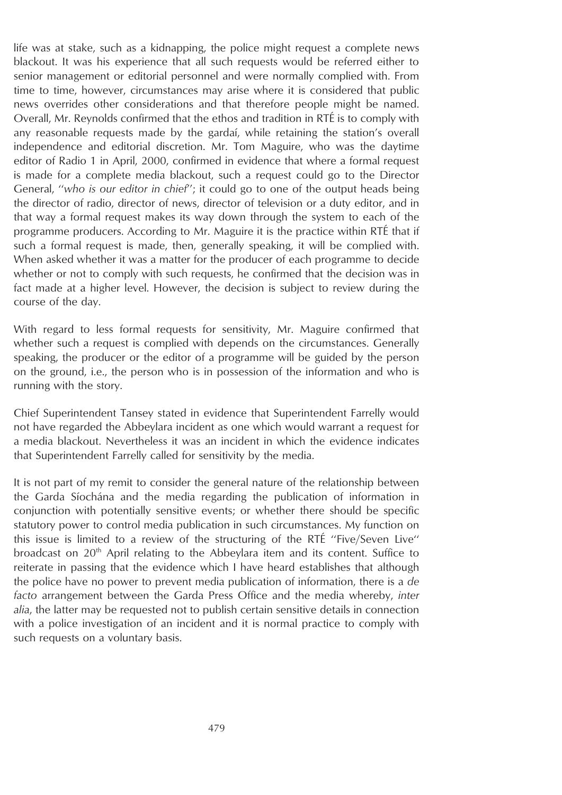life was at stake, such as a kidnapping, the police might request a complete news blackout. It was his experience that all such requests would be referred either to senior management or editorial personnel and were normally complied with. From time to time, however, circumstances may arise where it is considered that public news overrides other considerations and that therefore people might be named. Overall, Mr. Reynolds confirmed that the ethos and tradition in RTÉ is to comply with any reasonable requests made by the gardaí, while retaining the station's overall independence and editorial discretion. Mr. Tom Maguire, who was the daytime editor of Radio 1 in April, 2000, confirmed in evidence that where a formal request is made for a complete media blackout, such a request could go to the Director General, ''*who is our editor in chief*''; it could go to one of the output heads being the director of radio, director of news, director of television or a duty editor, and in that way a formal request makes its way down through the system to each of the programme producers. According to Mr. Maguire it is the practice within RTÉ that if such a formal request is made, then, generally speaking, it will be complied with. When asked whether it was a matter for the producer of each programme to decide whether or not to comply with such requests, he confirmed that the decision was in fact made at a higher level. However, the decision is subject to review during the course of the day.

With regard to less formal requests for sensitivity, Mr. Maguire confirmed that whether such a request is complied with depends on the circumstances. Generally speaking, the producer or the editor of a programme will be guided by the person on the ground, i.e., the person who is in possession of the information and who is running with the story.

Chief Superintendent Tansey stated in evidence that Superintendent Farrelly would not have regarded the Abbeylara incident as one which would warrant a request for a media blackout. Nevertheless it was an incident in which the evidence indicates that Superintendent Farrelly called for sensitivity by the media.

It is not part of my remit to consider the general nature of the relationship between the Garda Síochána and the media regarding the publication of information in conjunction with potentially sensitive events; or whether there should be specific statutory power to control media publication in such circumstances. My function on this issue is limited to a review of the structuring of the RTÉ "Five/Seven Live" broadcast on  $20<sup>th</sup>$  April relating to the Abbeylara item and its content. Suffice to reiterate in passing that the evidence which I have heard establishes that although the police have no power to prevent media publication of information, there is a *de facto* arrangement between the Garda Press Office and the media whereby, *inter alia*, the latter may be requested not to publish certain sensitive details in connection with a police investigation of an incident and it is normal practice to comply with such requests on a voluntary basis.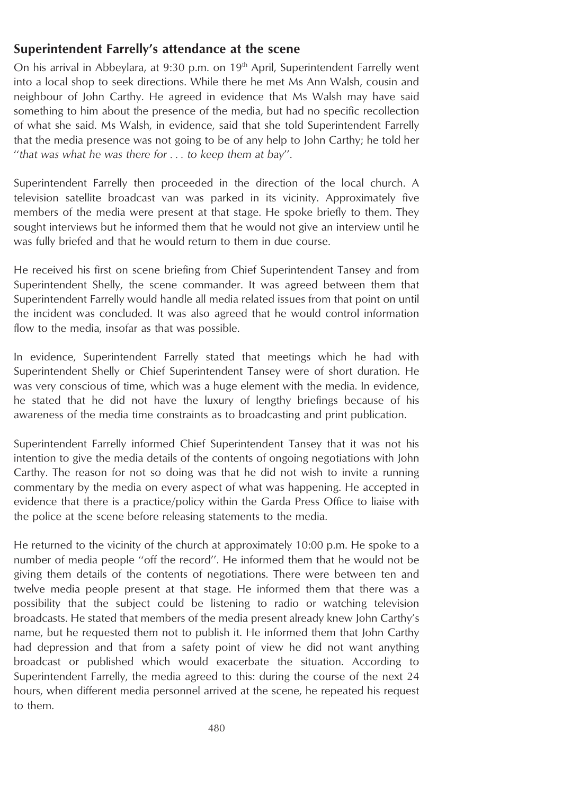## **Superintendent Farrelly's attendance at the scene**

On his arrival in Abbeylara, at 9:30 p.m. on  $19<sup>th</sup>$  April, Superintendent Farrelly went into a local shop to seek directions. While there he met Ms Ann Walsh, cousin and neighbour of John Carthy. He agreed in evidence that Ms Walsh may have said something to him about the presence of the media, but had no specific recollection of what she said. Ms Walsh, in evidence, said that she told Superintendent Farrelly that the media presence was not going to be of any help to John Carthy; he told her ''*that was what he was there for . . . to keep them at bay*''.

Superintendent Farrelly then proceeded in the direction of the local church. A television satellite broadcast van was parked in its vicinity. Approximately five members of the media were present at that stage. He spoke briefly to them. They sought interviews but he informed them that he would not give an interview until he was fully briefed and that he would return to them in due course.

He received his first on scene briefing from Chief Superintendent Tansey and from Superintendent Shelly, the scene commander. It was agreed between them that Superintendent Farrelly would handle all media related issues from that point on until the incident was concluded. It was also agreed that he would control information flow to the media, insofar as that was possible.

In evidence, Superintendent Farrelly stated that meetings which he had with Superintendent Shelly or Chief Superintendent Tansey were of short duration. He was very conscious of time, which was a huge element with the media. In evidence, he stated that he did not have the luxury of lengthy briefings because of his awareness of the media time constraints as to broadcasting and print publication.

Superintendent Farrelly informed Chief Superintendent Tansey that it was not his intention to give the media details of the contents of ongoing negotiations with John Carthy. The reason for not so doing was that he did not wish to invite a running commentary by the media on every aspect of what was happening. He accepted in evidence that there is a practice/policy within the Garda Press Office to liaise with the police at the scene before releasing statements to the media.

He returned to the vicinity of the church at approximately 10:00 p.m. He spoke to a number of media people ''off the record''. He informed them that he would not be giving them details of the contents of negotiations. There were between ten and twelve media people present at that stage. He informed them that there was a possibility that the subject could be listening to radio or watching television broadcasts. He stated that members of the media present already knew John Carthy's name, but he requested them not to publish it. He informed them that John Carthy had depression and that from a safety point of view he did not want anything broadcast or published which would exacerbate the situation. According to Superintendent Farrelly, the media agreed to this: during the course of the next 24 hours, when different media personnel arrived at the scene, he repeated his request to them.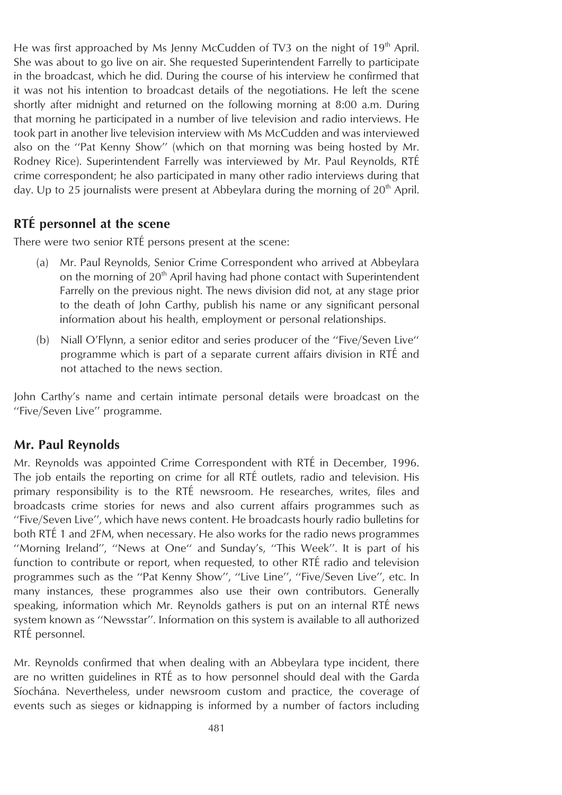He was first approached by Ms Jenny McCudden of TV3 on the night of 19<sup>th</sup> April. She was about to go live on air. She requested Superintendent Farrelly to participate in the broadcast, which he did. During the course of his interview he confirmed that it was not his intention to broadcast details of the negotiations. He left the scene shortly after midnight and returned on the following morning at 8:00 a.m. During that morning he participated in a number of live television and radio interviews. He took part in another live television interview with Ms McCudden and was interviewed also on the ''Pat Kenny Show'' (which on that morning was being hosted by Mr. Rodney Rice). Superintendent Farrelly was interviewed by Mr. Paul Reynolds, RTÉ crime correspondent; he also participated in many other radio interviews during that day. Up to 25 journalists were present at Abbeylara during the morning of  $20<sup>th</sup>$  April.

## **RTE´ personnel at the scene**

There were two senior RTÉ persons present at the scene:

- (a) Mr. Paul Reynolds, Senior Crime Correspondent who arrived at Abbeylara on the morning of  $20<sup>th</sup>$  April having had phone contact with Superintendent Farrelly on the previous night. The news division did not, at any stage prior to the death of John Carthy, publish his name or any significant personal information about his health, employment or personal relationships.
- (b) Niall O'Flynn, a senior editor and series producer of the ''Five/Seven Live'' programme which is part of a separate current affairs division in RTÉ and not attached to the news section.

John Carthy's name and certain intimate personal details were broadcast on the ''Five/Seven Live'' programme.

### **Mr. Paul Reynolds**

Mr. Reynolds was appointed Crime Correspondent with RTÉ in December, 1996. The job entails the reporting on crime for all RTÉ outlets, radio and television. His primary responsibility is to the RTÉ newsroom. He researches, writes, files and broadcasts crime stories for news and also current affairs programmes such as ''Five/Seven Live'', which have news content. He broadcasts hourly radio bulletins for both RTÉ 1 and 2FM, when necessary. He also works for the radio news programmes ''Morning Ireland'', ''News at One'' and Sunday's, ''This Week''. It is part of his function to contribute or report, when requested, to other RTÉ radio and television programmes such as the ''Pat Kenny Show'', ''Live Line'', ''Five/Seven Live'', etc. In many instances, these programmes also use their own contributors. Generally speaking, information which Mr. Reynolds gathers is put on an internal RTÉ news system known as ''Newsstar''. Information on this system is available to all authorized RTÉ personnel.

Mr. Reynolds confirmed that when dealing with an Abbeylara type incident, there are no written guidelines in RTÉ as to how personnel should deal with the Garda Síochána. Nevertheless, under newsroom custom and practice, the coverage of events such as sieges or kidnapping is informed by a number of factors including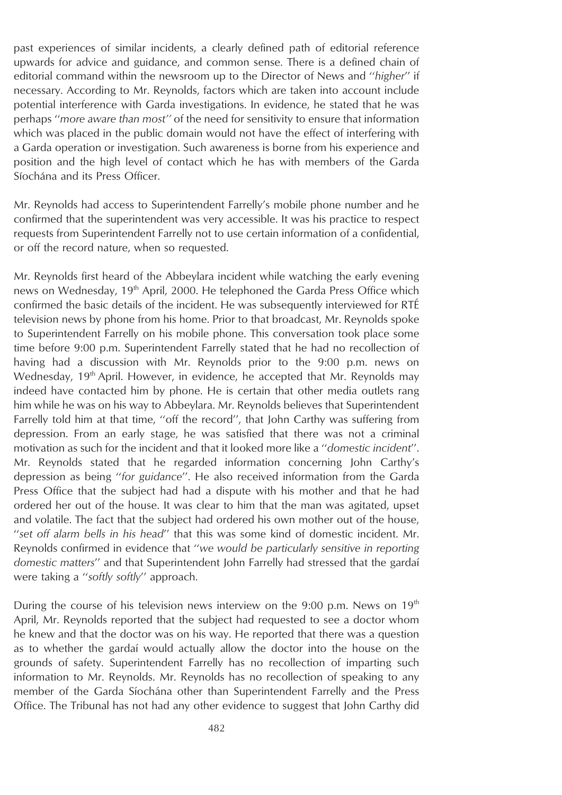past experiences of similar incidents, a clearly defined path of editorial reference upwards for advice and guidance, and common sense. There is a defined chain of editorial command within the newsroom up to the Director of News and ''*higher*'' if necessary. According to Mr. Reynolds, factors which are taken into account include potential interference with Garda investigations. In evidence, he stated that he was perhaps ''*more aware than most''* of the need for sensitivity to ensure that information which was placed in the public domain would not have the effect of interfering with a Garda operation or investigation. Such awareness is borne from his experience and position and the high level of contact which he has with members of the Garda Síochána and its Press Officer.

Mr. Reynolds had access to Superintendent Farrelly's mobile phone number and he confirmed that the superintendent was very accessible. It was his practice to respect requests from Superintendent Farrelly not to use certain information of a confidential, or off the record nature, when so requested.

Mr. Reynolds first heard of the Abbeylara incident while watching the early evening news on Wednesday, 19<sup>th</sup> April, 2000. He telephoned the Garda Press Office which confirmed the basic details of the incident. He was subsequently interviewed for RTÉ television news by phone from his home. Prior to that broadcast, Mr. Reynolds spoke to Superintendent Farrelly on his mobile phone. This conversation took place some time before 9:00 p.m. Superintendent Farrelly stated that he had no recollection of having had a discussion with Mr. Reynolds prior to the 9:00 p.m. news on Wednesday, 19<sup>th</sup> April. However, in evidence, he accepted that Mr. Reynolds may indeed have contacted him by phone. He is certain that other media outlets rang him while he was on his way to Abbeylara. Mr. Reynolds believes that Superintendent Farrelly told him at that time, "off the record", that John Carthy was suffering from depression. From an early stage, he was satisfied that there was not a criminal motivation as such for the incident and that it looked more like a ''*domestic incident*''. Mr. Reynolds stated that he regarded information concerning John Carthy's depression as being ''*for guidance*''. He also received information from the Garda Press Office that the subject had had a dispute with his mother and that he had ordered her out of the house. It was clear to him that the man was agitated, upset and volatile. The fact that the subject had ordered his own mother out of the house, ''*set off alarm bells in his head*'' that this was some kind of domestic incident. Mr. Reynolds confirmed in evidence that ''*we would be particularly sensitive in reporting domestic matters*'' and that Superintendent John Farrelly had stressed that the gardaı´ were taking a ''*softly softly*'' approach.

During the course of his television news interview on the 9:00 p.m. News on  $19<sup>th</sup>$ April, Mr. Reynolds reported that the subject had requested to see a doctor whom he knew and that the doctor was on his way. He reported that there was a question as to whether the gardai would actually allow the doctor into the house on the grounds of safety. Superintendent Farrelly has no recollection of imparting such information to Mr. Reynolds. Mr. Reynolds has no recollection of speaking to any member of the Garda Síochána other than Superintendent Farrelly and the Press Office. The Tribunal has not had any other evidence to suggest that John Carthy did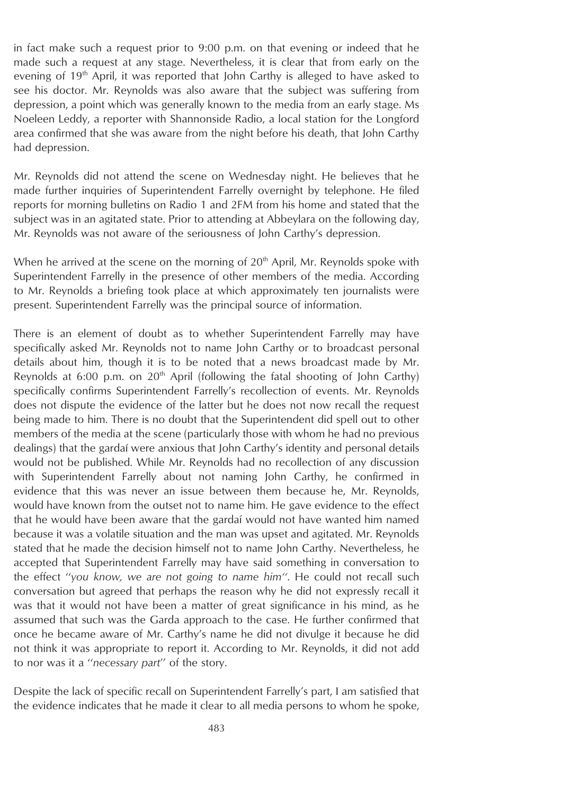in fact make such a request prior to 9:00 p.m. on that evening or indeed that he made such a request at any stage. Nevertheless, it is clear that from early on the evening of  $19<sup>th</sup>$  April, it was reported that John Carthy is alleged to have asked to see his doctor. Mr. Reynolds was also aware that the subject was suffering from depression, a point which was generally known to the media from an early stage. Ms Noeleen Leddy, a reporter with Shannonside Radio, a local station for the Longford area confirmed that she was aware from the night before his death, that John Carthy had depression.

Mr. Reynolds did not attend the scene on Wednesday night. He believes that he made further inquiries of Superintendent Farrelly overnight by telephone. He filed reports for morning bulletins on Radio 1 and 2FM from his home and stated that the subject was in an agitated state. Prior to attending at Abbeylara on the following day, Mr. Reynolds was not aware of the seriousness of John Carthy's depression.

When he arrived at the scene on the morning of  $20<sup>th</sup>$  April, Mr. Reynolds spoke with Superintendent Farrelly in the presence of other members of the media. According to Mr. Reynolds a briefing took place at which approximately ten journalists were present. Superintendent Farrelly was the principal source of information.

There is an element of doubt as to whether Superintendent Farrelly may have specifically asked Mr. Reynolds not to name John Carthy or to broadcast personal details about him, though it is to be noted that a news broadcast made by Mr. Reynolds at 6:00 p.m. on  $20<sup>th</sup>$  April (following the fatal shooting of John Carthy) specifically confirms Superintendent Farrelly's recollection of events. Mr. Reynolds does not dispute the evidence of the latter but he does not now recall the request being made to him. There is no doubt that the Superintendent did spell out to other members of the media at the scene (particularly those with whom he had no previous dealings) that the gardaí were anxious that John Carthy's identity and personal details would not be published. While Mr. Reynolds had no recollection of any discussion with Superintendent Farrelly about not naming John Carthy, he confirmed in evidence that this was never an issue between them because he, Mr. Reynolds, would have known from the outset not to name him. He gave evidence to the effect that he would have been aware that the gardai would not have wanted him named because it was a volatile situation and the man was upset and agitated. Mr. Reynolds stated that he made the decision himself not to name John Carthy. Nevertheless, he accepted that Superintendent Farrelly may have said something in conversation to the effect ''*you know, we are not going to name him''*. He could not recall such conversation but agreed that perhaps the reason why he did not expressly recall it was that it would not have been a matter of great significance in his mind, as he assumed that such was the Garda approach to the case. He further confirmed that once he became aware of Mr. Carthy's name he did not divulge it because he did not think it was appropriate to report it. According to Mr. Reynolds, it did not add to nor was it a ''*necessary part*'' of the story.

Despite the lack of specific recall on Superintendent Farrelly's part, I am satisfied that the evidence indicates that he made it clear to all media persons to whom he spoke,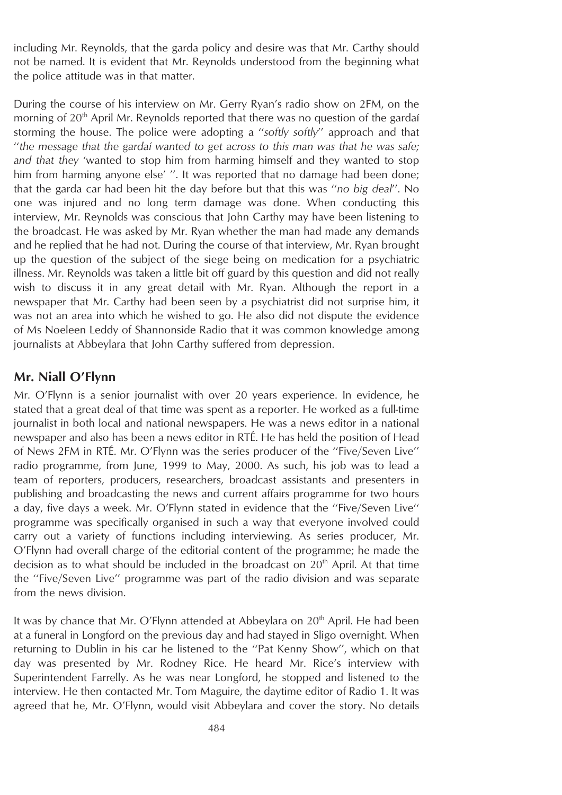including Mr. Reynolds, that the garda policy and desire was that Mr. Carthy should not be named. It is evident that Mr. Reynolds understood from the beginning what the police attitude was in that matter.

During the course of his interview on Mr. Gerry Ryan's radio show on 2FM, on the morning of  $20<sup>th</sup>$  April Mr. Reynolds reported that there was no question of the gardaí storming the house. The police were adopting a ''*softly softly*'' approach and that ''*the message that the gardaı´ wanted to get across to this man was that he was safe; and that they* 'wanted to stop him from harming himself and they wanted to stop him from harming anyone else' ''. It was reported that no damage had been done; that the garda car had been hit the day before but that this was ''*no big deal*''. No one was injured and no long term damage was done. When conducting this interview, Mr. Reynolds was conscious that John Carthy may have been listening to the broadcast. He was asked by Mr. Ryan whether the man had made any demands and he replied that he had not. During the course of that interview, Mr. Ryan brought up the question of the subject of the siege being on medication for a psychiatric illness. Mr. Reynolds was taken a little bit off guard by this question and did not really wish to discuss it in any great detail with Mr. Ryan. Although the report in a newspaper that Mr. Carthy had been seen by a psychiatrist did not surprise him, it was not an area into which he wished to go. He also did not dispute the evidence of Ms Noeleen Leddy of Shannonside Radio that it was common knowledge among journalists at Abbeylara that John Carthy suffered from depression.

## **Mr. Niall O'Flynn**

Mr. O'Flynn is a senior journalist with over 20 years experience. In evidence, he stated that a great deal of that time was spent as a reporter. He worked as a full-time journalist in both local and national newspapers. He was a news editor in a national newspaper and also has been a news editor in RTE. He has held the position of Head of News 2FM in RTÉ. Mr. O'Flynn was the series producer of the "Five/Seven Live" radio programme, from June, 1999 to May, 2000. As such, his job was to lead a team of reporters, producers, researchers, broadcast assistants and presenters in publishing and broadcasting the news and current affairs programme for two hours a day, five days a week. Mr. O'Flynn stated in evidence that the ''Five/Seven Live'' programme was specifically organised in such a way that everyone involved could carry out a variety of functions including interviewing. As series producer, Mr. O'Flynn had overall charge of the editorial content of the programme; he made the decision as to what should be included in the broadcast on  $20<sup>th</sup>$  April. At that time the ''Five/Seven Live'' programme was part of the radio division and was separate from the news division.

It was by chance that Mr. O'Flynn attended at Abbeylara on  $20<sup>th</sup>$  April. He had been at a funeral in Longford on the previous day and had stayed in Sligo overnight. When returning to Dublin in his car he listened to the ''Pat Kenny Show'', which on that day was presented by Mr. Rodney Rice. He heard Mr. Rice's interview with Superintendent Farrelly. As he was near Longford, he stopped and listened to the interview. He then contacted Mr. Tom Maguire, the daytime editor of Radio 1. It was agreed that he, Mr. O'Flynn, would visit Abbeylara and cover the story. No details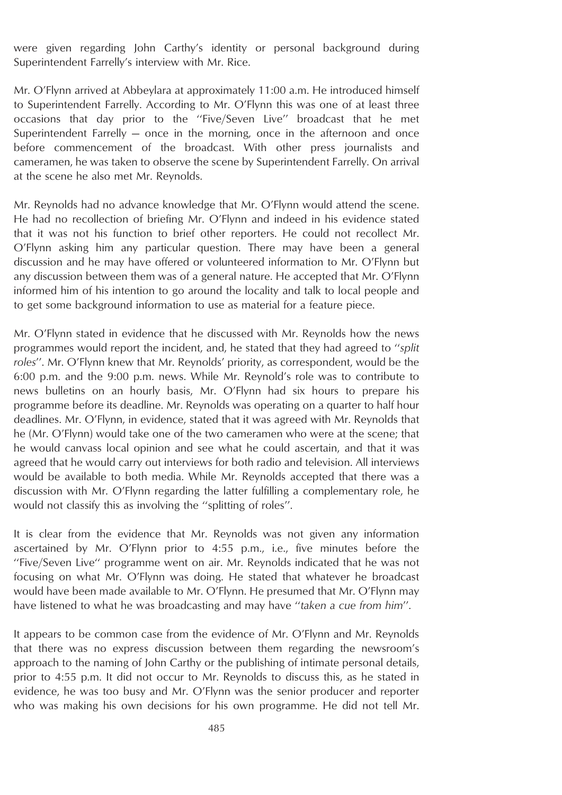were given regarding John Carthy's identity or personal background during Superintendent Farrelly's interview with Mr. Rice.

Mr. O'Flynn arrived at Abbeylara at approximately 11:00 a.m. He introduced himself to Superintendent Farrelly. According to Mr. O'Flynn this was one of at least three occasions that day prior to the ''Five/Seven Live'' broadcast that he met Superintendent Farrelly  $-$  once in the morning, once in the afternoon and once before commencement of the broadcast. With other press journalists and cameramen, he was taken to observe the scene by Superintendent Farrelly. On arrival at the scene he also met Mr. Reynolds.

Mr. Reynolds had no advance knowledge that Mr. O'Flynn would attend the scene. He had no recollection of briefing Mr. O'Flynn and indeed in his evidence stated that it was not his function to brief other reporters. He could not recollect Mr. O'Flynn asking him any particular question. There may have been a general discussion and he may have offered or volunteered information to Mr. O'Flynn but any discussion between them was of a general nature. He accepted that Mr. O'Flynn informed him of his intention to go around the locality and talk to local people and to get some background information to use as material for a feature piece.

Mr. O'Flynn stated in evidence that he discussed with Mr. Reynolds how the news programmes would report the incident, and, he stated that they had agreed to ''*split roles*''. Mr. O'Flynn knew that Mr. Reynolds' priority, as correspondent, would be the 6:00 p.m. and the 9:00 p.m. news. While Mr. Reynold's role was to contribute to news bulletins on an hourly basis, Mr. O'Flynn had six hours to prepare his programme before its deadline. Mr. Reynolds was operating on a quarter to half hour deadlines. Mr. O'Flynn, in evidence, stated that it was agreed with Mr. Reynolds that he (Mr. O'Flynn) would take one of the two cameramen who were at the scene; that he would canvass local opinion and see what he could ascertain, and that it was agreed that he would carry out interviews for both radio and television. All interviews would be available to both media. While Mr. Reynolds accepted that there was a discussion with Mr. O'Flynn regarding the latter fulfilling a complementary role, he would not classify this as involving the ''splitting of roles''.

It is clear from the evidence that Mr. Reynolds was not given any information ascertained by Mr. O'Flynn prior to 4:55 p.m., i.e., five minutes before the ''Five/Seven Live'' programme went on air. Mr. Reynolds indicated that he was not focusing on what Mr. O'Flynn was doing. He stated that whatever he broadcast would have been made available to Mr. O'Flynn. He presumed that Mr. O'Flynn may have listened to what he was broadcasting and may have ''*taken a cue from him*''.

It appears to be common case from the evidence of Mr. O'Flynn and Mr. Reynolds that there was no express discussion between them regarding the newsroom's approach to the naming of John Carthy or the publishing of intimate personal details, prior to 4:55 p.m. It did not occur to Mr. Reynolds to discuss this, as he stated in evidence, he was too busy and Mr. O'Flynn was the senior producer and reporter who was making his own decisions for his own programme. He did not tell Mr.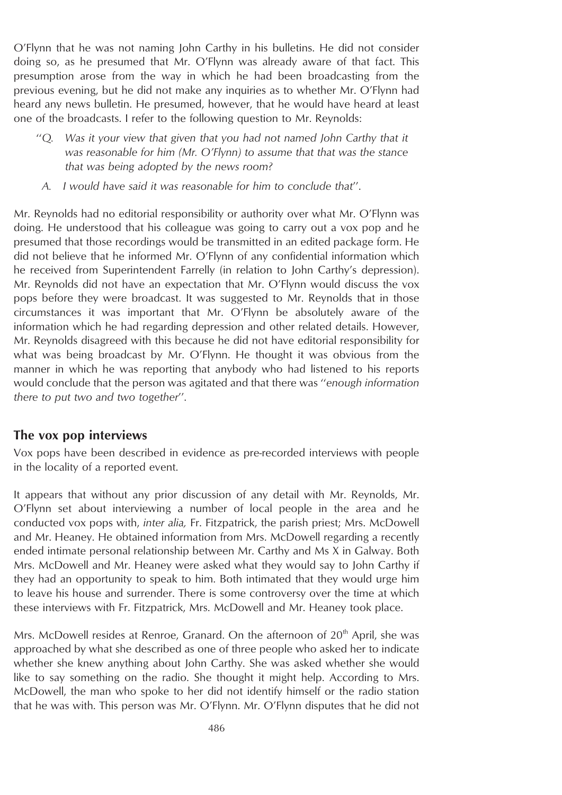O'Flynn that he was not naming John Carthy in his bulletins. He did not consider doing so, as he presumed that Mr. O'Flynn was already aware of that fact. This presumption arose from the way in which he had been broadcasting from the previous evening, but he did not make any inquiries as to whether Mr. O'Flynn had heard any news bulletin. He presumed, however, that he would have heard at least one of the broadcasts. I refer to the following question to Mr. Reynolds:

- ''*Q. Was it your view that given that you had not named John Carthy that it was reasonable for him (Mr. O'Flynn) to assume that that was the stance that was being adopted by the news room?*
- *A. I would have said it was reasonable for him to conclude that*''.

Mr. Reynolds had no editorial responsibility or authority over what Mr. O'Flynn was doing. He understood that his colleague was going to carry out a vox pop and he presumed that those recordings would be transmitted in an edited package form. He did not believe that he informed Mr. O'Flynn of any confidential information which he received from Superintendent Farrelly (in relation to John Carthy's depression). Mr. Reynolds did not have an expectation that Mr. O'Flynn would discuss the vox pops before they were broadcast. It was suggested to Mr. Reynolds that in those circumstances it was important that Mr. O'Flynn be absolutely aware of the information which he had regarding depression and other related details. However, Mr. Reynolds disagreed with this because he did not have editorial responsibility for what was being broadcast by Mr. O'Flynn. He thought it was obvious from the manner in which he was reporting that anybody who had listened to his reports would conclude that the person was agitated and that there was ''*enough information there to put two and two together*''.

### **The vox pop interviews**

Vox pops have been described in evidence as pre-recorded interviews with people in the locality of a reported event.

It appears that without any prior discussion of any detail with Mr. Reynolds, Mr. O'Flynn set about interviewing a number of local people in the area and he conducted vox pops with, *inter alia,* Fr. Fitzpatrick, the parish priest; Mrs. McDowell and Mr. Heaney. He obtained information from Mrs. McDowell regarding a recently ended intimate personal relationship between Mr. Carthy and Ms X in Galway. Both Mrs. McDowell and Mr. Heaney were asked what they would say to John Carthy if they had an opportunity to speak to him. Both intimated that they would urge him to leave his house and surrender. There is some controversy over the time at which these interviews with Fr. Fitzpatrick, Mrs. McDowell and Mr. Heaney took place.

Mrs. McDowell resides at Renroe, Granard. On the afternoon of  $20<sup>th</sup>$  April, she was approached by what she described as one of three people who asked her to indicate whether she knew anything about John Carthy. She was asked whether she would like to say something on the radio. She thought it might help. According to Mrs. McDowell, the man who spoke to her did not identify himself or the radio station that he was with. This person was Mr. O'Flynn. Mr. O'Flynn disputes that he did not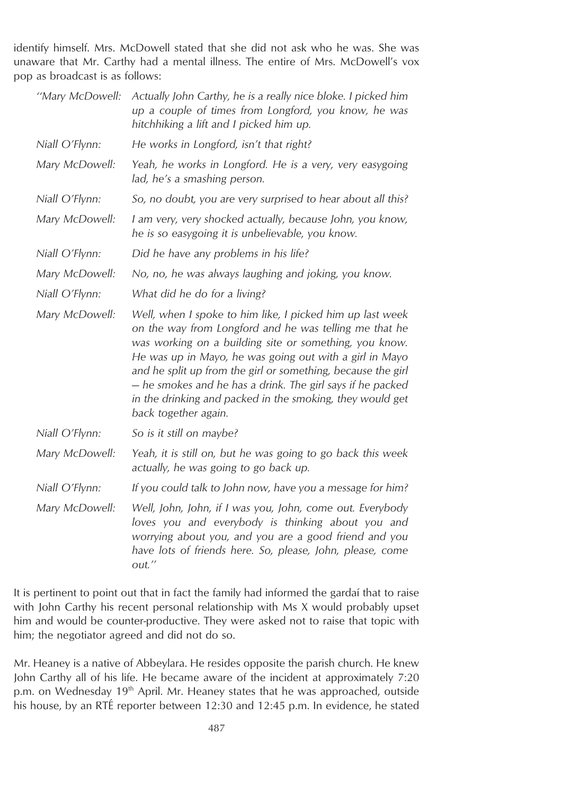identify himself. Mrs. McDowell stated that she did not ask who he was. She was unaware that Mr. Carthy had a mental illness. The entire of Mrs. McDowell's vox pop as broadcast is as follows:

| "Mary McDowell: | Actually John Carthy, he is a really nice bloke. I picked him<br>up a couple of times from Longford, you know, he was<br>hitchhiking a lift and I picked him up.                                                                                                                                                                                                                                                                                            |
|-----------------|-------------------------------------------------------------------------------------------------------------------------------------------------------------------------------------------------------------------------------------------------------------------------------------------------------------------------------------------------------------------------------------------------------------------------------------------------------------|
| Niall O'Flynn:  | He works in Longford, isn't that right?                                                                                                                                                                                                                                                                                                                                                                                                                     |
| Mary McDowell:  | Yeah, he works in Longford. He is a very, very easygoing<br>lad, he's a smashing person.                                                                                                                                                                                                                                                                                                                                                                    |
| Niall O'Flynn:  | So, no doubt, you are very surprised to hear about all this?                                                                                                                                                                                                                                                                                                                                                                                                |
| Mary McDowell:  | I am very, very shocked actually, because John, you know,<br>he is so easygoing it is unbelievable, you know.                                                                                                                                                                                                                                                                                                                                               |
| Niall O'Flynn:  | Did he have any problems in his life?                                                                                                                                                                                                                                                                                                                                                                                                                       |
| Mary McDowell:  | No, no, he was always laughing and joking, you know.                                                                                                                                                                                                                                                                                                                                                                                                        |
| Niall O'Flynn:  | What did he do for a living?                                                                                                                                                                                                                                                                                                                                                                                                                                |
| Mary McDowell:  | Well, when I spoke to him like, I picked him up last week<br>on the way from Longford and he was telling me that he<br>was working on a building site or something, you know.<br>He was up in Mayo, he was going out with a girl in Mayo<br>and he split up from the girl or something, because the girl<br>- he smokes and he has a drink. The girl says if he packed<br>in the drinking and packed in the smoking, they would get<br>back together again. |
| Niall O'Flynn:  | So is it still on maybe?                                                                                                                                                                                                                                                                                                                                                                                                                                    |
| Mary McDowell:  | Yeah, it is still on, but he was going to go back this week<br>actually, he was going to go back up.                                                                                                                                                                                                                                                                                                                                                        |
| Niall O'Flynn:  | If you could talk to John now, have you a message for him?                                                                                                                                                                                                                                                                                                                                                                                                  |
| Mary McDowell:  | Well, John, John, if I was you, John, come out. Everybody<br>loves you and everybody is thinking about you and<br>worrying about you, and you are a good friend and you<br>have lots of friends here. So, please, John, please, come<br>out."                                                                                                                                                                                                               |

It is pertinent to point out that in fact the family had informed the gardai that to raise with John Carthy his recent personal relationship with Ms X would probably upset him and would be counter-productive. They were asked not to raise that topic with him; the negotiator agreed and did not do so.

Mr. Heaney is a native of Abbeylara. He resides opposite the parish church. He knew John Carthy all of his life. He became aware of the incident at approximately 7:20 p.m. on Wednesday 19<sup>th</sup> April. Mr. Heaney states that he was approached, outside his house, by an RTÉ reporter between 12:30 and 12:45 p.m. In evidence, he stated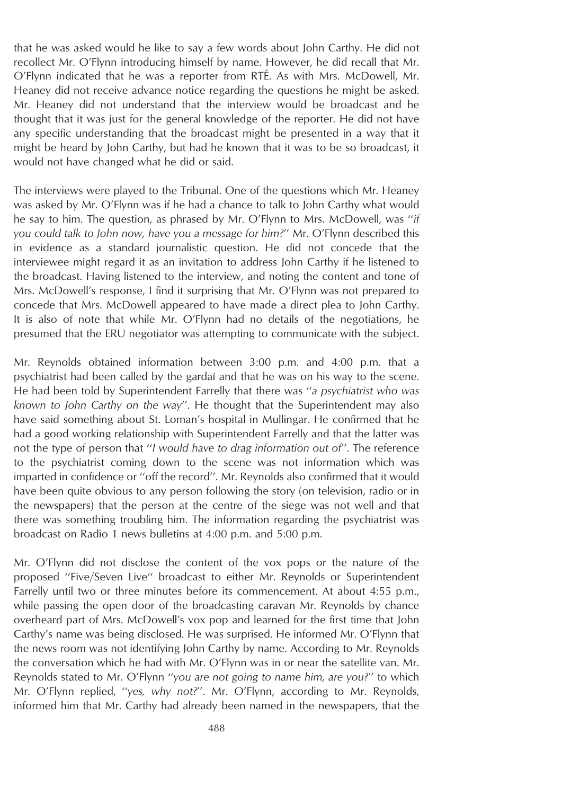that he was asked would he like to say a few words about John Carthy. He did not recollect Mr. O'Flynn introducing himself by name. However, he did recall that Mr. O'Flynn indicated that he was a reporter from RTE´. As with Mrs. McDowell, Mr. Heaney did not receive advance notice regarding the questions he might be asked. Mr. Heaney did not understand that the interview would be broadcast and he thought that it was just for the general knowledge of the reporter. He did not have any specific understanding that the broadcast might be presented in a way that it might be heard by John Carthy, but had he known that it was to be so broadcast, it would not have changed what he did or said.

The interviews were played to the Tribunal. One of the questions which Mr. Heaney was asked by Mr. O'Flynn was if he had a chance to talk to John Carthy what would he say to him. The question, as phrased by Mr. O'Flynn to Mrs. McDowell, was ''*if you could talk to John now, have you a message for him?*'' Mr. O'Flynn described this in evidence as a standard journalistic question. He did not concede that the interviewee might regard it as an invitation to address John Carthy if he listened to the broadcast. Having listened to the interview, and noting the content and tone of Mrs. McDowell's response, I find it surprising that Mr. O'Flynn was not prepared to concede that Mrs. McDowell appeared to have made a direct plea to John Carthy. It is also of note that while Mr. O'Flynn had no details of the negotiations, he presumed that the ERU negotiator was attempting to communicate with the subject.

Mr. Reynolds obtained information between 3:00 p.m. and 4:00 p.m. that a psychiatrist had been called by the gardaı´ and that he was on his way to the scene. He had been told by Superintendent Farrelly that there was ''*a psychiatrist who was known to John Carthy on the way*''. He thought that the Superintendent may also have said something about St. Loman's hospital in Mullingar. He confirmed that he had a good working relationship with Superintendent Farrelly and that the latter was not the type of person that ''*I would have to drag information out of*''. The reference to the psychiatrist coming down to the scene was not information which was imparted in confidence or ''off the record''. Mr. Reynolds also confirmed that it would have been quite obvious to any person following the story (on television, radio or in the newspapers) that the person at the centre of the siege was not well and that there was something troubling him. The information regarding the psychiatrist was broadcast on Radio 1 news bulletins at 4:00 p.m. and 5:00 p.m.

Mr. O'Flynn did not disclose the content of the vox pops or the nature of the proposed ''Five/Seven Live'' broadcast to either Mr. Reynolds or Superintendent Farrelly until two or three minutes before its commencement. At about 4:55 p.m., while passing the open door of the broadcasting caravan Mr. Reynolds by chance overheard part of Mrs. McDowell's vox pop and learned for the first time that John Carthy's name was being disclosed. He was surprised. He informed Mr. O'Flynn that the news room was not identifying John Carthy by name. According to Mr. Reynolds the conversation which he had with Mr. O'Flynn was in or near the satellite van. Mr. Reynolds stated to Mr. O'Flynn ''*you are not going to name him, are you?*'' to which Mr. O'Flynn replied, ''*yes, why not?*''. Mr. O'Flynn, according to Mr. Reynolds, informed him that Mr. Carthy had already been named in the newspapers, that the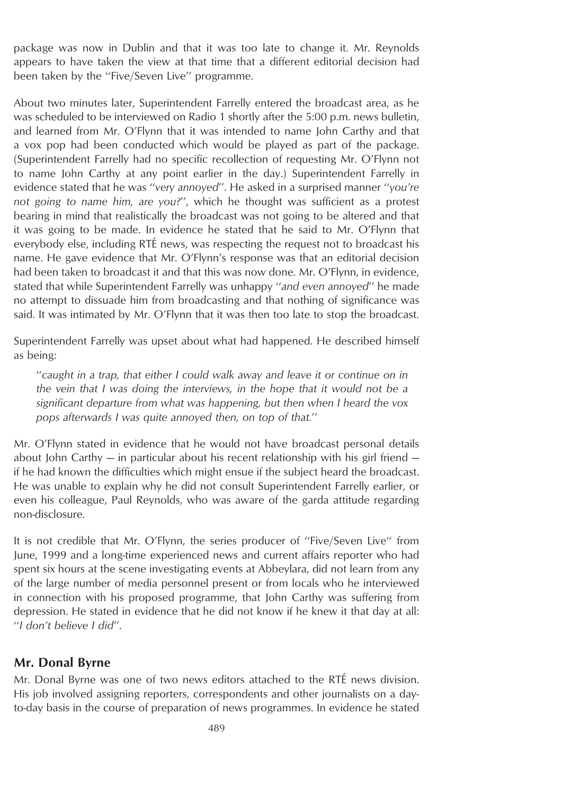package was now in Dublin and that it was too late to change it. Mr. Reynolds appears to have taken the view at that time that a different editorial decision had been taken by the ''Five/Seven Live'' programme.

About two minutes later, Superintendent Farrelly entered the broadcast area, as he was scheduled to be interviewed on Radio 1 shortly after the 5:00 p.m. news bulletin, and learned from Mr. O'Flynn that it was intended to name John Carthy and that a vox pop had been conducted which would be played as part of the package. (Superintendent Farrelly had no specific recollection of requesting Mr. O'Flynn not to name John Carthy at any point earlier in the day.) Superintendent Farrelly in evidence stated that he was ''*very annoyed*''. He asked in a surprised manner ''*you're not going to name him, are you?*'', which he thought was sufficient as a protest bearing in mind that realistically the broadcast was not going to be altered and that it was going to be made. In evidence he stated that he said to Mr. O'Flynn that everybody else, including RTÉ news, was respecting the request not to broadcast his name. He gave evidence that Mr. O'Flynn's response was that an editorial decision had been taken to broadcast it and that this was now done. Mr. O'Flynn, in evidence, stated that while Superintendent Farrelly was unhappy ''*and even annoyed*'' he made no attempt to dissuade him from broadcasting and that nothing of significance was said. It was intimated by Mr. O'Flynn that it was then too late to stop the broadcast.

Superintendent Farrelly was upset about what had happened. He described himself as being:

''*caught in a trap, that either I could walk away and leave it or continue on in the vein that I was doing the interviews, in the hope that it would not be a significant departure from what was happening, but then when I heard the vox pops afterwards I was quite annoyed then, on top of that.*''

Mr. O'Flynn stated in evidence that he would not have broadcast personal details about John Carthy  $-$  in particular about his recent relationship with his girl friend  $$ if he had known the difficulties which might ensue if the subject heard the broadcast. He was unable to explain why he did not consult Superintendent Farrelly earlier, or even his colleague, Paul Reynolds, who was aware of the garda attitude regarding non-disclosure.

It is not credible that Mr. O'Flynn, the series producer of ''Five/Seven Live'' from June, 1999 and a long-time experienced news and current affairs reporter who had spent six hours at the scene investigating events at Abbeylara, did not learn from any of the large number of media personnel present or from locals who he interviewed in connection with his proposed programme, that John Carthy was suffering from depression. He stated in evidence that he did not know if he knew it that day at all: ''*I don't believe I did*''.

### **Mr. Donal Byrne**

Mr. Donal Byrne was one of two news editors attached to the RTÉ news division. His job involved assigning reporters, correspondents and other journalists on a dayto-day basis in the course of preparation of news programmes. In evidence he stated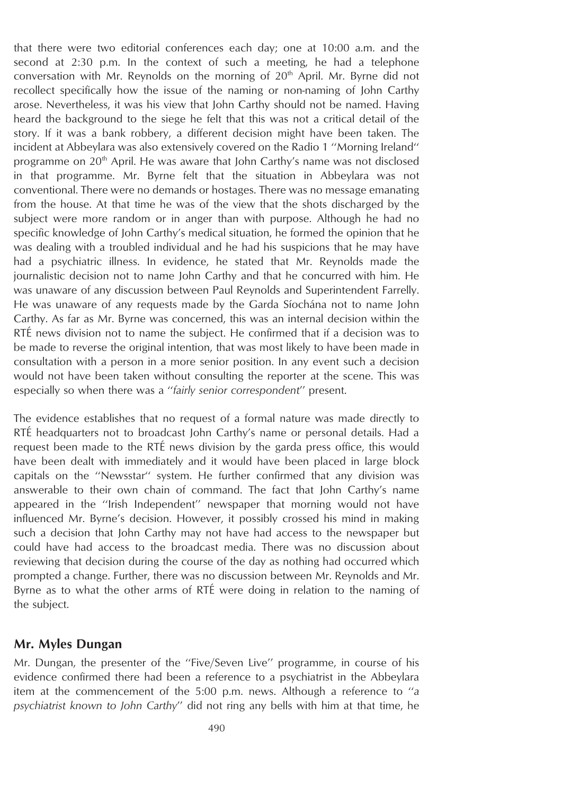that there were two editorial conferences each day; one at 10:00 a.m. and the second at 2:30 p.m. In the context of such a meeting, he had a telephone conversation with Mr. Reynolds on the morning of  $20<sup>th</sup>$  April. Mr. Byrne did not recollect specifically how the issue of the naming or non-naming of John Carthy arose. Nevertheless, it was his view that John Carthy should not be named. Having heard the background to the siege he felt that this was not a critical detail of the story. If it was a bank robbery, a different decision might have been taken. The incident at Abbeylara was also extensively covered on the Radio 1 ''Morning Ireland'' programme on 20<sup>th</sup> April. He was aware that John Carthy's name was not disclosed in that programme. Mr. Byrne felt that the situation in Abbeylara was not conventional. There were no demands or hostages. There was no message emanating from the house. At that time he was of the view that the shots discharged by the subject were more random or in anger than with purpose. Although he had no specific knowledge of John Carthy's medical situation, he formed the opinion that he was dealing with a troubled individual and he had his suspicions that he may have had a psychiatric illness. In evidence, he stated that Mr. Reynolds made the journalistic decision not to name John Carthy and that he concurred with him. He was unaware of any discussion between Paul Reynolds and Superintendent Farrelly. He was unaware of any requests made by the Garda Síochána not to name John Carthy. As far as Mr. Byrne was concerned, this was an internal decision within the RTÉ news division not to name the subject. He confirmed that if a decision was to be made to reverse the original intention, that was most likely to have been made in consultation with a person in a more senior position. In any event such a decision would not have been taken without consulting the reporter at the scene. This was especially so when there was a ''*fairly senior correspondent*'' present.

The evidence establishes that no request of a formal nature was made directly to RTÉ headquarters not to broadcast John Carthy's name or personal details. Had a request been made to the RTÉ news division by the garda press office, this would have been dealt with immediately and it would have been placed in large block capitals on the ''Newsstar'' system. He further confirmed that any division was answerable to their own chain of command. The fact that John Carthy's name appeared in the ''Irish Independent'' newspaper that morning would not have influenced Mr. Byrne's decision. However, it possibly crossed his mind in making such a decision that John Carthy may not have had access to the newspaper but could have had access to the broadcast media. There was no discussion about reviewing that decision during the course of the day as nothing had occurred which prompted a change. Further, there was no discussion between Mr. Reynolds and Mr. Byrne as to what the other arms of RTE were doing in relation to the naming of the subject.

### **Mr. Myles Dungan**

Mr. Dungan, the presenter of the ''Five/Seven Live'' programme, in course of his evidence confirmed there had been a reference to a psychiatrist in the Abbeylara item at the commencement of the 5:00 p.m. news. Although a reference to ''*a psychiatrist known to John Carthy*'' did not ring any bells with him at that time, he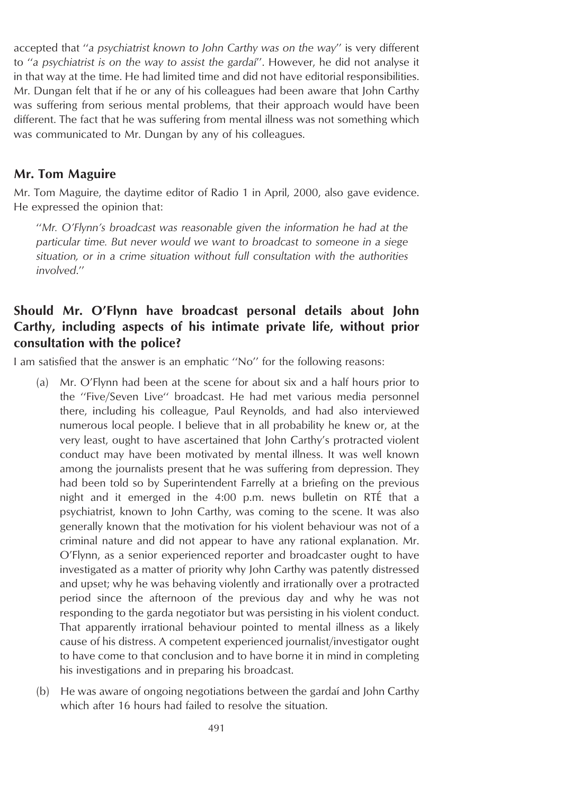accepted that ''*a psychiatrist known to John Carthy was on the way*'' is very different to ''*a psychiatrist is on the way to assist the gardaı´*''. However, he did not analyse it in that way at the time. He had limited time and did not have editorial responsibilities. Mr. Dungan felt that if he or any of his colleagues had been aware that John Carthy was suffering from serious mental problems, that their approach would have been different. The fact that he was suffering from mental illness was not something which was communicated to Mr. Dungan by any of his colleagues.

### **Mr. Tom Maguire**

Mr. Tom Maguire, the daytime editor of Radio 1 in April, 2000, also gave evidence. He expressed the opinion that:

''*Mr. O'Flynn's broadcast was reasonable given the information he had at the particular time. But never would we want to broadcast to someone in a siege situation, or in a crime situation without full consultation with the authorities involved*.''

## **Should Mr. O'Flynn have broadcast personal details about John Carthy, including aspects of his intimate private life, without prior consultation with the police?**

I am satisfied that the answer is an emphatic ''No'' for the following reasons:

- (a) Mr. O'Flynn had been at the scene for about six and a half hours prior to the ''Five/Seven Live'' broadcast. He had met various media personnel there, including his colleague, Paul Reynolds, and had also interviewed numerous local people. I believe that in all probability he knew or, at the very least, ought to have ascertained that John Carthy's protracted violent conduct may have been motivated by mental illness. It was well known among the journalists present that he was suffering from depression. They had been told so by Superintendent Farrelly at a briefing on the previous night and it emerged in the 4:00 p.m. news bulletin on RTÉ that a psychiatrist, known to John Carthy, was coming to the scene. It was also generally known that the motivation for his violent behaviour was not of a criminal nature and did not appear to have any rational explanation. Mr. O'Flynn, as a senior experienced reporter and broadcaster ought to have investigated as a matter of priority why John Carthy was patently distressed and upset; why he was behaving violently and irrationally over a protracted period since the afternoon of the previous day and why he was not responding to the garda negotiator but was persisting in his violent conduct. That apparently irrational behaviour pointed to mental illness as a likely cause of his distress. A competent experienced journalist/investigator ought to have come to that conclusion and to have borne it in mind in completing his investigations and in preparing his broadcast.
- (b) He was aware of ongoing negotiations between the gardai and John Carthy which after 16 hours had failed to resolve the situation.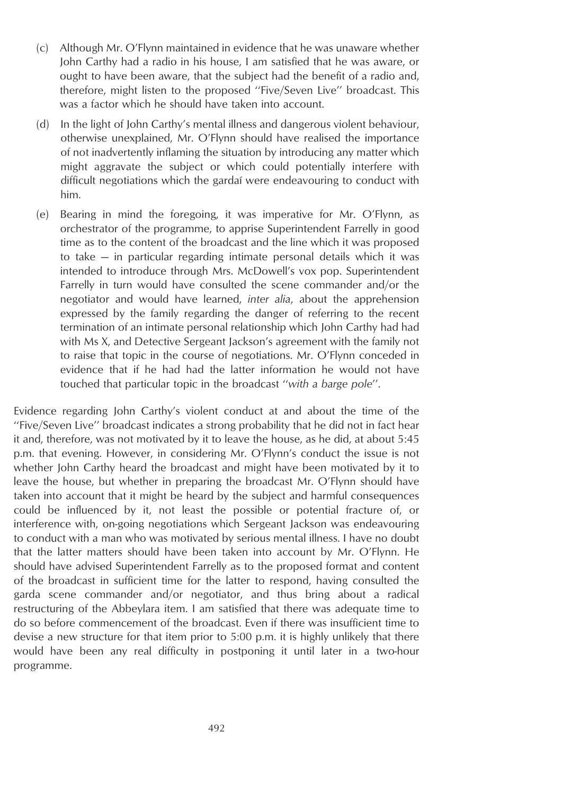- (c) Although Mr. O'Flynn maintained in evidence that he was unaware whether John Carthy had a radio in his house, I am satisfied that he was aware, or ought to have been aware, that the subject had the benefit of a radio and, therefore, might listen to the proposed ''Five/Seven Live'' broadcast. This was a factor which he should have taken into account.
- (d) In the light of John Carthy's mental illness and dangerous violent behaviour, otherwise unexplained, Mr. O'Flynn should have realised the importance of not inadvertently inflaming the situation by introducing any matter which might aggravate the subject or which could potentially interfere with difficult negotiations which the gardai were endeavouring to conduct with him.
- (e) Bearing in mind the foregoing, it was imperative for Mr. O'Flynn, as orchestrator of the programme, to apprise Superintendent Farrelly in good time as to the content of the broadcast and the line which it was proposed to take — in particular regarding intimate personal details which it was intended to introduce through Mrs. McDowell's vox pop. Superintendent Farrelly in turn would have consulted the scene commander and/or the negotiator and would have learned, *inter alia*, about the apprehension expressed by the family regarding the danger of referring to the recent termination of an intimate personal relationship which John Carthy had had with Ms X, and Detective Sergeant Jackson's agreement with the family not to raise that topic in the course of negotiations. Mr. O'Flynn conceded in evidence that if he had had the latter information he would not have touched that particular topic in the broadcast ''*with a barge pole*''.

Evidence regarding John Carthy's violent conduct at and about the time of the ''Five/Seven Live'' broadcast indicates a strong probability that he did not in fact hear it and, therefore, was not motivated by it to leave the house, as he did, at about 5:45 p.m. that evening. However, in considering Mr. O'Flynn's conduct the issue is not whether John Carthy heard the broadcast and might have been motivated by it to leave the house, but whether in preparing the broadcast Mr. O'Flynn should have taken into account that it might be heard by the subject and harmful consequences could be influenced by it, not least the possible or potential fracture of, or interference with, on-going negotiations which Sergeant Jackson was endeavouring to conduct with a man who was motivated by serious mental illness. I have no doubt that the latter matters should have been taken into account by Mr. O'Flynn. He should have advised Superintendent Farrelly as to the proposed format and content of the broadcast in sufficient time for the latter to respond, having consulted the garda scene commander and/or negotiator, and thus bring about a radical restructuring of the Abbeylara item. I am satisfied that there was adequate time to do so before commencement of the broadcast. Even if there was insufficient time to devise a new structure for that item prior to 5:00 p.m. it is highly unlikely that there would have been any real difficulty in postponing it until later in a two-hour programme.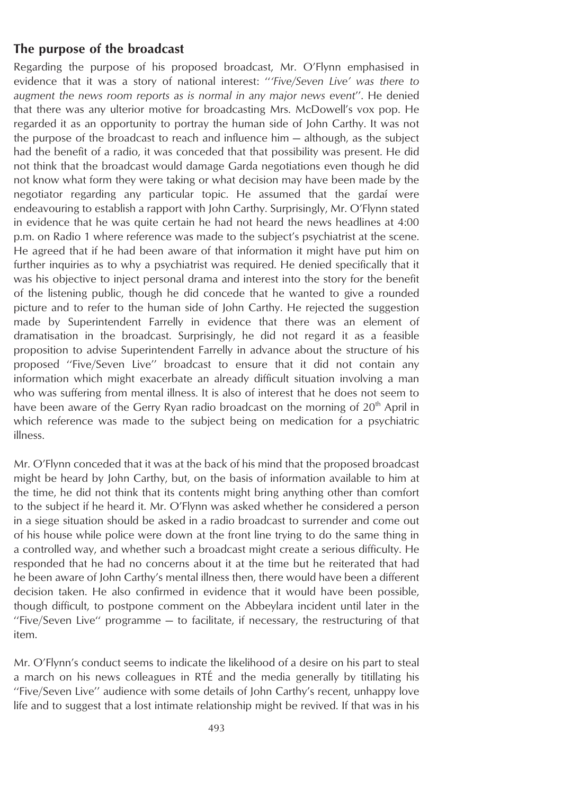### **The purpose of the broadcast**

Regarding the purpose of his proposed broadcast, Mr. O'Flynn emphasised in evidence that it was a story of national interest: ''*'Five/Seven Live' was there to augment the news room reports as is normal in any major news event*''. He denied that there was any ulterior motive for broadcasting Mrs. McDowell's vox pop. He regarded it as an opportunity to portray the human side of John Carthy. It was not the purpose of the broadcast to reach and influence him — although, as the subject had the benefit of a radio, it was conceded that that possibility was present. He did not think that the broadcast would damage Garda negotiations even though he did not know what form they were taking or what decision may have been made by the negotiator regarding any particular topic. He assumed that the gardai were endeavouring to establish a rapport with John Carthy. Surprisingly, Mr. O'Flynn stated in evidence that he was quite certain he had not heard the news headlines at 4:00 p.m. on Radio 1 where reference was made to the subject's psychiatrist at the scene. He agreed that if he had been aware of that information it might have put him on further inquiries as to why a psychiatrist was required. He denied specifically that it was his objective to inject personal drama and interest into the story for the benefit of the listening public, though he did concede that he wanted to give a rounded picture and to refer to the human side of John Carthy. He rejected the suggestion made by Superintendent Farrelly in evidence that there was an element of dramatisation in the broadcast. Surprisingly, he did not regard it as a feasible proposition to advise Superintendent Farrelly in advance about the structure of his proposed ''Five/Seven Live'' broadcast to ensure that it did not contain any information which might exacerbate an already difficult situation involving a man who was suffering from mental illness. It is also of interest that he does not seem to have been aware of the Gerry Ryan radio broadcast on the morning of  $20<sup>th</sup>$  April in which reference was made to the subject being on medication for a psychiatric illness.

Mr. O'Flynn conceded that it was at the back of his mind that the proposed broadcast might be heard by John Carthy, but, on the basis of information available to him at the time, he did not think that its contents might bring anything other than comfort to the subject if he heard it. Mr. O'Flynn was asked whether he considered a person in a siege situation should be asked in a radio broadcast to surrender and come out of his house while police were down at the front line trying to do the same thing in a controlled way, and whether such a broadcast might create a serious difficulty. He responded that he had no concerns about it at the time but he reiterated that had he been aware of John Carthy's mental illness then, there would have been a different decision taken. He also confirmed in evidence that it would have been possible, though difficult, to postpone comment on the Abbeylara incident until later in the "Five/Seven Live" programme  $-$  to facilitate, if necessary, the restructuring of that item.

Mr. O'Flynn's conduct seems to indicate the likelihood of a desire on his part to steal a march on his news colleagues in RTÉ and the media generally by titillating his ''Five/Seven Live'' audience with some details of John Carthy's recent, unhappy love life and to suggest that a lost intimate relationship might be revived. If that was in his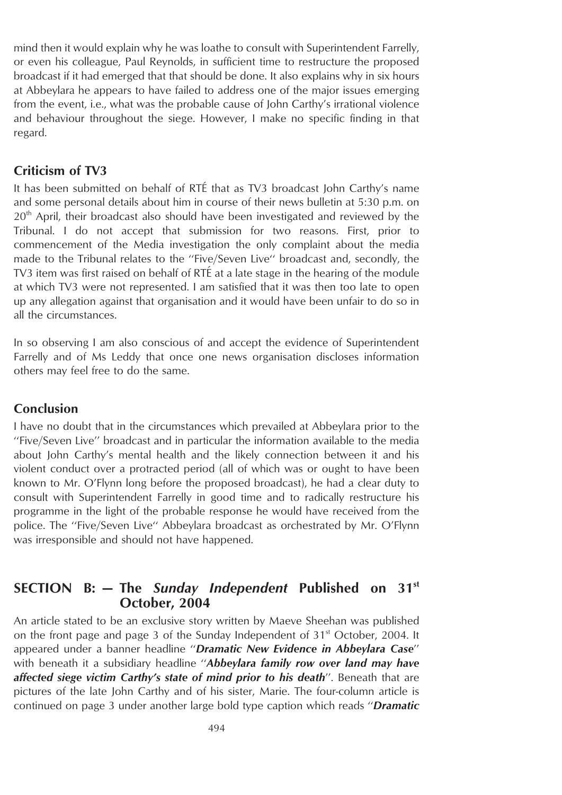mind then it would explain why he was loathe to consult with Superintendent Farrelly, or even his colleague, Paul Reynolds, in sufficient time to restructure the proposed broadcast if it had emerged that that should be done. It also explains why in six hours at Abbeylara he appears to have failed to address one of the major issues emerging from the event, i.e., what was the probable cause of John Carthy's irrational violence and behaviour throughout the siege. However, I make no specific finding in that regard.

### **Criticism of TV3**

It has been submitted on behalf of RTÉ that as TV3 broadcast John Carthy's name and some personal details about him in course of their news bulletin at 5:30 p.m. on 20<sup>th</sup> April, their broadcast also should have been investigated and reviewed by the Tribunal. I do not accept that submission for two reasons. First, prior to commencement of the Media investigation the only complaint about the media made to the Tribunal relates to the ''Five/Seven Live'' broadcast and, secondly, the TV3 item was first raised on behalf of RTÉ at a late stage in the hearing of the module at which TV3 were not represented. I am satisfied that it was then too late to open up any allegation against that organisation and it would have been unfair to do so in all the circumstances.

In so observing I am also conscious of and accept the evidence of Superintendent Farrelly and of Ms Leddy that once one news organisation discloses information others may feel free to do the same.

### **Conclusion**

I have no doubt that in the circumstances which prevailed at Abbeylara prior to the ''Five/Seven Live'' broadcast and in particular the information available to the media about John Carthy's mental health and the likely connection between it and his violent conduct over a protracted period (all of which was or ought to have been known to Mr. O'Flynn long before the proposed broadcast), he had a clear duty to consult with Superintendent Farrelly in good time and to radically restructure his programme in the light of the probable response he would have received from the police. The ''Five/Seven Live'' Abbeylara broadcast as orchestrated by Mr. O'Flynn was irresponsible and should not have happened.

## **SECTION B: — The** *Sunday Independent* **Published on 31st October, 2004**

An article stated to be an exclusive story written by Maeve Sheehan was published on the front page and page 3 of the Sunday Independent of 31<sup>st</sup> October, 2004. It appeared under a banner headline ''*Dramatic New Evidence in Abbeylara Case*'' with beneath it a subsidiary headline ''*Abbeylara family row over land may have affected siege victim Carthy's state of mind prior to his death*''. Beneath that are pictures of the late John Carthy and of his sister, Marie. The four-column article is continued on page 3 under another large bold type caption which reads ''*Dramatic*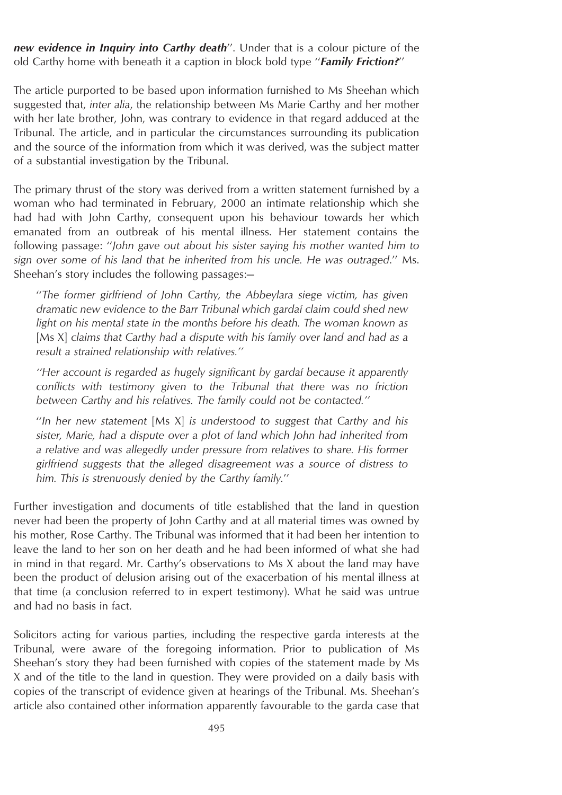*new evidence in Inquiry into Carthy death*''. Under that is a colour picture of the old Carthy home with beneath it a caption in block bold type ''*Family Friction?*''

The article purported to be based upon information furnished to Ms Sheehan which suggested that, *inter alia*, the relationship between Ms Marie Carthy and her mother with her late brother, John, was contrary to evidence in that regard adduced at the Tribunal. The article, and in particular the circumstances surrounding its publication and the source of the information from which it was derived, was the subject matter of a substantial investigation by the Tribunal.

The primary thrust of the story was derived from a written statement furnished by a woman who had terminated in February, 2000 an intimate relationship which she had had with John Carthy, consequent upon his behaviour towards her which emanated from an outbreak of his mental illness. Her statement contains the following passage: ''*John gave out about his sister saying his mother wanted him to sign over some of his land that he inherited from his uncle. He was outraged*.'' Ms. Sheehan's story includes the following passages:—

''*The former girlfriend of John Carthy, the Abbeylara siege victim, has given dramatic new evidence to the Barr Tribunal which gardaı´ claim could shed new light on his mental state in the months before his death. The woman known as* [Ms X] *claims that Carthy had a dispute with his family over land and had as a result a strained relationship with relatives.''*

*''Her account is regarded as hugely significant by gardaı´ because it apparently conflicts with testimony given to the Tribunal that there was no friction between Carthy and his relatives. The family could not be contacted.''*

''*In her new statement* [Ms X] *is understood to suggest that Carthy and his sister, Marie, had a dispute over a plot of land which John had inherited from a relative and was allegedly under pressure from relatives to share. His former girlfriend suggests that the alleged disagreement was a source of distress to him. This is strenuously denied by the Carthy family.*''

Further investigation and documents of title established that the land in question never had been the property of John Carthy and at all material times was owned by his mother, Rose Carthy. The Tribunal was informed that it had been her intention to leave the land to her son on her death and he had been informed of what she had in mind in that regard. Mr. Carthy's observations to Ms X about the land may have been the product of delusion arising out of the exacerbation of his mental illness at that time (a conclusion referred to in expert testimony). What he said was untrue and had no basis in fact.

Solicitors acting for various parties, including the respective garda interests at the Tribunal, were aware of the foregoing information. Prior to publication of Ms Sheehan's story they had been furnished with copies of the statement made by Ms X and of the title to the land in question. They were provided on a daily basis with copies of the transcript of evidence given at hearings of the Tribunal. Ms. Sheehan's article also contained other information apparently favourable to the garda case that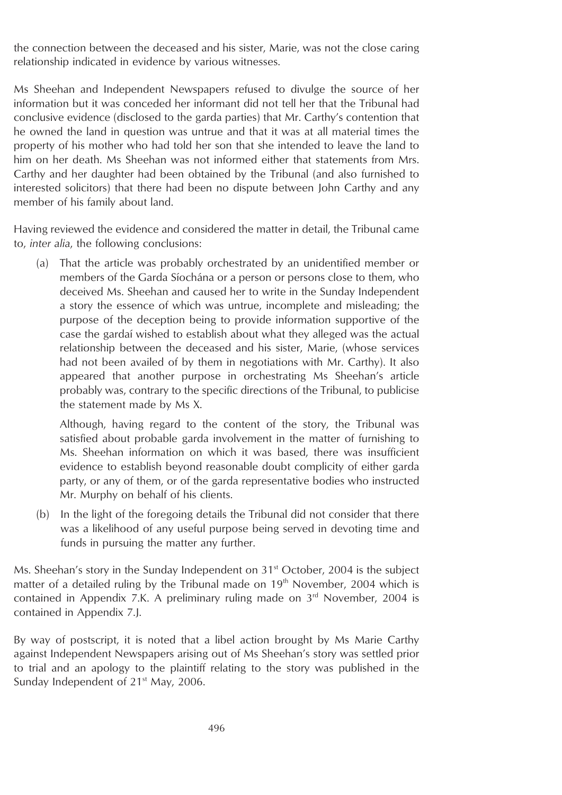the connection between the deceased and his sister, Marie, was not the close caring relationship indicated in evidence by various witnesses.

Ms Sheehan and Independent Newspapers refused to divulge the source of her information but it was conceded her informant did not tell her that the Tribunal had conclusive evidence (disclosed to the garda parties) that Mr. Carthy's contention that he owned the land in question was untrue and that it was at all material times the property of his mother who had told her son that she intended to leave the land to him on her death. Ms Sheehan was not informed either that statements from Mrs. Carthy and her daughter had been obtained by the Tribunal (and also furnished to interested solicitors) that there had been no dispute between John Carthy and any member of his family about land.

Having reviewed the evidence and considered the matter in detail, the Tribunal came to, *inter alia*, the following conclusions:

(a) That the article was probably orchestrated by an unidentified member or members of the Garda Síochána or a person or persons close to them, who deceived Ms. Sheehan and caused her to write in the Sunday Independent a story the essence of which was untrue, incomplete and misleading; the purpose of the deception being to provide information supportive of the case the gardaı´ wished to establish about what they alleged was the actual relationship between the deceased and his sister, Marie, (whose services had not been availed of by them in negotiations with Mr. Carthy). It also appeared that another purpose in orchestrating Ms Sheehan's article probably was, contrary to the specific directions of the Tribunal, to publicise the statement made by Ms X.

Although, having regard to the content of the story, the Tribunal was satisfied about probable garda involvement in the matter of furnishing to Ms. Sheehan information on which it was based, there was insufficient evidence to establish beyond reasonable doubt complicity of either garda party, or any of them, or of the garda representative bodies who instructed Mr. Murphy on behalf of his clients.

(b) In the light of the foregoing details the Tribunal did not consider that there was a likelihood of any useful purpose being served in devoting time and funds in pursuing the matter any further.

Ms. Sheehan's story in the Sunday Independent on 31<sup>st</sup> October, 2004 is the subject matter of a detailed ruling by the Tribunal made on  $19<sup>th</sup>$  November, 2004 which is contained in Appendix 7.K. A preliminary ruling made on 3<sup>rd</sup> November, 2004 is contained in Appendix 7.J.

By way of postscript, it is noted that a libel action brought by Ms Marie Carthy against Independent Newspapers arising out of Ms Sheehan's story was settled prior to trial and an apology to the plaintiff relating to the story was published in the Sunday Independent of 21<sup>st</sup> May, 2006.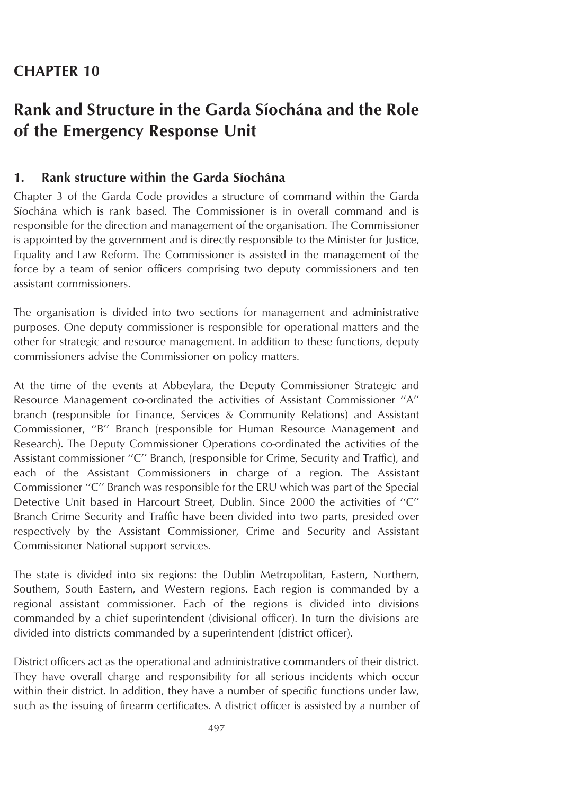## **CHAPTER 10**

# **Rank and Structure in the Garda Siochana and the Role of the Emergency Response Unit**

## **1. Rank structure within the Garda Siochána**

Chapter 3 of the Garda Code provides a structure of command within the Garda Síochána which is rank based. The Commissioner is in overall command and is responsible for the direction and management of the organisation. The Commissioner is appointed by the government and is directly responsible to the Minister for Justice, Equality and Law Reform. The Commissioner is assisted in the management of the force by a team of senior officers comprising two deputy commissioners and ten assistant commissioners.

The organisation is divided into two sections for management and administrative purposes. One deputy commissioner is responsible for operational matters and the other for strategic and resource management. In addition to these functions, deputy commissioners advise the Commissioner on policy matters.

At the time of the events at Abbeylara, the Deputy Commissioner Strategic and Resource Management co-ordinated the activities of Assistant Commissioner ''A'' branch (responsible for Finance, Services & Community Relations) and Assistant Commissioner, ''B'' Branch (responsible for Human Resource Management and Research). The Deputy Commissioner Operations co-ordinated the activities of the Assistant commissioner ''C'' Branch, (responsible for Crime, Security and Traffic), and each of the Assistant Commissioners in charge of a region. The Assistant Commissioner ''C'' Branch was responsible for the ERU which was part of the Special Detective Unit based in Harcourt Street, Dublin. Since 2000 the activities of ''C'' Branch Crime Security and Traffic have been divided into two parts, presided over respectively by the Assistant Commissioner, Crime and Security and Assistant Commissioner National support services.

The state is divided into six regions: the Dublin Metropolitan, Eastern, Northern, Southern, South Eastern, and Western regions. Each region is commanded by a regional assistant commissioner. Each of the regions is divided into divisions commanded by a chief superintendent (divisional officer). In turn the divisions are divided into districts commanded by a superintendent (district officer).

District officers act as the operational and administrative commanders of their district. They have overall charge and responsibility for all serious incidents which occur within their district. In addition, they have a number of specific functions under law, such as the issuing of firearm certificates. A district officer is assisted by a number of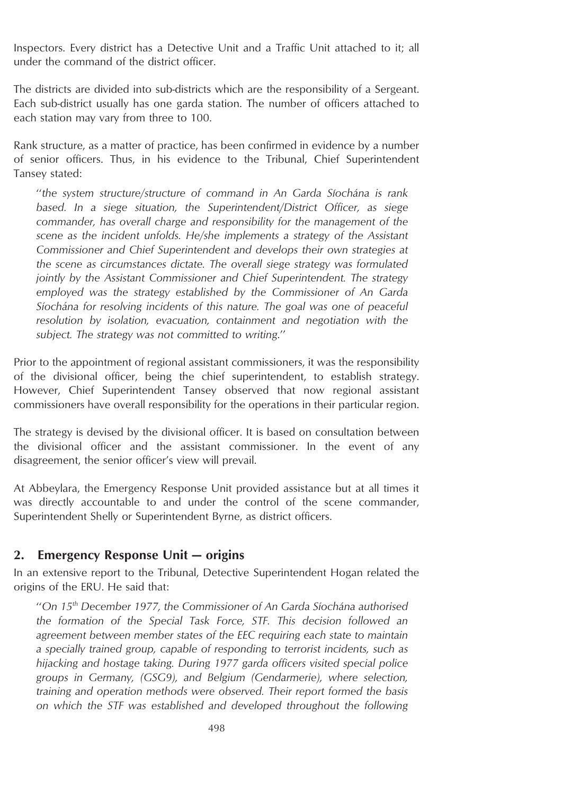Inspectors. Every district has a Detective Unit and a Traffic Unit attached to it; all under the command of the district officer.

The districts are divided into sub-districts which are the responsibility of a Sergeant. Each sub-district usually has one garda station. The number of officers attached to each station may vary from three to 100.

Rank structure, as a matter of practice, has been confirmed in evidence by a number of senior officers. Thus, in his evidence to the Tribunal, Chief Superintendent Tansey stated:

''*the system structure/structure of command in An Garda Sı´ocha´na is rank based. In a siege situation, the Superintendent/District Officer, as siege commander, has overall charge and responsibility for the management of the scene as the incident unfolds. He/she implements a strategy of the Assistant Commissioner and Chief Superintendent and develops their own strategies at the scene as circumstances dictate. The overall siege strategy was formulated jointly by the Assistant Commissioner and Chief Superintendent. The strategy employed was the strategy established by the Commissioner of An Garda Sı´ocha´na for resolving incidents of this nature. The goal was one of peaceful resolution by isolation, evacuation, containment and negotiation with the subject. The strategy was not committed to writing*.''

Prior to the appointment of regional assistant commissioners, it was the responsibility of the divisional officer, being the chief superintendent, to establish strategy. However, Chief Superintendent Tansey observed that now regional assistant commissioners have overall responsibility for the operations in their particular region.

The strategy is devised by the divisional officer. It is based on consultation between the divisional officer and the assistant commissioner. In the event of any disagreement, the senior officer's view will prevail.

At Abbeylara, the Emergency Response Unit provided assistance but at all times it was directly accountable to and under the control of the scene commander, Superintendent Shelly or Superintendent Byrne, as district officers.

### **2. Emergency Response Unit — origins**

In an extensive report to the Tribunal, Detective Superintendent Hogan related the origins of the ERU. He said that:

''*On 15th December 1977, the Commissioner of An Garda Sı´ocha´na authorised the formation of the Special Task Force, STF. This decision followed an agreement between member states of the EEC requiring each state to maintain a specially trained group, capable of responding to terrorist incidents, such as hijacking and hostage taking. During 1977 garda officers visited special police groups in Germany, (GSG9), and Belgium (Gendarmerie), where selection, training and operation methods were observed. Their report formed the basis on which the STF was established and developed throughout the following*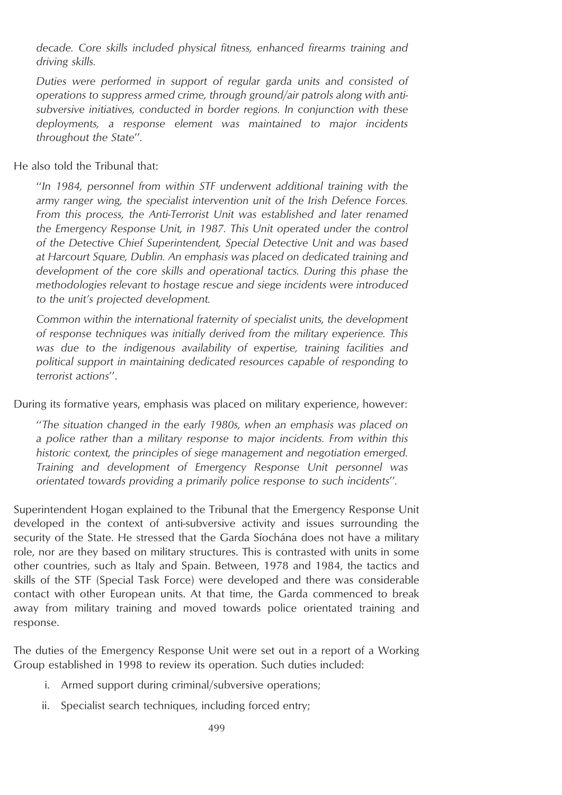*decade. Core skills included physical fitness, enhanced firearms training and driving skills.*

*Duties were performed in support of regular garda units and consisted of operations to suppress armed crime, through ground/air patrols along with antisubversive initiatives, conducted in border regions. In conjunction with these deployments, a response element was maintained to major incidents throughout the State*''*.*

He also told the Tribunal that:

''*In 1984, personnel from within STF underwent additional training with the army ranger wing, the specialist intervention unit of the Irish Defence Forces. From this process, the Anti-Terrorist Unit was established and later renamed the Emergency Response Unit, in 1987. This Unit operated under the control of the Detective Chief Superintendent, Special Detective Unit and was based at Harcourt Square, Dublin. An emphasis was placed on dedicated training and development of the core skills and operational tactics. During this phase the methodologies relevant to hostage rescue and siege incidents were introduced to the unit's projected development.*

*Common within the international fraternity of specialist units, the development of response techniques was initially derived from the military experience. This was due to the indigenous availability of expertise, training facilities and political support in maintaining dedicated resources capable of responding to terrorist actions*''.

During its formative years, emphasis was placed on military experience, however:

''*The situation changed in the early 1980s, when an emphasis was placed on a police rather than a military response to major incidents. From within this historic context, the principles of siege management and negotiation emerged. Training and development of Emergency Response Unit personnel was orientated towards providing a primarily police response to such incidents*''*.*

Superintendent Hogan explained to the Tribunal that the Emergency Response Unit developed in the context of anti-subversive activity and issues surrounding the security of the State. He stressed that the Garda Siochana does not have a military role, nor are they based on military structures. This is contrasted with units in some other countries, such as Italy and Spain. Between, 1978 and 1984, the tactics and skills of the STF (Special Task Force) were developed and there was considerable contact with other European units. At that time, the Garda commenced to break away from military training and moved towards police orientated training and response.

The duties of the Emergency Response Unit were set out in a report of a Working Group established in 1998 to review its operation. Such duties included:

- i. Armed support during criminal/subversive operations;
- ii. Specialist search techniques, including forced entry;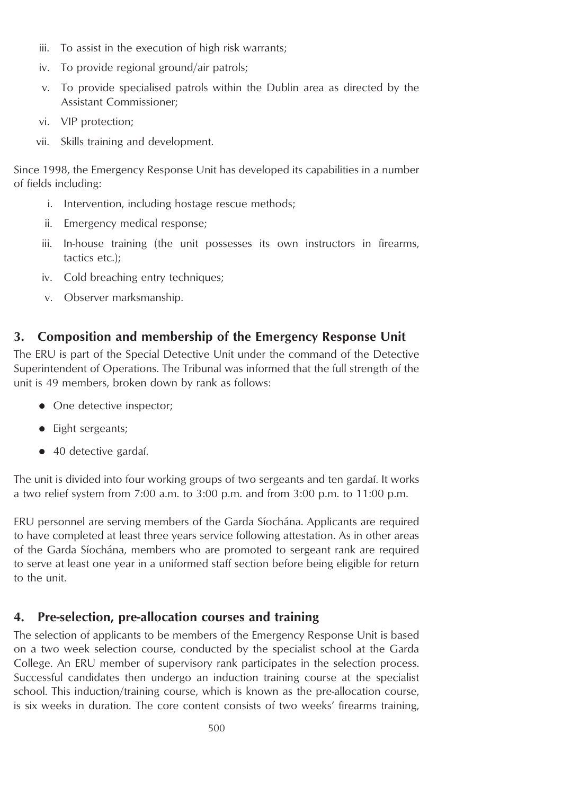- iii. To assist in the execution of high risk warrants;
- iv. To provide regional ground/air patrols;
- v. To provide specialised patrols within the Dublin area as directed by the Assistant Commissioner;
- vi. VIP protection;
- vii. Skills training and development.

Since 1998, the Emergency Response Unit has developed its capabilities in a number of fields including:

- i. Intervention, including hostage rescue methods;
- ii. Emergency medical response;
- iii. In-house training (the unit possesses its own instructors in firearms, tactics etc.);
- iv. Cold breaching entry techniques:
- v. Observer marksmanship.

## **3. Composition and membership of the Emergency Response Unit**

The ERU is part of the Special Detective Unit under the command of the Detective Superintendent of Operations. The Tribunal was informed that the full strength of the unit is 49 members, broken down by rank as follows:

- One detective inspector;
- $\bullet$  Eight sergeants;
- 40 detective gardaí.

The unit is divided into four working groups of two sergeants and ten gardai. It works a two relief system from 7:00 a.m. to 3:00 p.m. and from 3:00 p.m. to 11:00 p.m.

ERU personnel are serving members of the Garda Síochána. Applicants are required to have completed at least three years service following attestation. As in other areas of the Garda Síochána, members who are promoted to sergeant rank are required to serve at least one year in a uniformed staff section before being eligible for return to the unit.

## **4. Pre-selection, pre-allocation courses and training**

The selection of applicants to be members of the Emergency Response Unit is based on a two week selection course, conducted by the specialist school at the Garda College. An ERU member of supervisory rank participates in the selection process. Successful candidates then undergo an induction training course at the specialist school. This induction/training course, which is known as the pre-allocation course, is six weeks in duration. The core content consists of two weeks' firearms training,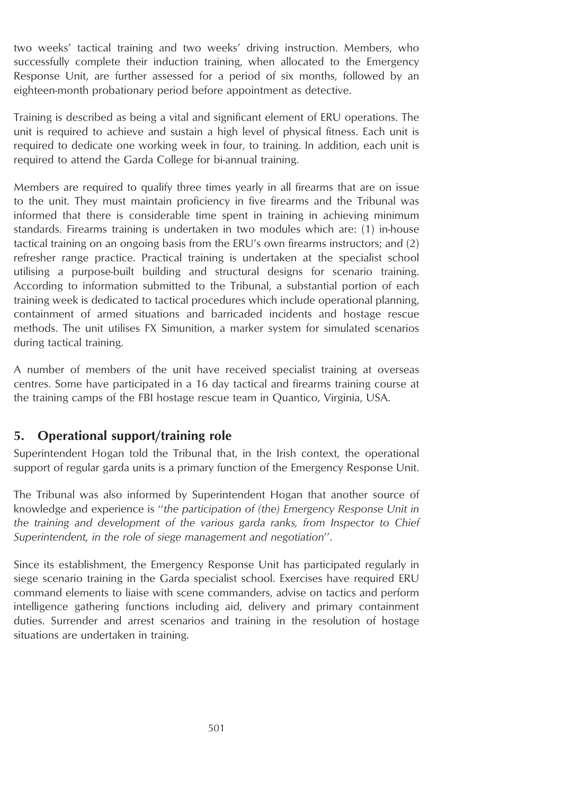two weeks' tactical training and two weeks' driving instruction. Members, who successfully complete their induction training, when allocated to the Emergency Response Unit, are further assessed for a period of six months, followed by an eighteen-month probationary period before appointment as detective.

Training is described as being a vital and significant element of ERU operations. The unit is required to achieve and sustain a high level of physical fitness. Each unit is required to dedicate one working week in four, to training. In addition, each unit is required to attend the Garda College for bi-annual training.

Members are required to qualify three times yearly in all firearms that are on issue to the unit. They must maintain proficiency in five firearms and the Tribunal was informed that there is considerable time spent in training in achieving minimum standards. Firearms training is undertaken in two modules which are: (1) in-house tactical training on an ongoing basis from the ERU's own firearms instructors; and (2) refresher range practice. Practical training is undertaken at the specialist school utilising a purpose-built building and structural designs for scenario training. According to information submitted to the Tribunal, a substantial portion of each training week is dedicated to tactical procedures which include operational planning, containment of armed situations and barricaded incidents and hostage rescue methods. The unit utilises FX Simunition, a marker system for simulated scenarios during tactical training.

A number of members of the unit have received specialist training at overseas centres. Some have participated in a 16 day tactical and firearms training course at the training camps of the FBI hostage rescue team in Quantico, Virginia, USA.

### **5. Operational support/training role**

Superintendent Hogan told the Tribunal that, in the Irish context, the operational support of regular garda units is a primary function of the Emergency Response Unit.

The Tribunal was also informed by Superintendent Hogan that another source of knowledge and experience is ''*the participation of (the) Emergency Response Unit in the training and development of the various garda ranks, from Inspector to Chief Superintendent, in the role of siege management and negotiation*''.

Since its establishment, the Emergency Response Unit has participated regularly in siege scenario training in the Garda specialist school. Exercises have required ERU command elements to liaise with scene commanders, advise on tactics and perform intelligence gathering functions including aid, delivery and primary containment duties. Surrender and arrest scenarios and training in the resolution of hostage situations are undertaken in training.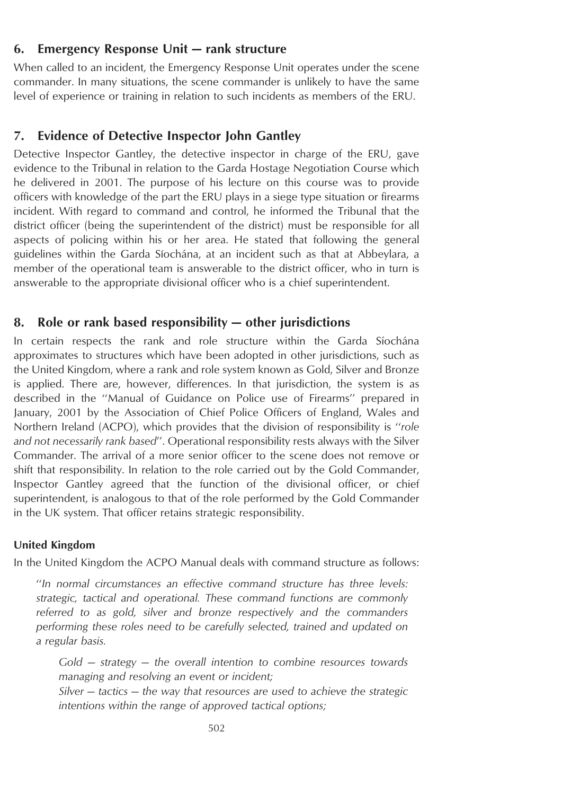## **6. Emergency Response Unit — rank structure**

When called to an incident, the Emergency Response Unit operates under the scene commander. In many situations, the scene commander is unlikely to have the same level of experience or training in relation to such incidents as members of the ERU.

#### **7. Evidence of Detective Inspector John Gantley**

Detective Inspector Gantley, the detective inspector in charge of the ERU, gave evidence to the Tribunal in relation to the Garda Hostage Negotiation Course which he delivered in 2001. The purpose of his lecture on this course was to provide officers with knowledge of the part the ERU plays in a siege type situation or firearms incident. With regard to command and control, he informed the Tribunal that the district officer (being the superintendent of the district) must be responsible for all aspects of policing within his or her area. He stated that following the general guidelines within the Garda Síochána, at an incident such as that at Abbeylara, a member of the operational team is answerable to the district officer, who in turn is answerable to the appropriate divisional officer who is a chief superintendent.

#### **8. Role or rank based responsibility — other jurisdictions**

In certain respects the rank and role structure within the Garda Síochána approximates to structures which have been adopted in other jurisdictions, such as the United Kingdom, where a rank and role system known as Gold, Silver and Bronze is applied. There are, however, differences. In that jurisdiction, the system is as described in the ''Manual of Guidance on Police use of Firearms'' prepared in January, 2001 by the Association of Chief Police Officers of England, Wales and Northern Ireland (ACPO), which provides that the division of responsibility is ''*role and not necessarily rank based*''. Operational responsibility rests always with the Silver Commander. The arrival of a more senior officer to the scene does not remove or shift that responsibility. In relation to the role carried out by the Gold Commander, Inspector Gantley agreed that the function of the divisional officer, or chief superintendent, is analogous to that of the role performed by the Gold Commander in the UK system. That officer retains strategic responsibility.

#### **United Kingdom**

In the United Kingdom the ACPO Manual deals with command structure as follows:

''*In normal circumstances an effective command structure has three levels: strategic, tactical and operational. These command functions are commonly referred to as gold, silver and bronze respectively and the commanders performing these roles need to be carefully selected, trained and updated on a regular basis.*

*Gold — strategy — the overall intention to combine resources towards managing and resolving an event or incident;*

*Silver — tactics — the way that resources are used to achieve the strategic intentions within the range of approved tactical options;*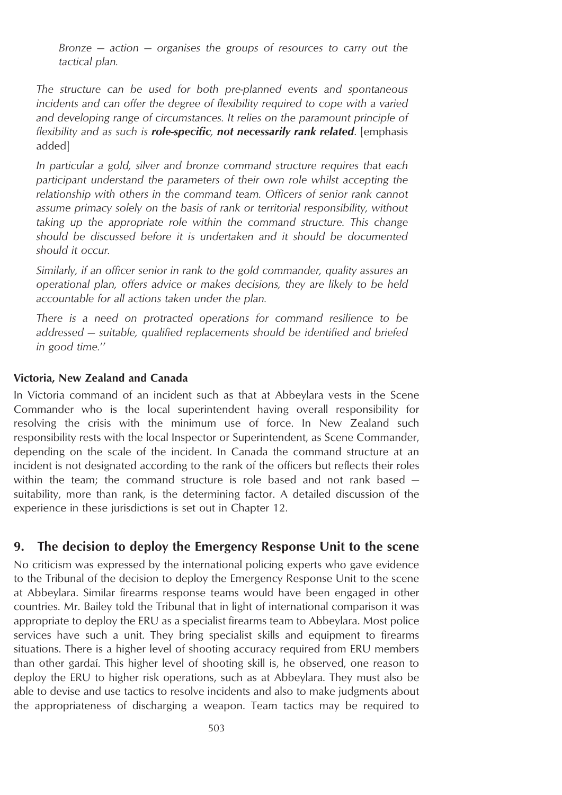*Bronze — action — organises the groups of resources to carry out the tactical plan.*

*The structure can be used for both pre-planned events and spontaneous incidents and can offer the degree of flexibility required to cope with a varied and developing range of circumstances. It relies on the paramount principle of flexibility and as such is role-specific, not necessarily rank related*. [emphasis added]

*In particular a gold, silver and bronze command structure requires that each participant understand the parameters of their own role whilst accepting the relationship with others in the command team. Officers of senior rank cannot assume primacy solely on the basis of rank or territorial responsibility, without taking up the appropriate role within the command structure. This change should be discussed before it is undertaken and it should be documented should it occur.*

*Similarly, if an officer senior in rank to the gold commander, quality assures an operational plan, offers advice or makes decisions, they are likely to be held accountable for all actions taken under the plan.*

*There is a need on protracted operations for command resilience to be addressed — suitable, qualified replacements should be identified and briefed in good time.*''

### **Victoria, New Zealand and Canada**

In Victoria command of an incident such as that at Abbeylara vests in the Scene Commander who is the local superintendent having overall responsibility for resolving the crisis with the minimum use of force. In New Zealand such responsibility rests with the local Inspector or Superintendent, as Scene Commander, depending on the scale of the incident. In Canada the command structure at an incident is not designated according to the rank of the officers but reflects their roles within the team; the command structure is role based and not rank based suitability, more than rank, is the determining factor. A detailed discussion of the experience in these jurisdictions is set out in Chapter 12.

### **9. The decision to deploy the Emergency Response Unit to the scene**

No criticism was expressed by the international policing experts who gave evidence to the Tribunal of the decision to deploy the Emergency Response Unit to the scene at Abbeylara. Similar firearms response teams would have been engaged in other countries. Mr. Bailey told the Tribunal that in light of international comparison it was appropriate to deploy the ERU as a specialist firearms team to Abbeylara. Most police services have such a unit. They bring specialist skills and equipment to firearms situations. There is a higher level of shooting accuracy required from ERU members than other gardaı´. This higher level of shooting skill is, he observed, one reason to deploy the ERU to higher risk operations, such as at Abbeylara. They must also be able to devise and use tactics to resolve incidents and also to make judgments about the appropriateness of discharging a weapon. Team tactics may be required to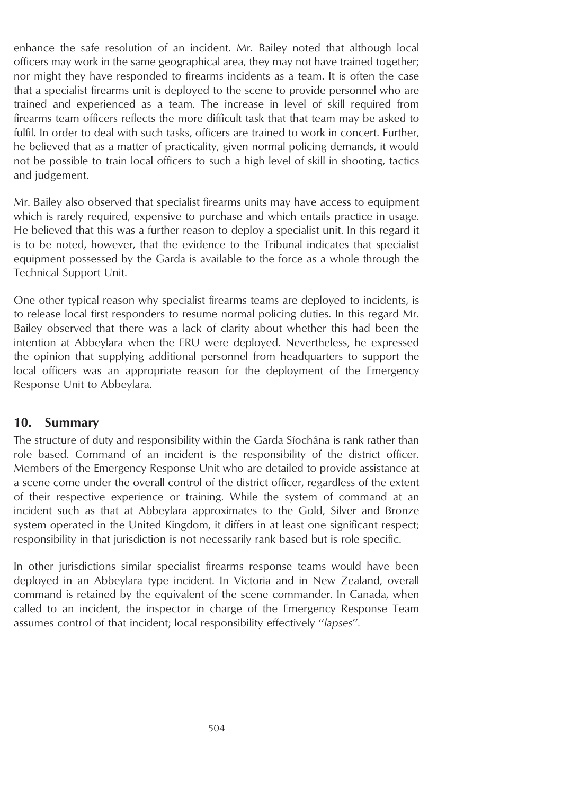enhance the safe resolution of an incident. Mr. Bailey noted that although local officers may work in the same geographical area, they may not have trained together; nor might they have responded to firearms incidents as a team. It is often the case that a specialist firearms unit is deployed to the scene to provide personnel who are trained and experienced as a team. The increase in level of skill required from firearms team officers reflects the more difficult task that that team may be asked to fulfil. In order to deal with such tasks, officers are trained to work in concert. Further, he believed that as a matter of practicality, given normal policing demands, it would not be possible to train local officers to such a high level of skill in shooting, tactics and judgement.

Mr. Bailey also observed that specialist firearms units may have access to equipment which is rarely required, expensive to purchase and which entails practice in usage. He believed that this was a further reason to deploy a specialist unit. In this regard it is to be noted, however, that the evidence to the Tribunal indicates that specialist equipment possessed by the Garda is available to the force as a whole through the Technical Support Unit.

One other typical reason why specialist firearms teams are deployed to incidents, is to release local first responders to resume normal policing duties. In this regard Mr. Bailey observed that there was a lack of clarity about whether this had been the intention at Abbeylara when the ERU were deployed. Nevertheless, he expressed the opinion that supplying additional personnel from headquarters to support the local officers was an appropriate reason for the deployment of the Emergency Response Unit to Abbeylara.

### **10. Summary**

The structure of duty and responsibility within the Garda Síochána is rank rather than role based. Command of an incident is the responsibility of the district officer. Members of the Emergency Response Unit who are detailed to provide assistance at a scene come under the overall control of the district officer, regardless of the extent of their respective experience or training. While the system of command at an incident such as that at Abbeylara approximates to the Gold, Silver and Bronze system operated in the United Kingdom, it differs in at least one significant respect; responsibility in that jurisdiction is not necessarily rank based but is role specific.

In other jurisdictions similar specialist firearms response teams would have been deployed in an Abbeylara type incident. In Victoria and in New Zealand, overall command is retained by the equivalent of the scene commander. In Canada, when called to an incident, the inspector in charge of the Emergency Response Team assumes control of that incident; local responsibility effectively ''*lapses*''*.*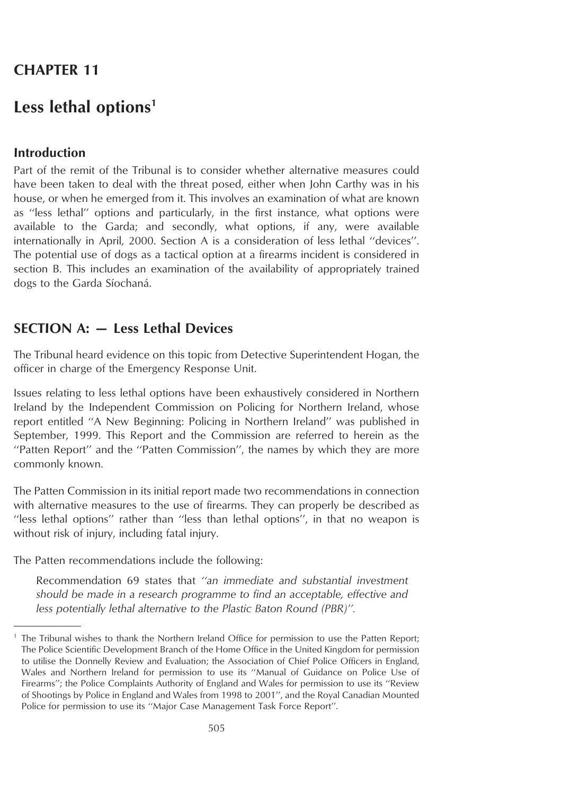# **CHAPTER 11**

# **Less lethal options1**

# **Introduction**

Part of the remit of the Tribunal is to consider whether alternative measures could have been taken to deal with the threat posed, either when John Carthy was in his house, or when he emerged from it. This involves an examination of what are known as ''less lethal'' options and particularly, in the first instance, what options were available to the Garda; and secondly, what options, if any, were available internationally in April, 2000. Section A is a consideration of less lethal ''devices''. The potential use of dogs as a tactical option at a firearms incident is considered in section B. This includes an examination of the availability of appropriately trained dogs to the Garda Síochaná.

# **SECTION A: — Less Lethal Devices**

The Tribunal heard evidence on this topic from Detective Superintendent Hogan, the officer in charge of the Emergency Response Unit.

Issues relating to less lethal options have been exhaustively considered in Northern Ireland by the Independent Commission on Policing for Northern Ireland, whose report entitled ''A New Beginning: Policing in Northern Ireland'' was published in September, 1999. This Report and the Commission are referred to herein as the ''Patten Report'' and the ''Patten Commission'', the names by which they are more commonly known.

The Patten Commission in its initial report made two recommendations in connection with alternative measures to the use of firearms. They can properly be described as ''less lethal options'' rather than ''less than lethal options'', in that no weapon is without risk of injury, including fatal injury.

The Patten recommendations include the following:

Recommendation 69 states that *''an immediate and substantial investment should be made in a research programme to find an acceptable, effective and less potentially lethal alternative to the Plastic Baton Round (PBR)''.*

<sup>1</sup> The Tribunal wishes to thank the Northern Ireland Office for permission to use the Patten Report; The Police Scientific Development Branch of the Home Office in the United Kingdom for permission to utilise the Donnelly Review and Evaluation; the Association of Chief Police Officers in England, Wales and Northern Ireland for permission to use its ''Manual of Guidance on Police Use of Firearms''; the Police Complaints Authority of England and Wales for permission to use its ''Review of Shootings by Police in England and Wales from 1998 to 2001'', and the Royal Canadian Mounted Police for permission to use its ''Major Case Management Task Force Report''.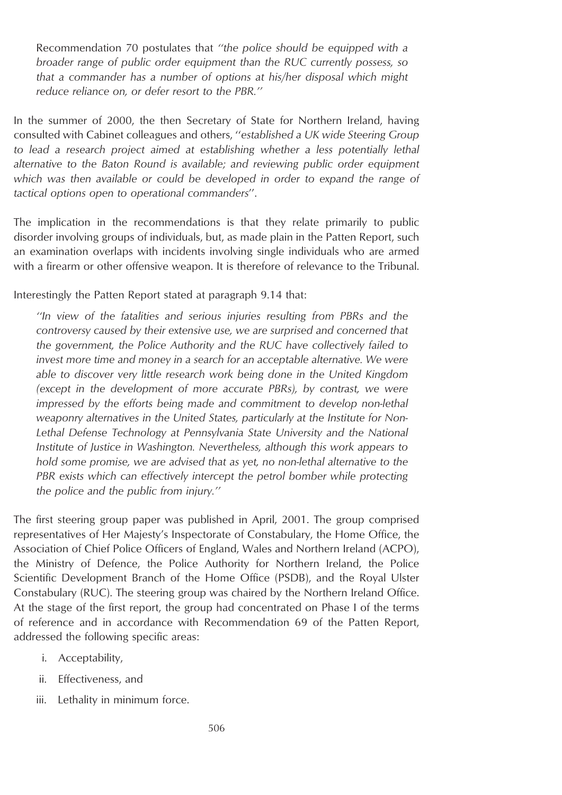Recommendation 70 postulates that *''the police should be equipped with a broader range of public order equipment than the RUC currently possess, so that a commander has a number of options at his/her disposal which might reduce reliance on, or defer resort to the PBR.''*

In the summer of 2000, the then Secretary of State for Northern Ireland, having consulted with Cabinet colleagues and others, ''*established a UK wide Steering Group to lead a research project aimed at establishing whether a less potentially lethal alternative to the Baton Round is available; and reviewing public order equipment which was then available or could be developed in order to expand the range of tactical options open to operational commanders*''.

The implication in the recommendations is that they relate primarily to public disorder involving groups of individuals, but, as made plain in the Patten Report, such an examination overlaps with incidents involving single individuals who are armed with a firearm or other offensive weapon. It is therefore of relevance to the Tribunal.

Interestingly the Patten Report stated at paragraph 9.14 that:

*''In view of the fatalities and serious injuries resulting from PBRs and the controversy caused by their extensive use, we are surprised and concerned that the government, the Police Authority and the RUC have collectively failed to invest more time and money in a search for an acceptable alternative. We were able to discover very little research work being done in the United Kingdom (except in the development of more accurate PBRs), by contrast, we were impressed by the efforts being made and commitment to develop non-lethal weaponry alternatives in the United States, particularly at the Institute for Non-Lethal Defense Technology at Pennsylvania State University and the National Institute of Justice in Washington. Nevertheless, although this work appears to hold some promise, we are advised that as yet, no non-lethal alternative to the PBR exists which can effectively intercept the petrol bomber while protecting the police and the public from injury.''*

The first steering group paper was published in April, 2001. The group comprised representatives of Her Majesty's Inspectorate of Constabulary, the Home Office, the Association of Chief Police Officers of England, Wales and Northern Ireland (ACPO), the Ministry of Defence, the Police Authority for Northern Ireland, the Police Scientific Development Branch of the Home Office (PSDB), and the Royal Ulster Constabulary (RUC). The steering group was chaired by the Northern Ireland Office. At the stage of the first report, the group had concentrated on Phase I of the terms of reference and in accordance with Recommendation 69 of the Patten Report, addressed the following specific areas:

- i. Acceptability,
- ii. Effectiveness, and
- iii. Lethality in minimum force.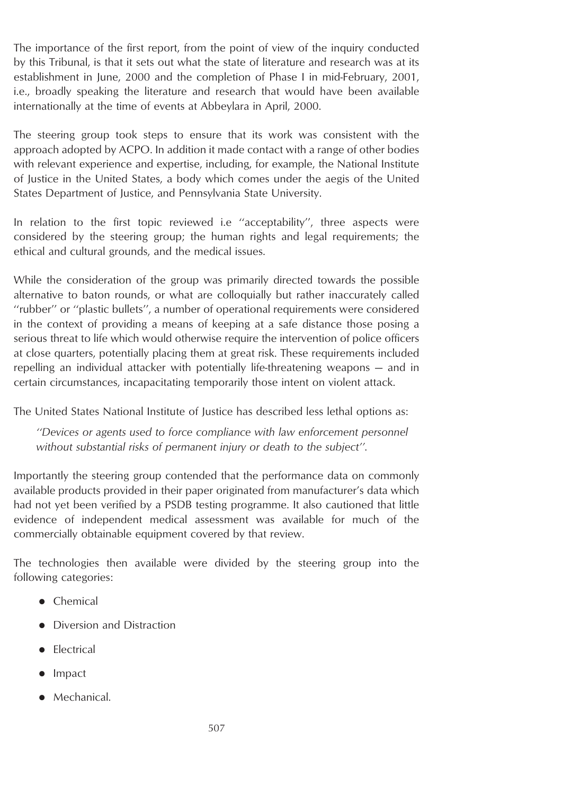The importance of the first report, from the point of view of the inquiry conducted by this Tribunal, is that it sets out what the state of literature and research was at its establishment in June, 2000 and the completion of Phase I in mid-February, 2001, i.e., broadly speaking the literature and research that would have been available internationally at the time of events at Abbeylara in April, 2000.

The steering group took steps to ensure that its work was consistent with the approach adopted by ACPO. In addition it made contact with a range of other bodies with relevant experience and expertise, including, for example, the National Institute of Justice in the United States, a body which comes under the aegis of the United States Department of Justice, and Pennsylvania State University.

In relation to the first topic reviewed i.e "acceptability", three aspects were considered by the steering group; the human rights and legal requirements; the ethical and cultural grounds, and the medical issues.

While the consideration of the group was primarily directed towards the possible alternative to baton rounds, or what are colloquially but rather inaccurately called ''rubber'' or ''plastic bullets'', a number of operational requirements were considered in the context of providing a means of keeping at a safe distance those posing a serious threat to life which would otherwise require the intervention of police officers at close quarters, potentially placing them at great risk. These requirements included repelling an individual attacker with potentially life-threatening weapons — and in certain circumstances, incapacitating temporarily those intent on violent attack.

The United States National Institute of Justice has described less lethal options as:

*''Devices or agents used to force compliance with law enforcement personnel without substantial risks of permanent injury or death to the subject''*.

Importantly the steering group contended that the performance data on commonly available products provided in their paper originated from manufacturer's data which had not yet been verified by a PSDB testing programme. It also cautioned that little evidence of independent medical assessment was available for much of the commercially obtainable equipment covered by that review.

The technologies then available were divided by the steering group into the following categories:

- $\bullet$  Chemical
- Diversion and Distraction
- **Electrical**
- **I**mpact
- $\bullet$  Mechanical.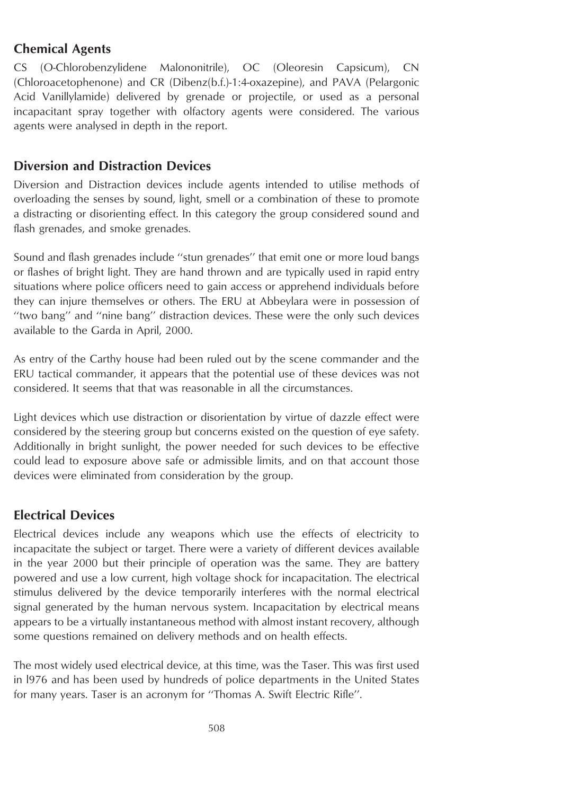# **Chemical Agents**

CS (O-Chlorobenzylidene Malononitrile), OC (Oleoresin Capsicum), CN (Chloroacetophenone) and CR (Dibenz(b.f.)-1:4-oxazepine), and PAVA (Pelargonic Acid Vanillylamide) delivered by grenade or projectile, or used as a personal incapacitant spray together with olfactory agents were considered. The various agents were analysed in depth in the report.

# **Diversion and Distraction Devices**

Diversion and Distraction devices include agents intended to utilise methods of overloading the senses by sound, light, smell or a combination of these to promote a distracting or disorienting effect. In this category the group considered sound and flash grenades, and smoke grenades.

Sound and flash grenades include ''stun grenades'' that emit one or more loud bangs or flashes of bright light. They are hand thrown and are typically used in rapid entry situations where police officers need to gain access or apprehend individuals before they can injure themselves or others. The ERU at Abbeylara were in possession of ''two bang'' and ''nine bang'' distraction devices. These were the only such devices available to the Garda in April, 2000.

As entry of the Carthy house had been ruled out by the scene commander and the ERU tactical commander, it appears that the potential use of these devices was not considered. It seems that that was reasonable in all the circumstances.

Light devices which use distraction or disorientation by virtue of dazzle effect were considered by the steering group but concerns existed on the question of eye safety. Additionally in bright sunlight, the power needed for such devices to be effective could lead to exposure above safe or admissible limits, and on that account those devices were eliminated from consideration by the group.

# **Electrical Devices**

Electrical devices include any weapons which use the effects of electricity to incapacitate the subject or target. There were a variety of different devices available in the year 2000 but their principle of operation was the same. They are battery powered and use a low current, high voltage shock for incapacitation. The electrical stimulus delivered by the device temporarily interferes with the normal electrical signal generated by the human nervous system. Incapacitation by electrical means appears to be a virtually instantaneous method with almost instant recovery, although some questions remained on delivery methods and on health effects.

The most widely used electrical device, at this time, was the Taser. This was first used in l976 and has been used by hundreds of police departments in the United States for many years. Taser is an acronym for ''Thomas A. Swift Electric Rifle''.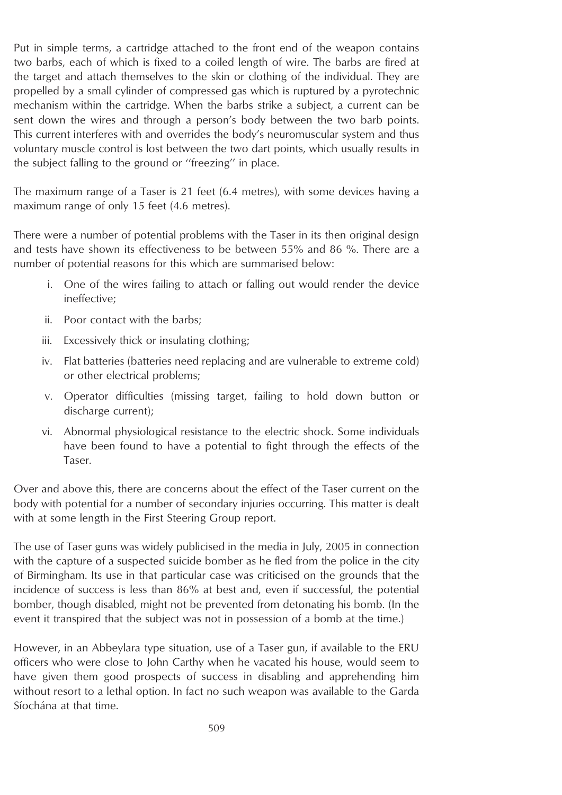Put in simple terms, a cartridge attached to the front end of the weapon contains two barbs, each of which is fixed to a coiled length of wire. The barbs are fired at the target and attach themselves to the skin or clothing of the individual. They are propelled by a small cylinder of compressed gas which is ruptured by a pyrotechnic mechanism within the cartridge. When the barbs strike a subject, a current can be sent down the wires and through a person's body between the two barb points. This current interferes with and overrides the body's neuromuscular system and thus voluntary muscle control is lost between the two dart points, which usually results in the subject falling to the ground or ''freezing'' in place.

The maximum range of a Taser is 21 feet (6.4 metres), with some devices having a maximum range of only 15 feet (4.6 metres).

There were a number of potential problems with the Taser in its then original design and tests have shown its effectiveness to be between 55% and 86 %. There are a number of potential reasons for this which are summarised below:

- i. One of the wires failing to attach or falling out would render the device ineffective;
- ii. Poor contact with the barbs;
- iii. Excessively thick or insulating clothing;
- iv. Flat batteries (batteries need replacing and are vulnerable to extreme cold) or other electrical problems;
- v. Operator difficulties (missing target, failing to hold down button or discharge current);
- vi. Abnormal physiological resistance to the electric shock. Some individuals have been found to have a potential to fight through the effects of the Taser.

Over and above this, there are concerns about the effect of the Taser current on the body with potential for a number of secondary injuries occurring. This matter is dealt with at some length in the First Steering Group report.

The use of Taser guns was widely publicised in the media in July, 2005 in connection with the capture of a suspected suicide bomber as he fled from the police in the city of Birmingham. Its use in that particular case was criticised on the grounds that the incidence of success is less than 86% at best and, even if successful, the potential bomber, though disabled, might not be prevented from detonating his bomb. (In the event it transpired that the subject was not in possession of a bomb at the time.)

However, in an Abbeylara type situation, use of a Taser gun, if available to the ERU officers who were close to John Carthy when he vacated his house, would seem to have given them good prospects of success in disabling and apprehending him without resort to a lethal option. In fact no such weapon was available to the Garda Síochána at that time.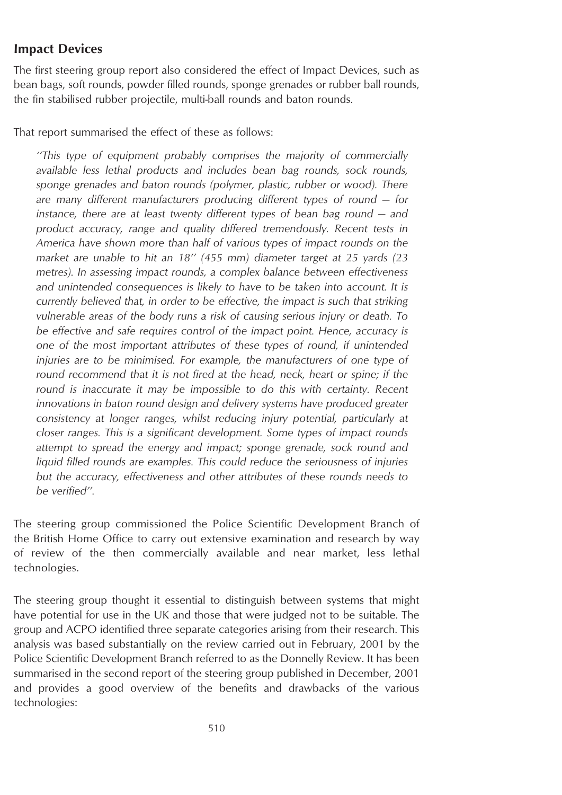### **Impact Devices**

The first steering group report also considered the effect of Impact Devices, such as bean bags, soft rounds, powder filled rounds, sponge grenades or rubber ball rounds, the fin stabilised rubber projectile, multi-ball rounds and baton rounds.

That report summarised the effect of these as follows:

*''This type of equipment probably comprises the majority of commercially available less lethal products and includes bean bag rounds, sock rounds, sponge grenades and baton rounds (polymer, plastic, rubber or wood). There are many different manufacturers producing different types of round — for instance, there are at least twenty different types of bean bag round — and product accuracy, range and quality differed tremendously. Recent tests in America have shown more than half of various types of impact rounds on the market are unable to hit an 18'' (455 mm) diameter target at 25 yards (23 metres). In assessing impact rounds, a complex balance between effectiveness and unintended consequences is likely to have to be taken into account. It is currently believed that, in order to be effective, the impact is such that striking vulnerable areas of the body runs a risk of causing serious injury or death. To be effective and safe requires control of the impact point. Hence, accuracy is one of the most important attributes of these types of round, if unintended injuries are to be minimised. For example, the manufacturers of one type of round recommend that it is not fired at the head, neck, heart or spine; if the round is inaccurate it may be impossible to do this with certainty. Recent innovations in baton round design and delivery systems have produced greater consistency at longer ranges, whilst reducing injury potential, particularly at closer ranges. This is a significant development. Some types of impact rounds attempt to spread the energy and impact; sponge grenade, sock round and liquid filled rounds are examples. This could reduce the seriousness of injuries but the accuracy, effectiveness and other attributes of these rounds needs to be verified''.*

The steering group commissioned the Police Scientific Development Branch of the British Home Office to carry out extensive examination and research by way of review of the then commercially available and near market, less lethal technologies.

The steering group thought it essential to distinguish between systems that might have potential for use in the UK and those that were judged not to be suitable. The group and ACPO identified three separate categories arising from their research. This analysis was based substantially on the review carried out in February, 2001 by the Police Scientific Development Branch referred to as the Donnelly Review. It has been summarised in the second report of the steering group published in December, 2001 and provides a good overview of the benefits and drawbacks of the various technologies: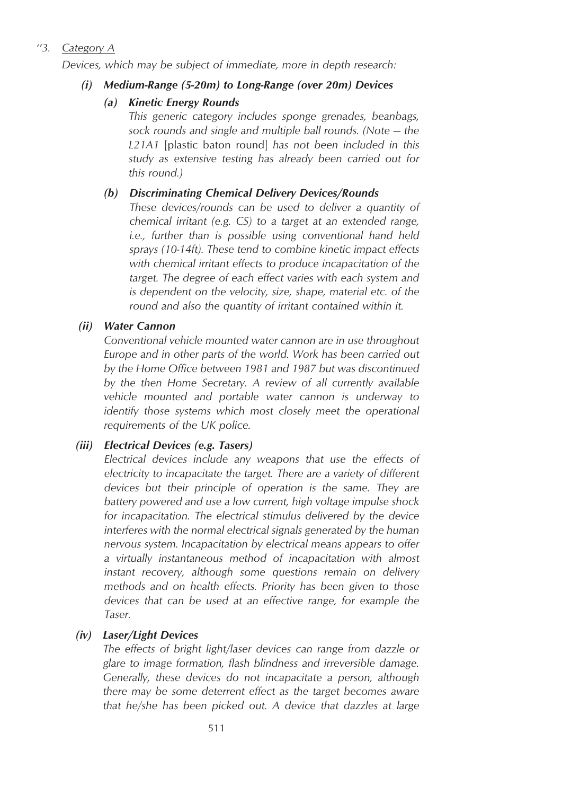# *''3. Category A*

*Devices, which may be subject of immediate, more in depth research:*

### *(i) Medium-Range (5-20m) to Long-Range (over 20m) Devices*

### *(a) Kinetic Energy Rounds*

*This generic category includes sponge grenades, beanbags, sock rounds and single and multiple ball rounds. (Note — the L21A1* [plastic baton round] *has not been included in this study as extensive testing has already been carried out for this round.)*

### *(b) Discriminating Chemical Delivery Devices/Rounds*

*These devices/rounds can be used to deliver a quantity of chemical irritant (e.g. CS) to a target at an extended range, i.e., further than is possible using conventional hand held sprays (10-14ft). These tend to combine kinetic impact effects with chemical irritant effects to produce incapacitation of the target. The degree of each effect varies with each system and is dependent on the velocity, size, shape, material etc. of the round and also the quantity of irritant contained within it.*

### *(ii) Water Cannon*

*Conventional vehicle mounted water cannon are in use throughout Europe and in other parts of the world. Work has been carried out by the Home Office between 1981 and 1987 but was discontinued by the then Home Secretary. A review of all currently available vehicle mounted and portable water cannon is underway to identify those systems which most closely meet the operational requirements of the UK police.*

# *(iii) Electrical Devices (e.g. Tasers)*

*Electrical devices include any weapons that use the effects of electricity to incapacitate the target. There are a variety of different devices but their principle of operation is the same. They are battery powered and use a low current, high voltage impulse shock for incapacitation. The electrical stimulus delivered by the device interferes with the normal electrical signals generated by the human nervous system. Incapacitation by electrical means appears to offer a virtually instantaneous method of incapacitation with almost instant recovery, although some questions remain on delivery methods and on health effects. Priority has been given to those devices that can be used at an effective range, for example the Taser.*

# *(iv) Laser/Light Devices*

*The effects of bright light/laser devices can range from dazzle or glare to image formation, flash blindness and irreversible damage. Generally, these devices do not incapacitate a person, although there may be some deterrent effect as the target becomes aware that he/she has been picked out. A device that dazzles at large*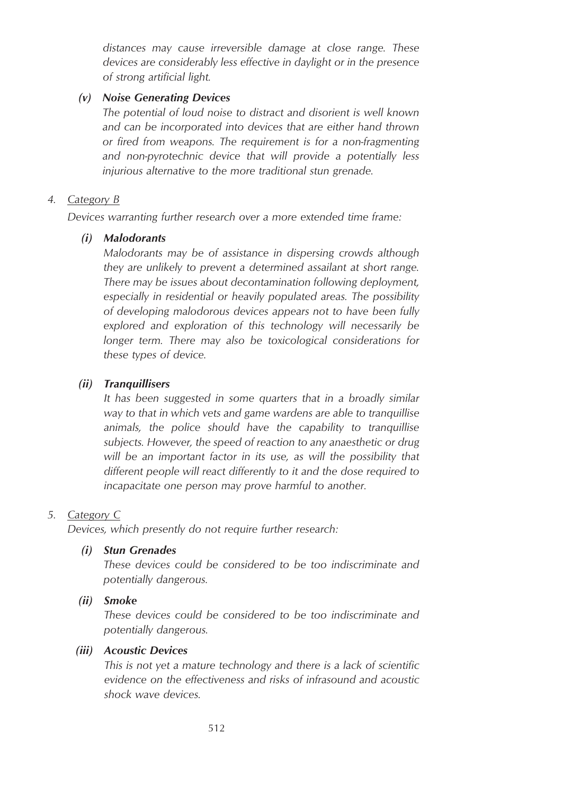*distances may cause irreversible damage at close range. These devices are considerably less effective in daylight or in the presence of strong artificial light.*

#### *(v) Noise Generating Devices*

*The potential of loud noise to distract and disorient is well known and can be incorporated into devices that are either hand thrown or fired from weapons. The requirement is for a non-fragmenting and non-pyrotechnic device that will provide a potentially less injurious alternative to the more traditional stun grenade.*

#### *4. Category B*

*Devices warranting further research over a more extended time frame:*

#### *(i) Malodorants*

*Malodorants may be of assistance in dispersing crowds although they are unlikely to prevent a determined assailant at short range. There may be issues about decontamination following deployment, especially in residential or heavily populated areas. The possibility of developing malodorous devices appears not to have been fully explored and exploration of this technology will necessarily be longer term. There may also be toxicological considerations for these types of device.*

#### *(ii) Tranquillisers*

*It has been suggested in some quarters that in a broadly similar way to that in which vets and game wardens are able to tranquillise animals, the police should have the capability to tranquillise subjects. However, the speed of reaction to any anaesthetic or drug will be an important factor in its use, as will the possibility that different people will react differently to it and the dose required to incapacitate one person may prove harmful to another.*

#### *5. Category C*

*Devices, which presently do not require further research:*

#### *(i) Stun Grenades*

*These devices could be considered to be too indiscriminate and potentially dangerous.*

#### *(ii) Smoke*

*These devices could be considered to be too indiscriminate and potentially dangerous.*

#### *(iii) Acoustic Devices*

*This is not yet a mature technology and there is a lack of scientific evidence on the effectiveness and risks of infrasound and acoustic shock wave devices.*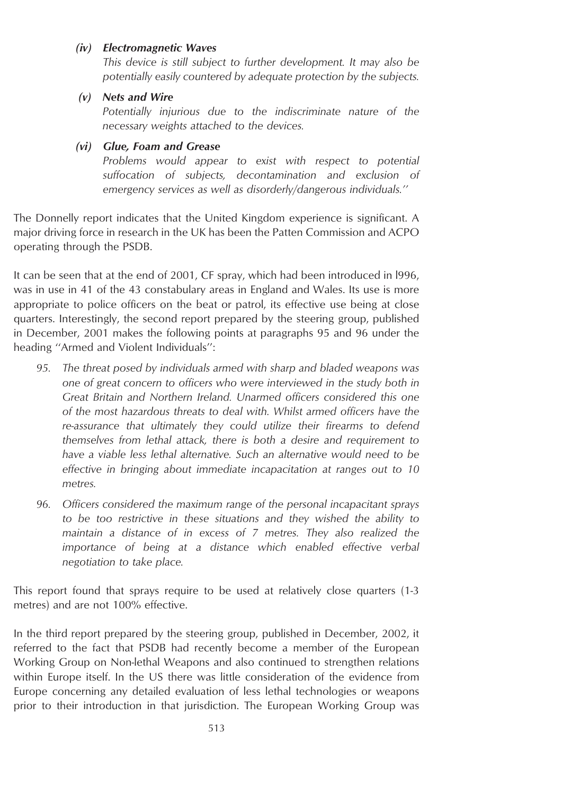#### *(iv) Electromagnetic Waves*

*This device is still subject to further development. It may also be potentially easily countered by adequate protection by the subjects.*

*(v) Nets and Wire*

*Potentially injurious due to the indiscriminate nature of the necessary weights attached to the devices.*

#### *(vi) Glue, Foam and Grease*

*Problems would appear to exist with respect to potential suffocation of subjects, decontamination and exclusion of emergency services as well as disorderly/dangerous individuals.''*

The Donnelly report indicates that the United Kingdom experience is significant. A major driving force in research in the UK has been the Patten Commission and ACPO operating through the PSDB.

It can be seen that at the end of 2001, CF spray, which had been introduced in l996, was in use in 41 of the 43 constabulary areas in England and Wales. Its use is more appropriate to police officers on the beat or patrol, its effective use being at close quarters. Interestingly, the second report prepared by the steering group, published in December, 2001 makes the following points at paragraphs 95 and 96 under the heading ''Armed and Violent Individuals'':

- *95. The threat posed by individuals armed with sharp and bladed weapons was one of great concern to officers who were interviewed in the study both in Great Britain and Northern Ireland. Unarmed officers considered this one of the most hazardous threats to deal with. Whilst armed officers have the re-assurance that ultimately they could utilize their firearms to defend themselves from lethal attack, there is both a desire and requirement to have a viable less lethal alternative. Such an alternative would need to be effective in bringing about immediate incapacitation at ranges out to 10 metres.*
- *96. Officers considered the maximum range of the personal incapacitant sprays to be too restrictive in these situations and they wished the ability to maintain a distance of in excess of 7 metres. They also realized the importance of being at a distance which enabled effective verbal negotiation to take place.*

This report found that sprays require to be used at relatively close quarters (1-3 metres) and are not 100% effective.

In the third report prepared by the steering group, published in December, 2002, it referred to the fact that PSDB had recently become a member of the European Working Group on Non-lethal Weapons and also continued to strengthen relations within Europe itself. In the US there was little consideration of the evidence from Europe concerning any detailed evaluation of less lethal technologies or weapons prior to their introduction in that jurisdiction. The European Working Group was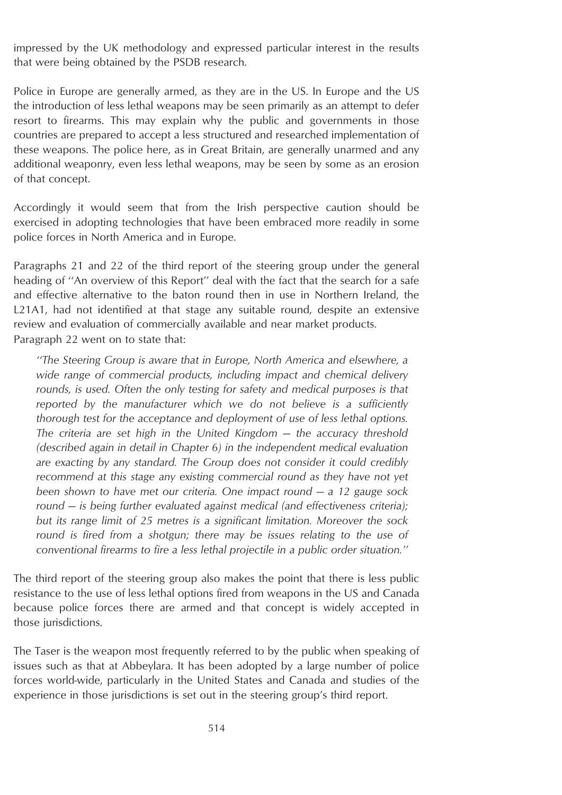impressed by the UK methodology and expressed particular interest in the results that were being obtained by the PSDB research.

Police in Europe are generally armed, as they are in the US. In Europe and the US the introduction of less lethal weapons may be seen primarily as an attempt to defer resort to firearms. This may explain why the public and governments in those countries are prepared to accept a less structured and researched implementation of these weapons. The police here, as in Great Britain, are generally unarmed and any additional weaponry, even less lethal weapons, may be seen by some as an erosion of that concept.

Accordingly it would seem that from the Irish perspective caution should be exercised in adopting technologies that have been embraced more readily in some police forces in North America and in Europe.

Paragraphs 21 and 22 of the third report of the steering group under the general heading of "An overview of this Report" deal with the fact that the search for a safe and effective alternative to the baton round then in use in Northern Ireland, the L21A1, had not identified at that stage any suitable round, despite an extensive review and evaluation of commercially available and near market products. Paragraph 22 went on to state that:

*''The Steering Group is aware that in Europe, North America and elsewhere, a wide range of commercial products, including impact and chemical delivery rounds, is used. Often the only testing for safety and medical purposes is that reported by the manufacturer which we do not believe is a sufficiently thorough test for the acceptance and deployment of use of less lethal options. The criteria are set high in the United Kingdom — the accuracy threshold (described again in detail in Chapter 6) in the independent medical evaluation are exacting by any standard. The Group does not consider it could credibly recommend at this stage any existing commercial round as they have not yet been shown to have met our criteria. One impact round — a 12 gauge sock round — is being further evaluated against medical (and effectiveness criteria); but its range limit of 25 metres is a significant limitation. Moreover the sock round is fired from a shotgun; there may be issues relating to the use of conventional firearms to fire a less lethal projectile in a public order situation.''*

The third report of the steering group also makes the point that there is less public resistance to the use of less lethal options fired from weapons in the US and Canada because police forces there are armed and that concept is widely accepted in those jurisdictions.

The Taser is the weapon most frequently referred to by the public when speaking of issues such as that at Abbeylara. It has been adopted by a large number of police forces world-wide, particularly in the United States and Canada and studies of the experience in those jurisdictions is set out in the steering group's third report.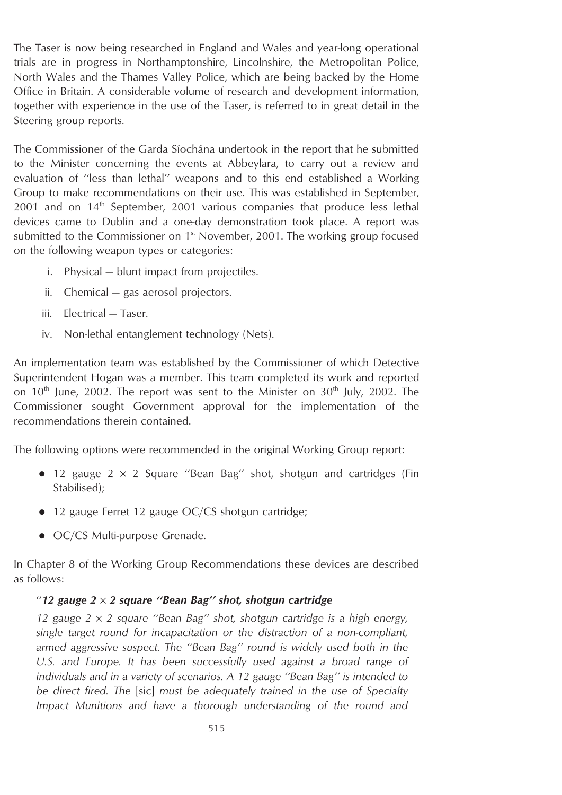The Taser is now being researched in England and Wales and year-long operational trials are in progress in Northamptonshire, Lincolnshire, the Metropolitan Police, North Wales and the Thames Valley Police, which are being backed by the Home Office in Britain. A considerable volume of research and development information, together with experience in the use of the Taser, is referred to in great detail in the Steering group reports.

The Commissioner of the Garda Síochána undertook in the report that he submitted to the Minister concerning the events at Abbeylara, to carry out a review and evaluation of ''less than lethal'' weapons and to this end established a Working Group to make recommendations on their use. This was established in September, 2001 and on 14<sup>th</sup> September, 2001 various companies that produce less lethal devices came to Dublin and a one-day demonstration took place. A report was submitted to the Commissioner on 1<sup>st</sup> November, 2001. The working group focused on the following weapon types or categories:

- i. Physical blunt impact from projectiles.
- ii. Chemical gas aerosol projectors.
- iii. Electrical Taser.
- iv. Non-lethal entanglement technology (Nets).

An implementation team was established by the Commissioner of which Detective Superintendent Hogan was a member. This team completed its work and reported on  $10<sup>th</sup>$  June, 2002. The report was sent to the Minister on  $30<sup>th</sup>$  July, 2002. The Commissioner sought Government approval for the implementation of the recommendations therein contained.

The following options were recommended in the original Working Group report:

- 12 gauge  $2 \times 2$  Square "Bean Bag" shot, shotgun and cartridges (Fin Stabilised);
- $\bullet$  12 gauge Ferret 12 gauge OC/CS shotgun cartridge;
- OC/CS Multi-purpose Grenade.

In Chapter 8 of the Working Group Recommendations these devices are described as follows:

#### ''*12 gauge 2* × *2 square ''Bean Bag'' shot, shotgun cartridge*

*12 gauge 2* × *2 square ''Bean Bag'' shot, shotgun cartridge is a high energy, single target round for incapacitation or the distraction of a non-compliant, armed aggressive suspect. The ''Bean Bag'' round is widely used both in the U.S. and Europe. It has been successfully used against a broad range of individuals and in a variety of scenarios. A 12 gauge ''Bean Bag'' is intended to be direct fired. The* [sic] *must be adequately trained in the use of Specialty Impact Munitions and have a thorough understanding of the round and*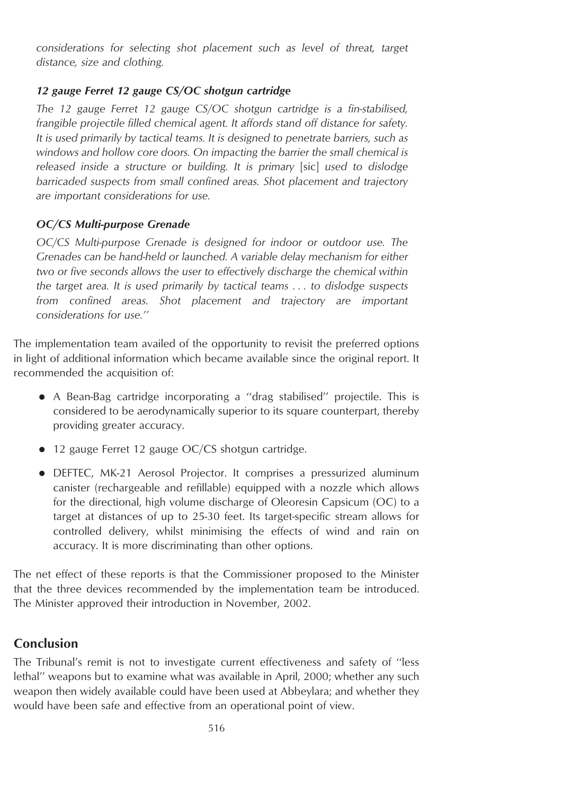*considerations for selecting shot placement such as level of threat, target distance, size and clothing.*

### *12 gauge Ferret 12 gauge CS/OC shotgun cartridge*

*The 12 gauge Ferret 12 gauge CS/OC shotgun cartridge is a fin-stabilised, frangible projectile filled chemical agent. It affords stand off distance for safety. It is used primarily by tactical teams. It is designed to penetrate barriers, such as windows and hollow core doors. On impacting the barrier the small chemical is released inside a structure or building. It is primary* [sic] *used to dislodge barricaded suspects from small confined areas. Shot placement and trajectory are important considerations for use.*

### *OC/CS Multi-purpose Grenade*

*OC/CS Multi-purpose Grenade is designed for indoor or outdoor use. The Grenades can be hand-held or launched. A variable delay mechanism for either two or five seconds allows the user to effectively discharge the chemical within the target area. It is used primarily by tactical teams . . . to dislodge suspects from confined areas. Shot placement and trajectory are important considerations for use.''*

The implementation team availed of the opportunity to revisit the preferred options in light of additional information which became available since the original report. It recommended the acquisition of:

- A Bean-Bag cartridge incorporating a "drag stabilised" projectile. This is considered to be aerodynamically superior to its square counterpart, thereby providing greater accuracy.
- $\bullet$  12 gauge Ferret 12 gauge OC/CS shotgun cartridge.
- DEFTEC, MK-21 Aerosol Projector. It comprises a pressurized aluminum canister (rechargeable and refillable) equipped with a nozzle which allows for the directional, high volume discharge of Oleoresin Capsicum (OC) to a target at distances of up to 25-30 feet. Its target-specific stream allows for controlled delivery, whilst minimising the effects of wind and rain on accuracy. It is more discriminating than other options.

The net effect of these reports is that the Commissioner proposed to the Minister that the three devices recommended by the implementation team be introduced. The Minister approved their introduction in November, 2002.

# **Conclusion**

The Tribunal's remit is not to investigate current effectiveness and safety of ''less lethal'' weapons but to examine what was available in April, 2000; whether any such weapon then widely available could have been used at Abbeylara; and whether they would have been safe and effective from an operational point of view.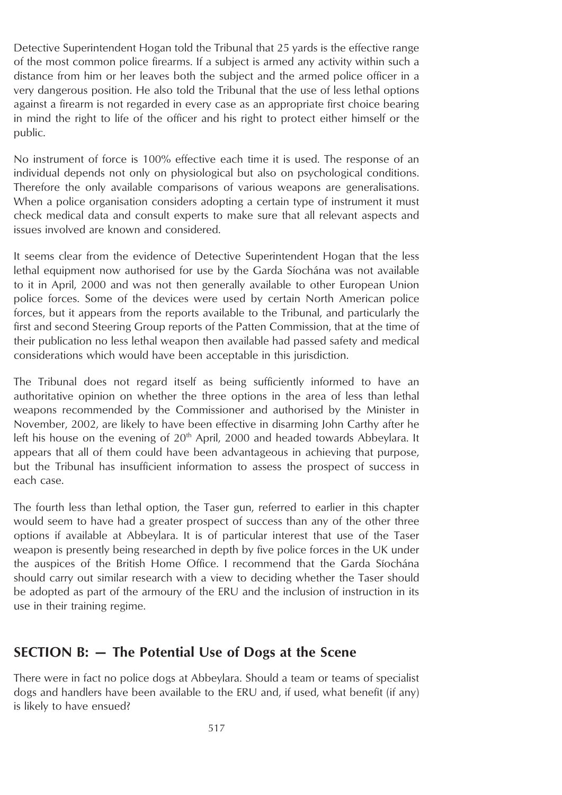Detective Superintendent Hogan told the Tribunal that 25 yards is the effective range of the most common police firearms. If a subject is armed any activity within such a distance from him or her leaves both the subject and the armed police officer in a very dangerous position. He also told the Tribunal that the use of less lethal options against a firearm is not regarded in every case as an appropriate first choice bearing in mind the right to life of the officer and his right to protect either himself or the public.

No instrument of force is 100% effective each time it is used. The response of an individual depends not only on physiological but also on psychological conditions. Therefore the only available comparisons of various weapons are generalisations. When a police organisation considers adopting a certain type of instrument it must check medical data and consult experts to make sure that all relevant aspects and issues involved are known and considered.

It seems clear from the evidence of Detective Superintendent Hogan that the less lethal equipment now authorised for use by the Garda Siochána was not available to it in April, 2000 and was not then generally available to other European Union police forces. Some of the devices were used by certain North American police forces, but it appears from the reports available to the Tribunal, and particularly the first and second Steering Group reports of the Patten Commission, that at the time of their publication no less lethal weapon then available had passed safety and medical considerations which would have been acceptable in this jurisdiction.

The Tribunal does not regard itself as being sufficiently informed to have an authoritative opinion on whether the three options in the area of less than lethal weapons recommended by the Commissioner and authorised by the Minister in November, 2002, are likely to have been effective in disarming John Carthy after he left his house on the evening of  $20<sup>th</sup>$  April, 2000 and headed towards Abbeylara. It appears that all of them could have been advantageous in achieving that purpose, but the Tribunal has insufficient information to assess the prospect of success in each case.

The fourth less than lethal option, the Taser gun, referred to earlier in this chapter would seem to have had a greater prospect of success than any of the other three options if available at Abbeylara. It is of particular interest that use of the Taser weapon is presently being researched in depth by five police forces in the UK under the auspices of the British Home Office. I recommend that the Garda Síochána should carry out similar research with a view to deciding whether the Taser should be adopted as part of the armoury of the ERU and the inclusion of instruction in its use in their training regime.

# **SECTION B: — The Potential Use of Dogs at the Scene**

There were in fact no police dogs at Abbeylara. Should a team or teams of specialist dogs and handlers have been available to the ERU and, if used, what benefit (if any) is likely to have ensued?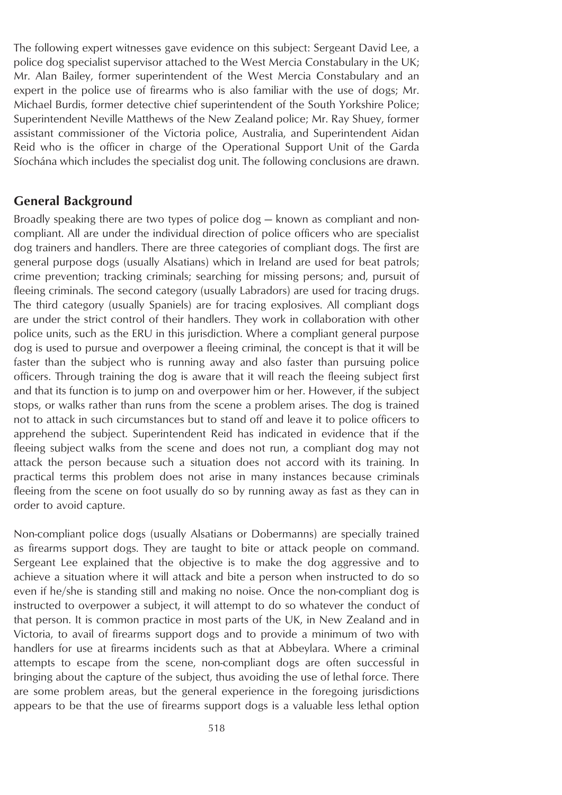The following expert witnesses gave evidence on this subject: Sergeant David Lee, a police dog specialist supervisor attached to the West Mercia Constabulary in the UK; Mr. Alan Bailey, former superintendent of the West Mercia Constabulary and an expert in the police use of firearms who is also familiar with the use of dogs; Mr. Michael Burdis, former detective chief superintendent of the South Yorkshire Police; Superintendent Neville Matthews of the New Zealand police; Mr. Ray Shuey, former assistant commissioner of the Victoria police, Australia, and Superintendent Aidan Reid who is the officer in charge of the Operational Support Unit of the Garda Síochána which includes the specialist dog unit. The following conclusions are drawn.

### **General Background**

Broadly speaking there are two types of police dog — known as compliant and noncompliant. All are under the individual direction of police officers who are specialist dog trainers and handlers. There are three categories of compliant dogs. The first are general purpose dogs (usually Alsatians) which in Ireland are used for beat patrols; crime prevention; tracking criminals; searching for missing persons; and, pursuit of fleeing criminals. The second category (usually Labradors) are used for tracing drugs. The third category (usually Spaniels) are for tracing explosives. All compliant dogs are under the strict control of their handlers. They work in collaboration with other police units, such as the ERU in this jurisdiction. Where a compliant general purpose dog is used to pursue and overpower a fleeing criminal, the concept is that it will be faster than the subject who is running away and also faster than pursuing police officers. Through training the dog is aware that it will reach the fleeing subject first and that its function is to jump on and overpower him or her. However, if the subject stops, or walks rather than runs from the scene a problem arises. The dog is trained not to attack in such circumstances but to stand off and leave it to police officers to apprehend the subject. Superintendent Reid has indicated in evidence that if the fleeing subject walks from the scene and does not run, a compliant dog may not attack the person because such a situation does not accord with its training. In practical terms this problem does not arise in many instances because criminals fleeing from the scene on foot usually do so by running away as fast as they can in order to avoid capture.

Non-compliant police dogs (usually Alsatians or Dobermanns) are specially trained as firearms support dogs. They are taught to bite or attack people on command. Sergeant Lee explained that the objective is to make the dog aggressive and to achieve a situation where it will attack and bite a person when instructed to do so even if he/she is standing still and making no noise. Once the non-compliant dog is instructed to overpower a subject, it will attempt to do so whatever the conduct of that person. It is common practice in most parts of the UK, in New Zealand and in Victoria, to avail of firearms support dogs and to provide a minimum of two with handlers for use at firearms incidents such as that at Abbeylara. Where a criminal attempts to escape from the scene, non-compliant dogs are often successful in bringing about the capture of the subject, thus avoiding the use of lethal force. There are some problem areas, but the general experience in the foregoing jurisdictions appears to be that the use of firearms support dogs is a valuable less lethal option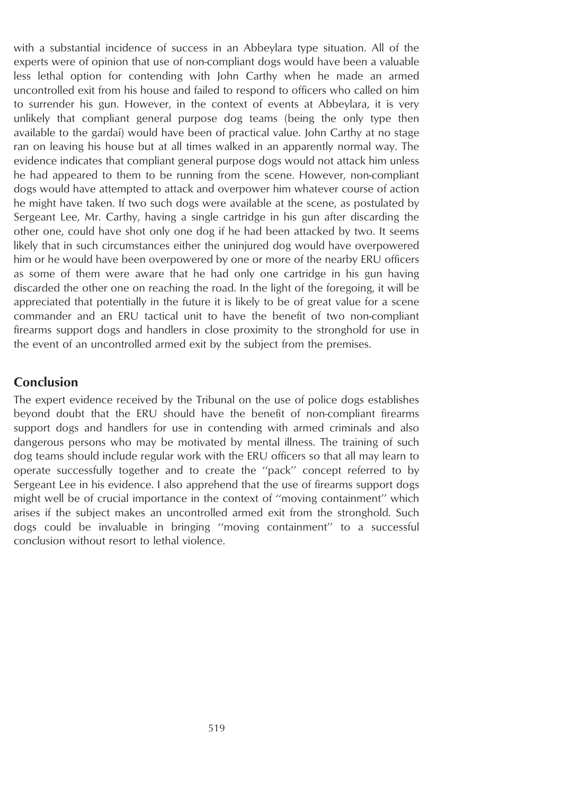with a substantial incidence of success in an Abbeylara type situation. All of the experts were of opinion that use of non-compliant dogs would have been a valuable less lethal option for contending with John Carthy when he made an armed uncontrolled exit from his house and failed to respond to officers who called on him to surrender his gun. However, in the context of events at Abbeylara, it is very unlikely that compliant general purpose dog teams (being the only type then available to the gardai) would have been of practical value. John Carthy at no stage ran on leaving his house but at all times walked in an apparently normal way. The evidence indicates that compliant general purpose dogs would not attack him unless he had appeared to them to be running from the scene. However, non-compliant dogs would have attempted to attack and overpower him whatever course of action he might have taken. If two such dogs were available at the scene, as postulated by Sergeant Lee, Mr. Carthy, having a single cartridge in his gun after discarding the other one, could have shot only one dog if he had been attacked by two. It seems likely that in such circumstances either the uninjured dog would have overpowered him or he would have been overpowered by one or more of the nearby ERU officers as some of them were aware that he had only one cartridge in his gun having discarded the other one on reaching the road. In the light of the foregoing, it will be appreciated that potentially in the future it is likely to be of great value for a scene commander and an ERU tactical unit to have the benefit of two non-compliant firearms support dogs and handlers in close proximity to the stronghold for use in the event of an uncontrolled armed exit by the subject from the premises.

### **Conclusion**

The expert evidence received by the Tribunal on the use of police dogs establishes beyond doubt that the ERU should have the benefit of non-compliant firearms support dogs and handlers for use in contending with armed criminals and also dangerous persons who may be motivated by mental illness. The training of such dog teams should include regular work with the ERU officers so that all may learn to operate successfully together and to create the ''pack'' concept referred to by Sergeant Lee in his evidence. I also apprehend that the use of firearms support dogs might well be of crucial importance in the context of ''moving containment'' which arises if the subject makes an uncontrolled armed exit from the stronghold. Such dogs could be invaluable in bringing ''moving containment'' to a successful conclusion without resort to lethal violence.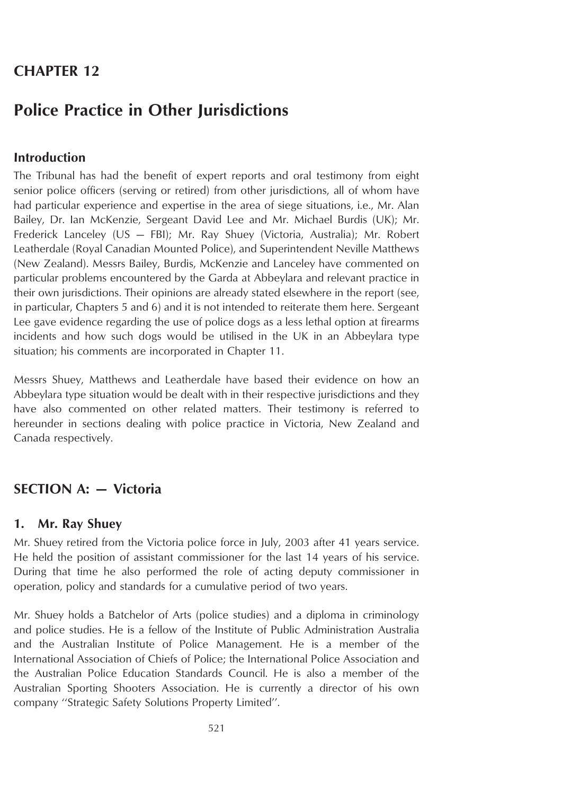# **CHAPTER 12**

# **Police Practice in Other Jurisdictions**

### **Introduction**

The Tribunal has had the benefit of expert reports and oral testimony from eight senior police officers (serving or retired) from other jurisdictions, all of whom have had particular experience and expertise in the area of siege situations, i.e., Mr. Alan Bailey, Dr. Ian McKenzie, Sergeant David Lee and Mr. Michael Burdis (UK); Mr. Frederick Lanceley (US — FBI); Mr. Ray Shuey (Victoria, Australia); Mr. Robert Leatherdale (Royal Canadian Mounted Police), and Superintendent Neville Matthews (New Zealand). Messrs Bailey, Burdis, McKenzie and Lanceley have commented on particular problems encountered by the Garda at Abbeylara and relevant practice in their own jurisdictions. Their opinions are already stated elsewhere in the report (see, in particular, Chapters 5 and 6) and it is not intended to reiterate them here. Sergeant Lee gave evidence regarding the use of police dogs as a less lethal option at firearms incidents and how such dogs would be utilised in the UK in an Abbeylara type situation; his comments are incorporated in Chapter 11.

Messrs Shuey, Matthews and Leatherdale have based their evidence on how an Abbeylara type situation would be dealt with in their respective jurisdictions and they have also commented on other related matters. Their testimony is referred to hereunder in sections dealing with police practice in Victoria, New Zealand and Canada respectively.

# **SECTION A: — Victoria**

#### **1. Mr. Ray Shuey**

Mr. Shuey retired from the Victoria police force in July, 2003 after 41 years service. He held the position of assistant commissioner for the last 14 years of his service. During that time he also performed the role of acting deputy commissioner in operation, policy and standards for a cumulative period of two years.

Mr. Shuey holds a Batchelor of Arts (police studies) and a diploma in criminology and police studies. He is a fellow of the Institute of Public Administration Australia and the Australian Institute of Police Management. He is a member of the International Association of Chiefs of Police; the International Police Association and the Australian Police Education Standards Council. He is also a member of the Australian Sporting Shooters Association. He is currently a director of his own company ''Strategic Safety Solutions Property Limited''.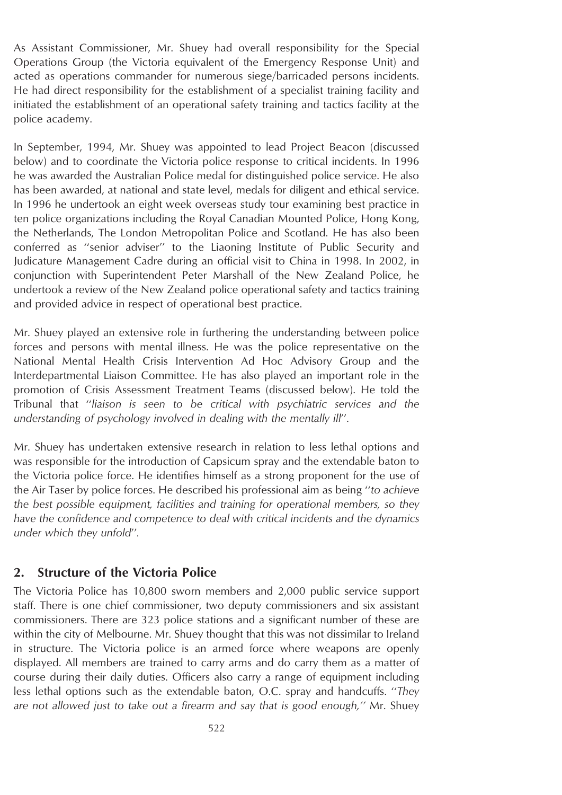As Assistant Commissioner, Mr. Shuey had overall responsibility for the Special Operations Group (the Victoria equivalent of the Emergency Response Unit) and acted as operations commander for numerous siege/barricaded persons incidents. He had direct responsibility for the establishment of a specialist training facility and initiated the establishment of an operational safety training and tactics facility at the police academy.

In September, 1994, Mr. Shuey was appointed to lead Project Beacon (discussed below) and to coordinate the Victoria police response to critical incidents. In 1996 he was awarded the Australian Police medal for distinguished police service. He also has been awarded, at national and state level, medals for diligent and ethical service. In 1996 he undertook an eight week overseas study tour examining best practice in ten police organizations including the Royal Canadian Mounted Police, Hong Kong, the Netherlands, The London Metropolitan Police and Scotland. He has also been conferred as ''senior adviser'' to the Liaoning Institute of Public Security and Judicature Management Cadre during an official visit to China in 1998. In 2002, in conjunction with Superintendent Peter Marshall of the New Zealand Police, he undertook a review of the New Zealand police operational safety and tactics training and provided advice in respect of operational best practice.

Mr. Shuey played an extensive role in furthering the understanding between police forces and persons with mental illness. He was the police representative on the National Mental Health Crisis Intervention Ad Hoc Advisory Group and the Interdepartmental Liaison Committee. He has also played an important role in the promotion of Crisis Assessment Treatment Teams (discussed below). He told the Tribunal that ''*liaison is seen to be critical with psychiatric services and the understanding of psychology involved in dealing with the mentally ill*''.

Mr. Shuey has undertaken extensive research in relation to less lethal options and was responsible for the introduction of Capsicum spray and the extendable baton to the Victoria police force. He identifies himself as a strong proponent for the use of the Air Taser by police forces. He described his professional aim as being ''*to achieve the best possible equipment, facilities and training for operational members, so they have the confidence and competence to deal with critical incidents and the dynamics under which they unfold*''*.*

#### **2. Structure of the Victoria Police**

The Victoria Police has 10,800 sworn members and 2,000 public service support staff. There is one chief commissioner, two deputy commissioners and six assistant commissioners. There are 323 police stations and a significant number of these are within the city of Melbourne. Mr. Shuey thought that this was not dissimilar to Ireland in structure. The Victoria police is an armed force where weapons are openly displayed. All members are trained to carry arms and do carry them as a matter of course during their daily duties. Officers also carry a range of equipment including less lethal options such as the extendable baton, O.C. spray and handcuffs. ''*They are not allowed just to take out a firearm and say that is good enough,''* Mr. Shuey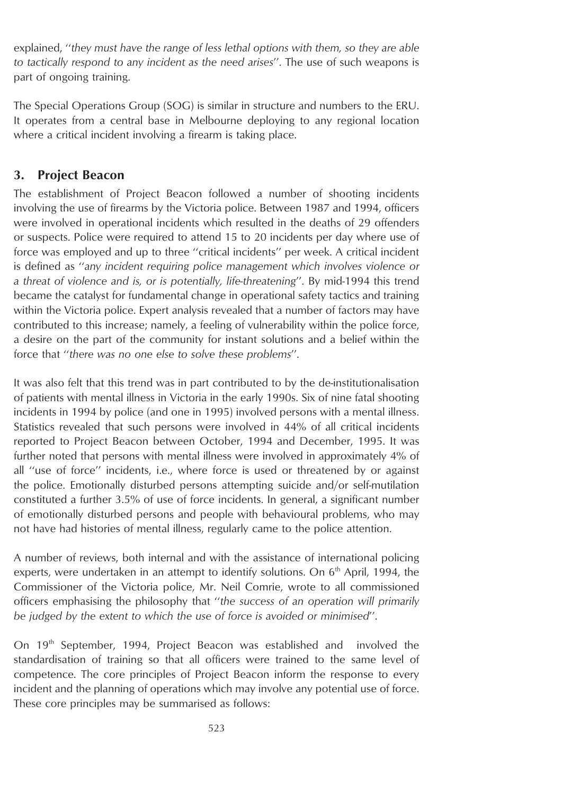explained, ''*they must have the range of less lethal options with them, so they are able to tactically respond to any incident as the need arises*''. The use of such weapons is part of ongoing training.

The Special Operations Group (SOG) is similar in structure and numbers to the ERU. It operates from a central base in Melbourne deploying to any regional location where a critical incident involving a firearm is taking place.

# **3. Project Beacon**

The establishment of Project Beacon followed a number of shooting incidents involving the use of firearms by the Victoria police. Between 1987 and 1994, officers were involved in operational incidents which resulted in the deaths of 29 offenders or suspects. Police were required to attend 15 to 20 incidents per day where use of force was employed and up to three ''critical incidents'' per week. A critical incident is defined as ''*any incident requiring police management which involves violence or a threat of violence and is, or is potentially, life-threatening*''. By mid-1994 this trend became the catalyst for fundamental change in operational safety tactics and training within the Victoria police. Expert analysis revealed that a number of factors may have contributed to this increase; namely, a feeling of vulnerability within the police force, a desire on the part of the community for instant solutions and a belief within the force that ''*there was no one else to solve these problems*''.

It was also felt that this trend was in part contributed to by the de-institutionalisation of patients with mental illness in Victoria in the early 1990s. Six of nine fatal shooting incidents in 1994 by police (and one in 1995) involved persons with a mental illness. Statistics revealed that such persons were involved in 44% of all critical incidents reported to Project Beacon between October, 1994 and December, 1995. It was further noted that persons with mental illness were involved in approximately 4% of all ''use of force'' incidents, i.e., where force is used or threatened by or against the police. Emotionally disturbed persons attempting suicide and/or self-mutilation constituted a further 3.5% of use of force incidents. In general, a significant number of emotionally disturbed persons and people with behavioural problems, who may not have had histories of mental illness, regularly came to the police attention.

A number of reviews, both internal and with the assistance of international policing experts, were undertaken in an attempt to identify solutions. On  $6<sup>th</sup>$  April, 1994, the Commissioner of the Victoria police, Mr. Neil Comrie, wrote to all commissioned officers emphasising the philosophy that ''*the success of an operation will primarily be judged by the extent to which the use of force is avoided or minimised*''.

On 19<sup>th</sup> September, 1994, Project Beacon was established and involved the standardisation of training so that all officers were trained to the same level of competence. The core principles of Project Beacon inform the response to every incident and the planning of operations which may involve any potential use of force. These core principles may be summarised as follows: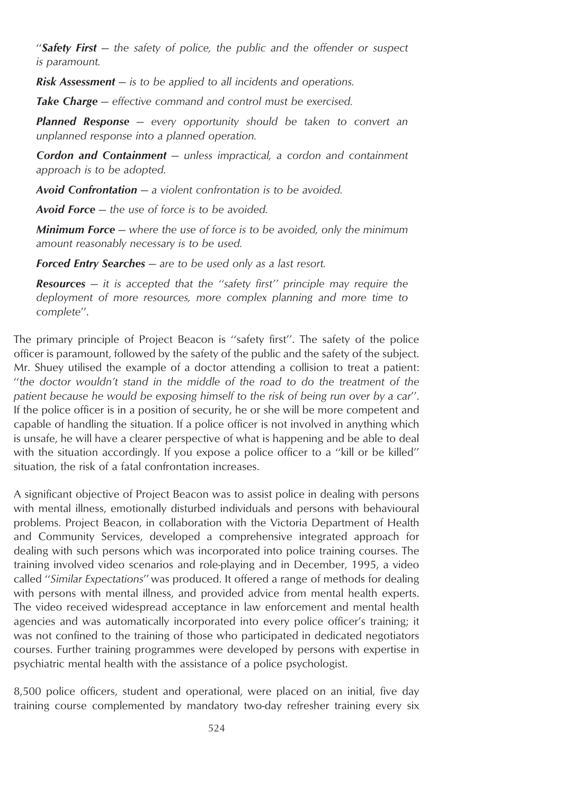''*Safety First — the safety of police, the public and the offender or suspect is paramount.*

*Risk Assessment — is to be applied to all incidents and operations.*

*Take Charge — effective command and control must be exercised.*

*Planned Response — every opportunity should be taken to convert an unplanned response into a planned operation.*

*Cordon and Containment — unless impractical, a cordon and containment approach is to be adopted.*

*Avoid Confrontation — a violent confrontation is to be avoided.*

*Avoid Force — the use of force is to be avoided.*

*Minimum Force — where the use of force is to be avoided, only the minimum amount reasonably necessary is to be used.*

*Forced Entry Searches — are to be used only as a last resort.*

*Resources — it is accepted that the ''safety first'' principle may require the deployment of more resources, more complex planning and more time to complete*''.

The primary principle of Project Beacon is ''safety first''. The safety of the police officer is paramount, followed by the safety of the public and the safety of the subject. Mr. Shuey utilised the example of a doctor attending a collision to treat a patient: ''*the doctor wouldn't stand in the middle of the road to do the treatment of the patient because he would be exposing himself to the risk of being run over by a car*''. If the police officer is in a position of security, he or she will be more competent and capable of handling the situation. If a police officer is not involved in anything which is unsafe, he will have a clearer perspective of what is happening and be able to deal with the situation accordingly. If you expose a police officer to a "kill or be killed" situation, the risk of a fatal confrontation increases.

A significant objective of Project Beacon was to assist police in dealing with persons with mental illness, emotionally disturbed individuals and persons with behavioural problems. Project Beacon, in collaboration with the Victoria Department of Health and Community Services, developed a comprehensive integrated approach for dealing with such persons which was incorporated into police training courses. The training involved video scenarios and role-playing and in December, 1995, a video called ''*Similar Expectations*'' was produced. It offered a range of methods for dealing with persons with mental illness, and provided advice from mental health experts. The video received widespread acceptance in law enforcement and mental health agencies and was automatically incorporated into every police officer's training; it was not confined to the training of those who participated in dedicated negotiators courses. Further training programmes were developed by persons with expertise in psychiatric mental health with the assistance of a police psychologist.

8,500 police officers, student and operational, were placed on an initial, five day training course complemented by mandatory two-day refresher training every six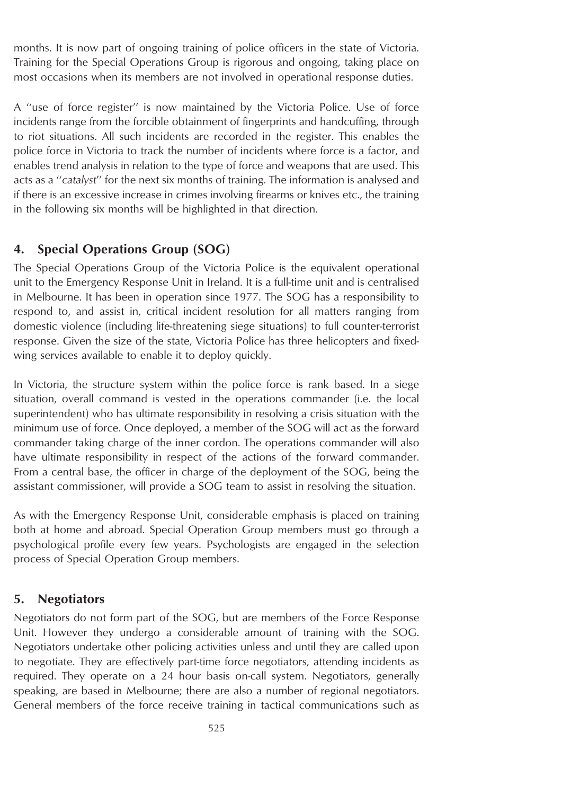months. It is now part of ongoing training of police officers in the state of Victoria. Training for the Special Operations Group is rigorous and ongoing, taking place on most occasions when its members are not involved in operational response duties.

A ''use of force register'' is now maintained by the Victoria Police. Use of force incidents range from the forcible obtainment of fingerprints and handcuffing, through to riot situations. All such incidents are recorded in the register. This enables the police force in Victoria to track the number of incidents where force is a factor, and enables trend analysis in relation to the type of force and weapons that are used. This acts as a ''*catalyst*'' for the next six months of training. The information is analysed and if there is an excessive increase in crimes involving firearms or knives etc., the training in the following six months will be highlighted in that direction.

# **4. Special Operations Group (SOG)**

The Special Operations Group of the Victoria Police is the equivalent operational unit to the Emergency Response Unit in Ireland. It is a full-time unit and is centralised in Melbourne. It has been in operation since 1977. The SOG has a responsibility to respond to, and assist in, critical incident resolution for all matters ranging from domestic violence (including life-threatening siege situations) to full counter-terrorist response. Given the size of the state, Victoria Police has three helicopters and fixedwing services available to enable it to deploy quickly.

In Victoria, the structure system within the police force is rank based. In a siege situation, overall command is vested in the operations commander (i.e. the local superintendent) who has ultimate responsibility in resolving a crisis situation with the minimum use of force. Once deployed, a member of the SOG will act as the forward commander taking charge of the inner cordon. The operations commander will also have ultimate responsibility in respect of the actions of the forward commander. From a central base, the officer in charge of the deployment of the SOG, being the assistant commissioner, will provide a SOG team to assist in resolving the situation.

As with the Emergency Response Unit, considerable emphasis is placed on training both at home and abroad. Special Operation Group members must go through a psychological profile every few years. Psychologists are engaged in the selection process of Special Operation Group members.

# **5. Negotiators**

Negotiators do not form part of the SOG, but are members of the Force Response Unit. However they undergo a considerable amount of training with the SOG. Negotiators undertake other policing activities unless and until they are called upon to negotiate. They are effectively part-time force negotiators, attending incidents as required. They operate on a 24 hour basis on-call system. Negotiators, generally speaking, are based in Melbourne; there are also a number of regional negotiators. General members of the force receive training in tactical communications such as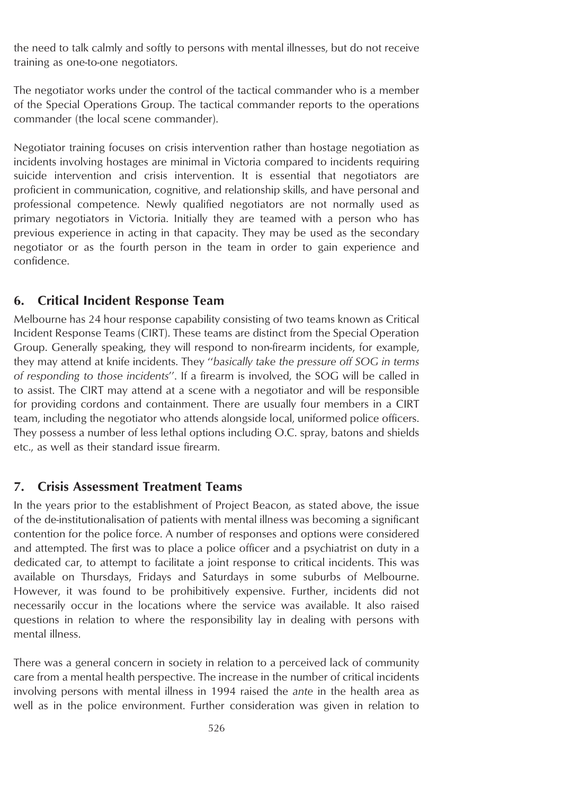the need to talk calmly and softly to persons with mental illnesses, but do not receive training as one-to-one negotiators.

The negotiator works under the control of the tactical commander who is a member of the Special Operations Group. The tactical commander reports to the operations commander (the local scene commander).

Negotiator training focuses on crisis intervention rather than hostage negotiation as incidents involving hostages are minimal in Victoria compared to incidents requiring suicide intervention and crisis intervention. It is essential that negotiators are proficient in communication, cognitive, and relationship skills, and have personal and professional competence. Newly qualified negotiators are not normally used as primary negotiators in Victoria. Initially they are teamed with a person who has previous experience in acting in that capacity. They may be used as the secondary negotiator or as the fourth person in the team in order to gain experience and confidence.

# **6. Critical Incident Response Team**

Melbourne has 24 hour response capability consisting of two teams known as Critical Incident Response Teams (CIRT). These teams are distinct from the Special Operation Group. Generally speaking, they will respond to non-firearm incidents, for example, they may attend at knife incidents. They ''*basically take the pressure off SOG in terms of responding to those incidents*''. If a firearm is involved, the SOG will be called in to assist. The CIRT may attend at a scene with a negotiator and will be responsible for providing cordons and containment. There are usually four members in a CIRT team, including the negotiator who attends alongside local, uniformed police officers. They possess a number of less lethal options including O.C. spray, batons and shields etc., as well as their standard issue firearm.

# **7. Crisis Assessment Treatment Teams**

In the years prior to the establishment of Project Beacon, as stated above, the issue of the de-institutionalisation of patients with mental illness was becoming a significant contention for the police force. A number of responses and options were considered and attempted. The first was to place a police officer and a psychiatrist on duty in a dedicated car, to attempt to facilitate a joint response to critical incidents. This was available on Thursdays, Fridays and Saturdays in some suburbs of Melbourne. However, it was found to be prohibitively expensive. Further, incidents did not necessarily occur in the locations where the service was available. It also raised questions in relation to where the responsibility lay in dealing with persons with mental illness.

There was a general concern in society in relation to a perceived lack of community care from a mental health perspective. The increase in the number of critical incidents involving persons with mental illness in 1994 raised the *ante* in the health area as well as in the police environment. Further consideration was given in relation to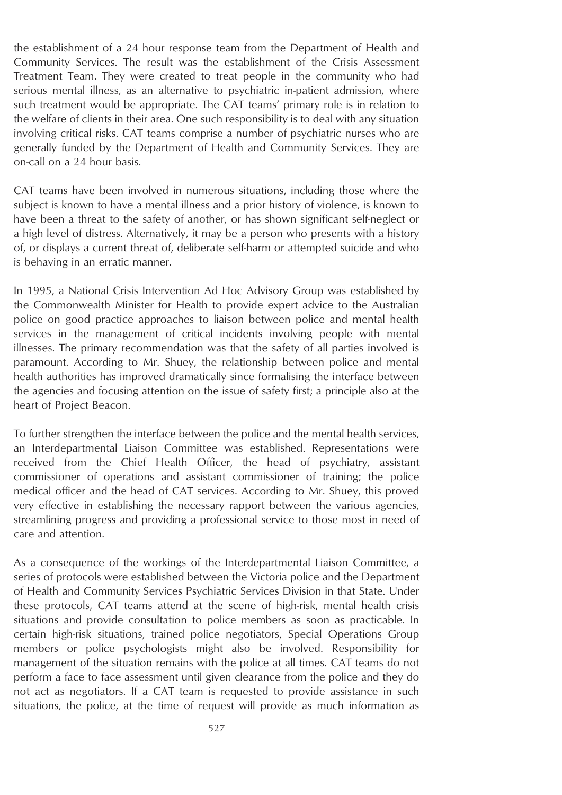the establishment of a 24 hour response team from the Department of Health and Community Services. The result was the establishment of the Crisis Assessment Treatment Team. They were created to treat people in the community who had serious mental illness, as an alternative to psychiatric in-patient admission, where such treatment would be appropriate. The CAT teams' primary role is in relation to the welfare of clients in their area. One such responsibility is to deal with any situation involving critical risks. CAT teams comprise a number of psychiatric nurses who are generally funded by the Department of Health and Community Services. They are on-call on a 24 hour basis.

CAT teams have been involved in numerous situations, including those where the subject is known to have a mental illness and a prior history of violence, is known to have been a threat to the safety of another, or has shown significant self-neglect or a high level of distress. Alternatively, it may be a person who presents with a history of, or displays a current threat of, deliberate self-harm or attempted suicide and who is behaving in an erratic manner.

In 1995, a National Crisis Intervention Ad Hoc Advisory Group was established by the Commonwealth Minister for Health to provide expert advice to the Australian police on good practice approaches to liaison between police and mental health services in the management of critical incidents involving people with mental illnesses. The primary recommendation was that the safety of all parties involved is paramount. According to Mr. Shuey, the relationship between police and mental health authorities has improved dramatically since formalising the interface between the agencies and focusing attention on the issue of safety first; a principle also at the heart of Project Beacon.

To further strengthen the interface between the police and the mental health services, an Interdepartmental Liaison Committee was established. Representations were received from the Chief Health Officer, the head of psychiatry, assistant commissioner of operations and assistant commissioner of training; the police medical officer and the head of CAT services. According to Mr. Shuey, this proved very effective in establishing the necessary rapport between the various agencies, streamlining progress and providing a professional service to those most in need of care and attention.

As a consequence of the workings of the Interdepartmental Liaison Committee, a series of protocols were established between the Victoria police and the Department of Health and Community Services Psychiatric Services Division in that State. Under these protocols, CAT teams attend at the scene of high-risk, mental health crisis situations and provide consultation to police members as soon as practicable. In certain high-risk situations, trained police negotiators, Special Operations Group members or police psychologists might also be involved. Responsibility for management of the situation remains with the police at all times. CAT teams do not perform a face to face assessment until given clearance from the police and they do not act as negotiators. If a CAT team is requested to provide assistance in such situations, the police, at the time of request will provide as much information as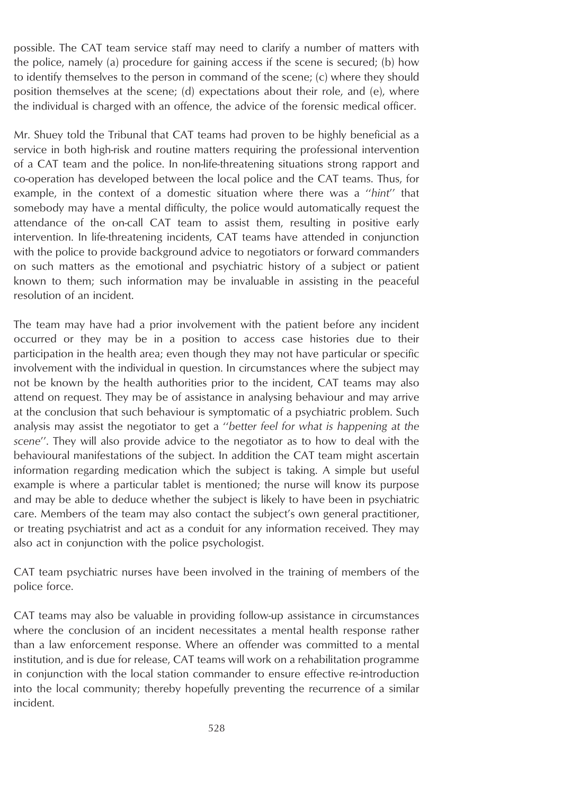possible. The CAT team service staff may need to clarify a number of matters with the police, namely (a) procedure for gaining access if the scene is secured; (b) how to identify themselves to the person in command of the scene; (c) where they should position themselves at the scene; (d) expectations about their role, and (e), where the individual is charged with an offence, the advice of the forensic medical officer.

Mr. Shuey told the Tribunal that CAT teams had proven to be highly beneficial as a service in both high-risk and routine matters requiring the professional intervention of a CAT team and the police. In non-life-threatening situations strong rapport and co-operation has developed between the local police and the CAT teams. Thus, for example, in the context of a domestic situation where there was a ''*hint*'' that somebody may have a mental difficulty, the police would automatically request the attendance of the on-call CAT team to assist them, resulting in positive early intervention. In life-threatening incidents, CAT teams have attended in conjunction with the police to provide background advice to negotiators or forward commanders on such matters as the emotional and psychiatric history of a subject or patient known to them; such information may be invaluable in assisting in the peaceful resolution of an incident.

The team may have had a prior involvement with the patient before any incident occurred or they may be in a position to access case histories due to their participation in the health area; even though they may not have particular or specific involvement with the individual in question. In circumstances where the subject may not be known by the health authorities prior to the incident, CAT teams may also attend on request. They may be of assistance in analysing behaviour and may arrive at the conclusion that such behaviour is symptomatic of a psychiatric problem. Such analysis may assist the negotiator to get a ''*better feel for what is happening at the scene*''. They will also provide advice to the negotiator as to how to deal with the behavioural manifestations of the subject. In addition the CAT team might ascertain information regarding medication which the subject is taking. A simple but useful example is where a particular tablet is mentioned; the nurse will know its purpose and may be able to deduce whether the subject is likely to have been in psychiatric care. Members of the team may also contact the subject's own general practitioner, or treating psychiatrist and act as a conduit for any information received. They may also act in conjunction with the police psychologist.

CAT team psychiatric nurses have been involved in the training of members of the police force.

CAT teams may also be valuable in providing follow-up assistance in circumstances where the conclusion of an incident necessitates a mental health response rather than a law enforcement response. Where an offender was committed to a mental institution, and is due for release, CAT teams will work on a rehabilitation programme in conjunction with the local station commander to ensure effective re-introduction into the local community; thereby hopefully preventing the recurrence of a similar incident.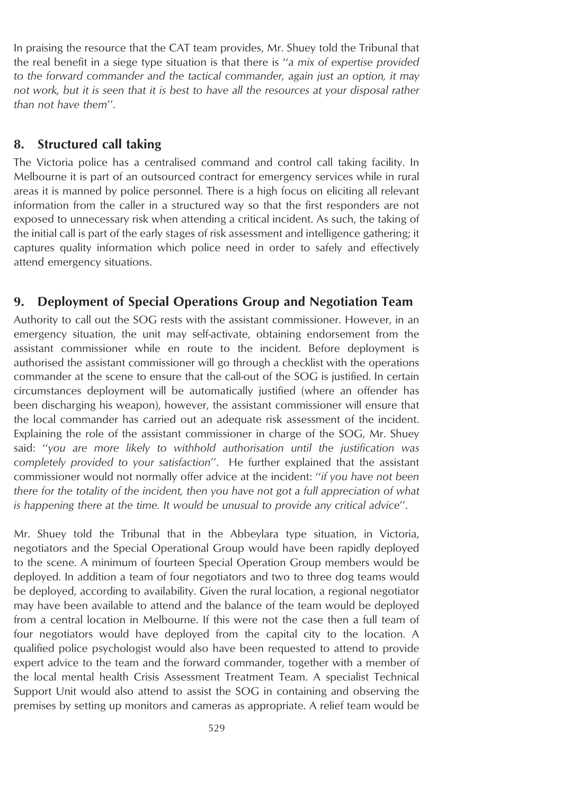In praising the resource that the CAT team provides, Mr. Shuey told the Tribunal that the real benefit in a siege type situation is that there is ''*a mix of expertise provided to the forward commander and the tactical commander, again just an option, it may not work, but it is seen that it is best to have all the resources at your disposal rather than not have them*''.

### **8. Structured call taking**

The Victoria police has a centralised command and control call taking facility. In Melbourne it is part of an outsourced contract for emergency services while in rural areas it is manned by police personnel. There is a high focus on eliciting all relevant information from the caller in a structured way so that the first responders are not exposed to unnecessary risk when attending a critical incident. As such, the taking of the initial call is part of the early stages of risk assessment and intelligence gathering; it captures quality information which police need in order to safely and effectively attend emergency situations.

### **9. Deployment of Special Operations Group and Negotiation Team**

Authority to call out the SOG rests with the assistant commissioner. However, in an emergency situation, the unit may self-activate, obtaining endorsement from the assistant commissioner while en route to the incident. Before deployment is authorised the assistant commissioner will go through a checklist with the operations commander at the scene to ensure that the call-out of the SOG is justified. In certain circumstances deployment will be automatically justified (where an offender has been discharging his weapon), however, the assistant commissioner will ensure that the local commander has carried out an adequate risk assessment of the incident. Explaining the role of the assistant commissioner in charge of the SOG, Mr. Shuey said: ''*you are more likely to withhold authorisation until the justification was completely provided to your satisfaction*''. He further explained that the assistant commissioner would not normally offer advice at the incident: ''*if you have not been there for the totality of the incident, then you have not got a full appreciation of what is happening there at the time. It would be unusual to provide any critical advice*''.

Mr. Shuey told the Tribunal that in the Abbeylara type situation, in Victoria, negotiators and the Special Operational Group would have been rapidly deployed to the scene. A minimum of fourteen Special Operation Group members would be deployed. In addition a team of four negotiators and two to three dog teams would be deployed, according to availability. Given the rural location, a regional negotiator may have been available to attend and the balance of the team would be deployed from a central location in Melbourne. If this were not the case then a full team of four negotiators would have deployed from the capital city to the location. A qualified police psychologist would also have been requested to attend to provide expert advice to the team and the forward commander, together with a member of the local mental health Crisis Assessment Treatment Team. A specialist Technical Support Unit would also attend to assist the SOG in containing and observing the premises by setting up monitors and cameras as appropriate. A relief team would be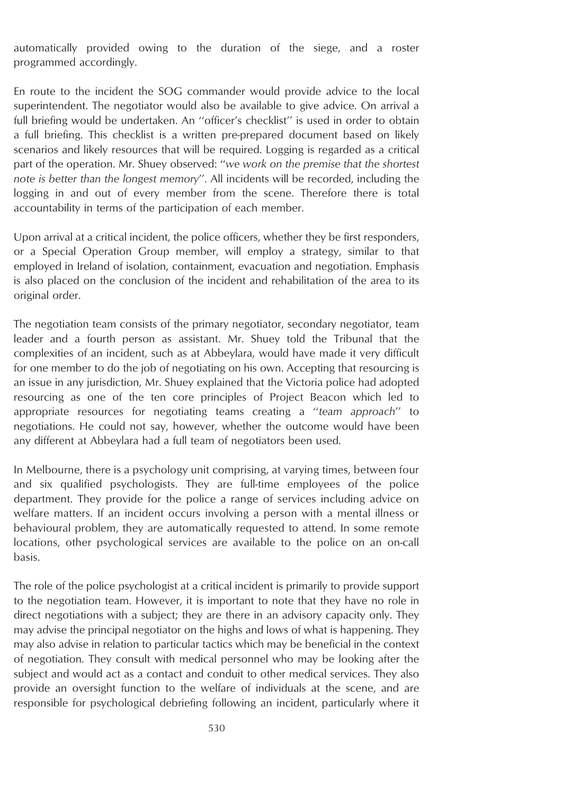automatically provided owing to the duration of the siege, and a roster programmed accordingly.

En route to the incident the SOG commander would provide advice to the local superintendent. The negotiator would also be available to give advice. On arrival a full briefing would be undertaken. An ''officer's checklist'' is used in order to obtain a full briefing. This checklist is a written pre-prepared document based on likely scenarios and likely resources that will be required. Logging is regarded as a critical part of the operation. Mr. Shuey observed: ''*we work on the premise that the shortest note is better than the longest memory*''. All incidents will be recorded, including the logging in and out of every member from the scene. Therefore there is total accountability in terms of the participation of each member.

Upon arrival at a critical incident, the police officers, whether they be first responders, or a Special Operation Group member, will employ a strategy, similar to that employed in Ireland of isolation, containment, evacuation and negotiation. Emphasis is also placed on the conclusion of the incident and rehabilitation of the area to its original order.

The negotiation team consists of the primary negotiator, secondary negotiator, team leader and a fourth person as assistant. Mr. Shuey told the Tribunal that the complexities of an incident, such as at Abbeylara, would have made it very difficult for one member to do the job of negotiating on his own. Accepting that resourcing is an issue in any jurisdiction, Mr. Shuey explained that the Victoria police had adopted resourcing as one of the ten core principles of Project Beacon which led to appropriate resources for negotiating teams creating a ''*team approach*'' to negotiations. He could not say, however, whether the outcome would have been any different at Abbeylara had a full team of negotiators been used.

In Melbourne, there is a psychology unit comprising, at varying times, between four and six qualified psychologists. They are full-time employees of the police department. They provide for the police a range of services including advice on welfare matters. If an incident occurs involving a person with a mental illness or behavioural problem, they are automatically requested to attend. In some remote locations, other psychological services are available to the police on an on-call basis.

The role of the police psychologist at a critical incident is primarily to provide support to the negotiation team. However, it is important to note that they have no role in direct negotiations with a subject; they are there in an advisory capacity only. They may advise the principal negotiator on the highs and lows of what is happening. They may also advise in relation to particular tactics which may be beneficial in the context of negotiation. They consult with medical personnel who may be looking after the subject and would act as a contact and conduit to other medical services. They also provide an oversight function to the welfare of individuals at the scene, and are responsible for psychological debriefing following an incident, particularly where it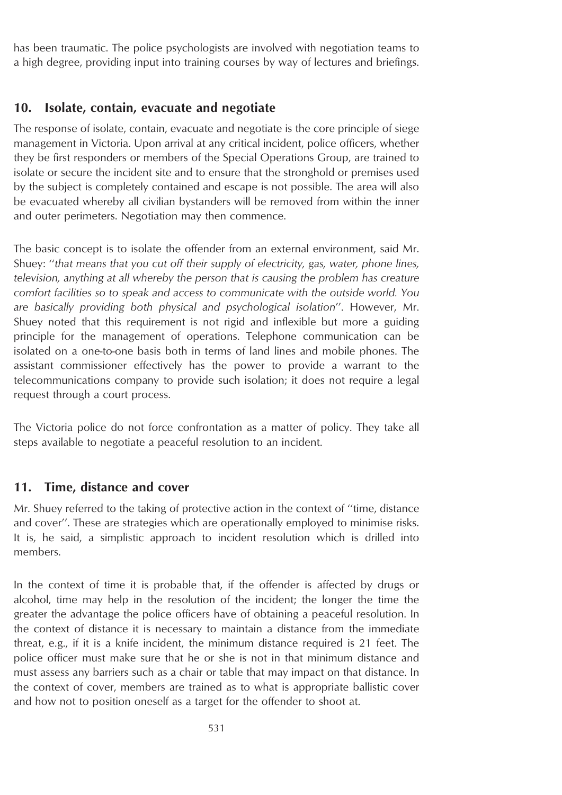has been traumatic. The police psychologists are involved with negotiation teams to a high degree, providing input into training courses by way of lectures and briefings.

### **10. Isolate, contain, evacuate and negotiate**

The response of isolate, contain, evacuate and negotiate is the core principle of siege management in Victoria. Upon arrival at any critical incident, police officers, whether they be first responders or members of the Special Operations Group, are trained to isolate or secure the incident site and to ensure that the stronghold or premises used by the subject is completely contained and escape is not possible. The area will also be evacuated whereby all civilian bystanders will be removed from within the inner and outer perimeters. Negotiation may then commence.

The basic concept is to isolate the offender from an external environment, said Mr. Shuey: ''*that means that you cut off their supply of electricity, gas, water, phone lines, television, anything at all whereby the person that is causing the problem has creature comfort facilities so to speak and access to communicate with the outside world. You are basically providing both physical and psychological isolation*''. However, Mr. Shuey noted that this requirement is not rigid and inflexible but more a guiding principle for the management of operations. Telephone communication can be isolated on a one-to-one basis both in terms of land lines and mobile phones. The assistant commissioner effectively has the power to provide a warrant to the telecommunications company to provide such isolation; it does not require a legal request through a court process.

The Victoria police do not force confrontation as a matter of policy. They take all steps available to negotiate a peaceful resolution to an incident.

#### **11. Time, distance and cover**

Mr. Shuey referred to the taking of protective action in the context of ''time, distance and cover''. These are strategies which are operationally employed to minimise risks. It is, he said, a simplistic approach to incident resolution which is drilled into members.

In the context of time it is probable that, if the offender is affected by drugs or alcohol, time may help in the resolution of the incident; the longer the time the greater the advantage the police officers have of obtaining a peaceful resolution. In the context of distance it is necessary to maintain a distance from the immediate threat, e.g., if it is a knife incident, the minimum distance required is 21 feet. The police officer must make sure that he or she is not in that minimum distance and must assess any barriers such as a chair or table that may impact on that distance. In the context of cover, members are trained as to what is appropriate ballistic cover and how not to position oneself as a target for the offender to shoot at.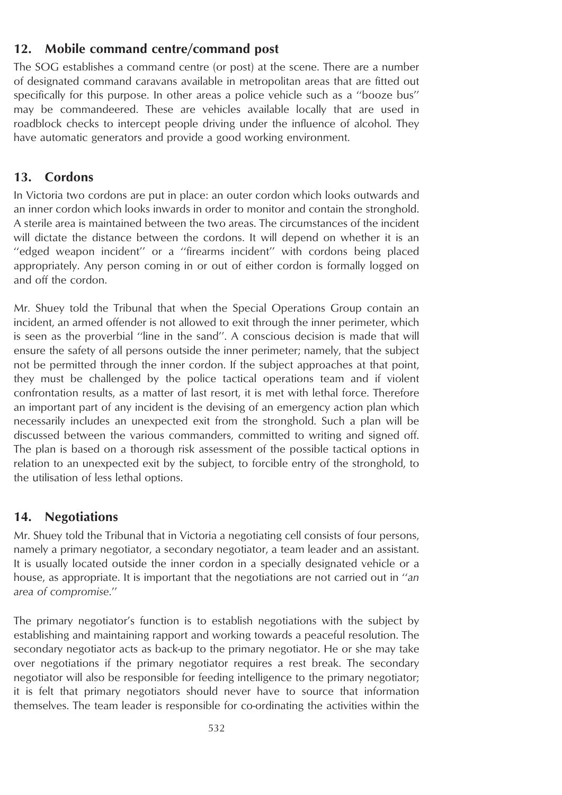# **12. Mobile command centre/command post**

The SOG establishes a command centre (or post) at the scene. There are a number of designated command caravans available in metropolitan areas that are fitted out specifically for this purpose. In other areas a police vehicle such as a ''booze bus'' may be commandeered. These are vehicles available locally that are used in roadblock checks to intercept people driving under the influence of alcohol. They have automatic generators and provide a good working environment.

### **13. Cordons**

In Victoria two cordons are put in place: an outer cordon which looks outwards and an inner cordon which looks inwards in order to monitor and contain the stronghold. A sterile area is maintained between the two areas. The circumstances of the incident will dictate the distance between the cordons. It will depend on whether it is an "edged weapon incident" or a "firearms incident" with cordons being placed appropriately. Any person coming in or out of either cordon is formally logged on and off the cordon.

Mr. Shuey told the Tribunal that when the Special Operations Group contain an incident, an armed offender is not allowed to exit through the inner perimeter, which is seen as the proverbial ''line in the sand''. A conscious decision is made that will ensure the safety of all persons outside the inner perimeter; namely, that the subject not be permitted through the inner cordon. If the subject approaches at that point, they must be challenged by the police tactical operations team and if violent confrontation results, as a matter of last resort, it is met with lethal force. Therefore an important part of any incident is the devising of an emergency action plan which necessarily includes an unexpected exit from the stronghold. Such a plan will be discussed between the various commanders, committed to writing and signed off. The plan is based on a thorough risk assessment of the possible tactical options in relation to an unexpected exit by the subject, to forcible entry of the stronghold, to the utilisation of less lethal options.

# **14. Negotiations**

Mr. Shuey told the Tribunal that in Victoria a negotiating cell consists of four persons, namely a primary negotiator, a secondary negotiator, a team leader and an assistant. It is usually located outside the inner cordon in a specially designated vehicle or a house, as appropriate. It is important that the negotiations are not carried out in ''*an area of compromise*.''

The primary negotiator's function is to establish negotiations with the subject by establishing and maintaining rapport and working towards a peaceful resolution. The secondary negotiator acts as back-up to the primary negotiator. He or she may take over negotiations if the primary negotiator requires a rest break. The secondary negotiator will also be responsible for feeding intelligence to the primary negotiator; it is felt that primary negotiators should never have to source that information themselves. The team leader is responsible for co-ordinating the activities within the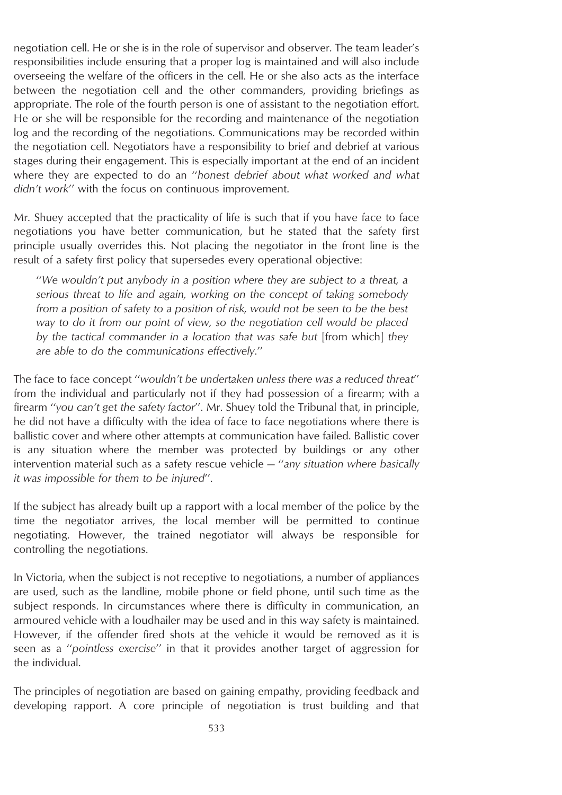negotiation cell. He or she is in the role of supervisor and observer. The team leader's responsibilities include ensuring that a proper log is maintained and will also include overseeing the welfare of the officers in the cell. He or she also acts as the interface between the negotiation cell and the other commanders, providing briefings as appropriate. The role of the fourth person is one of assistant to the negotiation effort. He or she will be responsible for the recording and maintenance of the negotiation log and the recording of the negotiations. Communications may be recorded within the negotiation cell. Negotiators have a responsibility to brief and debrief at various stages during their engagement. This is especially important at the end of an incident where they are expected to do an ''*honest debrief about what worked and what didn't work*'' with the focus on continuous improvement.

Mr. Shuey accepted that the practicality of life is such that if you have face to face negotiations you have better communication, but he stated that the safety first principle usually overrides this. Not placing the negotiator in the front line is the result of a safety first policy that supersedes every operational objective:

''*We wouldn't put anybody in a position where they are subject to a threat, a serious threat to life and again, working on the concept of taking somebody from a position of safety to a position of risk, would not be seen to be the best way to do it from our point of view, so the negotiation cell would be placed by the tactical commander in a location that was safe but* [from which] *they are able to do the communications effectively*.''

The face to face concept ''*wouldn't be undertaken unless there was a reduced threat*'' from the individual and particularly not if they had possession of a firearm; with a firearm ''*you can't get the safety factor*''. Mr. Shuey told the Tribunal that, in principle, he did not have a difficulty with the idea of face to face negotiations where there is ballistic cover and where other attempts at communication have failed. Ballistic cover is any situation where the member was protected by buildings or any other intervention material such as a safety rescue vehicle — ''*any situation where basically it was impossible for them to be injured*''.

If the subject has already built up a rapport with a local member of the police by the time the negotiator arrives, the local member will be permitted to continue negotiating. However, the trained negotiator will always be responsible for controlling the negotiations.

In Victoria, when the subject is not receptive to negotiations, a number of appliances are used, such as the landline, mobile phone or field phone, until such time as the subject responds. In circumstances where there is difficulty in communication, an armoured vehicle with a loudhailer may be used and in this way safety is maintained. However, if the offender fired shots at the vehicle it would be removed as it is seen as a ''*pointless exercise*'' in that it provides another target of aggression for the individual.

The principles of negotiation are based on gaining empathy, providing feedback and developing rapport. A core principle of negotiation is trust building and that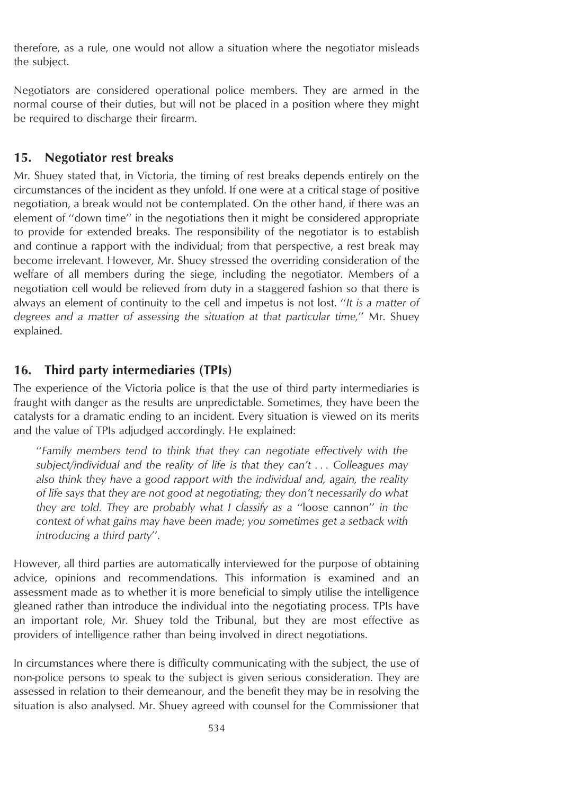therefore, as a rule, one would not allow a situation where the negotiator misleads the subject.

Negotiators are considered operational police members. They are armed in the normal course of their duties, but will not be placed in a position where they might be required to discharge their firearm.

# **15. Negotiator rest breaks**

Mr. Shuey stated that, in Victoria, the timing of rest breaks depends entirely on the circumstances of the incident as they unfold. If one were at a critical stage of positive negotiation, a break would not be contemplated. On the other hand, if there was an element of ''down time'' in the negotiations then it might be considered appropriate to provide for extended breaks. The responsibility of the negotiator is to establish and continue a rapport with the individual; from that perspective, a rest break may become irrelevant. However, Mr. Shuey stressed the overriding consideration of the welfare of all members during the siege, including the negotiator. Members of a negotiation cell would be relieved from duty in a staggered fashion so that there is always an element of continuity to the cell and impetus is not lost. ''*It is a matter of degrees and a matter of assessing the situation at that particular time,*'' Mr. Shuey explained.

# **16. Third party intermediaries (TPIs)**

The experience of the Victoria police is that the use of third party intermediaries is fraught with danger as the results are unpredictable. Sometimes, they have been the catalysts for a dramatic ending to an incident. Every situation is viewed on its merits and the value of TPIs adjudged accordingly. He explained:

''*Family members tend to think that they can negotiate effectively with the subject/individual and the reality of life is that they can't . . . Colleagues may also think they have a good rapport with the individual and, again, the reality of life says that they are not good at negotiating; they don't necessarily do what they are told. They are probably what I classify as a* ''loose cannon'' *in the context of what gains may have been made; you sometimes get a setback with introducing a third party*''.

However, all third parties are automatically interviewed for the purpose of obtaining advice, opinions and recommendations. This information is examined and an assessment made as to whether it is more beneficial to simply utilise the intelligence gleaned rather than introduce the individual into the negotiating process. TPIs have an important role, Mr. Shuey told the Tribunal, but they are most effective as providers of intelligence rather than being involved in direct negotiations.

In circumstances where there is difficulty communicating with the subject, the use of non-police persons to speak to the subject is given serious consideration. They are assessed in relation to their demeanour, and the benefit they may be in resolving the situation is also analysed. Mr. Shuey agreed with counsel for the Commissioner that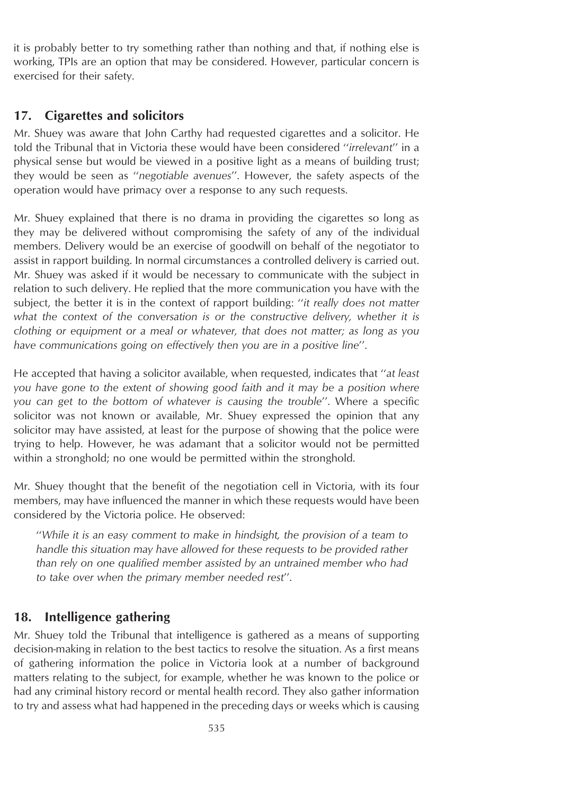it is probably better to try something rather than nothing and that, if nothing else is working, TPIs are an option that may be considered. However, particular concern is exercised for their safety.

# **17. Cigarettes and solicitors**

Mr. Shuey was aware that John Carthy had requested cigarettes and a solicitor. He told the Tribunal that in Victoria these would have been considered ''*irrelevant*'' in a physical sense but would be viewed in a positive light as a means of building trust; they would be seen as ''*negotiable avenues*''. However, the safety aspects of the operation would have primacy over a response to any such requests.

Mr. Shuey explained that there is no drama in providing the cigarettes so long as they may be delivered without compromising the safety of any of the individual members. Delivery would be an exercise of goodwill on behalf of the negotiator to assist in rapport building. In normal circumstances a controlled delivery is carried out. Mr. Shuey was asked if it would be necessary to communicate with the subject in relation to such delivery. He replied that the more communication you have with the subject, the better it is in the context of rapport building: ''*it really does not matter what the context of the conversation is or the constructive delivery, whether it is clothing or equipment or a meal or whatever, that does not matter; as long as you have communications going on effectively then you are in a positive line*''.

He accepted that having a solicitor available, when requested, indicates that ''*at least you have gone to the extent of showing good faith and it may be a position where you can get to the bottom of whatever is causing the trouble*''. Where a specific solicitor was not known or available, Mr. Shuey expressed the opinion that any solicitor may have assisted, at least for the purpose of showing that the police were trying to help. However, he was adamant that a solicitor would not be permitted within a stronghold; no one would be permitted within the stronghold.

Mr. Shuey thought that the benefit of the negotiation cell in Victoria, with its four members, may have influenced the manner in which these requests would have been considered by the Victoria police. He observed:

''*While it is an easy comment to make in hindsight, the provision of a team to handle this situation may have allowed for these requests to be provided rather than rely on one qualified member assisted by an untrained member who had to take over when the primary member needed rest*''.

# **18. Intelligence gathering**

Mr. Shuey told the Tribunal that intelligence is gathered as a means of supporting decision-making in relation to the best tactics to resolve the situation. As a first means of gathering information the police in Victoria look at a number of background matters relating to the subject, for example, whether he was known to the police or had any criminal history record or mental health record. They also gather information to try and assess what had happened in the preceding days or weeks which is causing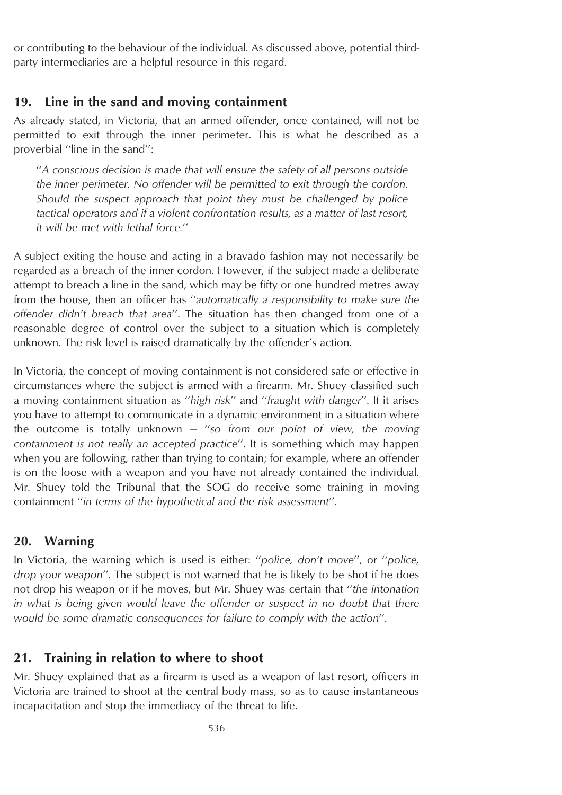or contributing to the behaviour of the individual. As discussed above, potential thirdparty intermediaries are a helpful resource in this regard.

#### **19. Line in the sand and moving containment**

As already stated, in Victoria, that an armed offender, once contained, will not be permitted to exit through the inner perimeter. This is what he described as a proverbial "line in the sand":

''*A conscious decision is made that will ensure the safety of all persons outside the inner perimeter. No offender will be permitted to exit through the cordon. Should the suspect approach that point they must be challenged by police tactical operators and if a violent confrontation results, as a matter of last resort, it will be met with lethal force.*''

A subject exiting the house and acting in a bravado fashion may not necessarily be regarded as a breach of the inner cordon. However, if the subject made a deliberate attempt to breach a line in the sand, which may be fifty or one hundred metres away from the house, then an officer has ''*automatically a responsibility to make sure the offender didn't breach that area*''. The situation has then changed from one of a reasonable degree of control over the subject to a situation which is completely unknown. The risk level is raised dramatically by the offender's action.

In Victoria, the concept of moving containment is not considered safe or effective in circumstances where the subject is armed with a firearm. Mr. Shuey classified such a moving containment situation as ''*high risk*'' and ''*fraught with danger*''. If it arises you have to attempt to communicate in a dynamic environment in a situation where the outcome is totally unknown — ''*so from our point of view, the moving containment is not really an accepted practice*''. It is something which may happen when you are following, rather than trying to contain; for example, where an offender is on the loose with a weapon and you have not already contained the individual. Mr. Shuey told the Tribunal that the SOG do receive some training in moving containment ''*in terms of the hypothetical and the risk assessment*''.

#### **20. Warning**

In Victoria, the warning which is used is either: ''*police, don't move*'', or ''*police, drop your weapon*''. The subject is not warned that he is likely to be shot if he does not drop his weapon or if he moves, but Mr. Shuey was certain that ''*the intonation in what is being given would leave the offender or suspect in no doubt that there would be some dramatic consequences for failure to comply with the action*''.

#### **21. Training in relation to where to shoot**

Mr. Shuey explained that as a firearm is used as a weapon of last resort, officers in Victoria are trained to shoot at the central body mass, so as to cause instantaneous incapacitation and stop the immediacy of the threat to life.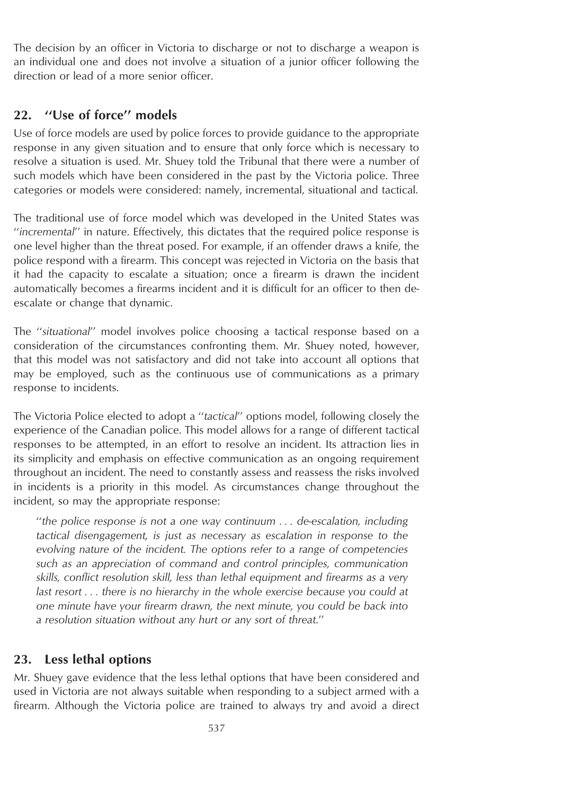The decision by an officer in Victoria to discharge or not to discharge a weapon is an individual one and does not involve a situation of a junior officer following the direction or lead of a more senior officer.

# **22. ''Use of force'' models**

Use of force models are used by police forces to provide guidance to the appropriate response in any given situation and to ensure that only force which is necessary to resolve a situation is used. Mr. Shuey told the Tribunal that there were a number of such models which have been considered in the past by the Victoria police. Three categories or models were considered: namely, incremental, situational and tactical.

The traditional use of force model which was developed in the United States was ''*incremental*'' in nature. Effectively, this dictates that the required police response is one level higher than the threat posed. For example, if an offender draws a knife, the police respond with a firearm. This concept was rejected in Victoria on the basis that it had the capacity to escalate a situation; once a firearm is drawn the incident automatically becomes a firearms incident and it is difficult for an officer to then deescalate or change that dynamic.

The ''*situational*'' model involves police choosing a tactical response based on a consideration of the circumstances confronting them. Mr. Shuey noted, however, that this model was not satisfactory and did not take into account all options that may be employed, such as the continuous use of communications as a primary response to incidents.

The Victoria Police elected to adopt a ''*tactical*'' options model, following closely the experience of the Canadian police. This model allows for a range of different tactical responses to be attempted, in an effort to resolve an incident. Its attraction lies in its simplicity and emphasis on effective communication as an ongoing requirement throughout an incident. The need to constantly assess and reassess the risks involved in incidents is a priority in this model. As circumstances change throughout the incident, so may the appropriate response:

''*the police response is not a one way continuum . . . de-escalation, including tactical disengagement, is just as necessary as escalation in response to the evolving nature of the incident. The options refer to a range of competencies such as an appreciation of command and control principles, communication skills, conflict resolution skill, less than lethal equipment and firearms as a very last resort . . . there is no hierarchy in the whole exercise because you could at one minute have your firearm drawn, the next minute, you could be back into a resolution situation without any hurt or any sort of threat*.''

#### **23. Less lethal options**

Mr. Shuey gave evidence that the less lethal options that have been considered and used in Victoria are not always suitable when responding to a subject armed with a firearm. Although the Victoria police are trained to always try and avoid a direct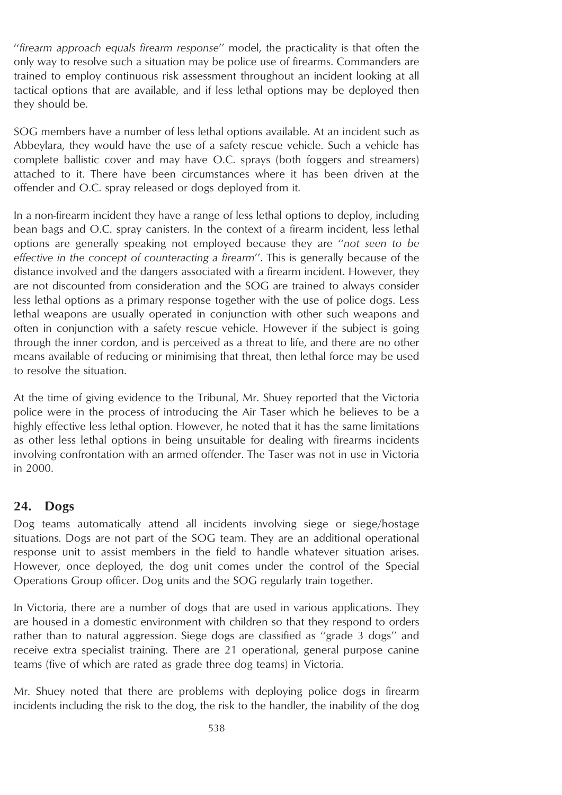''*firearm approach equals firearm response*'' model, the practicality is that often the only way to resolve such a situation may be police use of firearms. Commanders are trained to employ continuous risk assessment throughout an incident looking at all tactical options that are available, and if less lethal options may be deployed then they should be.

SOG members have a number of less lethal options available. At an incident such as Abbeylara, they would have the use of a safety rescue vehicle. Such a vehicle has complete ballistic cover and may have O.C. sprays (both foggers and streamers) attached to it. There have been circumstances where it has been driven at the offender and O.C. spray released or dogs deployed from it.

In a non-firearm incident they have a range of less lethal options to deploy, including bean bags and O.C. spray canisters. In the context of a firearm incident, less lethal options are generally speaking not employed because they are ''*not seen to be effective in the concept of counteracting a firearm*''. This is generally because of the distance involved and the dangers associated with a firearm incident. However, they are not discounted from consideration and the SOG are trained to always consider less lethal options as a primary response together with the use of police dogs. Less lethal weapons are usually operated in conjunction with other such weapons and often in conjunction with a safety rescue vehicle. However if the subject is going through the inner cordon, and is perceived as a threat to life, and there are no other means available of reducing or minimising that threat, then lethal force may be used to resolve the situation.

At the time of giving evidence to the Tribunal, Mr. Shuey reported that the Victoria police were in the process of introducing the Air Taser which he believes to be a highly effective less lethal option. However, he noted that it has the same limitations as other less lethal options in being unsuitable for dealing with firearms incidents involving confrontation with an armed offender. The Taser was not in use in Victoria in 2000.

# **24. Dogs**

Dog teams automatically attend all incidents involving siege or siege/hostage situations. Dogs are not part of the SOG team. They are an additional operational response unit to assist members in the field to handle whatever situation arises. However, once deployed, the dog unit comes under the control of the Special Operations Group officer. Dog units and the SOG regularly train together.

In Victoria, there are a number of dogs that are used in various applications. They are housed in a domestic environment with children so that they respond to orders rather than to natural aggression. Siege dogs are classified as ''grade 3 dogs'' and receive extra specialist training. There are 21 operational, general purpose canine teams (five of which are rated as grade three dog teams) in Victoria.

Mr. Shuey noted that there are problems with deploying police dogs in firearm incidents including the risk to the dog, the risk to the handler, the inability of the dog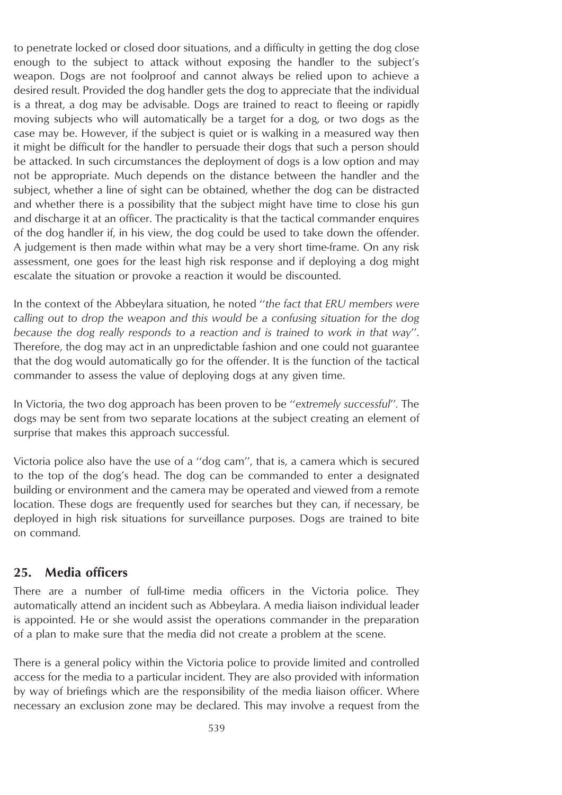to penetrate locked or closed door situations, and a difficulty in getting the dog close enough to the subject to attack without exposing the handler to the subject's weapon. Dogs are not foolproof and cannot always be relied upon to achieve a desired result. Provided the dog handler gets the dog to appreciate that the individual is a threat, a dog may be advisable. Dogs are trained to react to fleeing or rapidly moving subjects who will automatically be a target for a dog, or two dogs as the case may be. However, if the subject is quiet or is walking in a measured way then it might be difficult for the handler to persuade their dogs that such a person should be attacked. In such circumstances the deployment of dogs is a low option and may not be appropriate. Much depends on the distance between the handler and the subject, whether a line of sight can be obtained, whether the dog can be distracted and whether there is a possibility that the subject might have time to close his gun and discharge it at an officer. The practicality is that the tactical commander enquires of the dog handler if, in his view, the dog could be used to take down the offender. A judgement is then made within what may be a very short time-frame. On any risk assessment, one goes for the least high risk response and if deploying a dog might escalate the situation or provoke a reaction it would be discounted.

In the context of the Abbeylara situation, he noted ''*the fact that ERU members were calling out to drop the weapon and this would be a confusing situation for the dog because the dog really responds to a reaction and is trained to work in that way*''. Therefore, the dog may act in an unpredictable fashion and one could not guarantee that the dog would automatically go for the offender. It is the function of the tactical commander to assess the value of deploying dogs at any given time.

In Victoria, the two dog approach has been proven to be ''*extremely successful*''*.* The dogs may be sent from two separate locations at the subject creating an element of surprise that makes this approach successful.

Victoria police also have the use of a ''dog cam'', that is, a camera which is secured to the top of the dog's head. The dog can be commanded to enter a designated building or environment and the camera may be operated and viewed from a remote location. These dogs are frequently used for searches but they can, if necessary, be deployed in high risk situations for surveillance purposes. Dogs are trained to bite on command.

### **25. Media officers**

There are a number of full-time media officers in the Victoria police. They automatically attend an incident such as Abbeylara. A media liaison individual leader is appointed. He or she would assist the operations commander in the preparation of a plan to make sure that the media did not create a problem at the scene.

There is a general policy within the Victoria police to provide limited and controlled access for the media to a particular incident. They are also provided with information by way of briefings which are the responsibility of the media liaison officer. Where necessary an exclusion zone may be declared. This may involve a request from the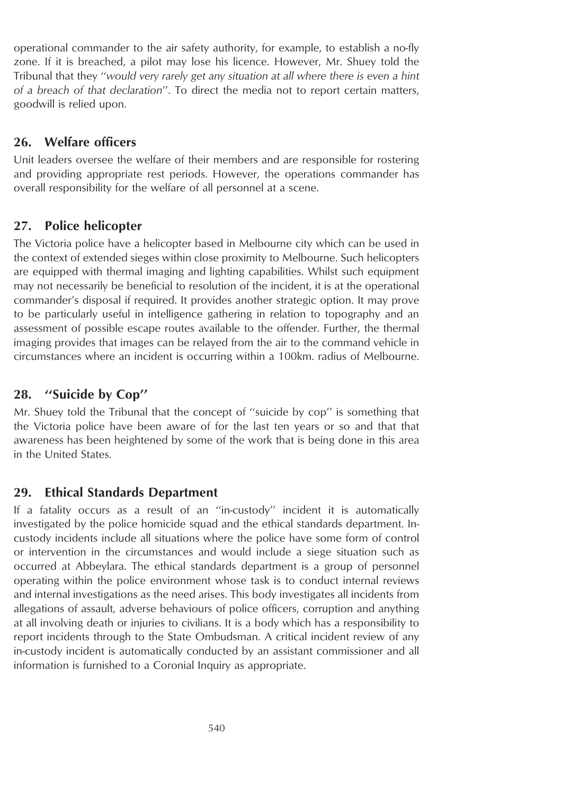operational commander to the air safety authority, for example, to establish a no-fly zone. If it is breached, a pilot may lose his licence. However, Mr. Shuey told the Tribunal that they ''*would very rarely get any situation at all where there is even a hint of a breach of that declaration*''. To direct the media not to report certain matters, goodwill is relied upon.

# **26. Welfare officers**

Unit leaders oversee the welfare of their members and are responsible for rostering and providing appropriate rest periods. However, the operations commander has overall responsibility for the welfare of all personnel at a scene.

# **27. Police helicopter**

The Victoria police have a helicopter based in Melbourne city which can be used in the context of extended sieges within close proximity to Melbourne. Such helicopters are equipped with thermal imaging and lighting capabilities. Whilst such equipment may not necessarily be beneficial to resolution of the incident, it is at the operational commander's disposal if required. It provides another strategic option. It may prove to be particularly useful in intelligence gathering in relation to topography and an assessment of possible escape routes available to the offender. Further, the thermal imaging provides that images can be relayed from the air to the command vehicle in circumstances where an incident is occurring within a 100km. radius of Melbourne.

# **28. ''Suicide by Cop''**

Mr. Shuey told the Tribunal that the concept of ''suicide by cop'' is something that the Victoria police have been aware of for the last ten years or so and that that awareness has been heightened by some of the work that is being done in this area in the United States.

# **29. Ethical Standards Department**

If a fatality occurs as a result of an ''in-custody'' incident it is automatically investigated by the police homicide squad and the ethical standards department. Incustody incidents include all situations where the police have some form of control or intervention in the circumstances and would include a siege situation such as occurred at Abbeylara. The ethical standards department is a group of personnel operating within the police environment whose task is to conduct internal reviews and internal investigations as the need arises. This body investigates all incidents from allegations of assault, adverse behaviours of police officers, corruption and anything at all involving death or injuries to civilians. It is a body which has a responsibility to report incidents through to the State Ombudsman. A critical incident review of any in-custody incident is automatically conducted by an assistant commissioner and all information is furnished to a Coronial Inquiry as appropriate.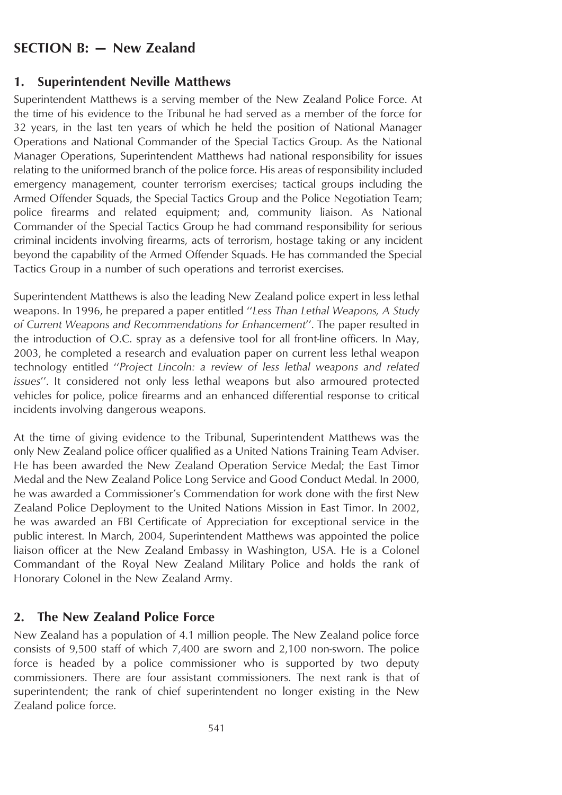# **SECTION B: — New Zealand**

#### **1. Superintendent Neville Matthews**

Superintendent Matthews is a serving member of the New Zealand Police Force. At the time of his evidence to the Tribunal he had served as a member of the force for 32 years, in the last ten years of which he held the position of National Manager Operations and National Commander of the Special Tactics Group. As the National Manager Operations, Superintendent Matthews had national responsibility for issues relating to the uniformed branch of the police force. His areas of responsibility included emergency management, counter terrorism exercises; tactical groups including the Armed Offender Squads, the Special Tactics Group and the Police Negotiation Team; police firearms and related equipment; and, community liaison. As National Commander of the Special Tactics Group he had command responsibility for serious criminal incidents involving firearms, acts of terrorism, hostage taking or any incident beyond the capability of the Armed Offender Squads. He has commanded the Special Tactics Group in a number of such operations and terrorist exercises.

Superintendent Matthews is also the leading New Zealand police expert in less lethal weapons. In 1996, he prepared a paper entitled ''*Less Than Lethal Weapons, A Study of Current Weapons and Recommendations for Enhancement*''. The paper resulted in the introduction of O.C. spray as a defensive tool for all front-line officers. In May, 2003, he completed a research and evaluation paper on current less lethal weapon technology entitled ''*Project Lincoln: a review of less lethal weapons and related issues*''. It considered not only less lethal weapons but also armoured protected vehicles for police, police firearms and an enhanced differential response to critical incidents involving dangerous weapons.

At the time of giving evidence to the Tribunal, Superintendent Matthews was the only New Zealand police officer qualified as a United Nations Training Team Adviser. He has been awarded the New Zealand Operation Service Medal; the East Timor Medal and the New Zealand Police Long Service and Good Conduct Medal. In 2000, he was awarded a Commissioner's Commendation for work done with the first New Zealand Police Deployment to the United Nations Mission in East Timor. In 2002, he was awarded an FBI Certificate of Appreciation for exceptional service in the public interest. In March, 2004, Superintendent Matthews was appointed the police liaison officer at the New Zealand Embassy in Washington, USA. He is a Colonel Commandant of the Royal New Zealand Military Police and holds the rank of Honorary Colonel in the New Zealand Army.

### **2. The New Zealand Police Force**

New Zealand has a population of 4.1 million people. The New Zealand police force consists of 9,500 staff of which 7,400 are sworn and 2,100 non-sworn. The police force is headed by a police commissioner who is supported by two deputy commissioners. There are four assistant commissioners. The next rank is that of superintendent; the rank of chief superintendent no longer existing in the New Zealand police force.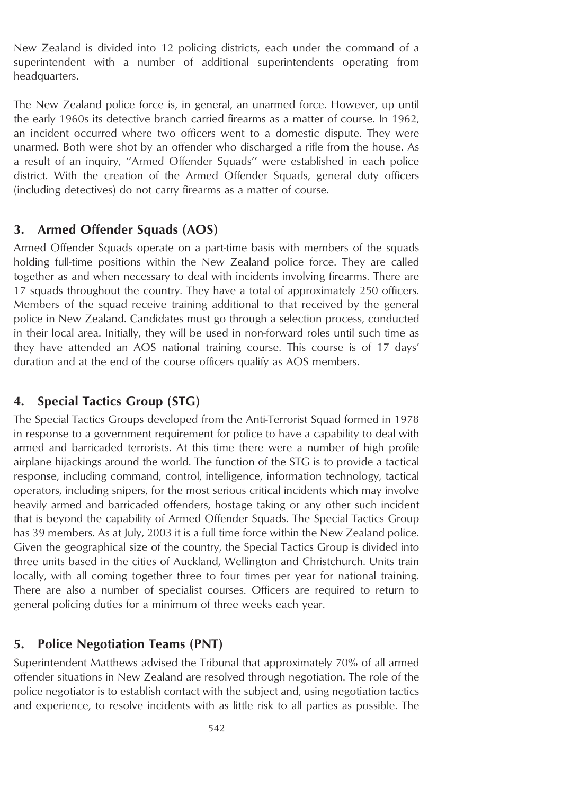New Zealand is divided into 12 policing districts, each under the command of a superintendent with a number of additional superintendents operating from headquarters.

The New Zealand police force is, in general, an unarmed force. However, up until the early 1960s its detective branch carried firearms as a matter of course. In 1962, an incident occurred where two officers went to a domestic dispute. They were unarmed. Both were shot by an offender who discharged a rifle from the house. As a result of an inquiry, ''Armed Offender Squads'' were established in each police district. With the creation of the Armed Offender Squads, general duty officers (including detectives) do not carry firearms as a matter of course.

## **3. Armed Offender Squads (AOS)**

Armed Offender Squads operate on a part-time basis with members of the squads holding full-time positions within the New Zealand police force. They are called together as and when necessary to deal with incidents involving firearms. There are 17 squads throughout the country. They have a total of approximately 250 officers. Members of the squad receive training additional to that received by the general police in New Zealand. Candidates must go through a selection process, conducted in their local area. Initially, they will be used in non-forward roles until such time as they have attended an AOS national training course. This course is of 17 days' duration and at the end of the course officers qualify as AOS members.

## **4. Special Tactics Group (STG)**

The Special Tactics Groups developed from the Anti-Terrorist Squad formed in 1978 in response to a government requirement for police to have a capability to deal with armed and barricaded terrorists. At this time there were a number of high profile airplane hijackings around the world. The function of the STG is to provide a tactical response, including command, control, intelligence, information technology, tactical operators, including snipers, for the most serious critical incidents which may involve heavily armed and barricaded offenders, hostage taking or any other such incident that is beyond the capability of Armed Offender Squads. The Special Tactics Group has 39 members. As at July, 2003 it is a full time force within the New Zealand police. Given the geographical size of the country, the Special Tactics Group is divided into three units based in the cities of Auckland, Wellington and Christchurch. Units train locally, with all coming together three to four times per year for national training. There are also a number of specialist courses. Officers are required to return to general policing duties for a minimum of three weeks each year.

## **5. Police Negotiation Teams (PNT)**

Superintendent Matthews advised the Tribunal that approximately 70% of all armed offender situations in New Zealand are resolved through negotiation. The role of the police negotiator is to establish contact with the subject and, using negotiation tactics and experience, to resolve incidents with as little risk to all parties as possible. The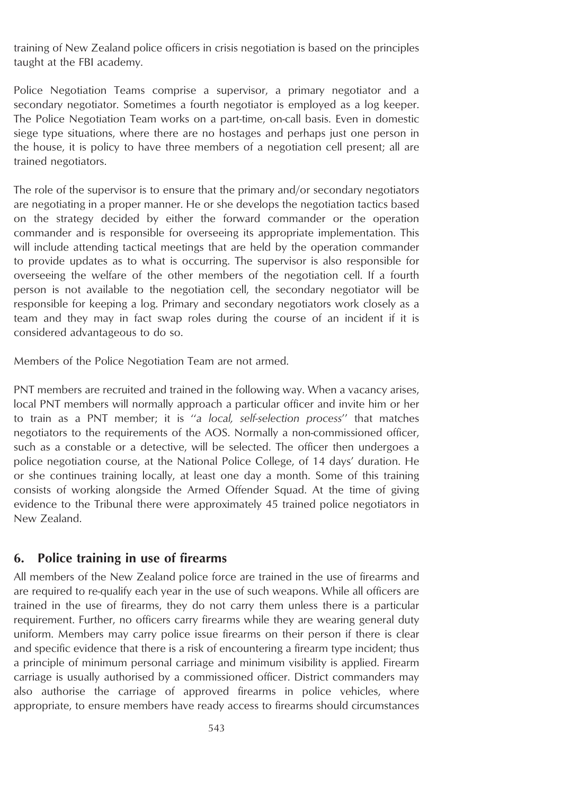training of New Zealand police officers in crisis negotiation is based on the principles taught at the FBI academy.

Police Negotiation Teams comprise a supervisor, a primary negotiator and a secondary negotiator. Sometimes a fourth negotiator is employed as a log keeper. The Police Negotiation Team works on a part-time, on-call basis. Even in domestic siege type situations, where there are no hostages and perhaps just one person in the house, it is policy to have three members of a negotiation cell present; all are trained negotiators.

The role of the supervisor is to ensure that the primary and/or secondary negotiators are negotiating in a proper manner. He or she develops the negotiation tactics based on the strategy decided by either the forward commander or the operation commander and is responsible for overseeing its appropriate implementation. This will include attending tactical meetings that are held by the operation commander to provide updates as to what is occurring. The supervisor is also responsible for overseeing the welfare of the other members of the negotiation cell. If a fourth person is not available to the negotiation cell, the secondary negotiator will be responsible for keeping a log. Primary and secondary negotiators work closely as a team and they may in fact swap roles during the course of an incident if it is considered advantageous to do so.

Members of the Police Negotiation Team are not armed.

PNT members are recruited and trained in the following way. When a vacancy arises, local PNT members will normally approach a particular officer and invite him or her to train as a PNT member; it is ''*a local, self-selection process*'' that matches negotiators to the requirements of the AOS. Normally a non-commissioned officer, such as a constable or a detective, will be selected. The officer then undergoes a police negotiation course, at the National Police College, of 14 days' duration. He or she continues training locally, at least one day a month. Some of this training consists of working alongside the Armed Offender Squad. At the time of giving evidence to the Tribunal there were approximately 45 trained police negotiators in New Zealand.

## **6. Police training in use of firearms**

All members of the New Zealand police force are trained in the use of firearms and are required to re-qualify each year in the use of such weapons. While all officers are trained in the use of firearms, they do not carry them unless there is a particular requirement. Further, no officers carry firearms while they are wearing general duty uniform. Members may carry police issue firearms on their person if there is clear and specific evidence that there is a risk of encountering a firearm type incident; thus a principle of minimum personal carriage and minimum visibility is applied. Firearm carriage is usually authorised by a commissioned officer. District commanders may also authorise the carriage of approved firearms in police vehicles, where appropriate, to ensure members have ready access to firearms should circumstances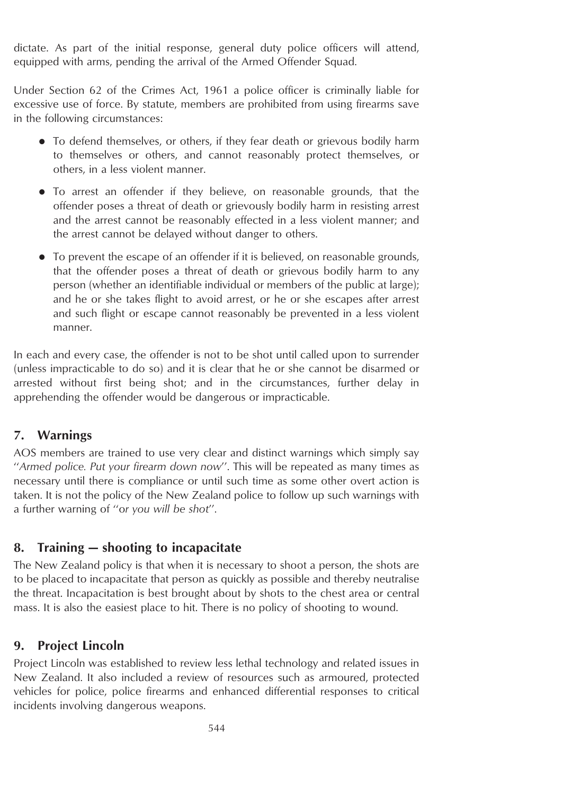dictate. As part of the initial response, general duty police officers will attend, equipped with arms, pending the arrival of the Armed Offender Squad.

Under Section 62 of the Crimes Act, 1961 a police officer is criminally liable for excessive use of force. By statute, members are prohibited from using firearms save in the following circumstances:

- To defend themselves, or others, if they fear death or grievous bodily harm to themselves or others, and cannot reasonably protect themselves, or others, in a less violent manner.
- To arrest an offender if they believe, on reasonable grounds, that the offender poses a threat of death or grievously bodily harm in resisting arrest and the arrest cannot be reasonably effected in a less violent manner; and the arrest cannot be delayed without danger to others.
- To prevent the escape of an offender if it is believed, on reasonable grounds, that the offender poses a threat of death or grievous bodily harm to any person (whether an identifiable individual or members of the public at large); and he or she takes flight to avoid arrest, or he or she escapes after arrest and such flight or escape cannot reasonably be prevented in a less violent manner.

In each and every case, the offender is not to be shot until called upon to surrender (unless impracticable to do so) and it is clear that he or she cannot be disarmed or arrested without first being shot; and in the circumstances, further delay in apprehending the offender would be dangerous or impracticable.

## **7. Warnings**

AOS members are trained to use very clear and distinct warnings which simply say ''*Armed police. Put your firearm down now*''. This will be repeated as many times as necessary until there is compliance or until such time as some other overt action is taken. It is not the policy of the New Zealand police to follow up such warnings with a further warning of ''o*r you will be shot*''.

# **8. Training — shooting to incapacitate**

The New Zealand policy is that when it is necessary to shoot a person, the shots are to be placed to incapacitate that person as quickly as possible and thereby neutralise the threat. Incapacitation is best brought about by shots to the chest area or central mass. It is also the easiest place to hit. There is no policy of shooting to wound.

# **9. Project Lincoln**

Project Lincoln was established to review less lethal technology and related issues in New Zealand. It also included a review of resources such as armoured, protected vehicles for police, police firearms and enhanced differential responses to critical incidents involving dangerous weapons.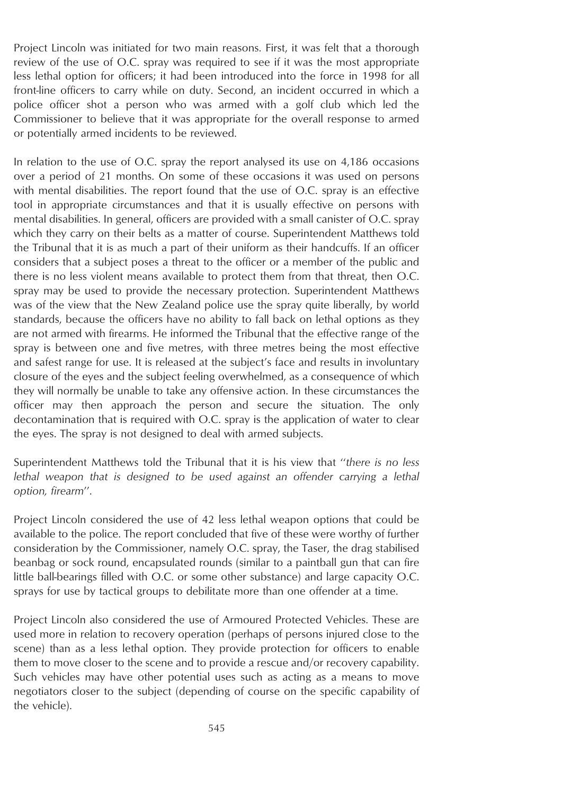Project Lincoln was initiated for two main reasons. First, it was felt that a thorough review of the use of O.C. spray was required to see if it was the most appropriate less lethal option for officers; it had been introduced into the force in 1998 for all front-line officers to carry while on duty. Second, an incident occurred in which a police officer shot a person who was armed with a golf club which led the Commissioner to believe that it was appropriate for the overall response to armed or potentially armed incidents to be reviewed.

In relation to the use of O.C. spray the report analysed its use on 4,186 occasions over a period of 21 months. On some of these occasions it was used on persons with mental disabilities. The report found that the use of O.C. spray is an effective tool in appropriate circumstances and that it is usually effective on persons with mental disabilities. In general, officers are provided with a small canister of O.C. spray which they carry on their belts as a matter of course. Superintendent Matthews told the Tribunal that it is as much a part of their uniform as their handcuffs. If an officer considers that a subject poses a threat to the officer or a member of the public and there is no less violent means available to protect them from that threat, then O.C. spray may be used to provide the necessary protection. Superintendent Matthews was of the view that the New Zealand police use the spray quite liberally, by world standards, because the officers have no ability to fall back on lethal options as they are not armed with firearms. He informed the Tribunal that the effective range of the spray is between one and five metres, with three metres being the most effective and safest range for use. It is released at the subject's face and results in involuntary closure of the eyes and the subject feeling overwhelmed, as a consequence of which they will normally be unable to take any offensive action. In these circumstances the officer may then approach the person and secure the situation. The only decontamination that is required with O.C. spray is the application of water to clear the eyes. The spray is not designed to deal with armed subjects.

Superintendent Matthews told the Tribunal that it is his view that ''*there is no less lethal weapon that is designed to be used against an offender carrying a lethal option, firearm*''.

Project Lincoln considered the use of 42 less lethal weapon options that could be available to the police. The report concluded that five of these were worthy of further consideration by the Commissioner, namely O.C. spray, the Taser, the drag stabilised beanbag or sock round, encapsulated rounds (similar to a paintball gun that can fire little ball-bearings filled with O.C. or some other substance) and large capacity O.C. sprays for use by tactical groups to debilitate more than one offender at a time.

Project Lincoln also considered the use of Armoured Protected Vehicles. These are used more in relation to recovery operation (perhaps of persons injured close to the scene) than as a less lethal option. They provide protection for officers to enable them to move closer to the scene and to provide a rescue and/or recovery capability. Such vehicles may have other potential uses such as acting as a means to move negotiators closer to the subject (depending of course on the specific capability of the vehicle).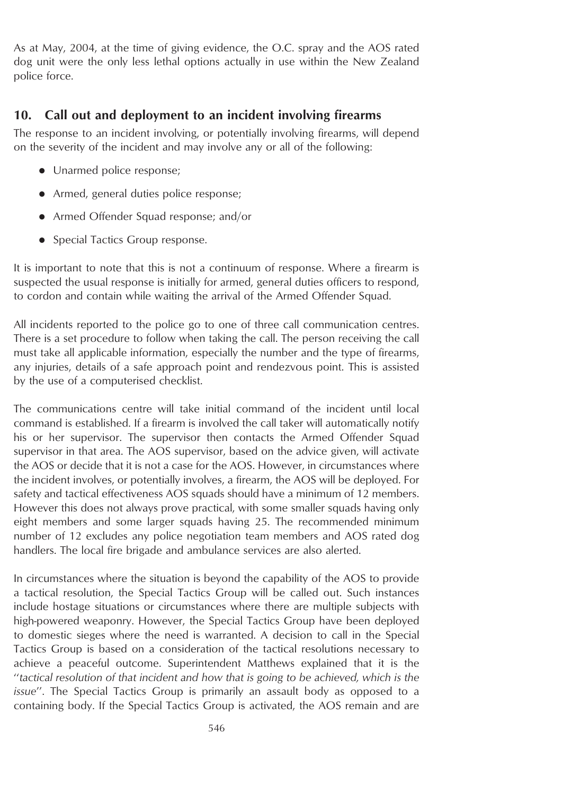As at May, 2004, at the time of giving evidence, the O.C. spray and the AOS rated dog unit were the only less lethal options actually in use within the New Zealand police force.

## **10. Call out and deployment to an incident involving firearms**

The response to an incident involving, or potentially involving firearms, will depend on the severity of the incident and may involve any or all of the following:

- Unarmed police response;
- Armed, general duties police response;
- Armed Offender Squad response; and/or
- Special Tactics Group response.

It is important to note that this is not a continuum of response. Where a firearm is suspected the usual response is initially for armed, general duties officers to respond, to cordon and contain while waiting the arrival of the Armed Offender Squad.

All incidents reported to the police go to one of three call communication centres. There is a set procedure to follow when taking the call. The person receiving the call must take all applicable information, especially the number and the type of firearms, any injuries, details of a safe approach point and rendezvous point. This is assisted by the use of a computerised checklist.

The communications centre will take initial command of the incident until local command is established. If a firearm is involved the call taker will automatically notify his or her supervisor. The supervisor then contacts the Armed Offender Squad supervisor in that area. The AOS supervisor, based on the advice given, will activate the AOS or decide that it is not a case for the AOS. However, in circumstances where the incident involves, or potentially involves, a firearm, the AOS will be deployed. For safety and tactical effectiveness AOS squads should have a minimum of 12 members. However this does not always prove practical, with some smaller squads having only eight members and some larger squads having 25. The recommended minimum number of 12 excludes any police negotiation team members and AOS rated dog handlers. The local fire brigade and ambulance services are also alerted.

In circumstances where the situation is beyond the capability of the AOS to provide a tactical resolution, the Special Tactics Group will be called out. Such instances include hostage situations or circumstances where there are multiple subjects with high-powered weaponry. However, the Special Tactics Group have been deployed to domestic sieges where the need is warranted. A decision to call in the Special Tactics Group is based on a consideration of the tactical resolutions necessary to achieve a peaceful outcome. Superintendent Matthews explained that it is the ''*tactical resolution of that incident and how that is going to be achieved, which is the issue*''. The Special Tactics Group is primarily an assault body as opposed to a containing body. If the Special Tactics Group is activated, the AOS remain and are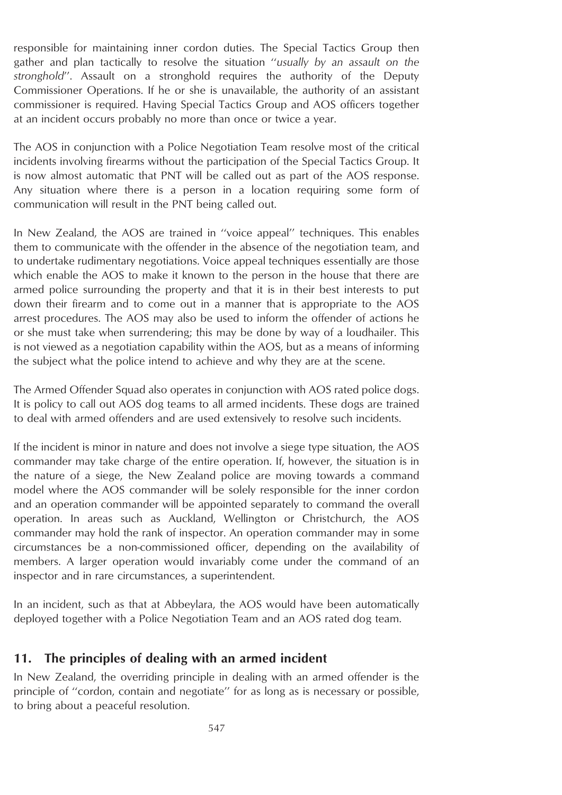responsible for maintaining inner cordon duties. The Special Tactics Group then gather and plan tactically to resolve the situation ''*usually by an assault on the stronghold*''. Assault on a stronghold requires the authority of the Deputy Commissioner Operations. If he or she is unavailable, the authority of an assistant commissioner is required. Having Special Tactics Group and AOS officers together at an incident occurs probably no more than once or twice a year.

The AOS in conjunction with a Police Negotiation Team resolve most of the critical incidents involving firearms without the participation of the Special Tactics Group. It is now almost automatic that PNT will be called out as part of the AOS response. Any situation where there is a person in a location requiring some form of communication will result in the PNT being called out.

In New Zealand, the AOS are trained in ''voice appeal'' techniques. This enables them to communicate with the offender in the absence of the negotiation team, and to undertake rudimentary negotiations. Voice appeal techniques essentially are those which enable the AOS to make it known to the person in the house that there are armed police surrounding the property and that it is in their best interests to put down their firearm and to come out in a manner that is appropriate to the AOS arrest procedures. The AOS may also be used to inform the offender of actions he or she must take when surrendering; this may be done by way of a loudhailer. This is not viewed as a negotiation capability within the AOS, but as a means of informing the subject what the police intend to achieve and why they are at the scene.

The Armed Offender Squad also operates in conjunction with AOS rated police dogs. It is policy to call out AOS dog teams to all armed incidents. These dogs are trained to deal with armed offenders and are used extensively to resolve such incidents.

If the incident is minor in nature and does not involve a siege type situation, the AOS commander may take charge of the entire operation. If, however, the situation is in the nature of a siege, the New Zealand police are moving towards a command model where the AOS commander will be solely responsible for the inner cordon and an operation commander will be appointed separately to command the overall operation. In areas such as Auckland, Wellington or Christchurch, the AOS commander may hold the rank of inspector. An operation commander may in some circumstances be a non-commissioned officer, depending on the availability of members. A larger operation would invariably come under the command of an inspector and in rare circumstances, a superintendent.

In an incident, such as that at Abbeylara, the AOS would have been automatically deployed together with a Police Negotiation Team and an AOS rated dog team.

# **11. The principles of dealing with an armed incident**

In New Zealand, the overriding principle in dealing with an armed offender is the principle of ''cordon, contain and negotiate'' for as long as is necessary or possible, to bring about a peaceful resolution.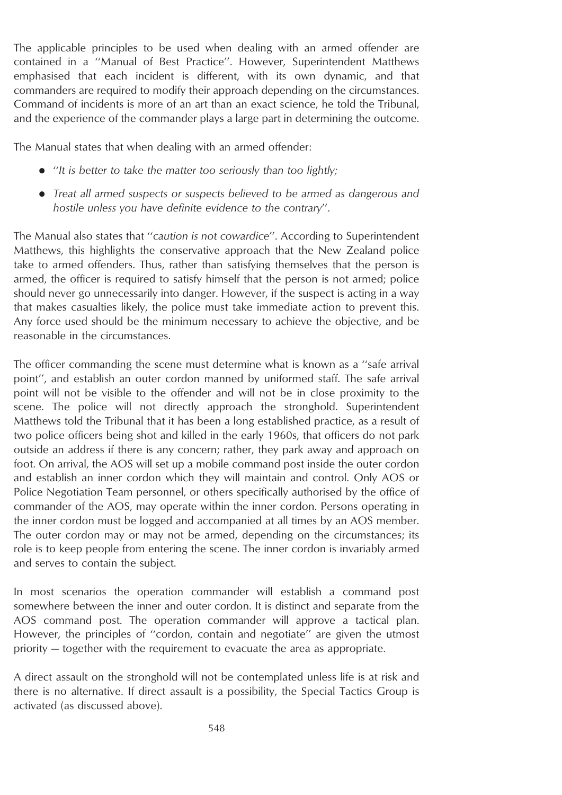The applicable principles to be used when dealing with an armed offender are contained in a ''Manual of Best Practice''. However, Superintendent Matthews emphasised that each incident is different, with its own dynamic, and that commanders are required to modify their approach depending on the circumstances. Command of incidents is more of an art than an exact science, he told the Tribunal, and the experience of the commander plays a large part in determining the outcome.

The Manual states that when dealing with an armed offender:

- "It is better to take the matter too seriously than too lightly;
- *Treat all armed suspects or suspects believed to be armed as dangerous and hostile unless you have definite evidence to the contrary*''.

The Manual also states that ''*caution is not cowardice*''. According to Superintendent Matthews, this highlights the conservative approach that the New Zealand police take to armed offenders. Thus, rather than satisfying themselves that the person is armed, the officer is required to satisfy himself that the person is not armed; police should never go unnecessarily into danger. However, if the suspect is acting in a way that makes casualties likely, the police must take immediate action to prevent this. Any force used should be the minimum necessary to achieve the objective, and be reasonable in the circumstances.

The officer commanding the scene must determine what is known as a ''safe arrival point'', and establish an outer cordon manned by uniformed staff. The safe arrival point will not be visible to the offender and will not be in close proximity to the scene. The police will not directly approach the stronghold. Superintendent Matthews told the Tribunal that it has been a long established practice, as a result of two police officers being shot and killed in the early 1960s, that officers do not park outside an address if there is any concern; rather, they park away and approach on foot. On arrival, the AOS will set up a mobile command post inside the outer cordon and establish an inner cordon which they will maintain and control. Only AOS or Police Negotiation Team personnel, or others specifically authorised by the office of commander of the AOS, may operate within the inner cordon. Persons operating in the inner cordon must be logged and accompanied at all times by an AOS member. The outer cordon may or may not be armed, depending on the circumstances; its role is to keep people from entering the scene. The inner cordon is invariably armed and serves to contain the subject.

In most scenarios the operation commander will establish a command post somewhere between the inner and outer cordon. It is distinct and separate from the AOS command post. The operation commander will approve a tactical plan. However, the principles of ''cordon, contain and negotiate'' are given the utmost priority — together with the requirement to evacuate the area as appropriate.

A direct assault on the stronghold will not be contemplated unless life is at risk and there is no alternative. If direct assault is a possibility, the Special Tactics Group is activated (as discussed above).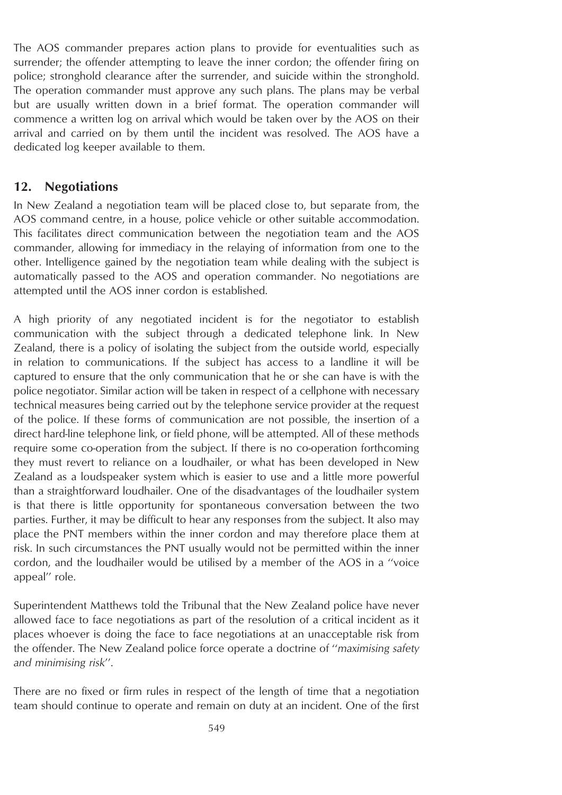The AOS commander prepares action plans to provide for eventualities such as surrender; the offender attempting to leave the inner cordon; the offender firing on police; stronghold clearance after the surrender, and suicide within the stronghold. The operation commander must approve any such plans. The plans may be verbal but are usually written down in a brief format. The operation commander will commence a written log on arrival which would be taken over by the AOS on their arrival and carried on by them until the incident was resolved. The AOS have a dedicated log keeper available to them.

## **12. Negotiations**

In New Zealand a negotiation team will be placed close to, but separate from, the AOS command centre, in a house, police vehicle or other suitable accommodation. This facilitates direct communication between the negotiation team and the AOS commander, allowing for immediacy in the relaying of information from one to the other. Intelligence gained by the negotiation team while dealing with the subject is automatically passed to the AOS and operation commander. No negotiations are attempted until the AOS inner cordon is established.

A high priority of any negotiated incident is for the negotiator to establish communication with the subject through a dedicated telephone link. In New Zealand, there is a policy of isolating the subject from the outside world, especially in relation to communications. If the subject has access to a landline it will be captured to ensure that the only communication that he or she can have is with the police negotiator. Similar action will be taken in respect of a cellphone with necessary technical measures being carried out by the telephone service provider at the request of the police. If these forms of communication are not possible, the insertion of a direct hard-line telephone link, or field phone, will be attempted. All of these methods require some co-operation from the subject. If there is no co-operation forthcoming they must revert to reliance on a loudhailer, or what has been developed in New Zealand as a loudspeaker system which is easier to use and a little more powerful than a straightforward loudhailer. One of the disadvantages of the loudhailer system is that there is little opportunity for spontaneous conversation between the two parties. Further, it may be difficult to hear any responses from the subject. It also may place the PNT members within the inner cordon and may therefore place them at risk. In such circumstances the PNT usually would not be permitted within the inner cordon, and the loudhailer would be utilised by a member of the AOS in a ''voice appeal'' role.

Superintendent Matthews told the Tribunal that the New Zealand police have never allowed face to face negotiations as part of the resolution of a critical incident as it places whoever is doing the face to face negotiations at an unacceptable risk from the offender. The New Zealand police force operate a doctrine of ''*maximising safety and minimising risk*''.

There are no fixed or firm rules in respect of the length of time that a negotiation team should continue to operate and remain on duty at an incident. One of the first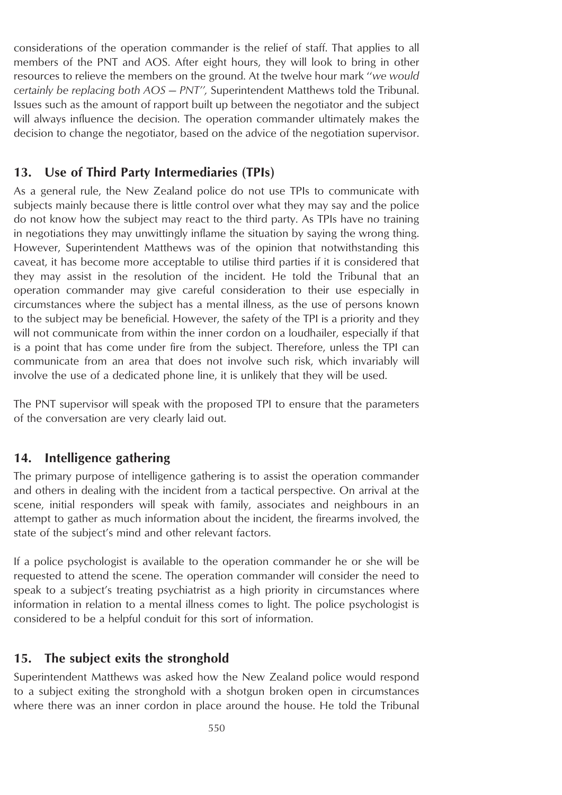considerations of the operation commander is the relief of staff. That applies to all members of the PNT and AOS. After eight hours, they will look to bring in other resources to relieve the members on the ground. At the twelve hour mark ''*we would certainly be replacing both AOS — PNT'',* Superintendent Matthews told the Tribunal. Issues such as the amount of rapport built up between the negotiator and the subject will always influence the decision. The operation commander ultimately makes the decision to change the negotiator, based on the advice of the negotiation supervisor.

#### **13. Use of Third Party Intermediaries (TPIs)**

As a general rule, the New Zealand police do not use TPIs to communicate with subjects mainly because there is little control over what they may say and the police do not know how the subject may react to the third party. As TPIs have no training in negotiations they may unwittingly inflame the situation by saying the wrong thing. However, Superintendent Matthews was of the opinion that notwithstanding this caveat, it has become more acceptable to utilise third parties if it is considered that they may assist in the resolution of the incident. He told the Tribunal that an operation commander may give careful consideration to their use especially in circumstances where the subject has a mental illness, as the use of persons known to the subject may be beneficial. However, the safety of the TPI is a priority and they will not communicate from within the inner cordon on a loudhailer, especially if that is a point that has come under fire from the subject. Therefore, unless the TPI can communicate from an area that does not involve such risk, which invariably will involve the use of a dedicated phone line, it is unlikely that they will be used.

The PNT supervisor will speak with the proposed TPI to ensure that the parameters of the conversation are very clearly laid out.

#### **14. Intelligence gathering**

The primary purpose of intelligence gathering is to assist the operation commander and others in dealing with the incident from a tactical perspective. On arrival at the scene, initial responders will speak with family, associates and neighbours in an attempt to gather as much information about the incident, the firearms involved, the state of the subject's mind and other relevant factors.

If a police psychologist is available to the operation commander he or she will be requested to attend the scene. The operation commander will consider the need to speak to a subject's treating psychiatrist as a high priority in circumstances where information in relation to a mental illness comes to light. The police psychologist is considered to be a helpful conduit for this sort of information.

#### **15. The subject exits the stronghold**

Superintendent Matthews was asked how the New Zealand police would respond to a subject exiting the stronghold with a shotgun broken open in circumstances where there was an inner cordon in place around the house. He told the Tribunal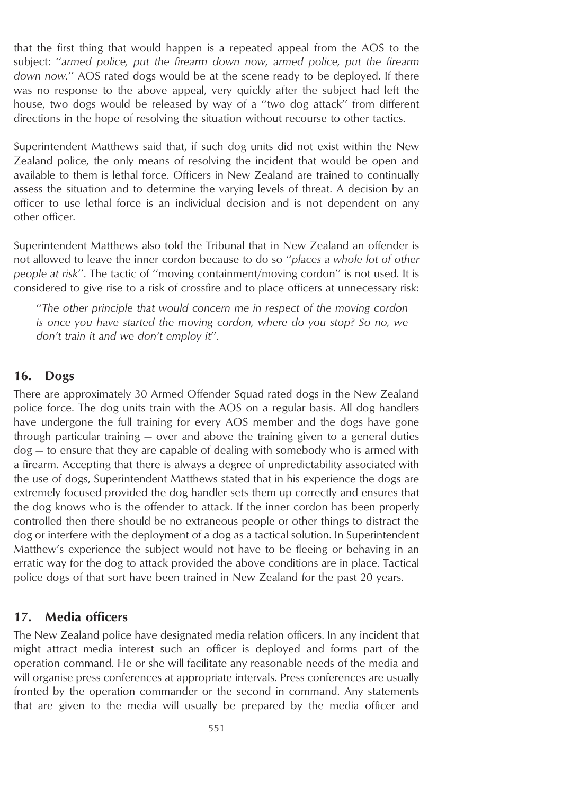that the first thing that would happen is a repeated appeal from the AOS to the subject: ''*armed police, put the firearm down now, armed police, put the firearm down now.*'' AOS rated dogs would be at the scene ready to be deployed. If there was no response to the above appeal, very quickly after the subject had left the house, two dogs would be released by way of a ''two dog attack'' from different directions in the hope of resolving the situation without recourse to other tactics.

Superintendent Matthews said that, if such dog units did not exist within the New Zealand police, the only means of resolving the incident that would be open and available to them is lethal force. Officers in New Zealand are trained to continually assess the situation and to determine the varying levels of threat. A decision by an officer to use lethal force is an individual decision and is not dependent on any other officer.

Superintendent Matthews also told the Tribunal that in New Zealand an offender is not allowed to leave the inner cordon because to do so ''*places a whole lot of other people at risk*''. The tactic of ''moving containment/moving cordon'' is not used. It is considered to give rise to a risk of crossfire and to place officers at unnecessary risk:

''*The other principle that would concern me in respect of the moving cordon is once you have started the moving cordon, where do you stop? So no, we don't train it and we don't employ it*''.

#### **16. Dogs**

There are approximately 30 Armed Offender Squad rated dogs in the New Zealand police force. The dog units train with the AOS on a regular basis. All dog handlers have undergone the full training for every AOS member and the dogs have gone through particular training — over and above the training given to a general duties dog — to ensure that they are capable of dealing with somebody who is armed with a firearm. Accepting that there is always a degree of unpredictability associated with the use of dogs, Superintendent Matthews stated that in his experience the dogs are extremely focused provided the dog handler sets them up correctly and ensures that the dog knows who is the offender to attack. If the inner cordon has been properly controlled then there should be no extraneous people or other things to distract the dog or interfere with the deployment of a dog as a tactical solution. In Superintendent Matthew's experience the subject would not have to be fleeing or behaving in an erratic way for the dog to attack provided the above conditions are in place. Tactical police dogs of that sort have been trained in New Zealand for the past 20 years.

#### **17. Media officers**

The New Zealand police have designated media relation officers. In any incident that might attract media interest such an officer is deployed and forms part of the operation command. He or she will facilitate any reasonable needs of the media and will organise press conferences at appropriate intervals. Press conferences are usually fronted by the operation commander or the second in command. Any statements that are given to the media will usually be prepared by the media officer and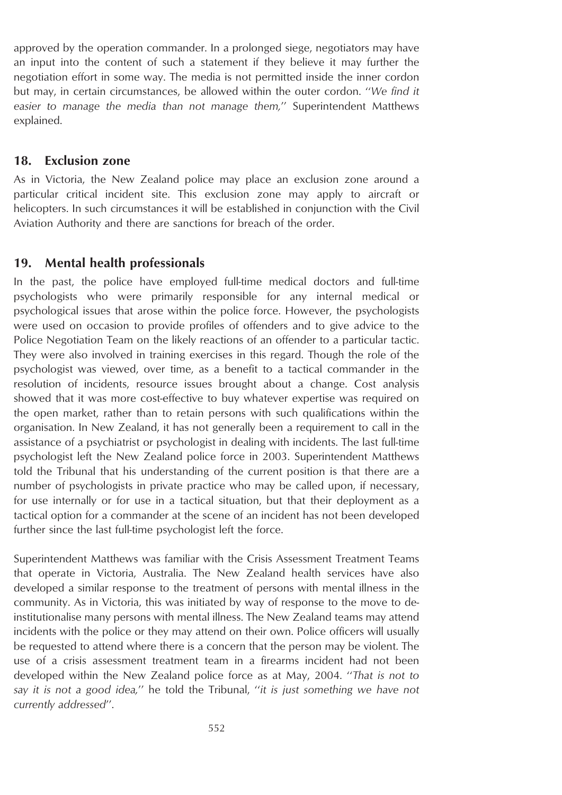approved by the operation commander. In a prolonged siege, negotiators may have an input into the content of such a statement if they believe it may further the negotiation effort in some way. The media is not permitted inside the inner cordon but may, in certain circumstances, be allowed within the outer cordon. ''*We find it easier to manage the media than not manage them,*'' Superintendent Matthews explained.

#### **18. Exclusion zone**

As in Victoria, the New Zealand police may place an exclusion zone around a particular critical incident site. This exclusion zone may apply to aircraft or helicopters. In such circumstances it will be established in conjunction with the Civil Aviation Authority and there are sanctions for breach of the order.

#### **19. Mental health professionals**

In the past, the police have employed full-time medical doctors and full-time psychologists who were primarily responsible for any internal medical or psychological issues that arose within the police force. However, the psychologists were used on occasion to provide profiles of offenders and to give advice to the Police Negotiation Team on the likely reactions of an offender to a particular tactic. They were also involved in training exercises in this regard. Though the role of the psychologist was viewed, over time, as a benefit to a tactical commander in the resolution of incidents, resource issues brought about a change. Cost analysis showed that it was more cost-effective to buy whatever expertise was required on the open market, rather than to retain persons with such qualifications within the organisation. In New Zealand, it has not generally been a requirement to call in the assistance of a psychiatrist or psychologist in dealing with incidents. The last full-time psychologist left the New Zealand police force in 2003. Superintendent Matthews told the Tribunal that his understanding of the current position is that there are a number of psychologists in private practice who may be called upon, if necessary, for use internally or for use in a tactical situation, but that their deployment as a tactical option for a commander at the scene of an incident has not been developed further since the last full-time psychologist left the force.

Superintendent Matthews was familiar with the Crisis Assessment Treatment Teams that operate in Victoria, Australia. The New Zealand health services have also developed a similar response to the treatment of persons with mental illness in the community. As in Victoria, this was initiated by way of response to the move to deinstitutionalise many persons with mental illness. The New Zealand teams may attend incidents with the police or they may attend on their own. Police officers will usually be requested to attend where there is a concern that the person may be violent. The use of a crisis assessment treatment team in a firearms incident had not been developed within the New Zealand police force as at May, 2004. ''*That is not to say it is not a good idea,*'' he told the Tribunal, ''*it is just something we have not currently addressed*''.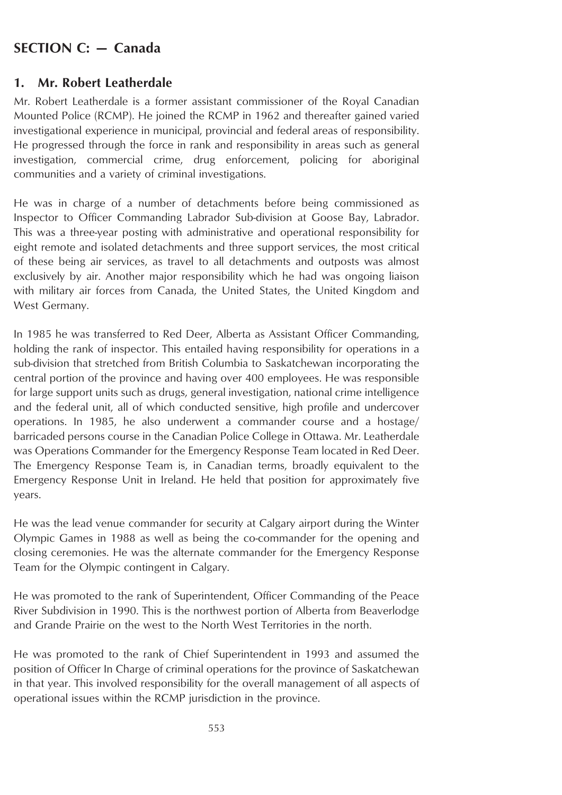# **SECTION C: — Canada**

## **1. Mr. Robert Leatherdale**

Mr. Robert Leatherdale is a former assistant commissioner of the Royal Canadian Mounted Police (RCMP). He joined the RCMP in 1962 and thereafter gained varied investigational experience in municipal, provincial and federal areas of responsibility. He progressed through the force in rank and responsibility in areas such as general investigation, commercial crime, drug enforcement, policing for aboriginal communities and a variety of criminal investigations.

He was in charge of a number of detachments before being commissioned as Inspector to Officer Commanding Labrador Sub-division at Goose Bay, Labrador. This was a three-year posting with administrative and operational responsibility for eight remote and isolated detachments and three support services, the most critical of these being air services, as travel to all detachments and outposts was almost exclusively by air. Another major responsibility which he had was ongoing liaison with military air forces from Canada, the United States, the United Kingdom and West Germany.

In 1985 he was transferred to Red Deer, Alberta as Assistant Officer Commanding, holding the rank of inspector. This entailed having responsibility for operations in a sub-division that stretched from British Columbia to Saskatchewan incorporating the central portion of the province and having over 400 employees. He was responsible for large support units such as drugs, general investigation, national crime intelligence and the federal unit, all of which conducted sensitive, high profile and undercover operations. In 1985, he also underwent a commander course and a hostage/ barricaded persons course in the Canadian Police College in Ottawa. Mr. Leatherdale was Operations Commander for the Emergency Response Team located in Red Deer. The Emergency Response Team is, in Canadian terms, broadly equivalent to the Emergency Response Unit in Ireland. He held that position for approximately five years.

He was the lead venue commander for security at Calgary airport during the Winter Olympic Games in 1988 as well as being the co-commander for the opening and closing ceremonies. He was the alternate commander for the Emergency Response Team for the Olympic contingent in Calgary.

He was promoted to the rank of Superintendent, Officer Commanding of the Peace River Subdivision in 1990. This is the northwest portion of Alberta from Beaverlodge and Grande Prairie on the west to the North West Territories in the north.

He was promoted to the rank of Chief Superintendent in 1993 and assumed the position of Officer In Charge of criminal operations for the province of Saskatchewan in that year. This involved responsibility for the overall management of all aspects of operational issues within the RCMP jurisdiction in the province.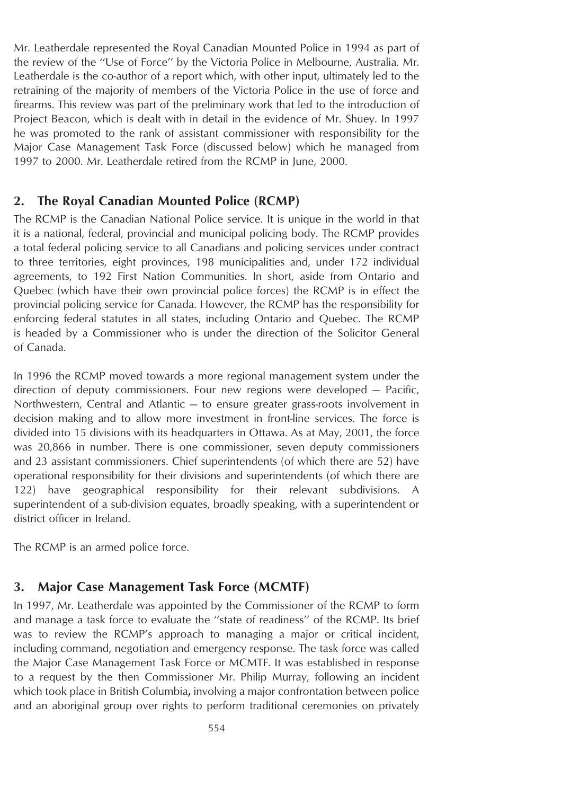Mr. Leatherdale represented the Royal Canadian Mounted Police in 1994 as part of the review of the ''Use of Force'' by the Victoria Police in Melbourne, Australia. Mr. Leatherdale is the co-author of a report which, with other input, ultimately led to the retraining of the majority of members of the Victoria Police in the use of force and firearms. This review was part of the preliminary work that led to the introduction of Project Beacon, which is dealt with in detail in the evidence of Mr. Shuey. In 1997 he was promoted to the rank of assistant commissioner with responsibility for the Major Case Management Task Force (discussed below) which he managed from 1997 to 2000. Mr. Leatherdale retired from the RCMP in June, 2000.

## **2. The Royal Canadian Mounted Police (RCMP)**

The RCMP is the Canadian National Police service. It is unique in the world in that it is a national, federal, provincial and municipal policing body. The RCMP provides a total federal policing service to all Canadians and policing services under contract to three territories, eight provinces, 198 municipalities and, under 172 individual agreements, to 192 First Nation Communities. In short, aside from Ontario and Quebec (which have their own provincial police forces) the RCMP is in effect the provincial policing service for Canada. However, the RCMP has the responsibility for enforcing federal statutes in all states, including Ontario and Quebec. The RCMP is headed by a Commissioner who is under the direction of the Solicitor General of Canada.

In 1996 the RCMP moved towards a more regional management system under the direction of deputy commissioners. Four new regions were developed — Pacific, Northwestern, Central and Atlantic — to ensure greater grass-roots involvement in decision making and to allow more investment in front-line services. The force is divided into 15 divisions with its headquarters in Ottawa. As at May, 2001, the force was 20,866 in number. There is one commissioner, seven deputy commissioners and 23 assistant commissioners. Chief superintendents (of which there are 52) have operational responsibility for their divisions and superintendents (of which there are 122) have geographical responsibility for their relevant subdivisions. A superintendent of a sub-division equates, broadly speaking, with a superintendent or district officer in Ireland.

The RCMP is an armed police force.

# **3. Major Case Management Task Force (MCMTF)**

In 1997, Mr. Leatherdale was appointed by the Commissioner of the RCMP to form and manage a task force to evaluate the ''state of readiness'' of the RCMP. Its brief was to review the RCMP's approach to managing a major or critical incident, including command, negotiation and emergency response. The task force was called the Major Case Management Task Force or MCMTF. It was established in response to a request by the then Commissioner Mr. Philip Murray, following an incident which took place in British Columbia**,** involving a major confrontation between police and an aboriginal group over rights to perform traditional ceremonies on privately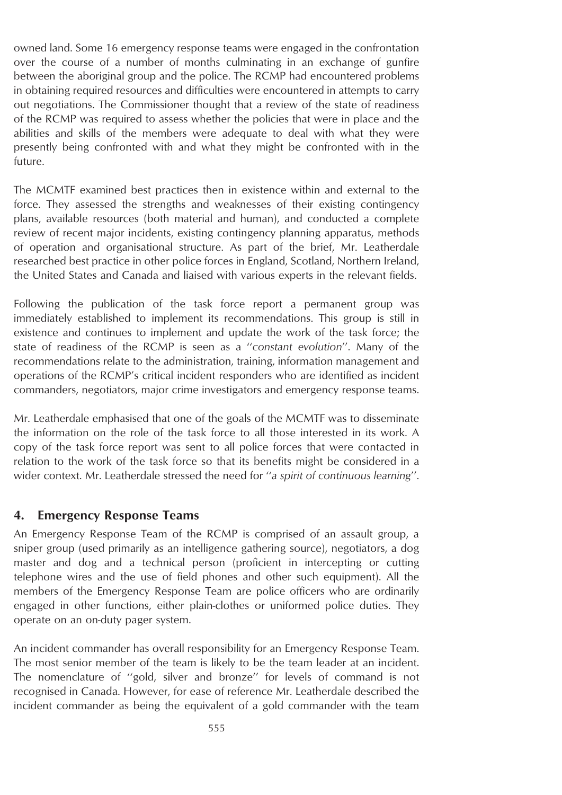owned land. Some 16 emergency response teams were engaged in the confrontation over the course of a number of months culminating in an exchange of gunfire between the aboriginal group and the police. The RCMP had encountered problems in obtaining required resources and difficulties were encountered in attempts to carry out negotiations. The Commissioner thought that a review of the state of readiness of the RCMP was required to assess whether the policies that were in place and the abilities and skills of the members were adequate to deal with what they were presently being confronted with and what they might be confronted with in the future.

The MCMTF examined best practices then in existence within and external to the force. They assessed the strengths and weaknesses of their existing contingency plans, available resources (both material and human), and conducted a complete review of recent major incidents, existing contingency planning apparatus, methods of operation and organisational structure. As part of the brief, Mr. Leatherdale researched best practice in other police forces in England, Scotland, Northern Ireland, the United States and Canada and liaised with various experts in the relevant fields.

Following the publication of the task force report a permanent group was immediately established to implement its recommendations. This group is still in existence and continues to implement and update the work of the task force; the state of readiness of the RCMP is seen as a ''*constant evolution*''. Many of the recommendations relate to the administration, training, information management and operations of the RCMP's critical incident responders who are identified as incident commanders, negotiators, major crime investigators and emergency response teams.

Mr. Leatherdale emphasised that one of the goals of the MCMTF was to disseminate the information on the role of the task force to all those interested in its work. A copy of the task force report was sent to all police forces that were contacted in relation to the work of the task force so that its benefits might be considered in a wider context. Mr. Leatherdale stressed the need for ''*a spirit of continuous learning*''.

## **4. Emergency Response Teams**

An Emergency Response Team of the RCMP is comprised of an assault group, a sniper group (used primarily as an intelligence gathering source), negotiators, a dog master and dog and a technical person (proficient in intercepting or cutting telephone wires and the use of field phones and other such equipment). All the members of the Emergency Response Team are police officers who are ordinarily engaged in other functions, either plain-clothes or uniformed police duties. They operate on an on-duty pager system.

An incident commander has overall responsibility for an Emergency Response Team. The most senior member of the team is likely to be the team leader at an incident. The nomenclature of ''gold, silver and bronze'' for levels of command is not recognised in Canada. However, for ease of reference Mr. Leatherdale described the incident commander as being the equivalent of a gold commander with the team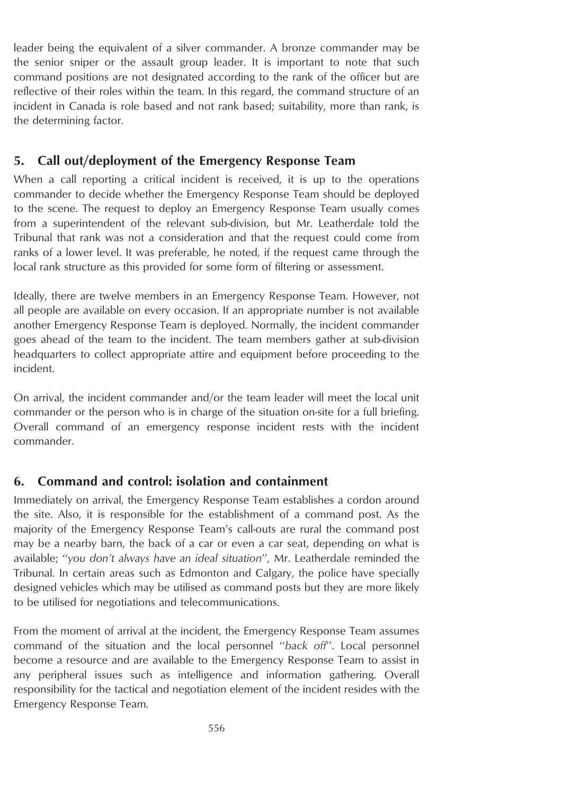leader being the equivalent of a silver commander. A bronze commander may be the senior sniper or the assault group leader. It is important to note that such command positions are not designated according to the rank of the officer but are reflective of their roles within the team. In this regard, the command structure of an incident in Canada is role based and not rank based; suitability, more than rank, is the determining factor.

## **5. Call out/deployment of the Emergency Response Team**

When a call reporting a critical incident is received, it is up to the operations commander to decide whether the Emergency Response Team should be deployed to the scene. The request to deploy an Emergency Response Team usually comes from a superintendent of the relevant sub-division, but Mr. Leatherdale told the Tribunal that rank was not a consideration and that the request could come from ranks of a lower level. It was preferable, he noted, if the request came through the local rank structure as this provided for some form of filtering or assessment.

Ideally, there are twelve members in an Emergency Response Team. However, not all people are available on every occasion. If an appropriate number is not available another Emergency Response Team is deployed. Normally, the incident commander goes ahead of the team to the incident. The team members gather at sub-division headquarters to collect appropriate attire and equipment before proceeding to the incident.

On arrival, the incident commander and/or the team leader will meet the local unit commander or the person who is in charge of the situation on-site for a full briefing. Overall command of an emergency response incident rests with the incident commander.

## **6. Command and control: isolation and containment**

Immediately on arrival, the Emergency Response Team establishes a cordon around the site. Also, it is responsible for the establishment of a command post. As the majority of the Emergency Response Team's call-outs are rural the command post may be a nearby barn, the back of a car or even a car seat, depending on what is available; ''*you don't always have an ideal situation*''*,* Mr. Leatherdale reminded the Tribunal. In certain areas such as Edmonton and Calgary, the police have specially designed vehicles which may be utilised as command posts but they are more likely to be utilised for negotiations and telecommunications.

From the moment of arrival at the incident, the Emergency Response Team assumes command of the situation and the local personnel ''*back off*''. Local personnel become a resource and are available to the Emergency Response Team to assist in any peripheral issues such as intelligence and information gathering. Overall responsibility for the tactical and negotiation element of the incident resides with the Emergency Response Team.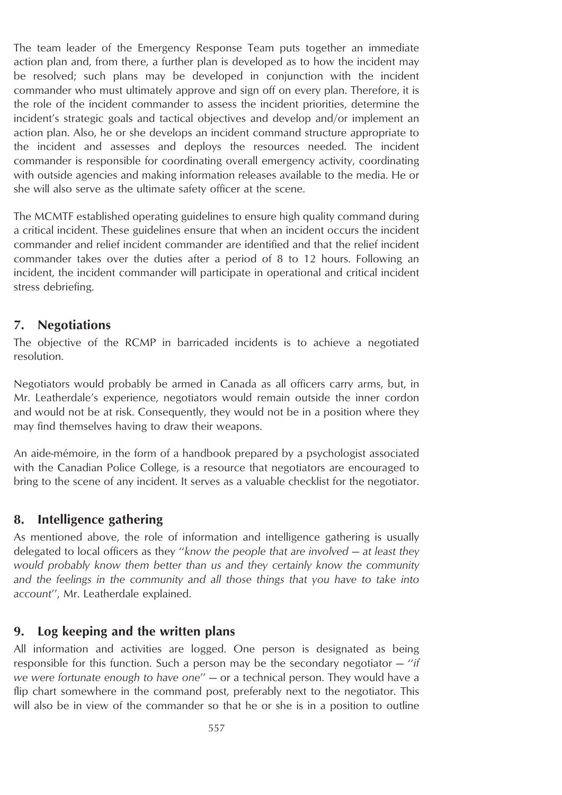The team leader of the Emergency Response Team puts together an immediate action plan and, from there, a further plan is developed as to how the incident may be resolved; such plans may be developed in conjunction with the incident commander who must ultimately approve and sign off on every plan. Therefore, it is the role of the incident commander to assess the incident priorities, determine the incident's strategic goals and tactical objectives and develop and/or implement an action plan. Also, he or she develops an incident command structure appropriate to the incident and assesses and deploys the resources needed. The incident commander is responsible for coordinating overall emergency activity, coordinating with outside agencies and making information releases available to the media. He or she will also serve as the ultimate safety officer at the scene.

The MCMTF established operating guidelines to ensure high quality command during a critical incident. These guidelines ensure that when an incident occurs the incident commander and relief incident commander are identified and that the relief incident commander takes over the duties after a period of 8 to 12 hours. Following an incident, the incident commander will participate in operational and critical incident stress debriefing.

#### **7. Negotiations**

The objective of the RCMP in barricaded incidents is to achieve a negotiated resolution.

Negotiators would probably be armed in Canada as all officers carry arms, but, in Mr. Leatherdale's experience, negotiators would remain outside the inner cordon and would not be at risk. Consequently, they would not be in a position where they may find themselves having to draw their weapons.

An aide-mémoire, in the form of a handbook prepared by a psychologist associated with the Canadian Police College, is a resource that negotiators are encouraged to bring to the scene of any incident. It serves as a valuable checklist for the negotiator.

#### **8. Intelligence gathering**

As mentioned above, the role of information and intelligence gathering is usually delegated to local officers as they ''*know the people that are involved — at least they would probably know them better than us and they certainly know the community and the feelings in the community and all those things that you have to take into account*'', Mr. Leatherdale explained.

#### **9. Log keeping and the written plans**

All information and activities are logged. One person is designated as being responsible for this function. Such a person may be the secondary negotiator — ''*if we were fortunate enough to have one*'' — or a technical person. They would have a flip chart somewhere in the command post, preferably next to the negotiator. This will also be in view of the commander so that he or she is in a position to outline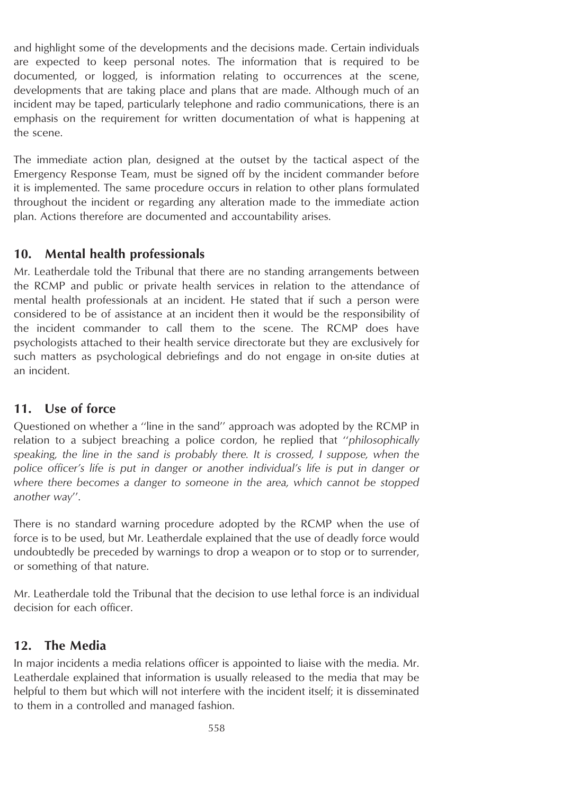and highlight some of the developments and the decisions made. Certain individuals are expected to keep personal notes. The information that is required to be documented, or logged, is information relating to occurrences at the scene, developments that are taking place and plans that are made. Although much of an incident may be taped, particularly telephone and radio communications, there is an emphasis on the requirement for written documentation of what is happening at the scene.

The immediate action plan, designed at the outset by the tactical aspect of the Emergency Response Team, must be signed off by the incident commander before it is implemented. The same procedure occurs in relation to other plans formulated throughout the incident or regarding any alteration made to the immediate action plan. Actions therefore are documented and accountability arises.

# **10. Mental health professionals**

Mr. Leatherdale told the Tribunal that there are no standing arrangements between the RCMP and public or private health services in relation to the attendance of mental health professionals at an incident. He stated that if such a person were considered to be of assistance at an incident then it would be the responsibility of the incident commander to call them to the scene. The RCMP does have psychologists attached to their health service directorate but they are exclusively for such matters as psychological debriefings and do not engage in on-site duties at an incident.

# **11. Use of force**

Questioned on whether a ''line in the sand'' approach was adopted by the RCMP in relation to a subject breaching a police cordon, he replied that ''*philosophically speaking, the line in the sand is probably there. It is crossed, I suppose, when the police officer's life is put in danger or another individual's life is put in danger or where there becomes a danger to someone in the area, which cannot be stopped another way*''.

There is no standard warning procedure adopted by the RCMP when the use of force is to be used, but Mr. Leatherdale explained that the use of deadly force would undoubtedly be preceded by warnings to drop a weapon or to stop or to surrender, or something of that nature.

Mr. Leatherdale told the Tribunal that the decision to use lethal force is an individual decision for each officer.

# **12. The Media**

In major incidents a media relations officer is appointed to liaise with the media. Mr. Leatherdale explained that information is usually released to the media that may be helpful to them but which will not interfere with the incident itself; it is disseminated to them in a controlled and managed fashion.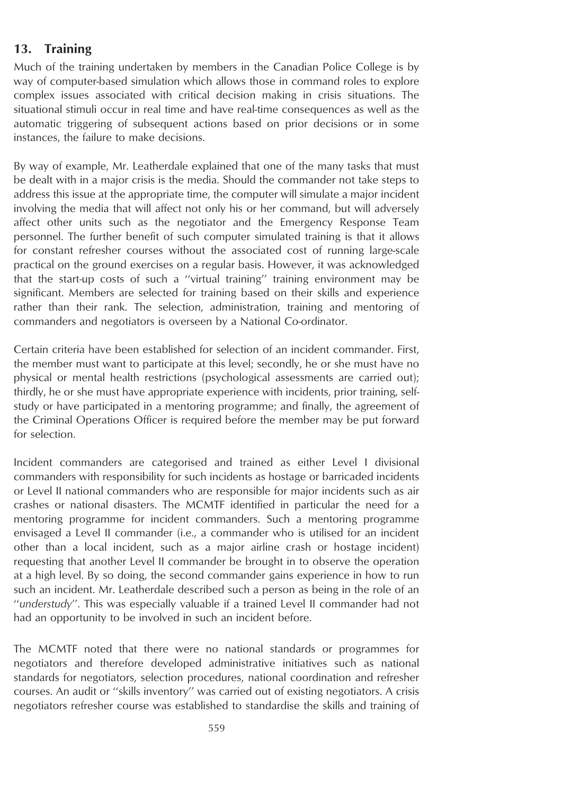# **13. Training**

Much of the training undertaken by members in the Canadian Police College is by way of computer-based simulation which allows those in command roles to explore complex issues associated with critical decision making in crisis situations. The situational stimuli occur in real time and have real-time consequences as well as the automatic triggering of subsequent actions based on prior decisions or in some instances, the failure to make decisions.

By way of example, Mr. Leatherdale explained that one of the many tasks that must be dealt with in a major crisis is the media. Should the commander not take steps to address this issue at the appropriate time, the computer will simulate a major incident involving the media that will affect not only his or her command, but will adversely affect other units such as the negotiator and the Emergency Response Team personnel. The further benefit of such computer simulated training is that it allows for constant refresher courses without the associated cost of running large-scale practical on the ground exercises on a regular basis. However, it was acknowledged that the start-up costs of such a ''virtual training'' training environment may be significant. Members are selected for training based on their skills and experience rather than their rank. The selection, administration, training and mentoring of commanders and negotiators is overseen by a National Co-ordinator.

Certain criteria have been established for selection of an incident commander. First, the member must want to participate at this level; secondly, he or she must have no physical or mental health restrictions (psychological assessments are carried out); thirdly, he or she must have appropriate experience with incidents, prior training, selfstudy or have participated in a mentoring programme; and finally, the agreement of the Criminal Operations Officer is required before the member may be put forward for selection.

Incident commanders are categorised and trained as either Level I divisional commanders with responsibility for such incidents as hostage or barricaded incidents or Level II national commanders who are responsible for major incidents such as air crashes or national disasters. The MCMTF identified in particular the need for a mentoring programme for incident commanders. Such a mentoring programme envisaged a Level II commander (i.e., a commander who is utilised for an incident other than a local incident, such as a major airline crash or hostage incident) requesting that another Level II commander be brought in to observe the operation at a high level. By so doing, the second commander gains experience in how to run such an incident. Mr. Leatherdale described such a person as being in the role of an ''*understudy*''. This was especially valuable if a trained Level II commander had not had an opportunity to be involved in such an incident before.

The MCMTF noted that there were no national standards or programmes for negotiators and therefore developed administrative initiatives such as national standards for negotiators, selection procedures, national coordination and refresher courses. An audit or ''skills inventory'' was carried out of existing negotiators. A crisis negotiators refresher course was established to standardise the skills and training of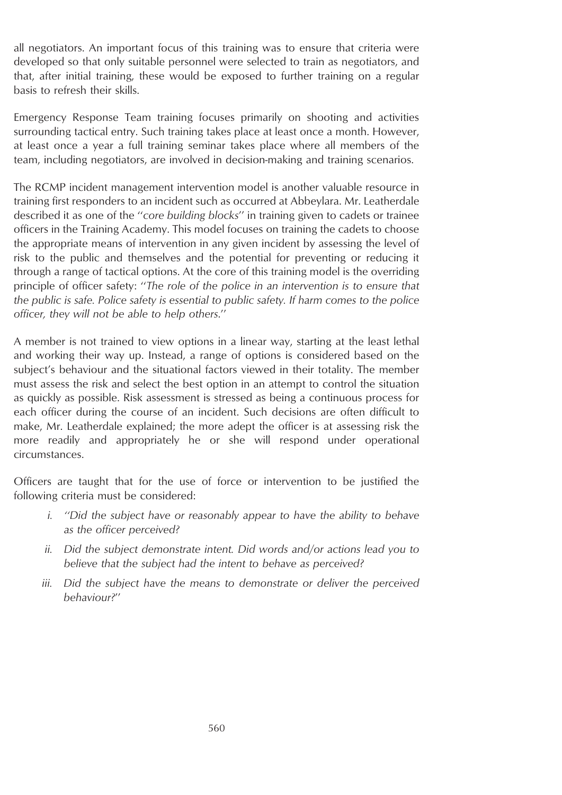all negotiators. An important focus of this training was to ensure that criteria were developed so that only suitable personnel were selected to train as negotiators, and that, after initial training, these would be exposed to further training on a regular basis to refresh their skills.

Emergency Response Team training focuses primarily on shooting and activities surrounding tactical entry. Such training takes place at least once a month. However, at least once a year a full training seminar takes place where all members of the team, including negotiators, are involved in decision-making and training scenarios.

The RCMP incident management intervention model is another valuable resource in training first responders to an incident such as occurred at Abbeylara. Mr. Leatherdale described it as one of the ''*core building blocks*'' in training given to cadets or trainee officers in the Training Academy. This model focuses on training the cadets to choose the appropriate means of intervention in any given incident by assessing the level of risk to the public and themselves and the potential for preventing or reducing it through a range of tactical options. At the core of this training model is the overriding principle of officer safety: ''*The role of the police in an intervention is to ensure that the public is safe. Police safety is essential to public safety. If harm comes to the police officer, they will not be able to help others*.''

A member is not trained to view options in a linear way, starting at the least lethal and working their way up. Instead, a range of options is considered based on the subject's behaviour and the situational factors viewed in their totality. The member must assess the risk and select the best option in an attempt to control the situation as quickly as possible. Risk assessment is stressed as being a continuous process for each officer during the course of an incident. Such decisions are often difficult to make, Mr. Leatherdale explained; the more adept the officer is at assessing risk the more readily and appropriately he or she will respond under operational circumstances.

Officers are taught that for the use of force or intervention to be justified the following criteria must be considered:

- *i. ''Did the subject have or reasonably appear to have the ability to behave as the officer perceived?*
- *ii. Did the subject demonstrate intent. Did words and/or actions lead you to believe that the subject had the intent to behave as perceived?*
- *iii. Did the subject have the means to demonstrate or deliver the perceived behaviour?*''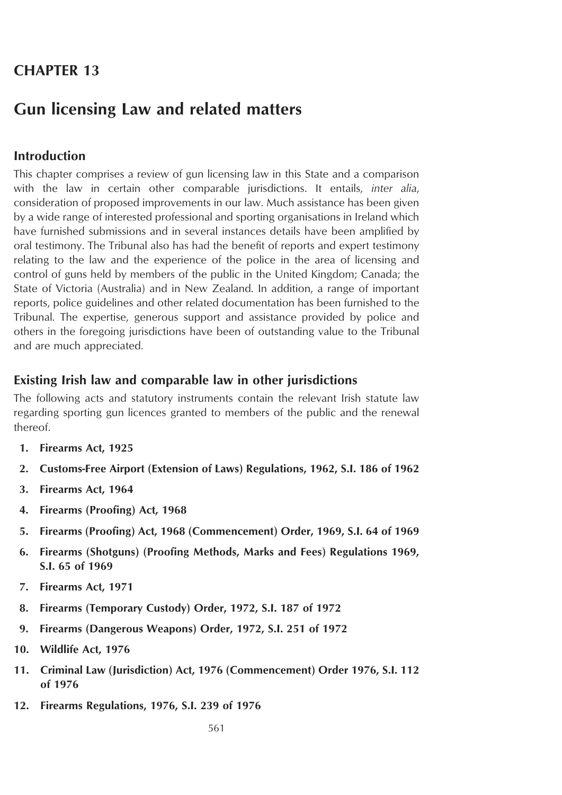# **CHAPTER 13**

# **Gun licensing Law and related matters**

## **Introduction**

This chapter comprises a review of gun licensing law in this State and a comparison with the law in certain other comparable jurisdictions. It entails, *inter alia*, consideration of proposed improvements in our law. Much assistance has been given by a wide range of interested professional and sporting organisations in Ireland which have furnished submissions and in several instances details have been amplified by oral testimony. The Tribunal also has had the benefit of reports and expert testimony relating to the law and the experience of the police in the area of licensing and control of guns held by members of the public in the United Kingdom; Canada; the State of Victoria (Australia) and in New Zealand. In addition, a range of important reports, police guidelines and other related documentation has been furnished to the Tribunal. The expertise, generous support and assistance provided by police and others in the foregoing jurisdictions have been of outstanding value to the Tribunal and are much appreciated.

#### **Existing Irish law and comparable law in other jurisdictions**

The following acts and statutory instruments contain the relevant Irish statute law regarding sporting gun licences granted to members of the public and the renewal thereof.

- **1. Firearms Act, 1925**
- **2. Customs-Free Airport (Extension of Laws) Regulations, 1962, S.I. 186 of 1962**
- **3. Firearms Act, 1964**
- **4. Firearms (Proofing) Act, 1968**
- **5. Firearms (Proofing) Act, 1968 (Commencement) Order, 1969, S.I. 64 of 1969**
- **6. Firearms (Shotguns) (Proofing Methods, Marks and Fees) Regulations 1969, S.I. 65 of 1969**
- **7. Firearms Act, 1971**
- **8. Firearms (Temporary Custody) Order, 1972, S.I. 187 of 1972**
- **9. Firearms (Dangerous Weapons) Order, 1972, S.I. 251 of 1972**
- **10. Wildlife Act, 1976**
- **11. Criminal Law (Jurisdiction) Act, 1976 (Commencement) Order 1976, S.I. 112 of 1976**
- **12. Firearms Regulations, 1976, S.I. 239 of 1976**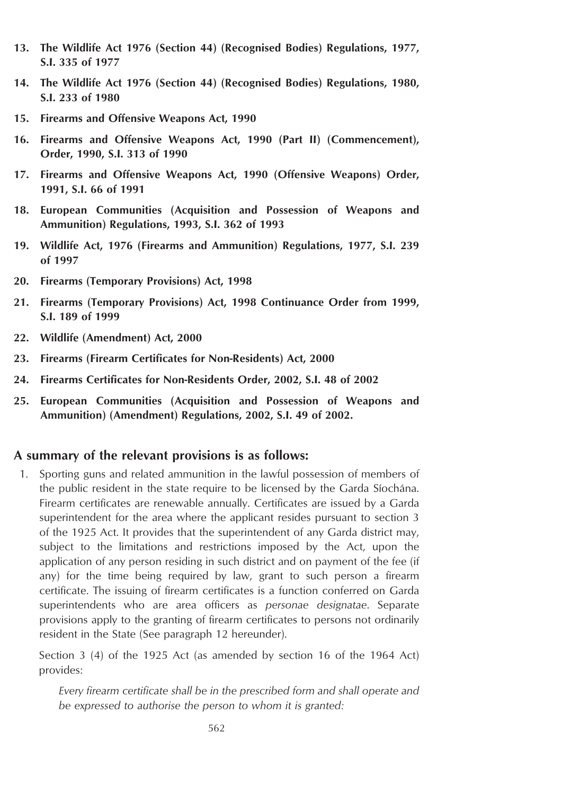- **13. The Wildlife Act 1976 (Section 44) (Recognised Bodies) Regulations, 1977, S.I. 335 of 1977**
- **14. The Wildlife Act 1976 (Section 44) (Recognised Bodies) Regulations, 1980, S.I. 233 of 1980**
- **15. Firearms and Offensive Weapons Act, 1990**
- **16. Firearms and Offensive Weapons Act, 1990 (Part II) (Commencement), Order, 1990, S.I. 313 of 1990**
- **17. Firearms and Offensive Weapons Act, 1990 (Offensive Weapons) Order, 1991, S.I. 66 of 1991**
- **18. European Communities (Acquisition and Possession of Weapons and Ammunition) Regulations, 1993, S.I. 362 of 1993**
- **19. Wildlife Act, 1976 (Firearms and Ammunition) Regulations, 1977, S.I. 239 of 1997**
- **20. Firearms (Temporary Provisions) Act, 1998**
- **21. Firearms (Temporary Provisions) Act, 1998 Continuance Order from 1999, S.I. 189 of 1999**
- **22. Wildlife (Amendment) Act, 2000**
- **23. Firearms (Firearm Certificates for Non-Residents) Act, 2000**
- **24. Firearms Certificates for Non-Residents Order, 2002, S.I. 48 of 2002**
- **25. European Communities (Acquisition and Possession of Weapons and Ammunition) (Amendment) Regulations, 2002, S.I. 49 of 2002.**

#### **A summary of the relevant provisions is as follows:**

1. Sporting guns and related ammunition in the lawful possession of members of the public resident in the state require to be licensed by the Garda Síochána. Firearm certificates are renewable annually. Certificates are issued by a Garda superintendent for the area where the applicant resides pursuant to section 3 of the 1925 Act. It provides that the superintendent of any Garda district may, subject to the limitations and restrictions imposed by the Act, upon the application of any person residing in such district and on payment of the fee (if any) for the time being required by law, grant to such person a firearm certificate. The issuing of firearm certificates is a function conferred on Garda superintendents who are area officers as *personae designatae*. Separate provisions apply to the granting of firearm certificates to persons not ordinarily resident in the State (See paragraph 12 hereunder).

Section 3 (4) of the 1925 Act (as amended by section 16 of the 1964 Act) provides:

*Every firearm certificate shall be in the prescribed form and shall operate and be expressed to authorise the person to whom it is granted:*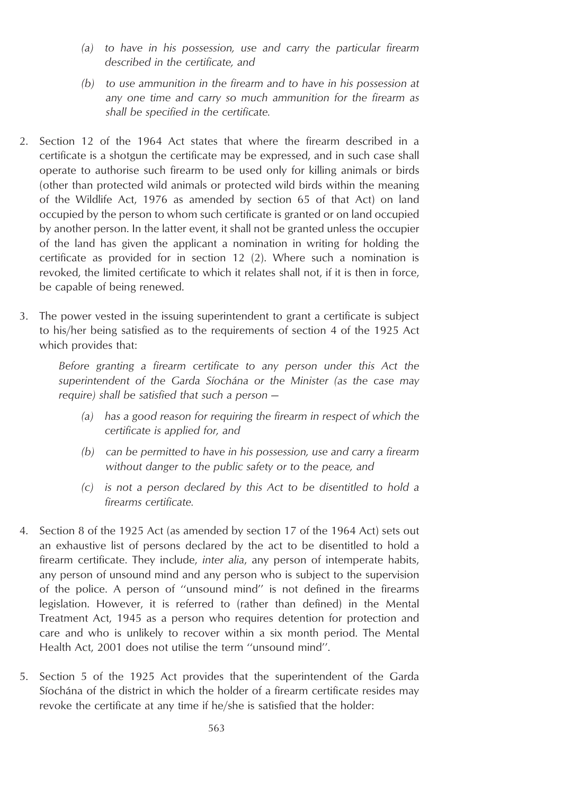- *(a) to have in his possession, use and carry the particular firearm described in the certificate, and*
- *(b) to use ammunition in the firearm and to have in his possession at any one time and carry so much ammunition for the firearm as shall be specified in the certificate.*
- 2. Section 12 of the 1964 Act states that where the firearm described in a certificate is a shotgun the certificate may be expressed, and in such case shall operate to authorise such firearm to be used only for killing animals or birds (other than protected wild animals or protected wild birds within the meaning of the Wildlife Act, 1976 as amended by section 65 of that Act) on land occupied by the person to whom such certificate is granted or on land occupied by another person. In the latter event, it shall not be granted unless the occupier of the land has given the applicant a nomination in writing for holding the certificate as provided for in section 12 (2). Where such a nomination is revoked, the limited certificate to which it relates shall not, if it is then in force, be capable of being renewed.
- 3. The power vested in the issuing superintendent to grant a certificate is subject to his/her being satisfied as to the requirements of section 4 of the 1925 Act which provides that:

*Before granting a firearm certificate to any person under this Act the superintendent of the Garda Sı´ocha´na or the Minister (as the case may require) shall be satisfied that such a person —*

- *(a) has a good reason for requiring the firearm in respect of which the certificate is applied for, and*
- *(b) can be permitted to have in his possession, use and carry a firearm without danger to the public safety or to the peace, and*
- *(c) is not a person declared by this Act to be disentitled to hold a firearms certificate.*
- 4. Section 8 of the 1925 Act (as amended by section 17 of the 1964 Act) sets out an exhaustive list of persons declared by the act to be disentitled to hold a firearm certificate. They include, *inter alia*, any person of intemperate habits, any person of unsound mind and any person who is subject to the supervision of the police. A person of ''unsound mind'' is not defined in the firearms legislation. However, it is referred to (rather than defined) in the Mental Treatment Act, 1945 as a person who requires detention for protection and care and who is unlikely to recover within a six month period. The Mental Health Act, 2001 does not utilise the term ''unsound mind''.
- 5. Section 5 of the 1925 Act provides that the superintendent of the Garda Siochana of the district in which the holder of a firearm certificate resides may revoke the certificate at any time if he/she is satisfied that the holder: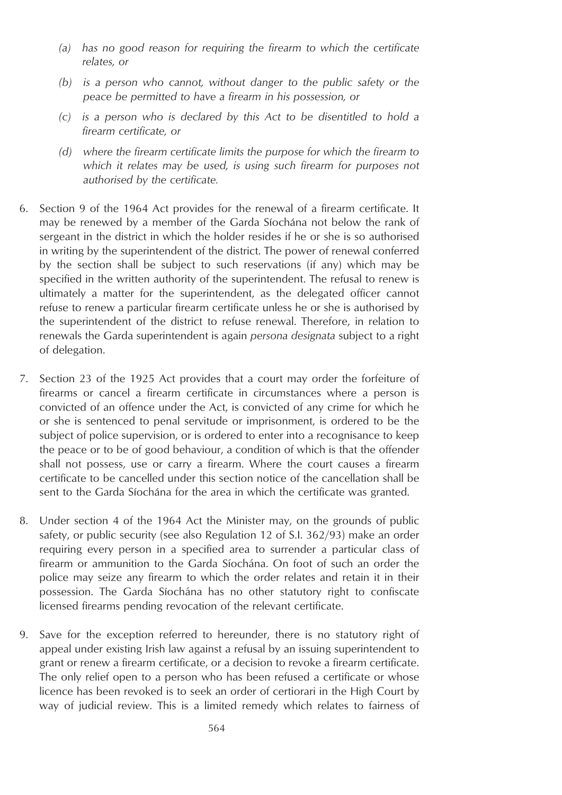- *(a) has no good reason for requiring the firearm to which the certificate relates, or*
- *(b) is a person who cannot, without danger to the public safety or the peace be permitted to have a firearm in his possession, or*
- *(c) is a person who is declared by this Act to be disentitled to hold a firearm certificate, or*
- *(d) where the firearm certificate limits the purpose for which the firearm to which it relates may be used, is using such firearm for purposes not authorised by the certificate.*
- 6. Section 9 of the 1964 Act provides for the renewal of a firearm certificate. It may be renewed by a member of the Garda Síochána not below the rank of sergeant in the district in which the holder resides if he or she is so authorised in writing by the superintendent of the district. The power of renewal conferred by the section shall be subject to such reservations (if any) which may be specified in the written authority of the superintendent. The refusal to renew is ultimately a matter for the superintendent, as the delegated officer cannot refuse to renew a particular firearm certificate unless he or she is authorised by the superintendent of the district to refuse renewal. Therefore, in relation to renewals the Garda superintendent is again *persona designata* subject to a right of delegation.
- 7. Section 23 of the 1925 Act provides that a court may order the forfeiture of firearms or cancel a firearm certificate in circumstances where a person is convicted of an offence under the Act, is convicted of any crime for which he or she is sentenced to penal servitude or imprisonment, is ordered to be the subject of police supervision, or is ordered to enter into a recognisance to keep the peace or to be of good behaviour, a condition of which is that the offender shall not possess, use or carry a firearm. Where the court causes a firearm certificate to be cancelled under this section notice of the cancellation shall be sent to the Garda Síochána for the area in which the certificate was granted.
- 8. Under section 4 of the 1964 Act the Minister may, on the grounds of public safety, or public security (see also Regulation 12 of S.I. 362/93) make an order requiring every person in a specified area to surrender a particular class of firearm or ammunition to the Garda Síochána. On foot of such an order the police may seize any firearm to which the order relates and retain it in their possession. The Garda Síochána has no other statutory right to confiscate licensed firearms pending revocation of the relevant certificate.
- 9. Save for the exception referred to hereunder, there is no statutory right of appeal under existing Irish law against a refusal by an issuing superintendent to grant or renew a firearm certificate, or a decision to revoke a firearm certificate. The only relief open to a person who has been refused a certificate or whose licence has been revoked is to seek an order of certiorari in the High Court by way of judicial review. This is a limited remedy which relates to fairness of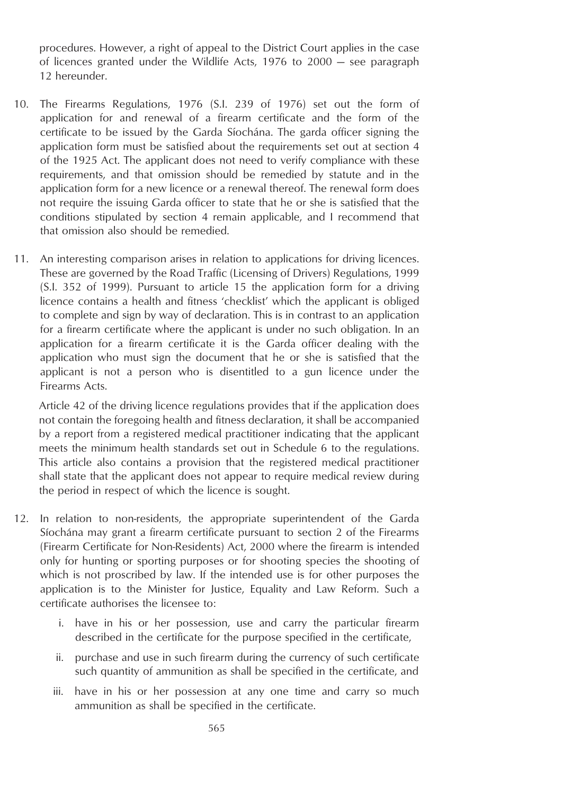procedures. However, a right of appeal to the District Court applies in the case of licences granted under the Wildlife Acts, 1976 to 2000 — see paragraph 12 hereunder.

- 10. The Firearms Regulations, 1976 (S.I. 239 of 1976) set out the form of application for and renewal of a firearm certificate and the form of the certificate to be issued by the Garda Síochána. The garda officer signing the application form must be satisfied about the requirements set out at section 4 of the 1925 Act. The applicant does not need to verify compliance with these requirements, and that omission should be remedied by statute and in the application form for a new licence or a renewal thereof. The renewal form does not require the issuing Garda officer to state that he or she is satisfied that the conditions stipulated by section 4 remain applicable, and I recommend that that omission also should be remedied.
- 11. An interesting comparison arises in relation to applications for driving licences. These are governed by the Road Traffic (Licensing of Drivers) Regulations, 1999 (S.I. 352 of 1999). Pursuant to article 15 the application form for a driving licence contains a health and fitness 'checklist' which the applicant is obliged to complete and sign by way of declaration. This is in contrast to an application for a firearm certificate where the applicant is under no such obligation. In an application for a firearm certificate it is the Garda officer dealing with the application who must sign the document that he or she is satisfied that the applicant is not a person who is disentitled to a gun licence under the Firearms Acts.

Article 42 of the driving licence regulations provides that if the application does not contain the foregoing health and fitness declaration, it shall be accompanied by a report from a registered medical practitioner indicating that the applicant meets the minimum health standards set out in Schedule 6 to the regulations. This article also contains a provision that the registered medical practitioner shall state that the applicant does not appear to require medical review during the period in respect of which the licence is sought.

- 12. In relation to non-residents, the appropriate superintendent of the Garda Síochána may grant a firearm certificate pursuant to section 2 of the Firearms (Firearm Certificate for Non-Residents) Act, 2000 where the firearm is intended only for hunting or sporting purposes or for shooting species the shooting of which is not proscribed by law. If the intended use is for other purposes the application is to the Minister for Justice, Equality and Law Reform. Such a certificate authorises the licensee to:
	- i. have in his or her possession, use and carry the particular firearm described in the certificate for the purpose specified in the certificate,
	- ii. purchase and use in such firearm during the currency of such certificate such quantity of ammunition as shall be specified in the certificate, and
	- iii. have in his or her possession at any one time and carry so much ammunition as shall be specified in the certificate.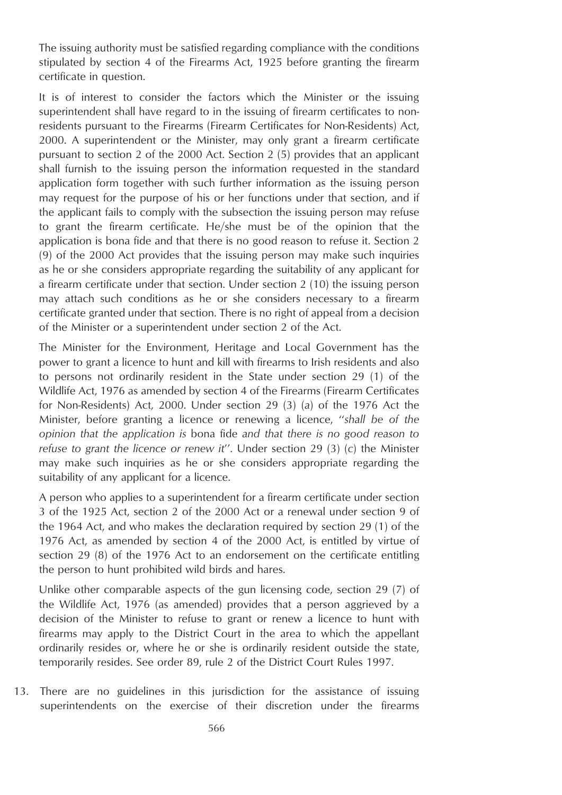The issuing authority must be satisfied regarding compliance with the conditions stipulated by section 4 of the Firearms Act, 1925 before granting the firearm certificate in question.

It is of interest to consider the factors which the Minister or the issuing superintendent shall have regard to in the issuing of firearm certificates to nonresidents pursuant to the Firearms (Firearm Certificates for Non-Residents) Act, 2000. A superintendent or the Minister, may only grant a firearm certificate pursuant to section 2 of the 2000 Act. Section 2 (5) provides that an applicant shall furnish to the issuing person the information requested in the standard application form together with such further information as the issuing person may request for the purpose of his or her functions under that section, and if the applicant fails to comply with the subsection the issuing person may refuse to grant the firearm certificate. He/she must be of the opinion that the application is bona fide and that there is no good reason to refuse it. Section 2 (9) of the 2000 Act provides that the issuing person may make such inquiries as he or she considers appropriate regarding the suitability of any applicant for a firearm certificate under that section. Under section 2 (10) the issuing person may attach such conditions as he or she considers necessary to a firearm certificate granted under that section. There is no right of appeal from a decision of the Minister or a superintendent under section 2 of the Act.

The Minister for the Environment, Heritage and Local Government has the power to grant a licence to hunt and kill with firearms to Irish residents and also to persons not ordinarily resident in the State under section 29 (1) of the Wildlife Act, 1976 as amended by section 4 of the Firearms (Firearm Certificates for Non-Residents) Act, 2000. Under section 29 (3) (*a*) of the 1976 Act the Minister, before granting a licence or renewing a licence, ''*shall be of the opinion that the application is* bona fide *and that there is no good reason to refuse to grant the licence or renew it*''. Under section 29 (3) (*c*) the Minister may make such inquiries as he or she considers appropriate regarding the suitability of any applicant for a licence.

A person who applies to a superintendent for a firearm certificate under section 3 of the 1925 Act, section 2 of the 2000 Act or a renewal under section 9 of the 1964 Act, and who makes the declaration required by section 29 (1) of the 1976 Act, as amended by section 4 of the 2000 Act, is entitled by virtue of section 29 (8) of the 1976 Act to an endorsement on the certificate entitling the person to hunt prohibited wild birds and hares.

Unlike other comparable aspects of the gun licensing code, section 29 (7) of the Wildlife Act, 1976 (as amended) provides that a person aggrieved by a decision of the Minister to refuse to grant or renew a licence to hunt with firearms may apply to the District Court in the area to which the appellant ordinarily resides or, where he or she is ordinarily resident outside the state, temporarily resides. See order 89, rule 2 of the District Court Rules 1997.

13. There are no guidelines in this jurisdiction for the assistance of issuing superintendents on the exercise of their discretion under the firearms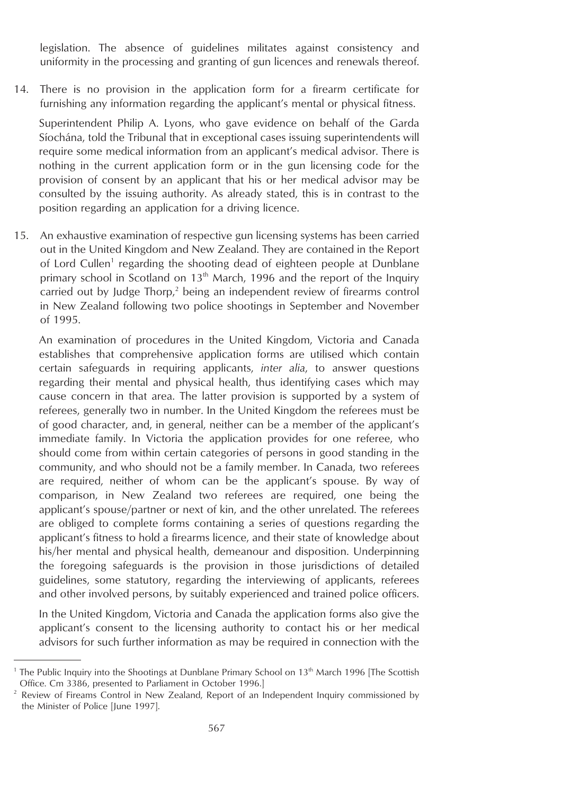legislation. The absence of guidelines militates against consistency and uniformity in the processing and granting of gun licences and renewals thereof.

14. There is no provision in the application form for a firearm certificate for furnishing any information regarding the applicant's mental or physical fitness.

Superintendent Philip A. Lyons, who gave evidence on behalf of the Garda Síochána, told the Tribunal that in exceptional cases issuing superintendents will require some medical information from an applicant's medical advisor. There is nothing in the current application form or in the gun licensing code for the provision of consent by an applicant that his or her medical advisor may be consulted by the issuing authority. As already stated, this is in contrast to the position regarding an application for a driving licence.

15. An exhaustive examination of respective gun licensing systems has been carried out in the United Kingdom and New Zealand. They are contained in the Report of Lord Cullen<sup>1</sup> regarding the shooting dead of eighteen people at Dunblane primary school in Scotland on 13<sup>th</sup> March, 1996 and the report of the Inquiry carried out by Judge Thorp,<sup>2</sup> being an independent review of firearms control in New Zealand following two police shootings in September and November of 1995.

An examination of procedures in the United Kingdom, Victoria and Canada establishes that comprehensive application forms are utilised which contain certain safeguards in requiring applicants, *inter alia*, to answer questions regarding their mental and physical health, thus identifying cases which may cause concern in that area. The latter provision is supported by a system of referees, generally two in number. In the United Kingdom the referees must be of good character, and, in general, neither can be a member of the applicant's immediate family. In Victoria the application provides for one referee, who should come from within certain categories of persons in good standing in the community, and who should not be a family member. In Canada, two referees are required, neither of whom can be the applicant's spouse. By way of comparison, in New Zealand two referees are required, one being the applicant's spouse/partner or next of kin, and the other unrelated. The referees are obliged to complete forms containing a series of questions regarding the applicant's fitness to hold a firearms licence, and their state of knowledge about his/her mental and physical health, demeanour and disposition. Underpinning the foregoing safeguards is the provision in those jurisdictions of detailed guidelines, some statutory, regarding the interviewing of applicants, referees and other involved persons, by suitably experienced and trained police officers.

In the United Kingdom, Victoria and Canada the application forms also give the applicant's consent to the licensing authority to contact his or her medical advisors for such further information as may be required in connection with the

<sup>&</sup>lt;sup>1</sup> The Public Inquiry into the Shootings at Dunblane Primary School on  $13<sup>th</sup>$  March 1996 [The Scottish Office. Cm 3386, presented to Parliament in October 1996.]

 $2$  Review of Fireams Control in New Zealand, Report of an Independent Inquiry commissioned by the Minister of Police [June 1997].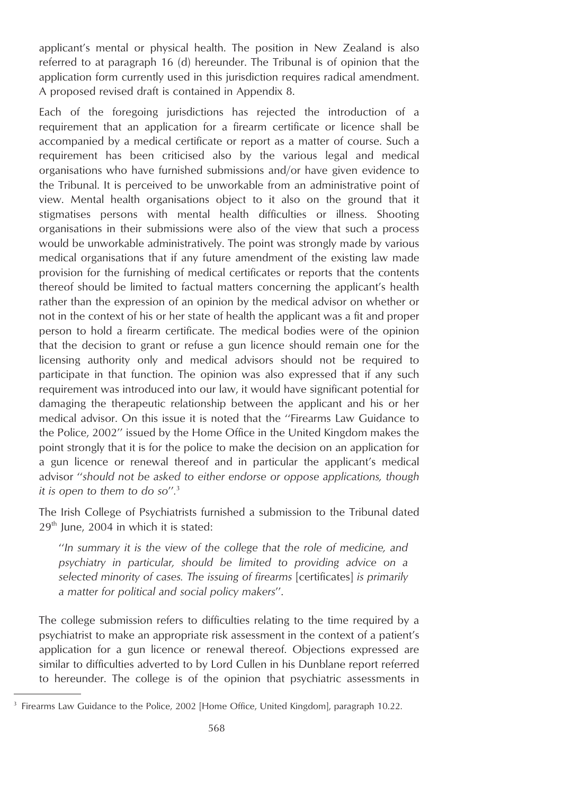applicant's mental or physical health. The position in New Zealand is also referred to at paragraph 16 (d) hereunder. The Tribunal is of opinion that the application form currently used in this jurisdiction requires radical amendment. A proposed revised draft is contained in Appendix 8.

Each of the foregoing jurisdictions has rejected the introduction of a requirement that an application for a firearm certificate or licence shall be accompanied by a medical certificate or report as a matter of course. Such a requirement has been criticised also by the various legal and medical organisations who have furnished submissions and/or have given evidence to the Tribunal. It is perceived to be unworkable from an administrative point of view. Mental health organisations object to it also on the ground that it stigmatises persons with mental health difficulties or illness. Shooting organisations in their submissions were also of the view that such a process would be unworkable administratively. The point was strongly made by various medical organisations that if any future amendment of the existing law made provision for the furnishing of medical certificates or reports that the contents thereof should be limited to factual matters concerning the applicant's health rather than the expression of an opinion by the medical advisor on whether or not in the context of his or her state of health the applicant was a fit and proper person to hold a firearm certificate. The medical bodies were of the opinion that the decision to grant or refuse a gun licence should remain one for the licensing authority only and medical advisors should not be required to participate in that function. The opinion was also expressed that if any such requirement was introduced into our law, it would have significant potential for damaging the therapeutic relationship between the applicant and his or her medical advisor. On this issue it is noted that the ''Firearms Law Guidance to the Police, 2002'' issued by the Home Office in the United Kingdom makes the point strongly that it is for the police to make the decision on an application for a gun licence or renewal thereof and in particular the applicant's medical advisor ''*should not be asked to either endorse or oppose applications, though it is open to them to do so*''*.* 3

The Irish College of Psychiatrists furnished a submission to the Tribunal dated  $29<sup>th</sup>$  June, 2004 in which it is stated:

''*In summary it is the view of the college that the role of medicine, and psychiatry in particular, should be limited to providing advice on a selected minority of cases. The issuing of firearms* [certificates] *is primarily a matter for political and social policy makers*''.

The college submission refers to difficulties relating to the time required by a psychiatrist to make an appropriate risk assessment in the context of a patient's application for a gun licence or renewal thereof. Objections expressed are similar to difficulties adverted to by Lord Cullen in his Dunblane report referred to hereunder. The college is of the opinion that psychiatric assessments in

<sup>&</sup>lt;sup>3</sup> Firearms Law Guidance to the Police, 2002 [Home Office, United Kingdom], paragraph 10.22.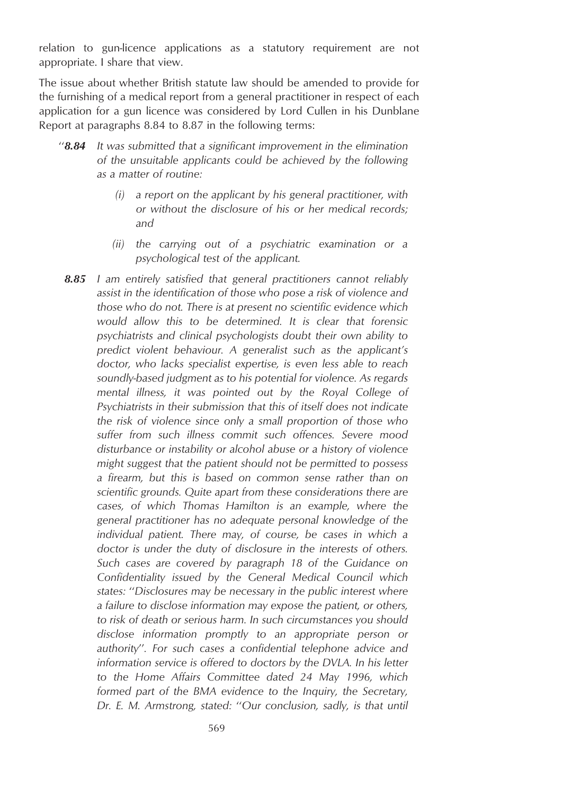relation to gun-licence applications as a statutory requirement are not appropriate. I share that view.

The issue about whether British statute law should be amended to provide for the furnishing of a medical report from a general practitioner in respect of each application for a gun licence was considered by Lord Cullen in his Dunblane Report at paragraphs 8.84 to 8.87 in the following terms:

- ''*8.84 It was submitted that a significant improvement in the elimination of the unsuitable applicants could be achieved by the following as a matter of routine:*
	- *(i) a report on the applicant by his general practitioner, with or without the disclosure of his or her medical records; and*
	- *(ii) the carrying out of a psychiatric examination or a psychological test of the applicant.*
	- *8.85 I am entirely satisfied that general practitioners cannot reliably assist in the identification of those who pose a risk of violence and those who do not. There is at present no scientific evidence which would allow this to be determined. It is clear that forensic psychiatrists and clinical psychologists doubt their own ability to predict violent behaviour. A generalist such as the applicant's doctor, who lacks specialist expertise, is even less able to reach soundly-based judgment as to his potential for violence. As regards mental illness, it was pointed out by the Royal College of Psychiatrists in their submission that this of itself does not indicate the risk of violence since only a small proportion of those who suffer from such illness commit such offences. Severe mood disturbance or instability or alcohol abuse or a history of violence might suggest that the patient should not be permitted to possess a firearm, but this is based on common sense rather than on scientific grounds. Quite apart from these considerations there are cases, of which Thomas Hamilton is an example, where the general practitioner has no adequate personal knowledge of the individual patient. There may, of course, be cases in which a doctor is under the duty of disclosure in the interests of others. Such cases are covered by paragraph 18 of the Guidance on Confidentiality issued by the General Medical Council which states:* ''*Disclosures may be necessary in the public interest where a failure to disclose information may expose the patient, or others, to risk of death or serious harm. In such circumstances you should disclose information promptly to an appropriate person or authority*''*. For such cases a confidential telephone advice and information service is offered to doctors by the DVLA. In his letter to the Home Affairs Committee dated 24 May 1996, which formed part of the BMA evidence to the Inquiry, the Secretary, Dr. E. M. Armstrong, stated:* ''*Our conclusion, sadly, is that until*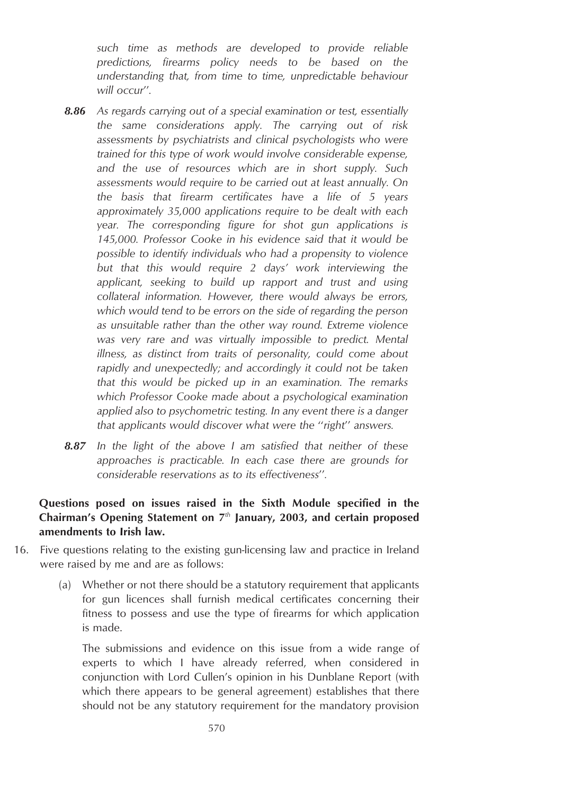*such time as methods are developed to provide reliable predictions, firearms policy needs to be based on the understanding that, from time to time, unpredictable behaviour will occur*''*.*

- *8.86 As regards carrying out of a special examination or test, essentially the same considerations apply. The carrying out of risk assessments by psychiatrists and clinical psychologists who were trained for this type of work would involve considerable expense, and the use of resources which are in short supply. Such assessments would require to be carried out at least annually. On the basis that firearm certificates have a life of 5 years approximately 35,000 applications require to be dealt with each year. The corresponding figure for shot gun applications is 145,000. Professor Cooke in his evidence said that it would be possible to identify individuals who had a propensity to violence but that this would require 2 days' work interviewing the applicant, seeking to build up rapport and trust and using collateral information. However, there would always be errors, which would tend to be errors on the side of regarding the person as unsuitable rather than the other way round. Extreme violence was very rare and was virtually impossible to predict. Mental illness, as distinct from traits of personality, could come about rapidly and unexpectedly; and accordingly it could not be taken that this would be picked up in an examination. The remarks which Professor Cooke made about a psychological examination applied also to psychometric testing. In any event there is a danger that applicants would discover what were the* ''*right*'' *answers.*
- *8.87 In the light of the above I am satisfied that neither of these approaches is practicable. In each case there are grounds for considerable reservations as to its effectiveness*''*.*

## **Questions posed on issues raised in the Sixth Module specified in the Chairman's Opening Statement on 7***th* **January, 2003, and certain proposed amendments to Irish law.**

- 16. Five questions relating to the existing gun-licensing law and practice in Ireland were raised by me and are as follows:
	- (a) Whether or not there should be a statutory requirement that applicants for gun licences shall furnish medical certificates concerning their fitness to possess and use the type of firearms for which application is made.

The submissions and evidence on this issue from a wide range of experts to which I have already referred, when considered in conjunction with Lord Cullen's opinion in his Dunblane Report (with which there appears to be general agreement) establishes that there should not be any statutory requirement for the mandatory provision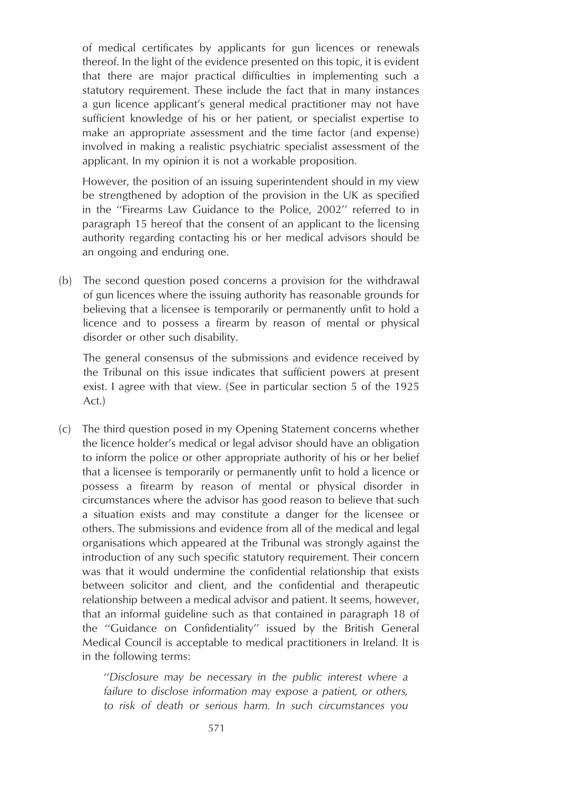of medical certificates by applicants for gun licences or renewals thereof. In the light of the evidence presented on this topic, it is evident that there are major practical difficulties in implementing such a statutory requirement. These include the fact that in many instances a gun licence applicant's general medical practitioner may not have sufficient knowledge of his or her patient, or specialist expertise to make an appropriate assessment and the time factor (and expense) involved in making a realistic psychiatric specialist assessment of the applicant. In my opinion it is not a workable proposition.

However, the position of an issuing superintendent should in my view be strengthened by adoption of the provision in the UK as specified in the ''Firearms Law Guidance to the Police, 2002'' referred to in paragraph 15 hereof that the consent of an applicant to the licensing authority regarding contacting his or her medical advisors should be an ongoing and enduring one.

(b) The second question posed concerns a provision for the withdrawal of gun licences where the issuing authority has reasonable grounds for believing that a licensee is temporarily or permanently unfit to hold a licence and to possess a firearm by reason of mental or physical disorder or other such disability.

The general consensus of the submissions and evidence received by the Tribunal on this issue indicates that sufficient powers at present exist. I agree with that view. (See in particular section 5 of the 1925 Act.)

(c) The third question posed in my Opening Statement concerns whether the licence holder's medical or legal advisor should have an obligation to inform the police or other appropriate authority of his or her belief that a licensee is temporarily or permanently unfit to hold a licence or possess a firearm by reason of mental or physical disorder in circumstances where the advisor has good reason to believe that such a situation exists and may constitute a danger for the licensee or others. The submissions and evidence from all of the medical and legal organisations which appeared at the Tribunal was strongly against the introduction of any such specific statutory requirement. Their concern was that it would undermine the confidential relationship that exists between solicitor and client, and the confidential and therapeutic relationship between a medical advisor and patient. It seems, however, that an informal guideline such as that contained in paragraph 18 of the ''Guidance on Confidentiality'' issued by the British General Medical Council is acceptable to medical practitioners in Ireland. It is in the following terms:

> ''*Disclosure may be necessary in the public interest where a failure to disclose information may expose a patient, or others, to risk of death or serious harm. In such circumstances you*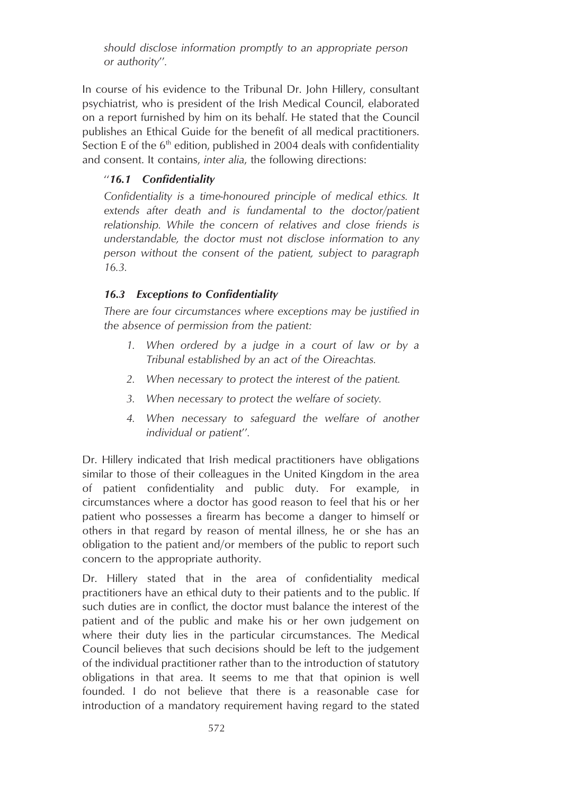*should disclose information promptly to an appropriate person or authority*''*.*

In course of his evidence to the Tribunal Dr. John Hillery, consultant psychiatrist, who is president of the Irish Medical Council, elaborated on a report furnished by him on its behalf. He stated that the Council publishes an Ethical Guide for the benefit of all medical practitioners. Section E of the  $6<sup>th</sup>$  edition, published in 2004 deals with confidentiality and consent. It contains, *inter alia*, the following directions:

#### ''*16.1 Confidentiality*

*Confidentiality is a time-honoured principle of medical ethics. It extends after death and is fundamental to the doctor/patient relationship. While the concern of relatives and close friends is understandable, the doctor must not disclose information to any person without the consent of the patient, subject to paragraph 16.3.*

## *16.3 Exceptions to Confidentiality*

*There are four circumstances where exceptions may be justified in the absence of permission from the patient:*

- *1. When ordered by a judge in a court of law or by a Tribunal established by an act of the Oireachtas.*
- *2. When necessary to protect the interest of the patient.*
- *3. When necessary to protect the welfare of society.*
- *4. When necessary to safeguard the welfare of another individual or patient*''*.*

Dr. Hillery indicated that Irish medical practitioners have obligations similar to those of their colleagues in the United Kingdom in the area of patient confidentiality and public duty. For example, in circumstances where a doctor has good reason to feel that his or her patient who possesses a firearm has become a danger to himself or others in that regard by reason of mental illness, he or she has an obligation to the patient and/or members of the public to report such concern to the appropriate authority.

Dr. Hillery stated that in the area of confidentiality medical practitioners have an ethical duty to their patients and to the public. If such duties are in conflict, the doctor must balance the interest of the patient and of the public and make his or her own judgement on where their duty lies in the particular circumstances. The Medical Council believes that such decisions should be left to the judgement of the individual practitioner rather than to the introduction of statutory obligations in that area. It seems to me that that opinion is well founded. I do not believe that there is a reasonable case for introduction of a mandatory requirement having regard to the stated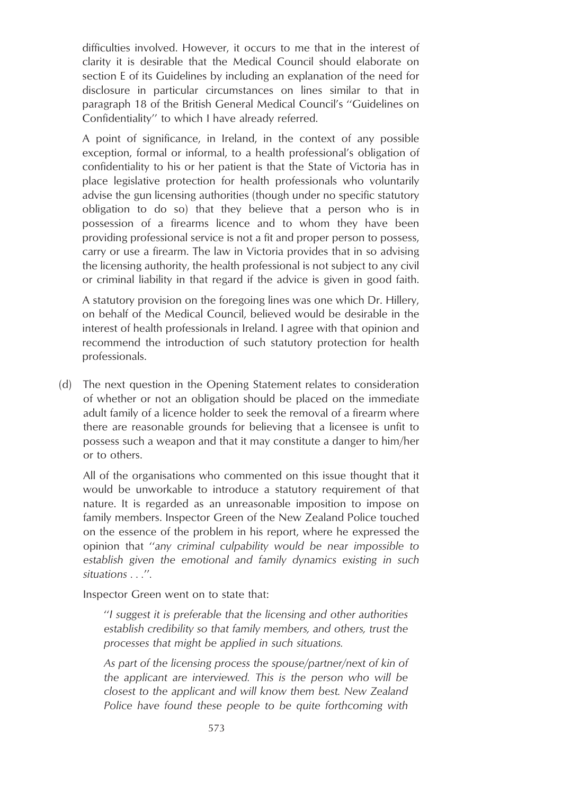difficulties involved. However, it occurs to me that in the interest of clarity it is desirable that the Medical Council should elaborate on section E of its Guidelines by including an explanation of the need for disclosure in particular circumstances on lines similar to that in paragraph 18 of the British General Medical Council's ''Guidelines on Confidentiality'' to which I have already referred.

A point of significance, in Ireland, in the context of any possible exception, formal or informal, to a health professional's obligation of confidentiality to his or her patient is that the State of Victoria has in place legislative protection for health professionals who voluntarily advise the gun licensing authorities (though under no specific statutory obligation to do so) that they believe that a person who is in possession of a firearms licence and to whom they have been providing professional service is not a fit and proper person to possess, carry or use a firearm. The law in Victoria provides that in so advising the licensing authority, the health professional is not subject to any civil or criminal liability in that regard if the advice is given in good faith.

A statutory provision on the foregoing lines was one which Dr. Hillery, on behalf of the Medical Council, believed would be desirable in the interest of health professionals in Ireland. I agree with that opinion and recommend the introduction of such statutory protection for health professionals.

(d) The next question in the Opening Statement relates to consideration of whether or not an obligation should be placed on the immediate adult family of a licence holder to seek the removal of a firearm where there are reasonable grounds for believing that a licensee is unfit to possess such a weapon and that it may constitute a danger to him/her or to others.

All of the organisations who commented on this issue thought that it would be unworkable to introduce a statutory requirement of that nature. It is regarded as an unreasonable imposition to impose on family members. Inspector Green of the New Zealand Police touched on the essence of the problem in his report, where he expressed the opinion that ''*any criminal culpability would be near impossible to establish given the emotional and family dynamics existing in such situations . . .*''*.*

Inspector Green went on to state that:

''*I suggest it is preferable that the licensing and other authorities establish credibility so that family members, and others, trust the processes that might be applied in such situations.*

*As part of the licensing process the spouse/partner/next of kin of the applicant are interviewed. This is the person who will be closest to the applicant and will know them best. New Zealand Police have found these people to be quite forthcoming with*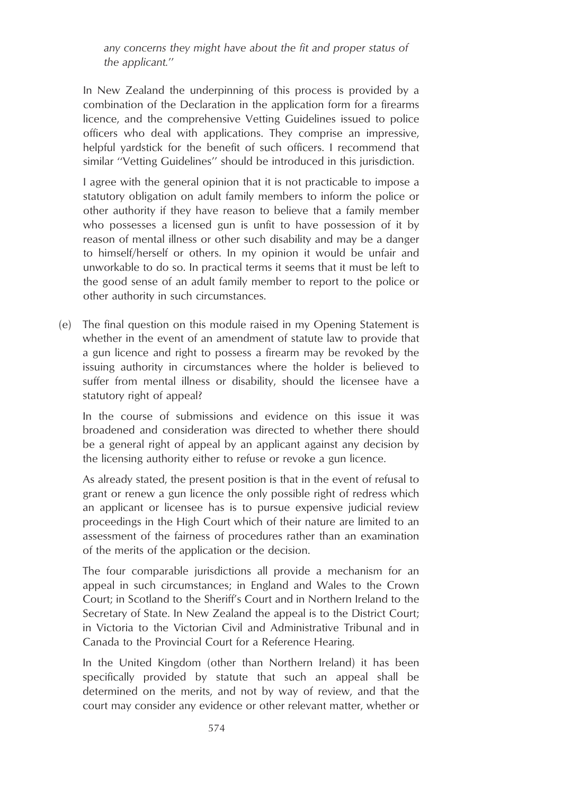*any concerns they might have about the fit and proper status of the applicant.*''

In New Zealand the underpinning of this process is provided by a combination of the Declaration in the application form for a firearms licence, and the comprehensive Vetting Guidelines issued to police officers who deal with applications. They comprise an impressive, helpful yardstick for the benefit of such officers. I recommend that similar ''Vetting Guidelines'' should be introduced in this jurisdiction.

I agree with the general opinion that it is not practicable to impose a statutory obligation on adult family members to inform the police or other authority if they have reason to believe that a family member who possesses a licensed gun is unfit to have possession of it by reason of mental illness or other such disability and may be a danger to himself/herself or others. In my opinion it would be unfair and unworkable to do so. In practical terms it seems that it must be left to the good sense of an adult family member to report to the police or other authority in such circumstances.

(e) The final question on this module raised in my Opening Statement is whether in the event of an amendment of statute law to provide that a gun licence and right to possess a firearm may be revoked by the issuing authority in circumstances where the holder is believed to suffer from mental illness or disability, should the licensee have a statutory right of appeal?

In the course of submissions and evidence on this issue it was broadened and consideration was directed to whether there should be a general right of appeal by an applicant against any decision by the licensing authority either to refuse or revoke a gun licence.

As already stated, the present position is that in the event of refusal to grant or renew a gun licence the only possible right of redress which an applicant or licensee has is to pursue expensive judicial review proceedings in the High Court which of their nature are limited to an assessment of the fairness of procedures rather than an examination of the merits of the application or the decision.

The four comparable jurisdictions all provide a mechanism for an appeal in such circumstances; in England and Wales to the Crown Court; in Scotland to the Sheriff's Court and in Northern Ireland to the Secretary of State. In New Zealand the appeal is to the District Court; in Victoria to the Victorian Civil and Administrative Tribunal and in Canada to the Provincial Court for a Reference Hearing.

In the United Kingdom (other than Northern Ireland) it has been specifically provided by statute that such an appeal shall be determined on the merits, and not by way of review, and that the court may consider any evidence or other relevant matter, whether or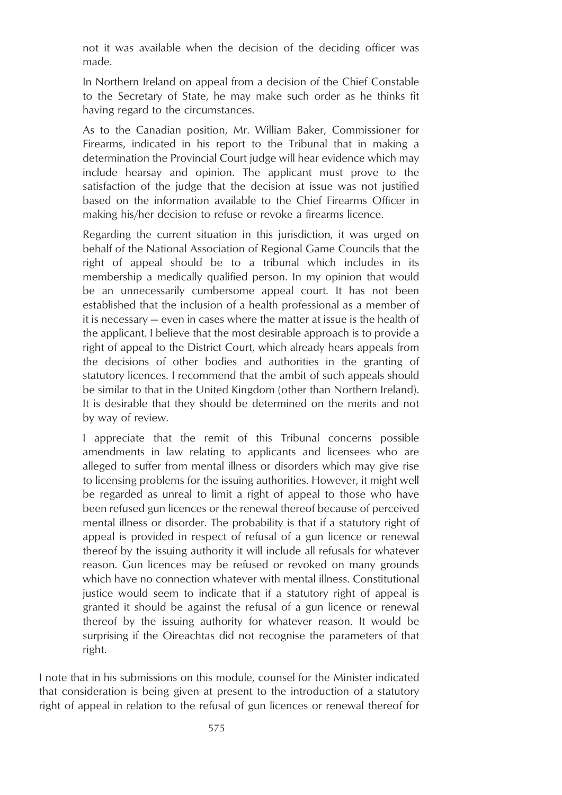not it was available when the decision of the deciding officer was made.

In Northern Ireland on appeal from a decision of the Chief Constable to the Secretary of State, he may make such order as he thinks fit having regard to the circumstances.

As to the Canadian position, Mr. William Baker, Commissioner for Firearms, indicated in his report to the Tribunal that in making a determination the Provincial Court judge will hear evidence which may include hearsay and opinion. The applicant must prove to the satisfaction of the judge that the decision at issue was not justified based on the information available to the Chief Firearms Officer in making his/her decision to refuse or revoke a firearms licence.

Regarding the current situation in this jurisdiction, it was urged on behalf of the National Association of Regional Game Councils that the right of appeal should be to a tribunal which includes in its membership a medically qualified person. In my opinion that would be an unnecessarily cumbersome appeal court. It has not been established that the inclusion of a health professional as a member of it is necessary — even in cases where the matter at issue is the health of the applicant. I believe that the most desirable approach is to provide a right of appeal to the District Court, which already hears appeals from the decisions of other bodies and authorities in the granting of statutory licences. I recommend that the ambit of such appeals should be similar to that in the United Kingdom (other than Northern Ireland). It is desirable that they should be determined on the merits and not by way of review.

I appreciate that the remit of this Tribunal concerns possible amendments in law relating to applicants and licensees who are alleged to suffer from mental illness or disorders which may give rise to licensing problems for the issuing authorities. However, it might well be regarded as unreal to limit a right of appeal to those who have been refused gun licences or the renewal thereof because of perceived mental illness or disorder. The probability is that if a statutory right of appeal is provided in respect of refusal of a gun licence or renewal thereof by the issuing authority it will include all refusals for whatever reason. Gun licences may be refused or revoked on many grounds which have no connection whatever with mental illness. Constitutional justice would seem to indicate that if a statutory right of appeal is granted it should be against the refusal of a gun licence or renewal thereof by the issuing authority for whatever reason. It would be surprising if the Oireachtas did not recognise the parameters of that right.

I note that in his submissions on this module, counsel for the Minister indicated that consideration is being given at present to the introduction of a statutory right of appeal in relation to the refusal of gun licences or renewal thereof for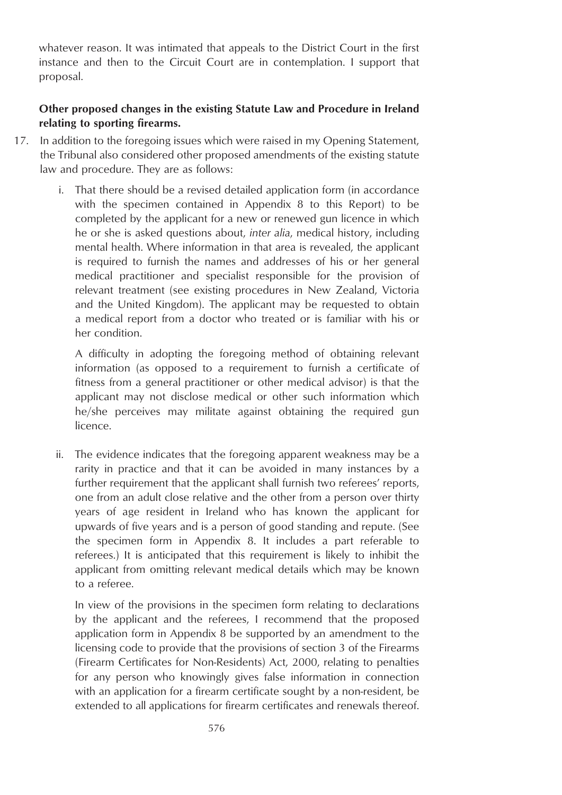whatever reason. It was intimated that appeals to the District Court in the first instance and then to the Circuit Court are in contemplation. I support that proposal.

#### **Other proposed changes in the existing Statute Law and Procedure in Ireland relating to sporting firearms.**

- 17. In addition to the foregoing issues which were raised in my Opening Statement, the Tribunal also considered other proposed amendments of the existing statute law and procedure. They are as follows:
	- i. That there should be a revised detailed application form (in accordance with the specimen contained in Appendix 8 to this Report) to be completed by the applicant for a new or renewed gun licence in which he or she is asked questions about, *inter alia*, medical history, including mental health. Where information in that area is revealed, the applicant is required to furnish the names and addresses of his or her general medical practitioner and specialist responsible for the provision of relevant treatment (see existing procedures in New Zealand, Victoria and the United Kingdom). The applicant may be requested to obtain a medical report from a doctor who treated or is familiar with his or her condition.

A difficulty in adopting the foregoing method of obtaining relevant information (as opposed to a requirement to furnish a certificate of fitness from a general practitioner or other medical advisor) is that the applicant may not disclose medical or other such information which he/she perceives may militate against obtaining the required gun licence.

ii. The evidence indicates that the foregoing apparent weakness may be a rarity in practice and that it can be avoided in many instances by a further requirement that the applicant shall furnish two referees' reports, one from an adult close relative and the other from a person over thirty years of age resident in Ireland who has known the applicant for upwards of five years and is a person of good standing and repute. (See the specimen form in Appendix 8. It includes a part referable to referees.) It is anticipated that this requirement is likely to inhibit the applicant from omitting relevant medical details which may be known to a referee.

In view of the provisions in the specimen form relating to declarations by the applicant and the referees, I recommend that the proposed application form in Appendix 8 be supported by an amendment to the licensing code to provide that the provisions of section 3 of the Firearms (Firearm Certificates for Non-Residents) Act, 2000, relating to penalties for any person who knowingly gives false information in connection with an application for a firearm certificate sought by a non-resident, be extended to all applications for firearm certificates and renewals thereof.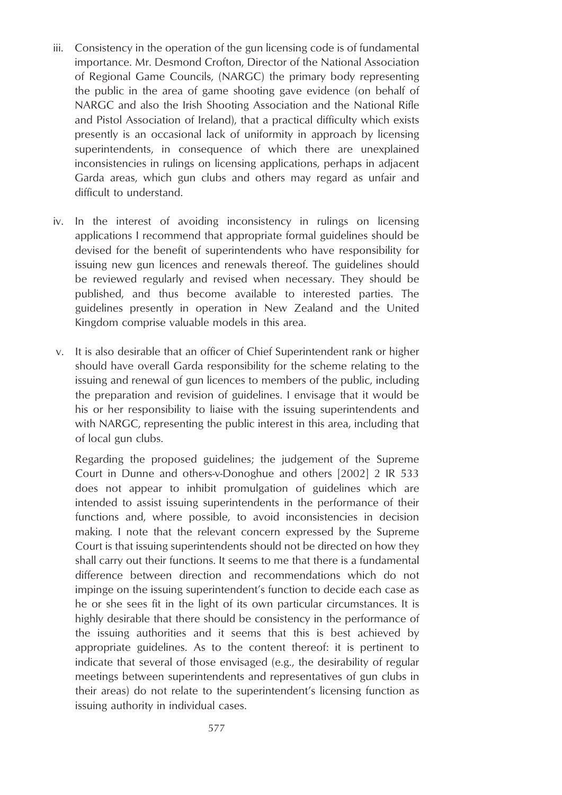- iii. Consistency in the operation of the gun licensing code is of fundamental importance. Mr. Desmond Crofton, Director of the National Association of Regional Game Councils, (NARGC) the primary body representing the public in the area of game shooting gave evidence (on behalf of NARGC and also the Irish Shooting Association and the National Rifle and Pistol Association of Ireland), that a practical difficulty which exists presently is an occasional lack of uniformity in approach by licensing superintendents, in consequence of which there are unexplained inconsistencies in rulings on licensing applications, perhaps in adjacent Garda areas, which gun clubs and others may regard as unfair and difficult to understand.
- iv. In the interest of avoiding inconsistency in rulings on licensing applications I recommend that appropriate formal guidelines should be devised for the benefit of superintendents who have responsibility for issuing new gun licences and renewals thereof. The guidelines should be reviewed regularly and revised when necessary. They should be published, and thus become available to interested parties. The guidelines presently in operation in New Zealand and the United Kingdom comprise valuable models in this area.
- v. It is also desirable that an officer of Chief Superintendent rank or higher should have overall Garda responsibility for the scheme relating to the issuing and renewal of gun licences to members of the public, including the preparation and revision of guidelines. I envisage that it would be his or her responsibility to liaise with the issuing superintendents and with NARGC, representing the public interest in this area, including that of local gun clubs.

Regarding the proposed guidelines; the judgement of the Supreme Court in Dunne and others-v-Donoghue and others [2002] 2 IR 533 does not appear to inhibit promulgation of guidelines which are intended to assist issuing superintendents in the performance of their functions and, where possible, to avoid inconsistencies in decision making. I note that the relevant concern expressed by the Supreme Court is that issuing superintendents should not be directed on how they shall carry out their functions. It seems to me that there is a fundamental difference between direction and recommendations which do not impinge on the issuing superintendent's function to decide each case as he or she sees fit in the light of its own particular circumstances. It is highly desirable that there should be consistency in the performance of the issuing authorities and it seems that this is best achieved by appropriate guidelines. As to the content thereof: it is pertinent to indicate that several of those envisaged (e.g., the desirability of regular meetings between superintendents and representatives of gun clubs in their areas) do not relate to the superintendent's licensing function as issuing authority in individual cases.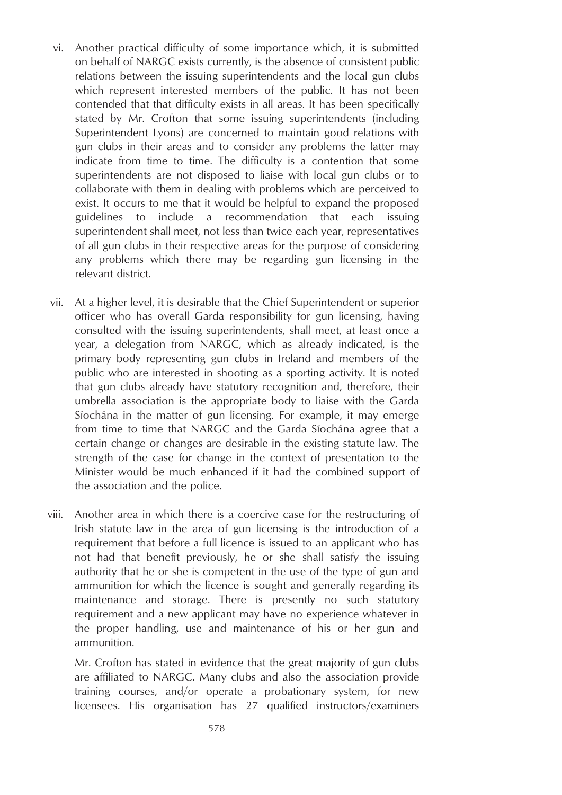- vi. Another practical difficulty of some importance which, it is submitted on behalf of NARGC exists currently, is the absence of consistent public relations between the issuing superintendents and the local gun clubs which represent interested members of the public. It has not been contended that that difficulty exists in all areas. It has been specifically stated by Mr. Crofton that some issuing superintendents (including Superintendent Lyons) are concerned to maintain good relations with gun clubs in their areas and to consider any problems the latter may indicate from time to time. The difficulty is a contention that some superintendents are not disposed to liaise with local gun clubs or to collaborate with them in dealing with problems which are perceived to exist. It occurs to me that it would be helpful to expand the proposed guidelines to include a recommendation that each issuing superintendent shall meet, not less than twice each year, representatives of all gun clubs in their respective areas for the purpose of considering any problems which there may be regarding gun licensing in the relevant district.
- vii. At a higher level, it is desirable that the Chief Superintendent or superior officer who has overall Garda responsibility for gun licensing, having consulted with the issuing superintendents, shall meet, at least once a year, a delegation from NARGC, which as already indicated, is the primary body representing gun clubs in Ireland and members of the public who are interested in shooting as a sporting activity. It is noted that gun clubs already have statutory recognition and, therefore, their umbrella association is the appropriate body to liaise with the Garda Síochána in the matter of gun licensing. For example, it may emerge from time to time that NARGC and the Garda Síochána agree that a certain change or changes are desirable in the existing statute law. The strength of the case for change in the context of presentation to the Minister would be much enhanced if it had the combined support of the association and the police.
- viii. Another area in which there is a coercive case for the restructuring of Irish statute law in the area of gun licensing is the introduction of a requirement that before a full licence is issued to an applicant who has not had that benefit previously, he or she shall satisfy the issuing authority that he or she is competent in the use of the type of gun and ammunition for which the licence is sought and generally regarding its maintenance and storage. There is presently no such statutory requirement and a new applicant may have no experience whatever in the proper handling, use and maintenance of his or her gun and ammunition.

Mr. Crofton has stated in evidence that the great majority of gun clubs are affiliated to NARGC. Many clubs and also the association provide training courses, and/or operate a probationary system, for new licensees. His organisation has 27 qualified instructors/examiners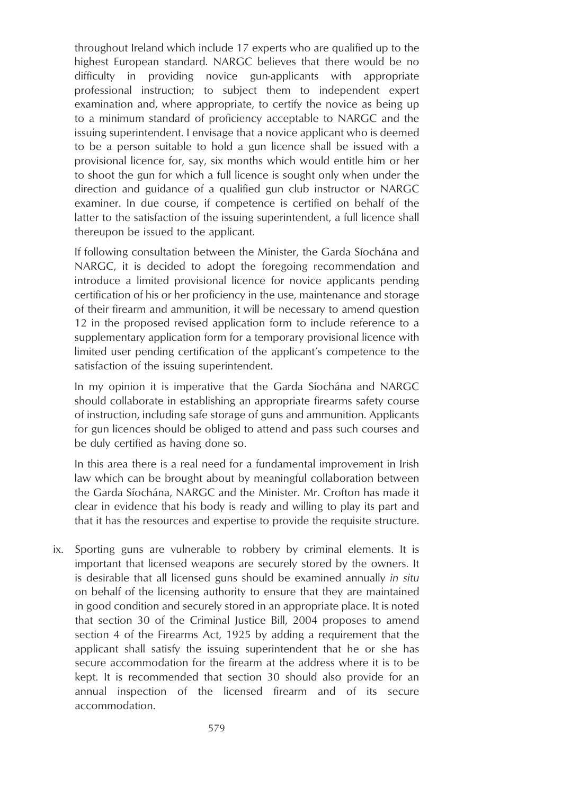throughout Ireland which include 17 experts who are qualified up to the highest European standard. NARGC believes that there would be no difficulty in providing novice gun-applicants with appropriate professional instruction; to subject them to independent expert examination and, where appropriate, to certify the novice as being up to a minimum standard of proficiency acceptable to NARGC and the issuing superintendent. I envisage that a novice applicant who is deemed to be a person suitable to hold a gun licence shall be issued with a provisional licence for, say, six months which would entitle him or her to shoot the gun for which a full licence is sought only when under the direction and guidance of a qualified gun club instructor or NARGC examiner. In due course, if competence is certified on behalf of the latter to the satisfaction of the issuing superintendent, a full licence shall thereupon be issued to the applicant.

If following consultation between the Minister, the Garda Síochána and NARGC, it is decided to adopt the foregoing recommendation and introduce a limited provisional licence for novice applicants pending certification of his or her proficiency in the use, maintenance and storage of their firearm and ammunition, it will be necessary to amend question 12 in the proposed revised application form to include reference to a supplementary application form for a temporary provisional licence with limited user pending certification of the applicant's competence to the satisfaction of the issuing superintendent.

In my opinion it is imperative that the Garda Síochána and NARGC should collaborate in establishing an appropriate firearms safety course of instruction, including safe storage of guns and ammunition. Applicants for gun licences should be obliged to attend and pass such courses and be duly certified as having done so.

In this area there is a real need for a fundamental improvement in Irish law which can be brought about by meaningful collaboration between the Garda Síochána, NARGC and the Minister. Mr. Crofton has made it clear in evidence that his body is ready and willing to play its part and that it has the resources and expertise to provide the requisite structure.

ix. Sporting guns are vulnerable to robbery by criminal elements. It is important that licensed weapons are securely stored by the owners. It is desirable that all licensed guns should be examined annually *in situ* on behalf of the licensing authority to ensure that they are maintained in good condition and securely stored in an appropriate place. It is noted that section 30 of the Criminal Justice Bill, 2004 proposes to amend section 4 of the Firearms Act, 1925 by adding a requirement that the applicant shall satisfy the issuing superintendent that he or she has secure accommodation for the firearm at the address where it is to be kept. It is recommended that section 30 should also provide for an annual inspection of the licensed firearm and of its secure accommodation.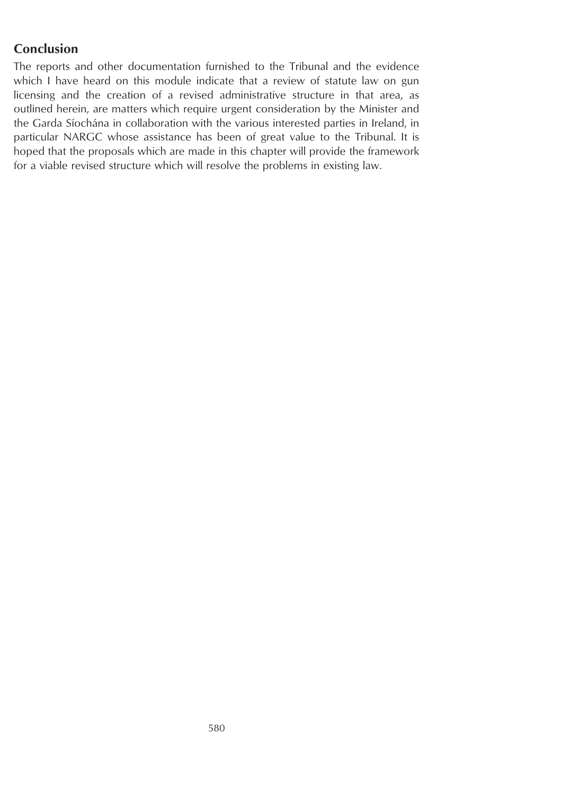# **Conclusion**

The reports and other documentation furnished to the Tribunal and the evidence which I have heard on this module indicate that a review of statute law on gun licensing and the creation of a revised administrative structure in that area, as outlined herein, are matters which require urgent consideration by the Minister and the Garda Síochána in collaboration with the various interested parties in Ireland, in particular NARGC whose assistance has been of great value to the Tribunal. It is hoped that the proposals which are made in this chapter will provide the framework for a viable revised structure which will resolve the problems in existing law.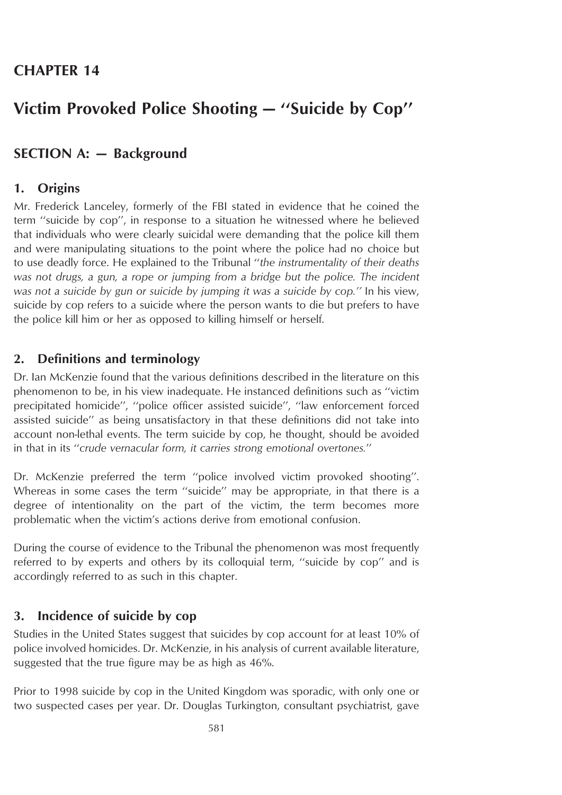# **Victim Provoked Police Shooting — ''Suicide by Cop''**

# **SECTION A: — Background**

# **1. Origins**

Mr. Frederick Lanceley, formerly of the FBI stated in evidence that he coined the term ''suicide by cop'', in response to a situation he witnessed where he believed that individuals who were clearly suicidal were demanding that the police kill them and were manipulating situations to the point where the police had no choice but to use deadly force. He explained to the Tribunal ''*the instrumentality of their deaths was not drugs, a gun, a rope or jumping from a bridge but the police. The incident was not a suicide by gun or suicide by jumping it was a suicide by cop.''* In his view, suicide by cop refers to a suicide where the person wants to die but prefers to have the police kill him or her as opposed to killing himself or herself.

## **2. Definitions and terminology**

Dr. Ian McKenzie found that the various definitions described in the literature on this phenomenon to be, in his view inadequate. He instanced definitions such as ''victim precipitated homicide'', ''police officer assisted suicide'', ''law enforcement forced assisted suicide'' as being unsatisfactory in that these definitions did not take into account non-lethal events. The term suicide by cop, he thought, should be avoided in that in its ''*crude vernacular form, it carries strong emotional overtones.*''

Dr. McKenzie preferred the term ''police involved victim provoked shooting''. Whereas in some cases the term ''suicide'' may be appropriate, in that there is a degree of intentionality on the part of the victim, the term becomes more problematic when the victim's actions derive from emotional confusion.

During the course of evidence to the Tribunal the phenomenon was most frequently referred to by experts and others by its colloquial term, ''suicide by cop'' and is accordingly referred to as such in this chapter.

### **3. Incidence of suicide by cop**

Studies in the United States suggest that suicides by cop account for at least 10% of police involved homicides. Dr. McKenzie, in his analysis of current available literature, suggested that the true figure may be as high as 46%.

Prior to 1998 suicide by cop in the United Kingdom was sporadic, with only one or two suspected cases per year. Dr. Douglas Turkington, consultant psychiatrist, gave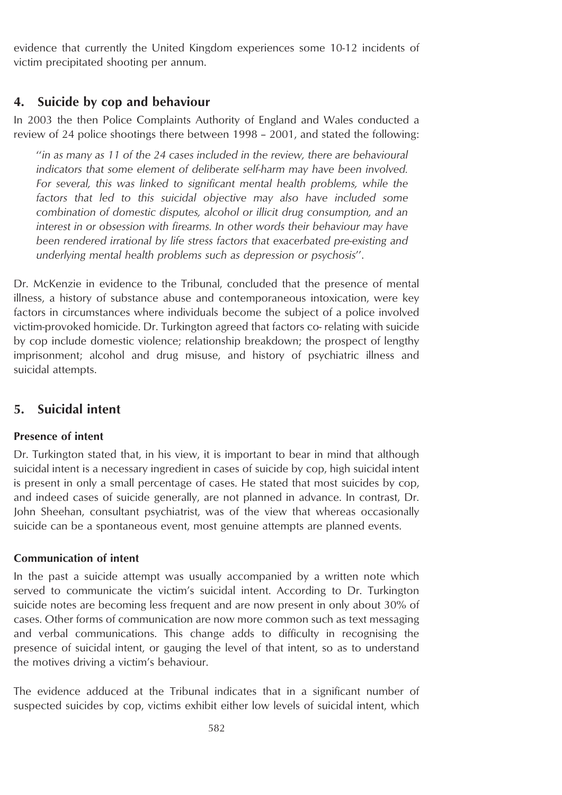evidence that currently the United Kingdom experiences some 10-12 incidents of victim precipitated shooting per annum.

# **4. Suicide by cop and behaviour**

In 2003 the then Police Complaints Authority of England and Wales conducted a review of 24 police shootings there between 1998 – 2001, and stated the following:

''*in as many as 11 of the 24 cases included in the review, there are behavioural indicators that some element of deliberate self-harm may have been involved. For several, this was linked to significant mental health problems, while the factors that led to this suicidal objective may also have included some combination of domestic disputes, alcohol or illicit drug consumption, and an interest in or obsession with firearms. In other words their behaviour may have been rendered irrational by life stress factors that exacerbated pre-existing and underlying mental health problems such as depression or psychosis*''.

Dr. McKenzie in evidence to the Tribunal, concluded that the presence of mental illness, a history of substance abuse and contemporaneous intoxication, were key factors in circumstances where individuals become the subject of a police involved victim-provoked homicide. Dr. Turkington agreed that factors co- relating with suicide by cop include domestic violence; relationship breakdown; the prospect of lengthy imprisonment; alcohol and drug misuse, and history of psychiatric illness and suicidal attempts.

# **5. Suicidal intent**

### **Presence of intent**

Dr. Turkington stated that, in his view, it is important to bear in mind that although suicidal intent is a necessary ingredient in cases of suicide by cop, high suicidal intent is present in only a small percentage of cases. He stated that most suicides by cop, and indeed cases of suicide generally, are not planned in advance. In contrast, Dr. John Sheehan, consultant psychiatrist, was of the view that whereas occasionally suicide can be a spontaneous event, most genuine attempts are planned events.

### **Communication of intent**

In the past a suicide attempt was usually accompanied by a written note which served to communicate the victim's suicidal intent. According to Dr. Turkington suicide notes are becoming less frequent and are now present in only about 30% of cases. Other forms of communication are now more common such as text messaging and verbal communications. This change adds to difficulty in recognising the presence of suicidal intent, or gauging the level of that intent, so as to understand the motives driving a victim's behaviour.

The evidence adduced at the Tribunal indicates that in a significant number of suspected suicides by cop, victims exhibit either low levels of suicidal intent, which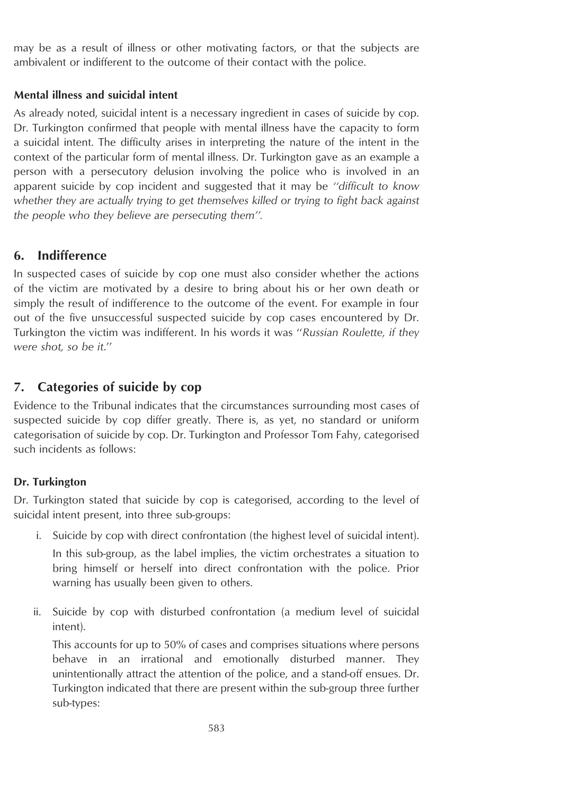may be as a result of illness or other motivating factors, or that the subjects are ambivalent or indifferent to the outcome of their contact with the police.

### **Mental illness and suicidal intent**

As already noted, suicidal intent is a necessary ingredient in cases of suicide by cop. Dr. Turkington confirmed that people with mental illness have the capacity to form a suicidal intent. The difficulty arises in interpreting the nature of the intent in the context of the particular form of mental illness. Dr. Turkington gave as an example a person with a persecutory delusion involving the police who is involved in an apparent suicide by cop incident and suggested that it may be *''difficult to know whether they are actually trying to get themselves killed or trying to fight back against the people who they believe are persecuting them''.*

# **6. Indifference**

In suspected cases of suicide by cop one must also consider whether the actions of the victim are motivated by a desire to bring about his or her own death or simply the result of indifference to the outcome of the event. For example in four out of the five unsuccessful suspected suicide by cop cases encountered by Dr. Turkington the victim was indifferent. In his words it was ''*Russian Roulette, if they were shot, so be it*.''

# **7. Categories of suicide by cop**

Evidence to the Tribunal indicates that the circumstances surrounding most cases of suspected suicide by cop differ greatly. There is, as yet, no standard or uniform categorisation of suicide by cop. Dr. Turkington and Professor Tom Fahy, categorised such incidents as follows:

### **Dr. Turkington**

Dr. Turkington stated that suicide by cop is categorised, according to the level of suicidal intent present, into three sub-groups:

- i. Suicide by cop with direct confrontation (the highest level of suicidal intent). In this sub-group, as the label implies, the victim orchestrates a situation to bring himself or herself into direct confrontation with the police. Prior warning has usually been given to others.
- ii. Suicide by cop with disturbed confrontation (a medium level of suicidal intent).

This accounts for up to 50% of cases and comprises situations where persons behave in an irrational and emotionally disturbed manner. They unintentionally attract the attention of the police, and a stand-off ensues. Dr. Turkington indicated that there are present within the sub-group three further sub-types: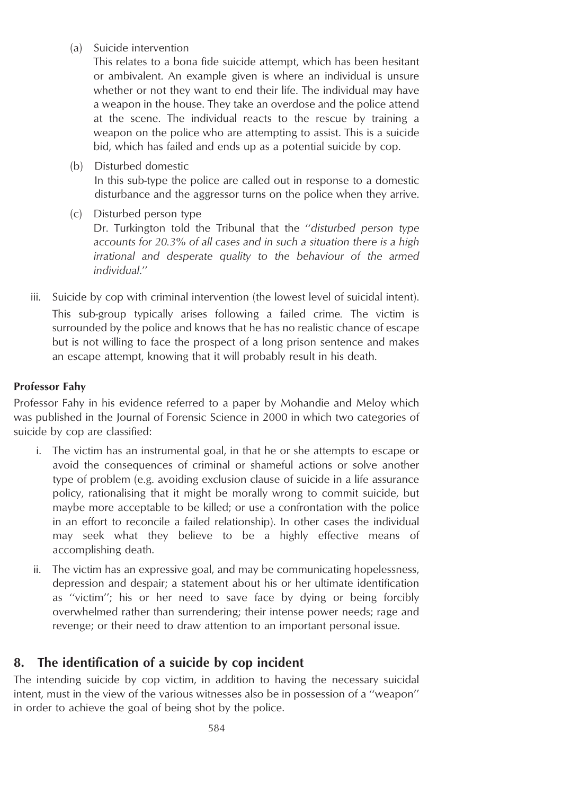(a) Suicide intervention

This relates to a bona fide suicide attempt, which has been hesitant or ambivalent. An example given is where an individual is unsure whether or not they want to end their life. The individual may have a weapon in the house. They take an overdose and the police attend at the scene. The individual reacts to the rescue by training a weapon on the police who are attempting to assist. This is a suicide bid, which has failed and ends up as a potential suicide by cop.

(b) Disturbed domestic

In this sub-type the police are called out in response to a domestic disturbance and the aggressor turns on the police when they arrive.

- (c) Disturbed person type Dr. Turkington told the Tribunal that the ''*disturbed person type accounts for 20.3% of all cases and in such a situation there is a high irrational and desperate quality to the behaviour of the armed individual*.''
- iii. Suicide by cop with criminal intervention (the lowest level of suicidal intent). This sub-group typically arises following a failed crime*.* The victim is surrounded by the police and knows that he has no realistic chance of escape but is not willing to face the prospect of a long prison sentence and makes an escape attempt, knowing that it will probably result in his death.

# **Professor Fahy**

Professor Fahy in his evidence referred to a paper by Mohandie and Meloy which was published in the Journal of Forensic Science in 2000 in which two categories of suicide by cop are classified:

- i. The victim has an instrumental goal, in that he or she attempts to escape or avoid the consequences of criminal or shameful actions or solve another type of problem (e.g. avoiding exclusion clause of suicide in a life assurance policy, rationalising that it might be morally wrong to commit suicide, but maybe more acceptable to be killed; or use a confrontation with the police in an effort to reconcile a failed relationship). In other cases the individual may seek what they believe to be a highly effective means of accomplishing death.
- ii. The victim has an expressive goal, and may be communicating hopelessness, depression and despair; a statement about his or her ultimate identification as ''victim''; his or her need to save face by dying or being forcibly overwhelmed rather than surrendering; their intense power needs; rage and revenge; or their need to draw attention to an important personal issue.

# **8. The identification of a suicide by cop incident**

The intending suicide by cop victim, in addition to having the necessary suicidal intent, must in the view of the various witnesses also be in possession of a ''weapon'' in order to achieve the goal of being shot by the police.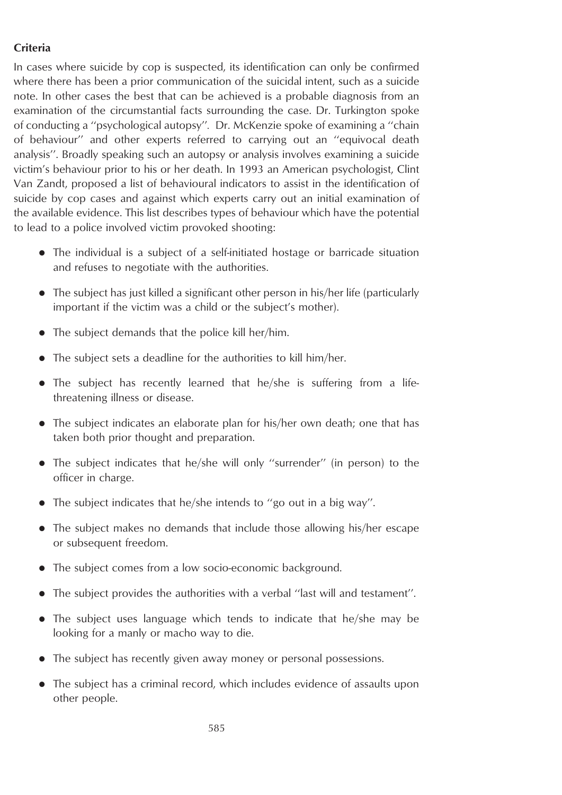# **Criteria**

In cases where suicide by cop is suspected, its identification can only be confirmed where there has been a prior communication of the suicidal intent, such as a suicide note. In other cases the best that can be achieved is a probable diagnosis from an examination of the circumstantial facts surrounding the case. Dr. Turkington spoke of conducting a ''psychological autopsy''*.* Dr. McKenzie spoke of examining a ''chain of behaviour'' and other experts referred to carrying out an ''equivocal death analysis''. Broadly speaking such an autopsy or analysis involves examining a suicide victim's behaviour prior to his or her death. In 1993 an American psychologist, Clint Van Zandt, proposed a list of behavioural indicators to assist in the identification of suicide by cop cases and against which experts carry out an initial examination of the available evidence. This list describes types of behaviour which have the potential to lead to a police involved victim provoked shooting:

- The individual is a subject of a self-initiated hostage or barricade situation and refuses to negotiate with the authorities.
- The subject has just killed a significant other person in his/her life (particularly important if the victim was a child or the subject's mother).
- The subject demands that the police kill her/him.
- $\bullet$  The subject sets a deadline for the authorities to kill him/her.
- The subject has recently learned that he/she is suffering from a lifethreatening illness or disease.
- The subject indicates an elaborate plan for his/her own death; one that has taken both prior thought and preparation.
- The subject indicates that he/she will only "surrender" (in person) to the officer in charge.
- $\bullet$  The subject indicates that he/she intends to "go out in a big way".
- The subject makes no demands that include those allowing his/her escape or subsequent freedom.
- The subject comes from a low socio-economic background.
- The subject provides the authorities with a verbal "last will and testament".
- The subject uses language which tends to indicate that he/she may be looking for a manly or macho way to die.
- The subject has recently given away money or personal possessions.
- The subject has a criminal record, which includes evidence of assaults upon other people.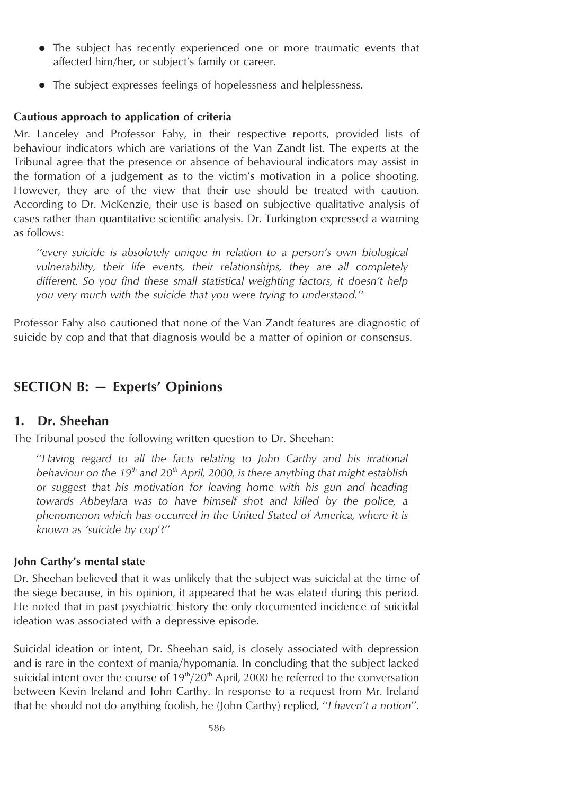- The subject has recently experienced one or more traumatic events that affected him/her, or subject's family or career.
- The subject expresses feelings of hopelessness and helplessness.

#### **Cautious approach to application of criteria**

Mr. Lanceley and Professor Fahy, in their respective reports, provided lists of behaviour indicators which are variations of the Van Zandt list. The experts at the Tribunal agree that the presence or absence of behavioural indicators may assist in the formation of a judgement as to the victim's motivation in a police shooting. However, they are of the view that their use should be treated with caution. According to Dr. McKenzie, their use is based on subjective qualitative analysis of cases rather than quantitative scientific analysis. Dr. Turkington expressed a warning as follows:

*''every suicide is absolutely unique in relation to a person's own biological vulnerability, their life events, their relationships, they are all completely different. So you find these small statistical weighting factors, it doesn't help you very much with the suicide that you were trying to understand.''*

Professor Fahy also cautioned that none of the Van Zandt features are diagnostic of suicide by cop and that that diagnosis would be a matter of opinion or consensus.

# **SECTION B: — Experts' Opinions**

## **1. Dr. Sheehan**

The Tribunal posed the following written question to Dr. Sheehan:

''*Having regard to all the facts relating to John Carthy and his irrational behaviour on the 19<sup>th</sup> and 20<sup>th</sup> <i>April, 2000, is there anything that might establish or suggest that his motivation for leaving home with his gun and heading towards Abbeylara was to have himself shot and killed by the police, a phenomenon which has occurred in the United Stated of America, where it is known as 'suicide by cop*'?''

#### **John Carthy's mental state**

Dr. Sheehan believed that it was unlikely that the subject was suicidal at the time of the siege because, in his opinion, it appeared that he was elated during this period. He noted that in past psychiatric history the only documented incidence of suicidal ideation was associated with a depressive episode.

Suicidal ideation or intent, Dr. Sheehan said, is closely associated with depression and is rare in the context of mania/hypomania. In concluding that the subject lacked suicidal intent over the course of  $19<sup>th</sup>/20<sup>th</sup>$  April, 2000 he referred to the conversation between Kevin Ireland and John Carthy. In response to a request from Mr. Ireland that he should not do anything foolish, he (John Carthy) replied, ''*I haven't a notion*''.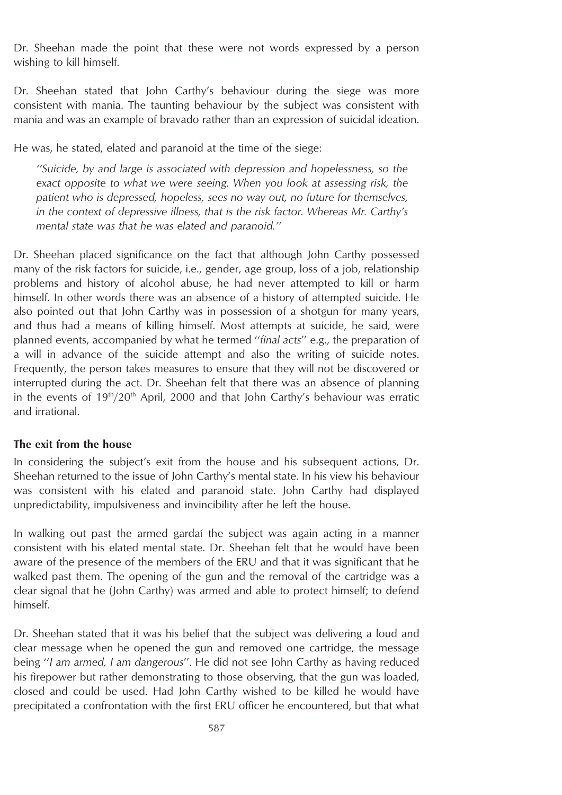Dr. Sheehan made the point that these were not words expressed by a person wishing to kill himself.

Dr. Sheehan stated that John Carthy's behaviour during the siege was more consistent with mania. The taunting behaviour by the subject was consistent with mania and was an example of bravado rather than an expression of suicidal ideation.

He was, he stated, elated and paranoid at the time of the siege:

*''Suicide, by and large is associated with depression and hopelessness, so the exact opposite to what we were seeing. When you look at assessing risk, the patient who is depressed, hopeless, sees no way out, no future for themselves, in the context of depressive illness, that is the risk factor. Whereas Mr. Carthy's mental state was that he was elated and paranoid.''*

Dr. Sheehan placed significance on the fact that although John Carthy possessed many of the risk factors for suicide, i.e., gender, age group, loss of a job, relationship problems and history of alcohol abuse, he had never attempted to kill or harm himself. In other words there was an absence of a history of attempted suicide. He also pointed out that John Carthy was in possession of a shotgun for many years, and thus had a means of killing himself. Most attempts at suicide, he said, were planned events, accompanied by what he termed ''*final acts*'' e.g., the preparation of a will in advance of the suicide attempt and also the writing of suicide notes. Frequently, the person takes measures to ensure that they will not be discovered or interrupted during the act. Dr. Sheehan felt that there was an absence of planning in the events of  $19<sup>th</sup>/20<sup>th</sup>$  April, 2000 and that John Carthy's behaviour was erratic and irrational.

#### **The exit from the house**

In considering the subject's exit from the house and his subsequent actions, Dr. Sheehan returned to the issue of John Carthy's mental state. In his view his behaviour was consistent with his elated and paranoid state. John Carthy had displayed unpredictability, impulsiveness and invincibility after he left the house.

In walking out past the armed gardai the subject was again acting in a manner consistent with his elated mental state. Dr. Sheehan felt that he would have been aware of the presence of the members of the ERU and that it was significant that he walked past them. The opening of the gun and the removal of the cartridge was a clear signal that he (John Carthy) was armed and able to protect himself; to defend himself.

Dr. Sheehan stated that it was his belief that the subject was delivering a loud and clear message when he opened the gun and removed one cartridge, the message being ''*I am armed, I am dangerous*''. He did not see John Carthy as having reduced his firepower but rather demonstrating to those observing, that the gun was loaded, closed and could be used. Had John Carthy wished to be killed he would have precipitated a confrontation with the first ERU officer he encountered, but that what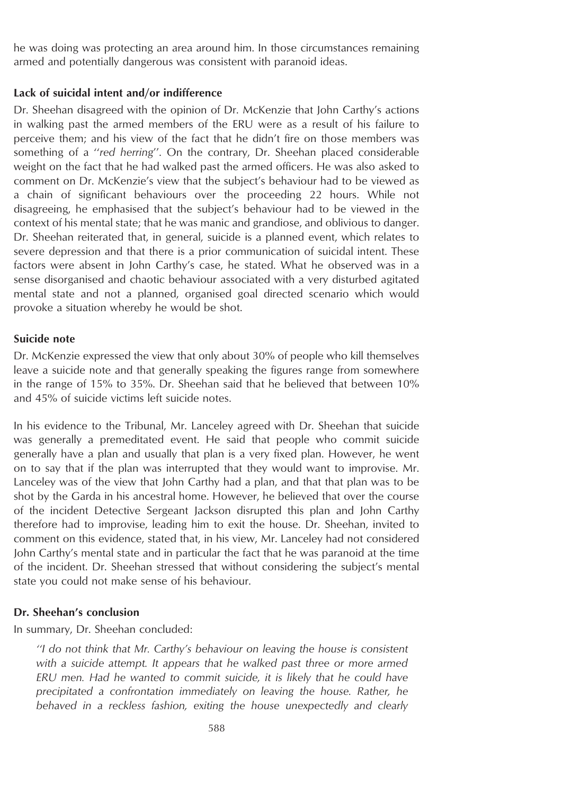he was doing was protecting an area around him. In those circumstances remaining armed and potentially dangerous was consistent with paranoid ideas.

#### **Lack of suicidal intent and/or indifference**

Dr. Sheehan disagreed with the opinion of Dr. McKenzie that John Carthy's actions in walking past the armed members of the ERU were as a result of his failure to perceive them; and his view of the fact that he didn't fire on those members was something of a ''*red herring*''. On the contrary, Dr. Sheehan placed considerable weight on the fact that he had walked past the armed officers. He was also asked to comment on Dr. McKenzie's view that the subject's behaviour had to be viewed as a chain of significant behaviours over the proceeding 22 hours. While not disagreeing, he emphasised that the subject's behaviour had to be viewed in the context of his mental state; that he was manic and grandiose, and oblivious to danger. Dr. Sheehan reiterated that, in general, suicide is a planned event, which relates to severe depression and that there is a prior communication of suicidal intent. These factors were absent in John Carthy's case, he stated. What he observed was in a sense disorganised and chaotic behaviour associated with a very disturbed agitated mental state and not a planned, organised goal directed scenario which would provoke a situation whereby he would be shot.

#### **Suicide note**

Dr. McKenzie expressed the view that only about 30% of people who kill themselves leave a suicide note and that generally speaking the figures range from somewhere in the range of 15% to 35%. Dr. Sheehan said that he believed that between 10% and 45% of suicide victims left suicide notes.

In his evidence to the Tribunal, Mr. Lanceley agreed with Dr. Sheehan that suicide was generally a premeditated event. He said that people who commit suicide generally have a plan and usually that plan is a very fixed plan. However, he went on to say that if the plan was interrupted that they would want to improvise. Mr. Lanceley was of the view that John Carthy had a plan, and that that plan was to be shot by the Garda in his ancestral home. However, he believed that over the course of the incident Detective Sergeant Jackson disrupted this plan and John Carthy therefore had to improvise, leading him to exit the house. Dr. Sheehan, invited to comment on this evidence, stated that, in his view, Mr. Lanceley had not considered John Carthy's mental state and in particular the fact that he was paranoid at the time of the incident. Dr. Sheehan stressed that without considering the subject's mental state you could not make sense of his behaviour.

#### **Dr. Sheehan's conclusion**

In summary, Dr. Sheehan concluded:

*''I do not think that Mr. Carthy's behaviour on leaving the house is consistent with a suicide attempt. It appears that he walked past three or more armed ERU men. Had he wanted to commit suicide, it is likely that he could have precipitated a confrontation immediately on leaving the house. Rather, he behaved in a reckless fashion, exiting the house unexpectedly and clearly*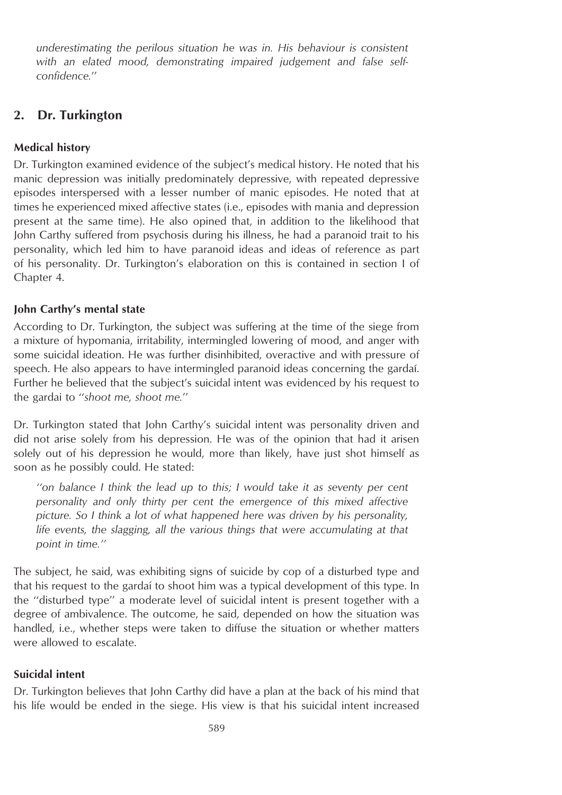*underestimating the perilous situation he was in. His behaviour is consistent with an elated mood, demonstrating impaired judgement and false selfconfidence.*''

# **2. Dr. Turkington**

# **Medical history**

Dr. Turkington examined evidence of the subject's medical history. He noted that his manic depression was initially predominately depressive, with repeated depressive episodes interspersed with a lesser number of manic episodes. He noted that at times he experienced mixed affective states (i.e., episodes with mania and depression present at the same time). He also opined that, in addition to the likelihood that John Carthy suffered from psychosis during his illness, he had a paranoid trait to his personality, which led him to have paranoid ideas and ideas of reference as part of his personality. Dr. Turkington's elaboration on this is contained in section I of Chapter 4.

## **John Carthy's mental state**

According to Dr. Turkington, the subject was suffering at the time of the siege from a mixture of hypomania, irritability, intermingled lowering of mood, and anger with some suicidal ideation. He was further disinhibited, overactive and with pressure of speech. He also appears to have intermingled paranoid ideas concerning the gardai. Further he believed that the subject's suicidal intent was evidenced by his request to the gardai to ''*shoot me, shoot me.*''

Dr. Turkington stated that John Carthy's suicidal intent was personality driven and did not arise solely from his depression. He was of the opinion that had it arisen solely out of his depression he would, more than likely, have just shot himself as soon as he possibly could. He stated:

*''on balance I think the lead up to this; I would take it as seventy per cent personality and only thirty per cent the emergence of this mixed affective picture. So I think a lot of what happened here was driven by his personality, life events, the slagging, all the various things that were accumulating at that point in time.''*

The subject, he said, was exhibiting signs of suicide by cop of a disturbed type and that his request to the gardai to shoot him was a typical development of this type. In the ''disturbed type'' a moderate level of suicidal intent is present together with a degree of ambivalence. The outcome, he said, depended on how the situation was handled, i.e., whether steps were taken to diffuse the situation or whether matters were allowed to escalate.

# **Suicidal intent**

Dr. Turkington believes that John Carthy did have a plan at the back of his mind that his life would be ended in the siege. His view is that his suicidal intent increased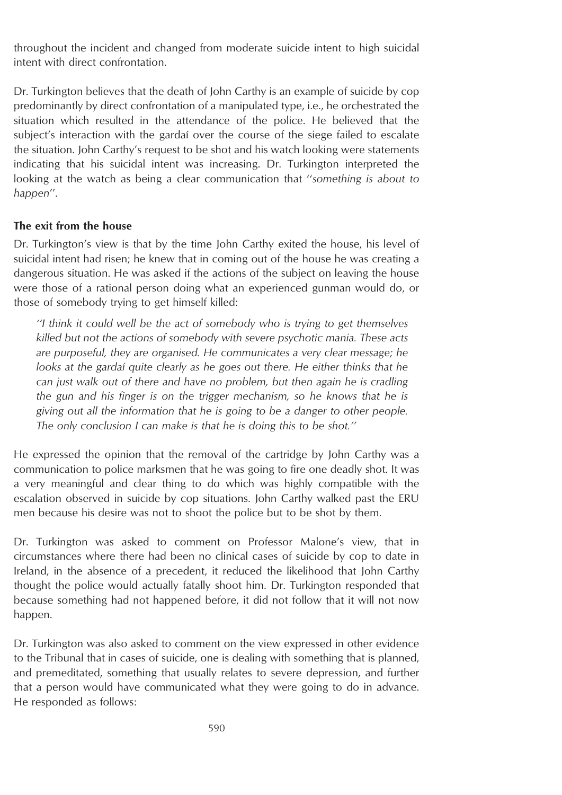throughout the incident and changed from moderate suicide intent to high suicidal intent with direct confrontation.

Dr. Turkington believes that the death of John Carthy is an example of suicide by cop predominantly by direct confrontation of a manipulated type, i.e., he orchestrated the situation which resulted in the attendance of the police. He believed that the subject's interaction with the gardai over the course of the siege failed to escalate the situation. John Carthy's request to be shot and his watch looking were statements indicating that his suicidal intent was increasing. Dr. Turkington interpreted the looking at the watch as being a clear communication that ''*something is about to happen*''.

#### **The exit from the house**

Dr. Turkington's view is that by the time John Carthy exited the house, his level of suicidal intent had risen; he knew that in coming out of the house he was creating a dangerous situation. He was asked if the actions of the subject on leaving the house were those of a rational person doing what an experienced gunman would do, or those of somebody trying to get himself killed:

*''I think it could well be the act of somebody who is trying to get themselves killed but not the actions of somebody with severe psychotic mania. These acts are purposeful, they are organised. He communicates a very clear message; he looks at the gardaı´ quite clearly as he goes out there. He either thinks that he can just walk out of there and have no problem, but then again he is cradling the gun and his finger is on the trigger mechanism, so he knows that he is giving out all the information that he is going to be a danger to other people. The only conclusion I can make is that he is doing this to be shot.''*

He expressed the opinion that the removal of the cartridge by John Carthy was a communication to police marksmen that he was going to fire one deadly shot. It was a very meaningful and clear thing to do which was highly compatible with the escalation observed in suicide by cop situations. John Carthy walked past the ERU men because his desire was not to shoot the police but to be shot by them.

Dr. Turkington was asked to comment on Professor Malone's view, that in circumstances where there had been no clinical cases of suicide by cop to date in Ireland, in the absence of a precedent, it reduced the likelihood that John Carthy thought the police would actually fatally shoot him. Dr. Turkington responded that because something had not happened before, it did not follow that it will not now happen.

Dr. Turkington was also asked to comment on the view expressed in other evidence to the Tribunal that in cases of suicide, one is dealing with something that is planned, and premeditated, something that usually relates to severe depression, and further that a person would have communicated what they were going to do in advance. He responded as follows: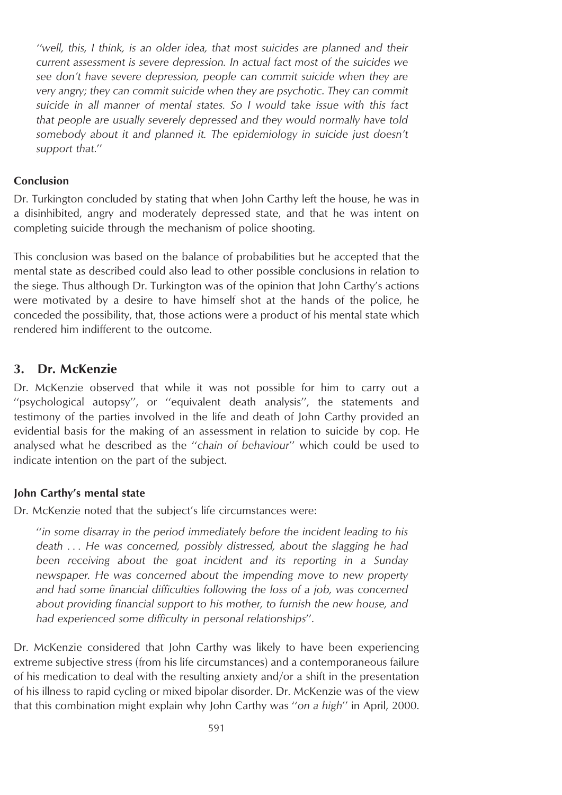*''well, this, I think, is an older idea, that most suicides are planned and their current assessment is severe depression. In actual fact most of the suicides we see don't have severe depression, people can commit suicide when they are very angry; they can commit suicide when they are psychotic*. *They can commit suicide in all manner of mental states. So I would take issue with this fact that people are usually severely depressed and they would normally have told somebody about it and planned it. The epidemiology in suicide just doesn't support that*.''

#### **Conclusion**

Dr. Turkington concluded by stating that when John Carthy left the house, he was in a disinhibited, angry and moderately depressed state, and that he was intent on completing suicide through the mechanism of police shooting.

This conclusion was based on the balance of probabilities but he accepted that the mental state as described could also lead to other possible conclusions in relation to the siege. Thus although Dr. Turkington was of the opinion that John Carthy's actions were motivated by a desire to have himself shot at the hands of the police, he conceded the possibility, that, those actions were a product of his mental state which rendered him indifferent to the outcome.

## **3. Dr. McKenzie**

Dr. McKenzie observed that while it was not possible for him to carry out a ''psychological autopsy'', or ''equivalent death analysis'', the statements and testimony of the parties involved in the life and death of John Carthy provided an evidential basis for the making of an assessment in relation to suicide by cop. He analysed what he described as the ''*chain of behaviour*'' which could be used to indicate intention on the part of the subject.

#### **John Carthy's mental state**

Dr. McKenzie noted that the subject's life circumstances were:

''*in some disarray in the period immediately before the incident leading to his death . . . He was concerned, possibly distressed, about the slagging he had been receiving about the goat incident and its reporting in a Sunday newspaper. He was concerned about the impending move to new property and had some financial difficulties following the loss of a job, was concerned about providing financial support to his mother, to furnish the new house, and had experienced some difficulty in personal relationships*''.

Dr. McKenzie considered that John Carthy was likely to have been experiencing extreme subjective stress (from his life circumstances) and a contemporaneous failure of his medication to deal with the resulting anxiety and/or a shift in the presentation of his illness to rapid cycling or mixed bipolar disorder. Dr. McKenzie was of the view that this combination might explain why John Carthy was ''*on a high*'' in April, 2000.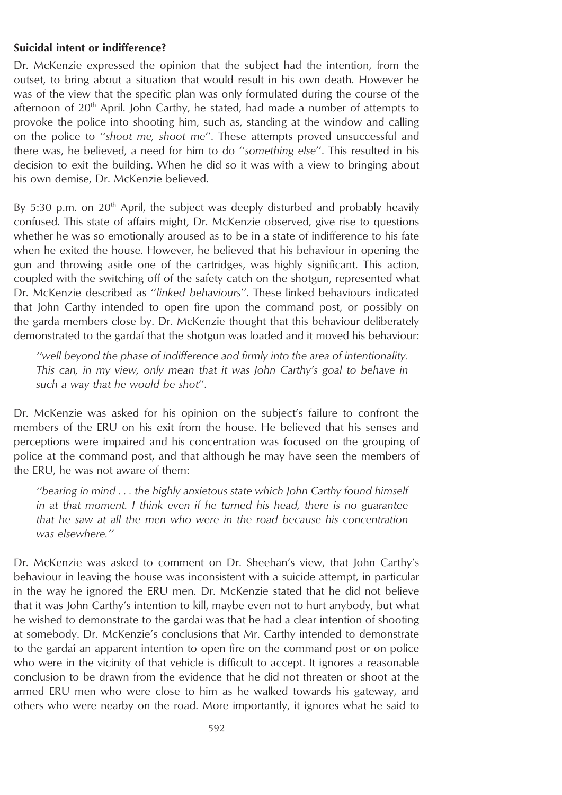#### **Suicidal intent or indifference?**

Dr. McKenzie expressed the opinion that the subject had the intention, from the outset, to bring about a situation that would result in his own death. However he was of the view that the specific plan was only formulated during the course of the afternoon of  $20<sup>th</sup>$  April. John Carthy, he stated, had made a number of attempts to provoke the police into shooting him, such as, standing at the window and calling on the police to ''*shoot me, shoot me*''. These attempts proved unsuccessful and there was, he believed, a need for him to do ''*something else*''. This resulted in his decision to exit the building. When he did so it was with a view to bringing about his own demise, Dr. McKenzie believed.

By 5:30 p.m. on  $20<sup>th</sup>$  April, the subject was deeply disturbed and probably heavily confused. This state of affairs might, Dr. McKenzie observed, give rise to questions whether he was so emotionally aroused as to be in a state of indifference to his fate when he exited the house. However, he believed that his behaviour in opening the gun and throwing aside one of the cartridges, was highly significant. This action, coupled with the switching off of the safety catch on the shotgun, represented what Dr. McKenzie described as ''*linked behaviours*''. These linked behaviours indicated that John Carthy intended to open fire upon the command post, or possibly on the garda members close by. Dr. McKenzie thought that this behaviour deliberately demonstrated to the gardai that the shotgun was loaded and it moved his behaviour:

*''well beyond the phase of indifference and firmly into the area of intentionality. This can, in my view, only mean that it was John Carthy's goal to behave in such a way that he would be shot*''.

Dr. McKenzie was asked for his opinion on the subject's failure to confront the members of the ERU on his exit from the house. He believed that his senses and perceptions were impaired and his concentration was focused on the grouping of police at the command post, and that although he may have seen the members of the ERU, he was not aware of them:

*''bearing in mind . . . the highly anxietous state which John Carthy found himself in at that moment. I think even if he turned his head, there is no guarantee that he saw at all the men who were in the road because his concentration was elsewhere.''*

Dr. McKenzie was asked to comment on Dr. Sheehan's view, that John Carthy's behaviour in leaving the house was inconsistent with a suicide attempt, in particular in the way he ignored the ERU men. Dr. McKenzie stated that he did not believe that it was John Carthy's intention to kill, maybe even not to hurt anybody, but what he wished to demonstrate to the gardai was that he had a clear intention of shooting at somebody. Dr. McKenzie's conclusions that Mr. Carthy intended to demonstrate to the gardaı´ an apparent intention to open fire on the command post or on police who were in the vicinity of that vehicle is difficult to accept. It ignores a reasonable conclusion to be drawn from the evidence that he did not threaten or shoot at the armed ERU men who were close to him as he walked towards his gateway, and others who were nearby on the road. More importantly, it ignores what he said to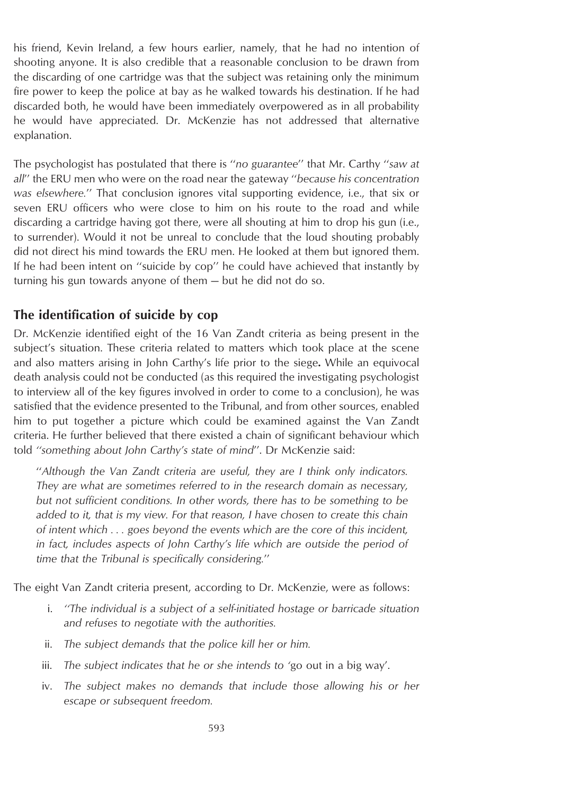his friend, Kevin Ireland, a few hours earlier, namely, that he had no intention of shooting anyone. It is also credible that a reasonable conclusion to be drawn from the discarding of one cartridge was that the subject was retaining only the minimum fire power to keep the police at bay as he walked towards his destination. If he had discarded both, he would have been immediately overpowered as in all probability he would have appreciated. Dr. McKenzie has not addressed that alternative explanation.

The psychologist has postulated that there is ''*no guarantee*'' that Mr. Carthy ''*saw at all*'' the ERU men who were on the road near the gateway ''*because his concentration was elsewhere.*'' That conclusion ignores vital supporting evidence, i.e., that six or seven ERU officers who were close to him on his route to the road and while discarding a cartridge having got there, were all shouting at him to drop his gun (i.e., to surrender). Would it not be unreal to conclude that the loud shouting probably did not direct his mind towards the ERU men. He looked at them but ignored them. If he had been intent on ''suicide by cop'' he could have achieved that instantly by turning his gun towards anyone of them — but he did not do so.

# **The identification of suicide by cop**

Dr. McKenzie identified eight of the 16 Van Zandt criteria as being present in the subject's situation. These criteria related to matters which took place at the scene and also matters arising in John Carthy's life prior to the siege**.** While an equivocal death analysis could not be conducted (as this required the investigating psychologist to interview all of the key figures involved in order to come to a conclusion), he was satisfied that the evidence presented to the Tribunal, and from other sources, enabled him to put together a picture which could be examined against the Van Zandt criteria. He further believed that there existed a chain of significant behaviour which told *''something about John Carthy's state of mind*''. Dr McKenzie said:

''*Although the Van Zandt criteria are useful, they are I think only indicators. They are what are sometimes referred to in the research domain as necessary, but not sufficient conditions. In other words, there has to be something to be added to it, that is my view. For that reason, I have chosen to create this chain of intent which . . . goes beyond the events which are the core of this incident, in fact, includes aspects of John Carthy's life which are outside the period of time that the Tribunal is specifically considering.*''

The eight Van Zandt criteria present, according to Dr. McKenzie, were as follows:

- i. *''The individual is a subject of a self-initiated hostage or barricade situation and refuses to negotiate with the authorities.*
- ii. *The subject demands that the police kill her or him.*
- iii. *The subject indicates that he or she intends to '*go out in a big way'.
- iv. *The subject makes no demands that include those allowing his or her escape or subsequent freedom.*